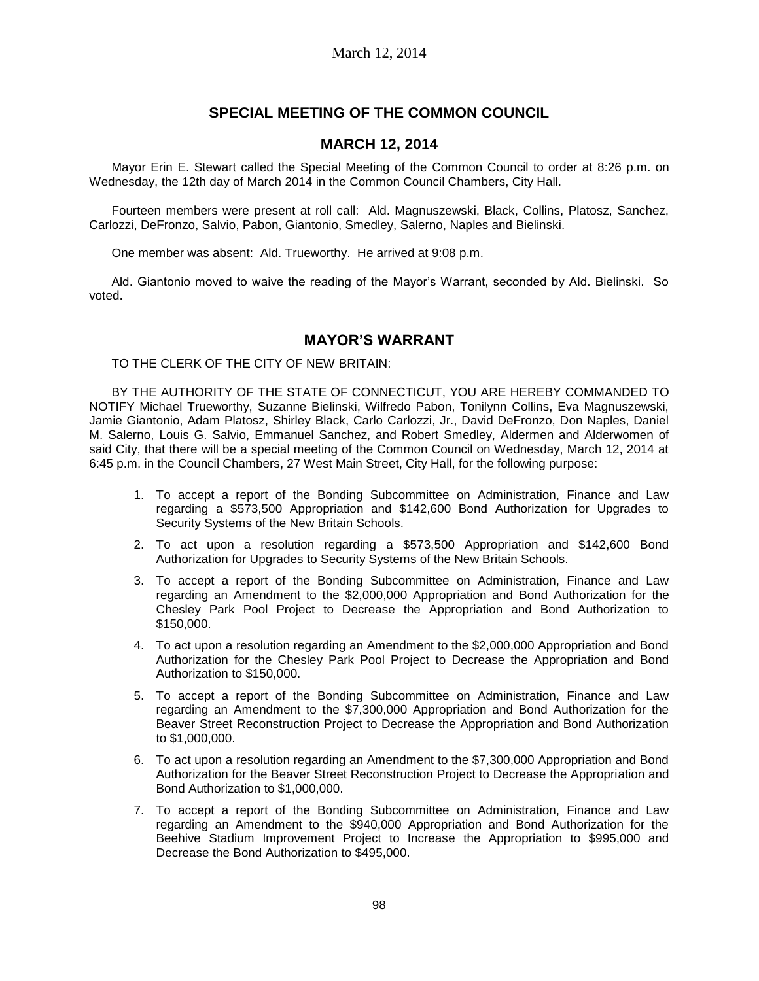# **SPECIAL MEETING OF THE COMMON COUNCIL**

## **MARCH 12, 2014**

Mayor Erin E. Stewart called the Special Meeting of the Common Council to order at 8:26 p.m. on Wednesday, the 12th day of March 2014 in the Common Council Chambers, City Hall.

Fourteen members were present at roll call: Ald. Magnuszewski, Black, Collins, Platosz, Sanchez, Carlozzi, DeFronzo, Salvio, Pabon, Giantonio, Smedley, Salerno, Naples and Bielinski.

One member was absent: Ald. Trueworthy. He arrived at 9:08 p.m.

Ald. Giantonio moved to waive the reading of the Mayor's Warrant, seconded by Ald. Bielinski. So voted.

## **MAYOR'S WARRANT**

TO THE CLERK OF THE CITY OF NEW BRITAIN:

BY THE AUTHORITY OF THE STATE OF CONNECTICUT, YOU ARE HEREBY COMMANDED TO NOTIFY Michael Trueworthy, Suzanne Bielinski, Wilfredo Pabon, Tonilynn Collins, Eva Magnuszewski, Jamie Giantonio, Adam Platosz, Shirley Black, Carlo Carlozzi, Jr., David DeFronzo, Don Naples, Daniel M. Salerno, Louis G. Salvio, Emmanuel Sanchez, and Robert Smedley, Aldermen and Alderwomen of said City, that there will be a special meeting of the Common Council on Wednesday, March 12, 2014 at 6:45 p.m. in the Council Chambers, 27 West Main Street, City Hall, for the following purpose:

- 1. To accept a report of the Bonding Subcommittee on Administration, Finance and Law regarding a \$573,500 Appropriation and \$142,600 Bond Authorization for Upgrades to Security Systems of the New Britain Schools.
- 2. To act upon a resolution regarding a \$573,500 Appropriation and \$142,600 Bond Authorization for Upgrades to Security Systems of the New Britain Schools.
- 3. To accept a report of the Bonding Subcommittee on Administration, Finance and Law regarding an Amendment to the \$2,000,000 Appropriation and Bond Authorization for the Chesley Park Pool Project to Decrease the Appropriation and Bond Authorization to \$150,000.
- 4. To act upon a resolution regarding an Amendment to the \$2,000,000 Appropriation and Bond Authorization for the Chesley Park Pool Project to Decrease the Appropriation and Bond Authorization to \$150,000.
- 5. To accept a report of the Bonding Subcommittee on Administration, Finance and Law regarding an Amendment to the \$7,300,000 Appropriation and Bond Authorization for the Beaver Street Reconstruction Project to Decrease the Appropriation and Bond Authorization to \$1,000,000.
- 6. To act upon a resolution regarding an Amendment to the \$7,300,000 Appropriation and Bond Authorization for the Beaver Street Reconstruction Project to Decrease the Appropriation and Bond Authorization to \$1,000,000.
- 7. To accept a report of the Bonding Subcommittee on Administration, Finance and Law regarding an Amendment to the \$940,000 Appropriation and Bond Authorization for the Beehive Stadium Improvement Project to Increase the Appropriation to \$995,000 and Decrease the Bond Authorization to \$495,000.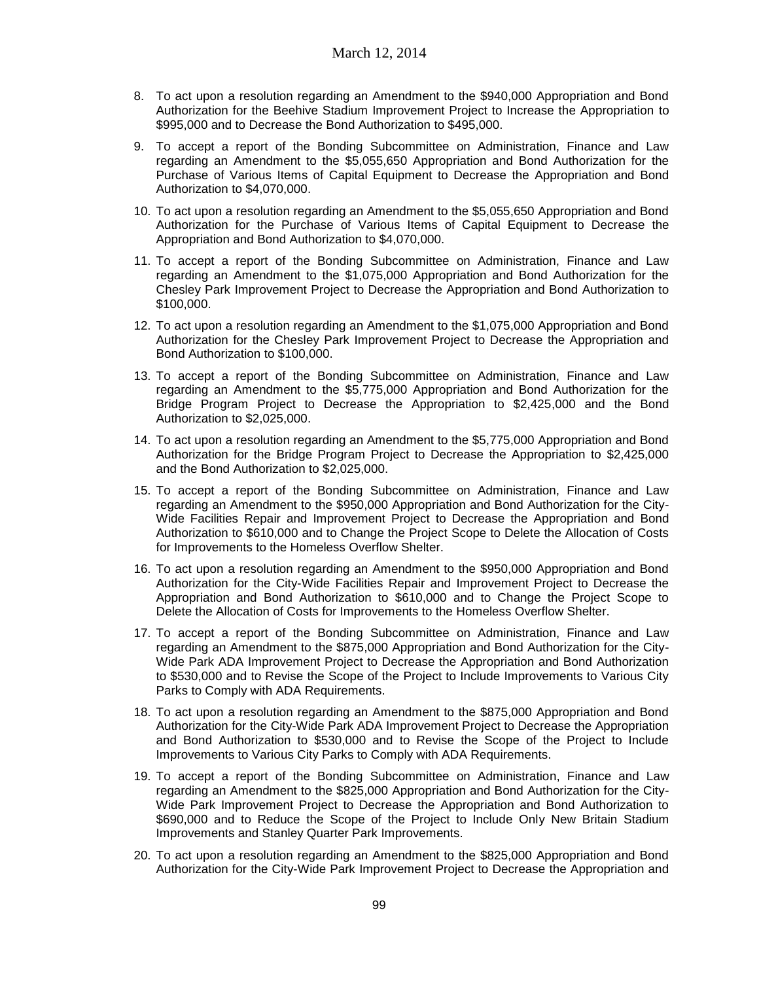- 8. To act upon a resolution regarding an Amendment to the \$940,000 Appropriation and Bond Authorization for the Beehive Stadium Improvement Project to Increase the Appropriation to \$995,000 and to Decrease the Bond Authorization to \$495,000.
- 9. To accept a report of the Bonding Subcommittee on Administration, Finance and Law regarding an Amendment to the \$5,055,650 Appropriation and Bond Authorization for the Purchase of Various Items of Capital Equipment to Decrease the Appropriation and Bond Authorization to \$4,070,000.
- 10. To act upon a resolution regarding an Amendment to the \$5,055,650 Appropriation and Bond Authorization for the Purchase of Various Items of Capital Equipment to Decrease the Appropriation and Bond Authorization to \$4,070,000.
- 11. To accept a report of the Bonding Subcommittee on Administration, Finance and Law regarding an Amendment to the \$1,075,000 Appropriation and Bond Authorization for the Chesley Park Improvement Project to Decrease the Appropriation and Bond Authorization to \$100,000.
- 12. To act upon a resolution regarding an Amendment to the \$1,075,000 Appropriation and Bond Authorization for the Chesley Park Improvement Project to Decrease the Appropriation and Bond Authorization to \$100,000.
- 13. To accept a report of the Bonding Subcommittee on Administration, Finance and Law regarding an Amendment to the \$5,775,000 Appropriation and Bond Authorization for the Bridge Program Project to Decrease the Appropriation to \$2,425,000 and the Bond Authorization to \$2,025,000.
- 14. To act upon a resolution regarding an Amendment to the \$5,775,000 Appropriation and Bond Authorization for the Bridge Program Project to Decrease the Appropriation to \$2,425,000 and the Bond Authorization to \$2,025,000.
- 15. To accept a report of the Bonding Subcommittee on Administration, Finance and Law regarding an Amendment to the \$950,000 Appropriation and Bond Authorization for the City-Wide Facilities Repair and Improvement Project to Decrease the Appropriation and Bond Authorization to \$610,000 and to Change the Project Scope to Delete the Allocation of Costs for Improvements to the Homeless Overflow Shelter.
- 16. To act upon a resolution regarding an Amendment to the \$950,000 Appropriation and Bond Authorization for the City-Wide Facilities Repair and Improvement Project to Decrease the Appropriation and Bond Authorization to \$610,000 and to Change the Project Scope to Delete the Allocation of Costs for Improvements to the Homeless Overflow Shelter.
- 17. To accept a report of the Bonding Subcommittee on Administration, Finance and Law regarding an Amendment to the \$875,000 Appropriation and Bond Authorization for the City-Wide Park ADA Improvement Project to Decrease the Appropriation and Bond Authorization to \$530,000 and to Revise the Scope of the Project to Include Improvements to Various City Parks to Comply with ADA Requirements.
- 18. To act upon a resolution regarding an Amendment to the \$875,000 Appropriation and Bond Authorization for the City-Wide Park ADA Improvement Project to Decrease the Appropriation and Bond Authorization to \$530,000 and to Revise the Scope of the Project to Include Improvements to Various City Parks to Comply with ADA Requirements.
- 19. To accept a report of the Bonding Subcommittee on Administration, Finance and Law regarding an Amendment to the \$825,000 Appropriation and Bond Authorization for the City-Wide Park Improvement Project to Decrease the Appropriation and Bond Authorization to \$690,000 and to Reduce the Scope of the Project to Include Only New Britain Stadium Improvements and Stanley Quarter Park Improvements.
- 20. To act upon a resolution regarding an Amendment to the \$825,000 Appropriation and Bond Authorization for the City-Wide Park Improvement Project to Decrease the Appropriation and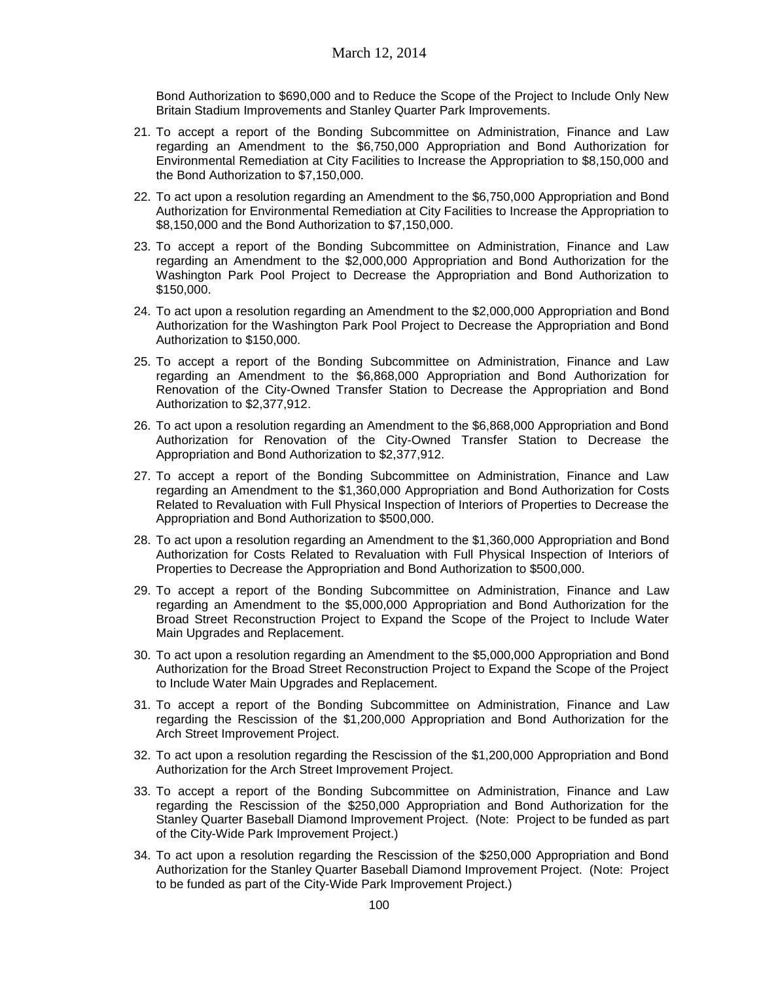Bond Authorization to \$690,000 and to Reduce the Scope of the Project to Include Only New Britain Stadium Improvements and Stanley Quarter Park Improvements.

- 21. To accept a report of the Bonding Subcommittee on Administration, Finance and Law regarding an Amendment to the \$6,750,000 Appropriation and Bond Authorization for Environmental Remediation at City Facilities to Increase the Appropriation to \$8,150,000 and the Bond Authorization to \$7,150,000.
- 22. To act upon a resolution regarding an Amendment to the \$6,750,000 Appropriation and Bond Authorization for Environmental Remediation at City Facilities to Increase the Appropriation to \$8,150,000 and the Bond Authorization to \$7,150,000.
- 23. To accept a report of the Bonding Subcommittee on Administration, Finance and Law regarding an Amendment to the \$2,000,000 Appropriation and Bond Authorization for the Washington Park Pool Project to Decrease the Appropriation and Bond Authorization to \$150,000.
- 24. To act upon a resolution regarding an Amendment to the \$2,000,000 Appropriation and Bond Authorization for the Washington Park Pool Project to Decrease the Appropriation and Bond Authorization to \$150,000.
- 25. To accept a report of the Bonding Subcommittee on Administration, Finance and Law regarding an Amendment to the \$6,868,000 Appropriation and Bond Authorization for Renovation of the City-Owned Transfer Station to Decrease the Appropriation and Bond Authorization to \$2,377,912.
- 26. To act upon a resolution regarding an Amendment to the \$6,868,000 Appropriation and Bond Authorization for Renovation of the City-Owned Transfer Station to Decrease the Appropriation and Bond Authorization to \$2,377,912.
- 27. To accept a report of the Bonding Subcommittee on Administration, Finance and Law regarding an Amendment to the \$1,360,000 Appropriation and Bond Authorization for Costs Related to Revaluation with Full Physical Inspection of Interiors of Properties to Decrease the Appropriation and Bond Authorization to \$500,000.
- 28. To act upon a resolution regarding an Amendment to the \$1,360,000 Appropriation and Bond Authorization for Costs Related to Revaluation with Full Physical Inspection of Interiors of Properties to Decrease the Appropriation and Bond Authorization to \$500,000.
- 29. To accept a report of the Bonding Subcommittee on Administration, Finance and Law regarding an Amendment to the \$5,000,000 Appropriation and Bond Authorization for the Broad Street Reconstruction Project to Expand the Scope of the Project to Include Water Main Upgrades and Replacement.
- 30. To act upon a resolution regarding an Amendment to the \$5,000,000 Appropriation and Bond Authorization for the Broad Street Reconstruction Project to Expand the Scope of the Project to Include Water Main Upgrades and Replacement.
- 31. To accept a report of the Bonding Subcommittee on Administration, Finance and Law regarding the Rescission of the \$1,200,000 Appropriation and Bond Authorization for the Arch Street Improvement Project.
- 32. To act upon a resolution regarding the Rescission of the \$1,200,000 Appropriation and Bond Authorization for the Arch Street Improvement Project.
- 33. To accept a report of the Bonding Subcommittee on Administration, Finance and Law regarding the Rescission of the \$250,000 Appropriation and Bond Authorization for the Stanley Quarter Baseball Diamond Improvement Project. (Note: Project to be funded as part of the City-Wide Park Improvement Project.)
- 34. To act upon a resolution regarding the Rescission of the \$250,000 Appropriation and Bond Authorization for the Stanley Quarter Baseball Diamond Improvement Project. (Note: Project to be funded as part of the City-Wide Park Improvement Project.)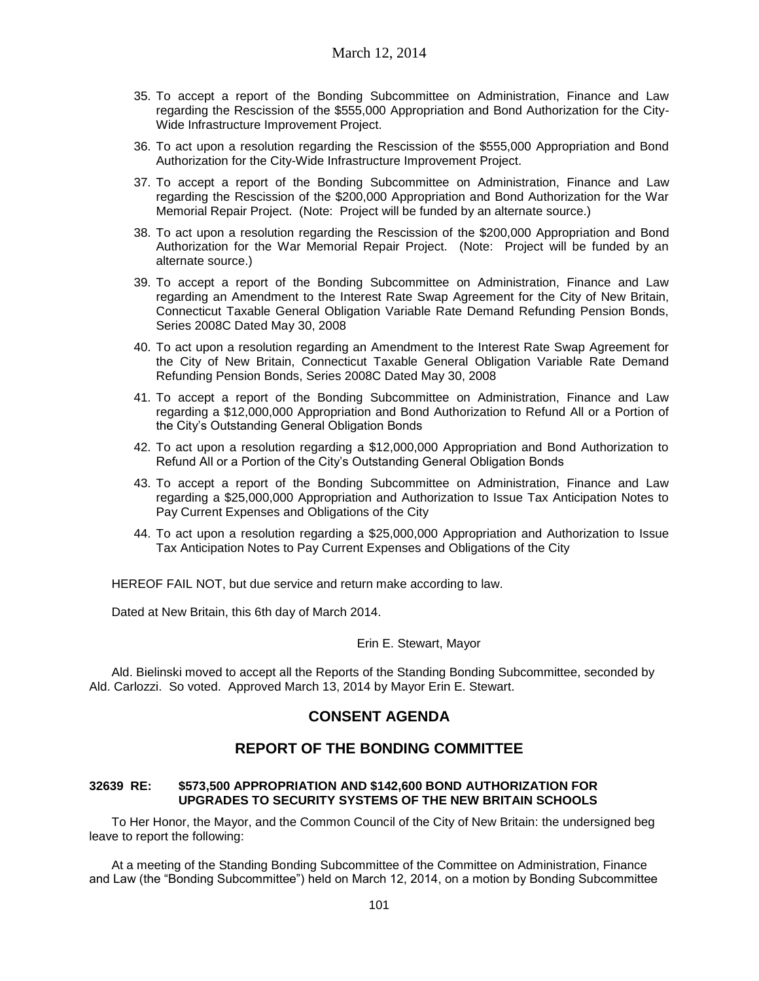- 35. To accept a report of the Bonding Subcommittee on Administration, Finance and Law regarding the Rescission of the \$555,000 Appropriation and Bond Authorization for the City-Wide Infrastructure Improvement Project.
- 36. To act upon a resolution regarding the Rescission of the \$555,000 Appropriation and Bond Authorization for the City-Wide Infrastructure Improvement Project.
- 37. To accept a report of the Bonding Subcommittee on Administration, Finance and Law regarding the Rescission of the \$200,000 Appropriation and Bond Authorization for the War Memorial Repair Project. (Note: Project will be funded by an alternate source.)
- 38. To act upon a resolution regarding the Rescission of the \$200,000 Appropriation and Bond Authorization for the War Memorial Repair Project. (Note: Project will be funded by an alternate source.)
- 39. To accept a report of the Bonding Subcommittee on Administration, Finance and Law regarding an Amendment to the Interest Rate Swap Agreement for the City of New Britain, Connecticut Taxable General Obligation Variable Rate Demand Refunding Pension Bonds, Series 2008C Dated May 30, 2008
- 40. To act upon a resolution regarding an Amendment to the Interest Rate Swap Agreement for the City of New Britain, Connecticut Taxable General Obligation Variable Rate Demand Refunding Pension Bonds, Series 2008C Dated May 30, 2008
- 41. To accept a report of the Bonding Subcommittee on Administration, Finance and Law regarding a \$12,000,000 Appropriation and Bond Authorization to Refund All or a Portion of the City's Outstanding General Obligation Bonds
- 42. To act upon a resolution regarding a \$12,000,000 Appropriation and Bond Authorization to Refund All or a Portion of the City's Outstanding General Obligation Bonds
- 43. To accept a report of the Bonding Subcommittee on Administration, Finance and Law regarding a \$25,000,000 Appropriation and Authorization to Issue Tax Anticipation Notes to Pay Current Expenses and Obligations of the City
- 44. To act upon a resolution regarding a \$25,000,000 Appropriation and Authorization to Issue Tax Anticipation Notes to Pay Current Expenses and Obligations of the City

HEREOF FAIL NOT, but due service and return make according to law.

Dated at New Britain, this 6th day of March 2014.

#### Erin E. Stewart, Mayor

Ald. Bielinski moved to accept all the Reports of the Standing Bonding Subcommittee, seconded by Ald. Carlozzi. So voted. Approved March 13, 2014 by Mayor Erin E. Stewart.

# **CONSENT AGENDA**

# **REPORT OF THE BONDING COMMITTEE**

#### **32639 RE: \$573,500 APPROPRIATION AND \$142,600 BOND AUTHORIZATION FOR UPGRADES TO SECURITY SYSTEMS OF THE NEW BRITAIN SCHOOLS**

To Her Honor, the Mayor, and the Common Council of the City of New Britain: the undersigned beg leave to report the following:

At a meeting of the Standing Bonding Subcommittee of the Committee on Administration, Finance and Law (the "Bonding Subcommittee") held on March 12, 2014, on a motion by Bonding Subcommittee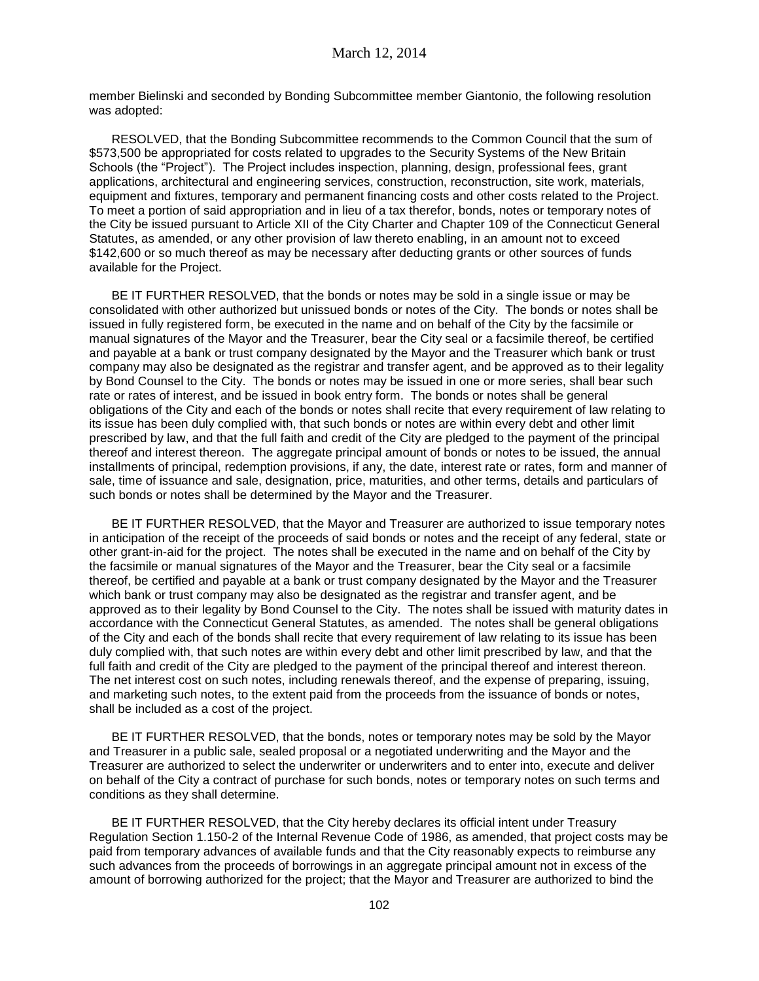member Bielinski and seconded by Bonding Subcommittee member Giantonio, the following resolution was adopted:

RESOLVED, that the Bonding Subcommittee recommends to the Common Council that the sum of \$573,500 be appropriated for costs related to upgrades to the Security Systems of the New Britain Schools (the "Project"). The Project includes inspection, planning, design, professional fees, grant applications, architectural and engineering services, construction, reconstruction, site work, materials, equipment and fixtures, temporary and permanent financing costs and other costs related to the Project. To meet a portion of said appropriation and in lieu of a tax therefor, bonds, notes or temporary notes of the City be issued pursuant to Article XII of the City Charter and Chapter 109 of the Connecticut General Statutes, as amended, or any other provision of law thereto enabling, in an amount not to exceed \$142,600 or so much thereof as may be necessary after deducting grants or other sources of funds available for the Project.

BE IT FURTHER RESOLVED, that the bonds or notes may be sold in a single issue or may be consolidated with other authorized but unissued bonds or notes of the City. The bonds or notes shall be issued in fully registered form, be executed in the name and on behalf of the City by the facsimile or manual signatures of the Mayor and the Treasurer, bear the City seal or a facsimile thereof, be certified and payable at a bank or trust company designated by the Mayor and the Treasurer which bank or trust company may also be designated as the registrar and transfer agent, and be approved as to their legality by Bond Counsel to the City. The bonds or notes may be issued in one or more series, shall bear such rate or rates of interest, and be issued in book entry form. The bonds or notes shall be general obligations of the City and each of the bonds or notes shall recite that every requirement of law relating to its issue has been duly complied with, that such bonds or notes are within every debt and other limit prescribed by law, and that the full faith and credit of the City are pledged to the payment of the principal thereof and interest thereon. The aggregate principal amount of bonds or notes to be issued, the annual installments of principal, redemption provisions, if any, the date, interest rate or rates, form and manner of sale, time of issuance and sale, designation, price, maturities, and other terms, details and particulars of such bonds or notes shall be determined by the Mayor and the Treasurer.

BE IT FURTHER RESOLVED, that the Mayor and Treasurer are authorized to issue temporary notes in anticipation of the receipt of the proceeds of said bonds or notes and the receipt of any federal, state or other grant-in-aid for the project. The notes shall be executed in the name and on behalf of the City by the facsimile or manual signatures of the Mayor and the Treasurer, bear the City seal or a facsimile thereof, be certified and payable at a bank or trust company designated by the Mayor and the Treasurer which bank or trust company may also be designated as the registrar and transfer agent, and be approved as to their legality by Bond Counsel to the City. The notes shall be issued with maturity dates in accordance with the Connecticut General Statutes, as amended. The notes shall be general obligations of the City and each of the bonds shall recite that every requirement of law relating to its issue has been duly complied with, that such notes are within every debt and other limit prescribed by law, and that the full faith and credit of the City are pledged to the payment of the principal thereof and interest thereon. The net interest cost on such notes, including renewals thereof, and the expense of preparing, issuing, and marketing such notes, to the extent paid from the proceeds from the issuance of bonds or notes, shall be included as a cost of the project.

BE IT FURTHER RESOLVED, that the bonds, notes or temporary notes may be sold by the Mayor and Treasurer in a public sale, sealed proposal or a negotiated underwriting and the Mayor and the Treasurer are authorized to select the underwriter or underwriters and to enter into, execute and deliver on behalf of the City a contract of purchase for such bonds, notes or temporary notes on such terms and conditions as they shall determine.

BE IT FURTHER RESOLVED, that the City hereby declares its official intent under Treasury Regulation Section 1.150-2 of the Internal Revenue Code of 1986, as amended, that project costs may be paid from temporary advances of available funds and that the City reasonably expects to reimburse any such advances from the proceeds of borrowings in an aggregate principal amount not in excess of the amount of borrowing authorized for the project; that the Mayor and Treasurer are authorized to bind the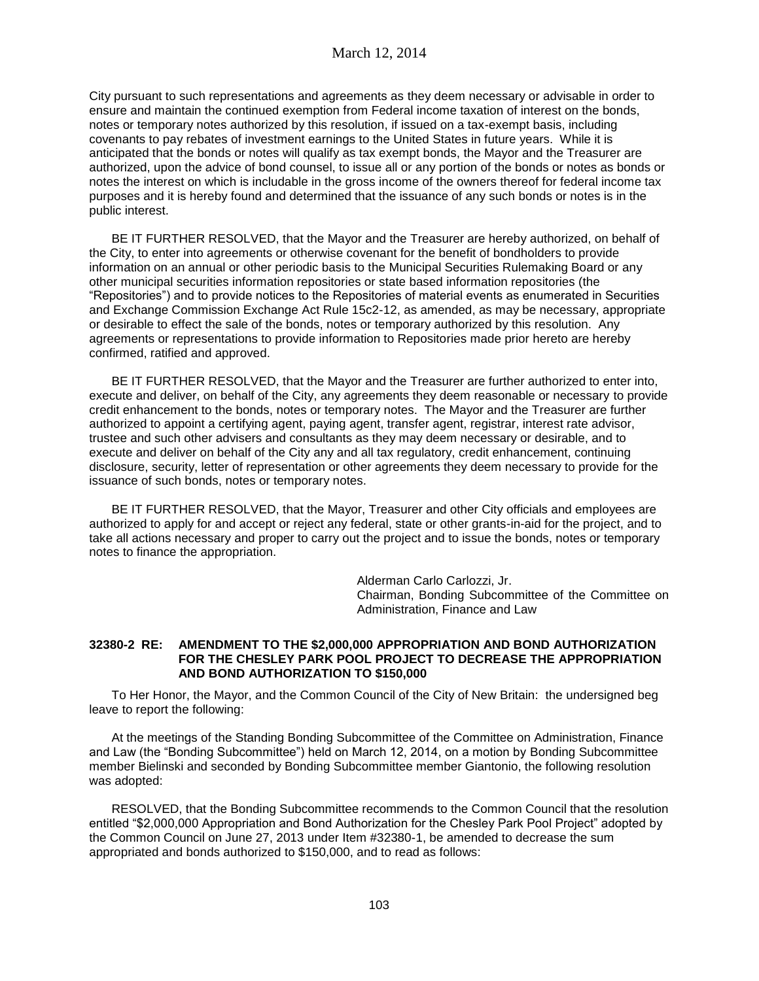City pursuant to such representations and agreements as they deem necessary or advisable in order to ensure and maintain the continued exemption from Federal income taxation of interest on the bonds, notes or temporary notes authorized by this resolution, if issued on a tax-exempt basis, including covenants to pay rebates of investment earnings to the United States in future years. While it is anticipated that the bonds or notes will qualify as tax exempt bonds, the Mayor and the Treasurer are authorized, upon the advice of bond counsel, to issue all or any portion of the bonds or notes as bonds or notes the interest on which is includable in the gross income of the owners thereof for federal income tax purposes and it is hereby found and determined that the issuance of any such bonds or notes is in the public interest.

BE IT FURTHER RESOLVED, that the Mayor and the Treasurer are hereby authorized, on behalf of the City, to enter into agreements or otherwise covenant for the benefit of bondholders to provide information on an annual or other periodic basis to the Municipal Securities Rulemaking Board or any other municipal securities information repositories or state based information repositories (the "Repositories") and to provide notices to the Repositories of material events as enumerated in Securities and Exchange Commission Exchange Act Rule 15c2-12, as amended, as may be necessary, appropriate or desirable to effect the sale of the bonds, notes or temporary authorized by this resolution. Any agreements or representations to provide information to Repositories made prior hereto are hereby confirmed, ratified and approved.

BE IT FURTHER RESOLVED, that the Mayor and the Treasurer are further authorized to enter into, execute and deliver, on behalf of the City, any agreements they deem reasonable or necessary to provide credit enhancement to the bonds, notes or temporary notes. The Mayor and the Treasurer are further authorized to appoint a certifying agent, paying agent, transfer agent, registrar, interest rate advisor, trustee and such other advisers and consultants as they may deem necessary or desirable, and to execute and deliver on behalf of the City any and all tax regulatory, credit enhancement, continuing disclosure, security, letter of representation or other agreements they deem necessary to provide for the issuance of such bonds, notes or temporary notes.

BE IT FURTHER RESOLVED, that the Mayor, Treasurer and other City officials and employees are authorized to apply for and accept or reject any federal, state or other grants-in-aid for the project, and to take all actions necessary and proper to carry out the project and to issue the bonds, notes or temporary notes to finance the appropriation.

> Alderman Carlo Carlozzi, Jr. Chairman, Bonding Subcommittee of the Committee on Administration, Finance and Law

## **32380-2 RE: AMENDMENT TO THE \$2,000,000 APPROPRIATION AND BOND AUTHORIZATION FOR THE CHESLEY PARK POOL PROJECT TO DECREASE THE APPROPRIATION AND BOND AUTHORIZATION TO \$150,000**

To Her Honor, the Mayor, and the Common Council of the City of New Britain: the undersigned beg leave to report the following:

At the meetings of the Standing Bonding Subcommittee of the Committee on Administration, Finance and Law (the "Bonding Subcommittee") held on March 12, 2014, on a motion by Bonding Subcommittee member Bielinski and seconded by Bonding Subcommittee member Giantonio, the following resolution was adopted:

RESOLVED, that the Bonding Subcommittee recommends to the Common Council that the resolution entitled "\$2,000,000 Appropriation and Bond Authorization for the Chesley Park Pool Project" adopted by the Common Council on June 27, 2013 under Item #32380-1, be amended to decrease the sum appropriated and bonds authorized to \$150,000, and to read as follows: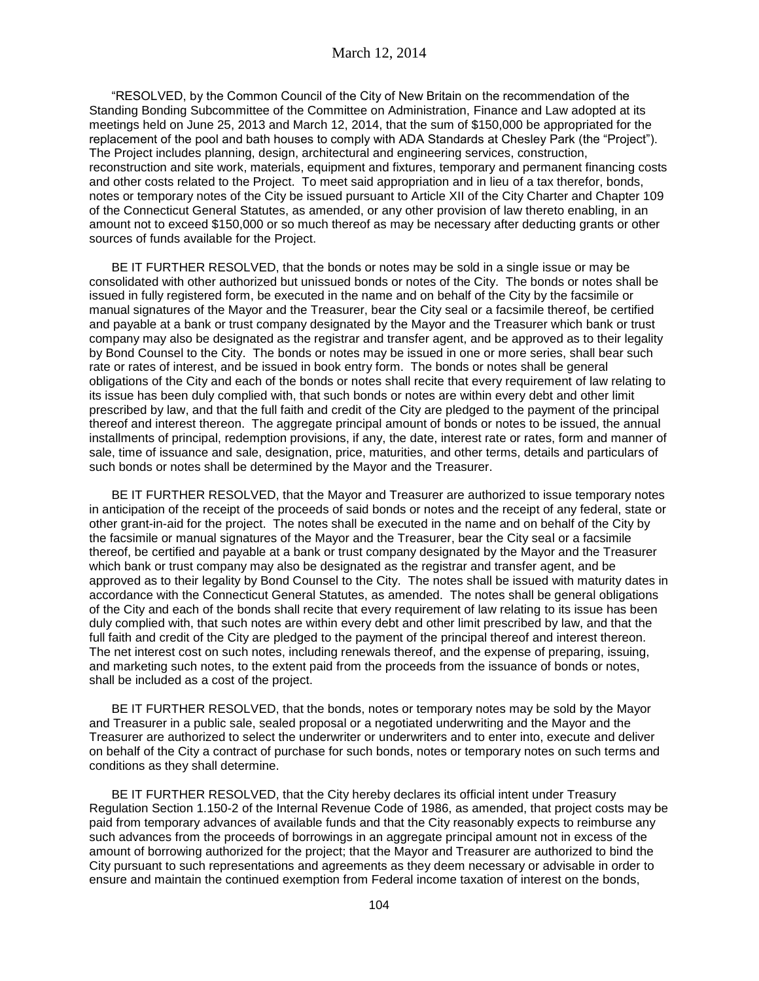"RESOLVED, by the Common Council of the City of New Britain on the recommendation of the Standing Bonding Subcommittee of the Committee on Administration, Finance and Law adopted at its meetings held on June 25, 2013 and March 12, 2014, that the sum of \$150,000 be appropriated for the replacement of the pool and bath houses to comply with ADA Standards at Chesley Park (the "Project"). The Project includes planning, design, architectural and engineering services, construction, reconstruction and site work, materials, equipment and fixtures, temporary and permanent financing costs and other costs related to the Project. To meet said appropriation and in lieu of a tax therefor, bonds, notes or temporary notes of the City be issued pursuant to Article XII of the City Charter and Chapter 109 of the Connecticut General Statutes, as amended, or any other provision of law thereto enabling, in an amount not to exceed \$150,000 or so much thereof as may be necessary after deducting grants or other sources of funds available for the Project.

BE IT FURTHER RESOLVED, that the bonds or notes may be sold in a single issue or may be consolidated with other authorized but unissued bonds or notes of the City. The bonds or notes shall be issued in fully registered form, be executed in the name and on behalf of the City by the facsimile or manual signatures of the Mayor and the Treasurer, bear the City seal or a facsimile thereof, be certified and payable at a bank or trust company designated by the Mayor and the Treasurer which bank or trust company may also be designated as the registrar and transfer agent, and be approved as to their legality by Bond Counsel to the City. The bonds or notes may be issued in one or more series, shall bear such rate or rates of interest, and be issued in book entry form. The bonds or notes shall be general obligations of the City and each of the bonds or notes shall recite that every requirement of law relating to its issue has been duly complied with, that such bonds or notes are within every debt and other limit prescribed by law, and that the full faith and credit of the City are pledged to the payment of the principal thereof and interest thereon. The aggregate principal amount of bonds or notes to be issued, the annual installments of principal, redemption provisions, if any, the date, interest rate or rates, form and manner of sale, time of issuance and sale, designation, price, maturities, and other terms, details and particulars of such bonds or notes shall be determined by the Mayor and the Treasurer.

BE IT FURTHER RESOLVED, that the Mayor and Treasurer are authorized to issue temporary notes in anticipation of the receipt of the proceeds of said bonds or notes and the receipt of any federal, state or other grant-in-aid for the project. The notes shall be executed in the name and on behalf of the City by the facsimile or manual signatures of the Mayor and the Treasurer, bear the City seal or a facsimile thereof, be certified and payable at a bank or trust company designated by the Mayor and the Treasurer which bank or trust company may also be designated as the registrar and transfer agent, and be approved as to their legality by Bond Counsel to the City. The notes shall be issued with maturity dates in accordance with the Connecticut General Statutes, as amended. The notes shall be general obligations of the City and each of the bonds shall recite that every requirement of law relating to its issue has been duly complied with, that such notes are within every debt and other limit prescribed by law, and that the full faith and credit of the City are pledged to the payment of the principal thereof and interest thereon. The net interest cost on such notes, including renewals thereof, and the expense of preparing, issuing, and marketing such notes, to the extent paid from the proceeds from the issuance of bonds or notes, shall be included as a cost of the project.

BE IT FURTHER RESOLVED, that the bonds, notes or temporary notes may be sold by the Mayor and Treasurer in a public sale, sealed proposal or a negotiated underwriting and the Mayor and the Treasurer are authorized to select the underwriter or underwriters and to enter into, execute and deliver on behalf of the City a contract of purchase for such bonds, notes or temporary notes on such terms and conditions as they shall determine.

BE IT FURTHER RESOLVED, that the City hereby declares its official intent under Treasury Regulation Section 1.150-2 of the Internal Revenue Code of 1986, as amended, that project costs may be paid from temporary advances of available funds and that the City reasonably expects to reimburse any such advances from the proceeds of borrowings in an aggregate principal amount not in excess of the amount of borrowing authorized for the project; that the Mayor and Treasurer are authorized to bind the City pursuant to such representations and agreements as they deem necessary or advisable in order to ensure and maintain the continued exemption from Federal income taxation of interest on the bonds,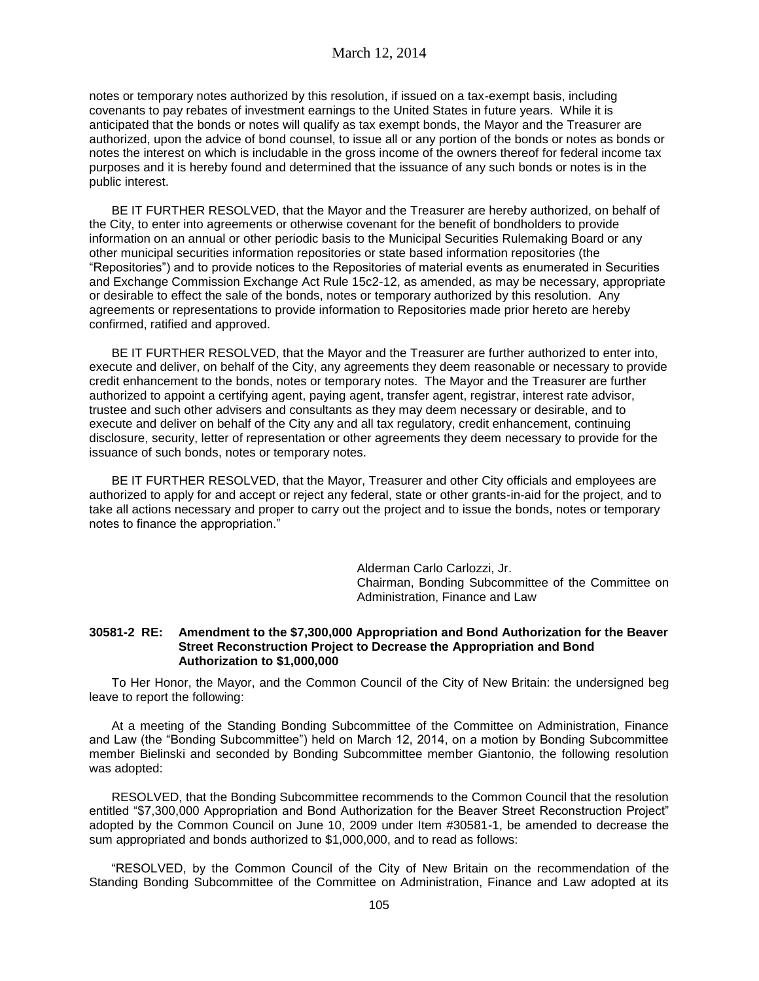notes or temporary notes authorized by this resolution, if issued on a tax-exempt basis, including covenants to pay rebates of investment earnings to the United States in future years. While it is anticipated that the bonds or notes will qualify as tax exempt bonds, the Mayor and the Treasurer are authorized, upon the advice of bond counsel, to issue all or any portion of the bonds or notes as bonds or notes the interest on which is includable in the gross income of the owners thereof for federal income tax purposes and it is hereby found and determined that the issuance of any such bonds or notes is in the public interest.

BE IT FURTHER RESOLVED, that the Mayor and the Treasurer are hereby authorized, on behalf of the City, to enter into agreements or otherwise covenant for the benefit of bondholders to provide information on an annual or other periodic basis to the Municipal Securities Rulemaking Board or any other municipal securities information repositories or state based information repositories (the "Repositories") and to provide notices to the Repositories of material events as enumerated in Securities and Exchange Commission Exchange Act Rule 15c2-12, as amended, as may be necessary, appropriate or desirable to effect the sale of the bonds, notes or temporary authorized by this resolution. Any agreements or representations to provide information to Repositories made prior hereto are hereby confirmed, ratified and approved.

BE IT FURTHER RESOLVED, that the Mayor and the Treasurer are further authorized to enter into, execute and deliver, on behalf of the City, any agreements they deem reasonable or necessary to provide credit enhancement to the bonds, notes or temporary notes. The Mayor and the Treasurer are further authorized to appoint a certifying agent, paying agent, transfer agent, registrar, interest rate advisor, trustee and such other advisers and consultants as they may deem necessary or desirable, and to execute and deliver on behalf of the City any and all tax regulatory, credit enhancement, continuing disclosure, security, letter of representation or other agreements they deem necessary to provide for the issuance of such bonds, notes or temporary notes.

BE IT FURTHER RESOLVED, that the Mayor, Treasurer and other City officials and employees are authorized to apply for and accept or reject any federal, state or other grants-in-aid for the project, and to take all actions necessary and proper to carry out the project and to issue the bonds, notes or temporary notes to finance the appropriation."

> Alderman Carlo Carlozzi, Jr. Chairman, Bonding Subcommittee of the Committee on Administration, Finance and Law

#### **30581-2 RE: Amendment to the \$7,300,000 Appropriation and Bond Authorization for the Beaver Street Reconstruction Project to Decrease the Appropriation and Bond Authorization to \$1,000,000**

To Her Honor, the Mayor, and the Common Council of the City of New Britain: the undersigned beg leave to report the following:

At a meeting of the Standing Bonding Subcommittee of the Committee on Administration, Finance and Law (the "Bonding Subcommittee") held on March 12, 2014, on a motion by Bonding Subcommittee member Bielinski and seconded by Bonding Subcommittee member Giantonio, the following resolution was adopted:

RESOLVED, that the Bonding Subcommittee recommends to the Common Council that the resolution entitled "\$7,300,000 Appropriation and Bond Authorization for the Beaver Street Reconstruction Project" adopted by the Common Council on June 10, 2009 under Item #30581-1, be amended to decrease the sum appropriated and bonds authorized to \$1,000,000, and to read as follows:

"RESOLVED, by the Common Council of the City of New Britain on the recommendation of the Standing Bonding Subcommittee of the Committee on Administration, Finance and Law adopted at its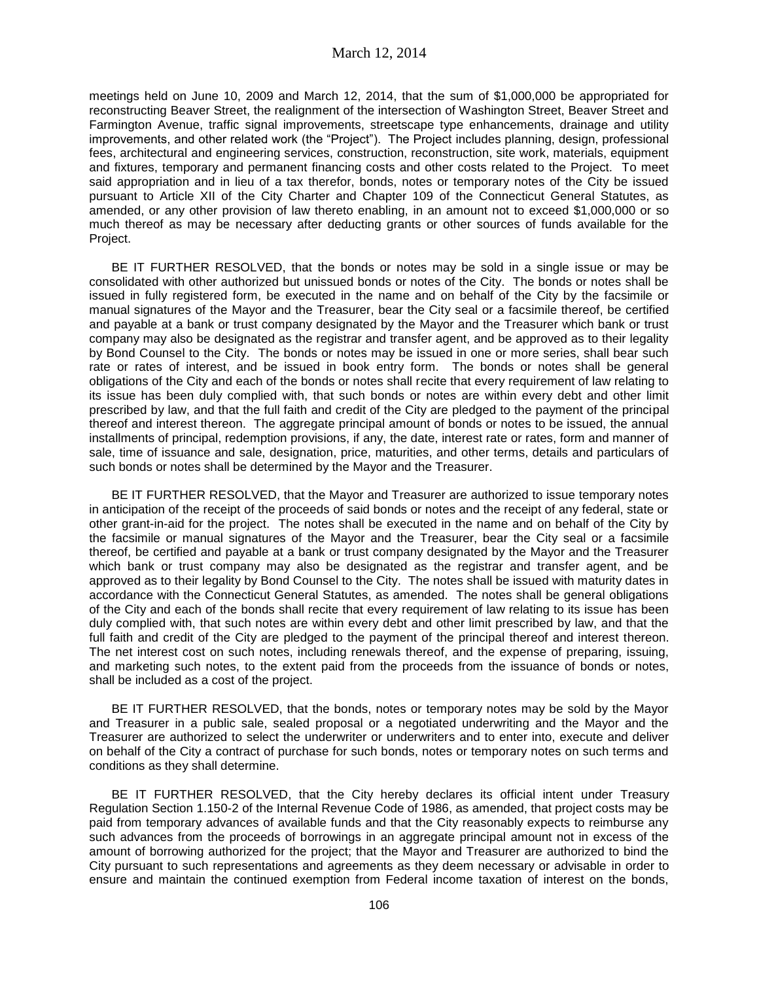meetings held on June 10, 2009 and March 12, 2014, that the sum of \$1,000,000 be appropriated for reconstructing Beaver Street, the realignment of the intersection of Washington Street, Beaver Street and Farmington Avenue, traffic signal improvements, streetscape type enhancements, drainage and utility improvements, and other related work (the "Project"). The Project includes planning, design, professional fees, architectural and engineering services, construction, reconstruction, site work, materials, equipment and fixtures, temporary and permanent financing costs and other costs related to the Project. To meet said appropriation and in lieu of a tax therefor, bonds, notes or temporary notes of the City be issued pursuant to Article XII of the City Charter and Chapter 109 of the Connecticut General Statutes, as amended, or any other provision of law thereto enabling, in an amount not to exceed \$1,000,000 or so much thereof as may be necessary after deducting grants or other sources of funds available for the Project.

BE IT FURTHER RESOLVED, that the bonds or notes may be sold in a single issue or may be consolidated with other authorized but unissued bonds or notes of the City. The bonds or notes shall be issued in fully registered form, be executed in the name and on behalf of the City by the facsimile or manual signatures of the Mayor and the Treasurer, bear the City seal or a facsimile thereof, be certified and payable at a bank or trust company designated by the Mayor and the Treasurer which bank or trust company may also be designated as the registrar and transfer agent, and be approved as to their legality by Bond Counsel to the City. The bonds or notes may be issued in one or more series, shall bear such rate or rates of interest, and be issued in book entry form. The bonds or notes shall be general obligations of the City and each of the bonds or notes shall recite that every requirement of law relating to its issue has been duly complied with, that such bonds or notes are within every debt and other limit prescribed by law, and that the full faith and credit of the City are pledged to the payment of the principal thereof and interest thereon. The aggregate principal amount of bonds or notes to be issued, the annual installments of principal, redemption provisions, if any, the date, interest rate or rates, form and manner of sale, time of issuance and sale, designation, price, maturities, and other terms, details and particulars of such bonds or notes shall be determined by the Mayor and the Treasurer.

BE IT FURTHER RESOLVED, that the Mayor and Treasurer are authorized to issue temporary notes in anticipation of the receipt of the proceeds of said bonds or notes and the receipt of any federal, state or other grant-in-aid for the project. The notes shall be executed in the name and on behalf of the City by the facsimile or manual signatures of the Mayor and the Treasurer, bear the City seal or a facsimile thereof, be certified and payable at a bank or trust company designated by the Mayor and the Treasurer which bank or trust company may also be designated as the registrar and transfer agent, and be approved as to their legality by Bond Counsel to the City. The notes shall be issued with maturity dates in accordance with the Connecticut General Statutes, as amended. The notes shall be general obligations of the City and each of the bonds shall recite that every requirement of law relating to its issue has been duly complied with, that such notes are within every debt and other limit prescribed by law, and that the full faith and credit of the City are pledged to the payment of the principal thereof and interest thereon. The net interest cost on such notes, including renewals thereof, and the expense of preparing, issuing, and marketing such notes, to the extent paid from the proceeds from the issuance of bonds or notes, shall be included as a cost of the project.

BE IT FURTHER RESOLVED, that the bonds, notes or temporary notes may be sold by the Mayor and Treasurer in a public sale, sealed proposal or a negotiated underwriting and the Mayor and the Treasurer are authorized to select the underwriter or underwriters and to enter into, execute and deliver on behalf of the City a contract of purchase for such bonds, notes or temporary notes on such terms and conditions as they shall determine.

BE IT FURTHER RESOLVED, that the City hereby declares its official intent under Treasury Regulation Section 1.150-2 of the Internal Revenue Code of 1986, as amended, that project costs may be paid from temporary advances of available funds and that the City reasonably expects to reimburse any such advances from the proceeds of borrowings in an aggregate principal amount not in excess of the amount of borrowing authorized for the project; that the Mayor and Treasurer are authorized to bind the City pursuant to such representations and agreements as they deem necessary or advisable in order to ensure and maintain the continued exemption from Federal income taxation of interest on the bonds,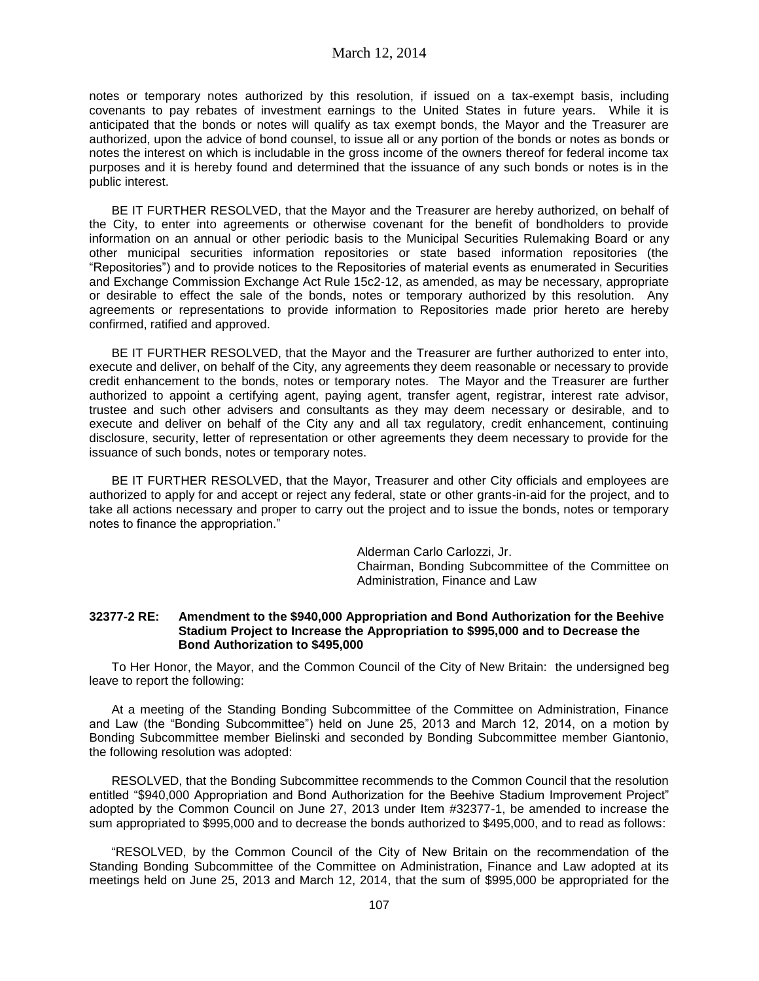notes or temporary notes authorized by this resolution, if issued on a tax-exempt basis, including covenants to pay rebates of investment earnings to the United States in future years. While it is anticipated that the bonds or notes will qualify as tax exempt bonds, the Mayor and the Treasurer are authorized, upon the advice of bond counsel, to issue all or any portion of the bonds or notes as bonds or notes the interest on which is includable in the gross income of the owners thereof for federal income tax purposes and it is hereby found and determined that the issuance of any such bonds or notes is in the public interest.

BE IT FURTHER RESOLVED, that the Mayor and the Treasurer are hereby authorized, on behalf of the City, to enter into agreements or otherwise covenant for the benefit of bondholders to provide information on an annual or other periodic basis to the Municipal Securities Rulemaking Board or any other municipal securities information repositories or state based information repositories (the "Repositories") and to provide notices to the Repositories of material events as enumerated in Securities and Exchange Commission Exchange Act Rule 15c2-12, as amended, as may be necessary, appropriate or desirable to effect the sale of the bonds, notes or temporary authorized by this resolution. Any agreements or representations to provide information to Repositories made prior hereto are hereby confirmed, ratified and approved.

BE IT FURTHER RESOLVED, that the Mayor and the Treasurer are further authorized to enter into, execute and deliver, on behalf of the City, any agreements they deem reasonable or necessary to provide credit enhancement to the bonds, notes or temporary notes. The Mayor and the Treasurer are further authorized to appoint a certifying agent, paying agent, transfer agent, registrar, interest rate advisor, trustee and such other advisers and consultants as they may deem necessary or desirable, and to execute and deliver on behalf of the City any and all tax regulatory, credit enhancement, continuing disclosure, security, letter of representation or other agreements they deem necessary to provide for the issuance of such bonds, notes or temporary notes.

BE IT FURTHER RESOLVED, that the Mayor, Treasurer and other City officials and employees are authorized to apply for and accept or reject any federal, state or other grants-in-aid for the project, and to take all actions necessary and proper to carry out the project and to issue the bonds, notes or temporary notes to finance the appropriation."

> Alderman Carlo Carlozzi, Jr. Chairman, Bonding Subcommittee of the Committee on Administration, Finance and Law

#### **32377-2 RE: Amendment to the \$940,000 Appropriation and Bond Authorization for the Beehive Stadium Project to Increase the Appropriation to \$995,000 and to Decrease the Bond Authorization to \$495,000**

To Her Honor, the Mayor, and the Common Council of the City of New Britain: the undersigned beg leave to report the following:

At a meeting of the Standing Bonding Subcommittee of the Committee on Administration, Finance and Law (the "Bonding Subcommittee") held on June 25, 2013 and March 12, 2014, on a motion by Bonding Subcommittee member Bielinski and seconded by Bonding Subcommittee member Giantonio, the following resolution was adopted:

RESOLVED, that the Bonding Subcommittee recommends to the Common Council that the resolution entitled "\$940,000 Appropriation and Bond Authorization for the Beehive Stadium Improvement Project" adopted by the Common Council on June 27, 2013 under Item #32377-1, be amended to increase the sum appropriated to \$995,000 and to decrease the bonds authorized to \$495,000, and to read as follows:

"RESOLVED, by the Common Council of the City of New Britain on the recommendation of the Standing Bonding Subcommittee of the Committee on Administration, Finance and Law adopted at its meetings held on June 25, 2013 and March 12, 2014, that the sum of \$995,000 be appropriated for the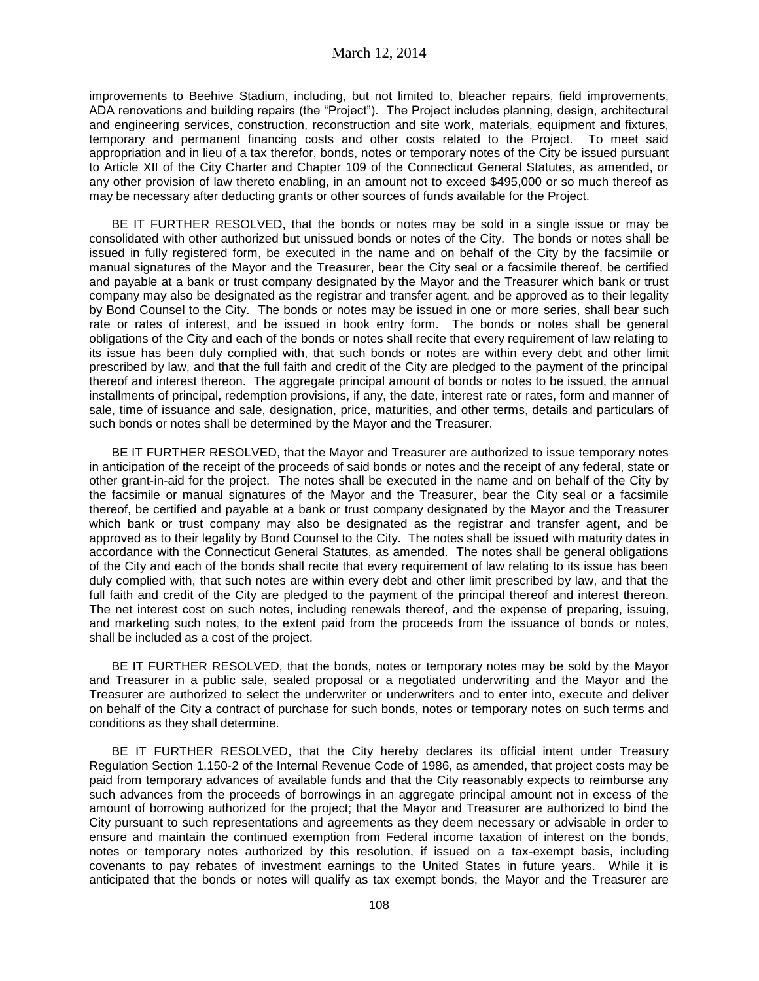improvements to Beehive Stadium, including, but not limited to, bleacher repairs, field improvements, ADA renovations and building repairs (the "Project"). The Project includes planning, design, architectural and engineering services, construction, reconstruction and site work, materials, equipment and fixtures, temporary and permanent financing costs and other costs related to the Project. To meet said appropriation and in lieu of a tax therefor, bonds, notes or temporary notes of the City be issued pursuant to Article XII of the City Charter and Chapter 109 of the Connecticut General Statutes, as amended, or any other provision of law thereto enabling, in an amount not to exceed \$495,000 or so much thereof as may be necessary after deducting grants or other sources of funds available for the Project.

BE IT FURTHER RESOLVED, that the bonds or notes may be sold in a single issue or may be consolidated with other authorized but unissued bonds or notes of the City. The bonds or notes shall be issued in fully registered form, be executed in the name and on behalf of the City by the facsimile or manual signatures of the Mayor and the Treasurer, bear the City seal or a facsimile thereof, be certified and payable at a bank or trust company designated by the Mayor and the Treasurer which bank or trust company may also be designated as the registrar and transfer agent, and be approved as to their legality by Bond Counsel to the City. The bonds or notes may be issued in one or more series, shall bear such rate or rates of interest, and be issued in book entry form. The bonds or notes shall be general obligations of the City and each of the bonds or notes shall recite that every requirement of law relating to its issue has been duly complied with, that such bonds or notes are within every debt and other limit prescribed by law, and that the full faith and credit of the City are pledged to the payment of the principal thereof and interest thereon. The aggregate principal amount of bonds or notes to be issued, the annual installments of principal, redemption provisions, if any, the date, interest rate or rates, form and manner of sale, time of issuance and sale, designation, price, maturities, and other terms, details and particulars of such bonds or notes shall be determined by the Mayor and the Treasurer.

BE IT FURTHER RESOLVED, that the Mayor and Treasurer are authorized to issue temporary notes in anticipation of the receipt of the proceeds of said bonds or notes and the receipt of any federal, state or other grant-in-aid for the project. The notes shall be executed in the name and on behalf of the City by the facsimile or manual signatures of the Mayor and the Treasurer, bear the City seal or a facsimile thereof, be certified and payable at a bank or trust company designated by the Mayor and the Treasurer which bank or trust company may also be designated as the registrar and transfer agent, and be approved as to their legality by Bond Counsel to the City. The notes shall be issued with maturity dates in accordance with the Connecticut General Statutes, as amended. The notes shall be general obligations of the City and each of the bonds shall recite that every requirement of law relating to its issue has been duly complied with, that such notes are within every debt and other limit prescribed by law, and that the full faith and credit of the City are pledged to the payment of the principal thereof and interest thereon. The net interest cost on such notes, including renewals thereof, and the expense of preparing, issuing, and marketing such notes, to the extent paid from the proceeds from the issuance of bonds or notes, shall be included as a cost of the project.

BE IT FURTHER RESOLVED, that the bonds, notes or temporary notes may be sold by the Mayor and Treasurer in a public sale, sealed proposal or a negotiated underwriting and the Mayor and the Treasurer are authorized to select the underwriter or underwriters and to enter into, execute and deliver on behalf of the City a contract of purchase for such bonds, notes or temporary notes on such terms and conditions as they shall determine.

BE IT FURTHER RESOLVED, that the City hereby declares its official intent under Treasury Regulation Section 1.150-2 of the Internal Revenue Code of 1986, as amended, that project costs may be paid from temporary advances of available funds and that the City reasonably expects to reimburse any such advances from the proceeds of borrowings in an aggregate principal amount not in excess of the amount of borrowing authorized for the project; that the Mayor and Treasurer are authorized to bind the City pursuant to such representations and agreements as they deem necessary or advisable in order to ensure and maintain the continued exemption from Federal income taxation of interest on the bonds, notes or temporary notes authorized by this resolution, if issued on a tax-exempt basis, including covenants to pay rebates of investment earnings to the United States in future years. While it is anticipated that the bonds or notes will qualify as tax exempt bonds, the Mayor and the Treasurer are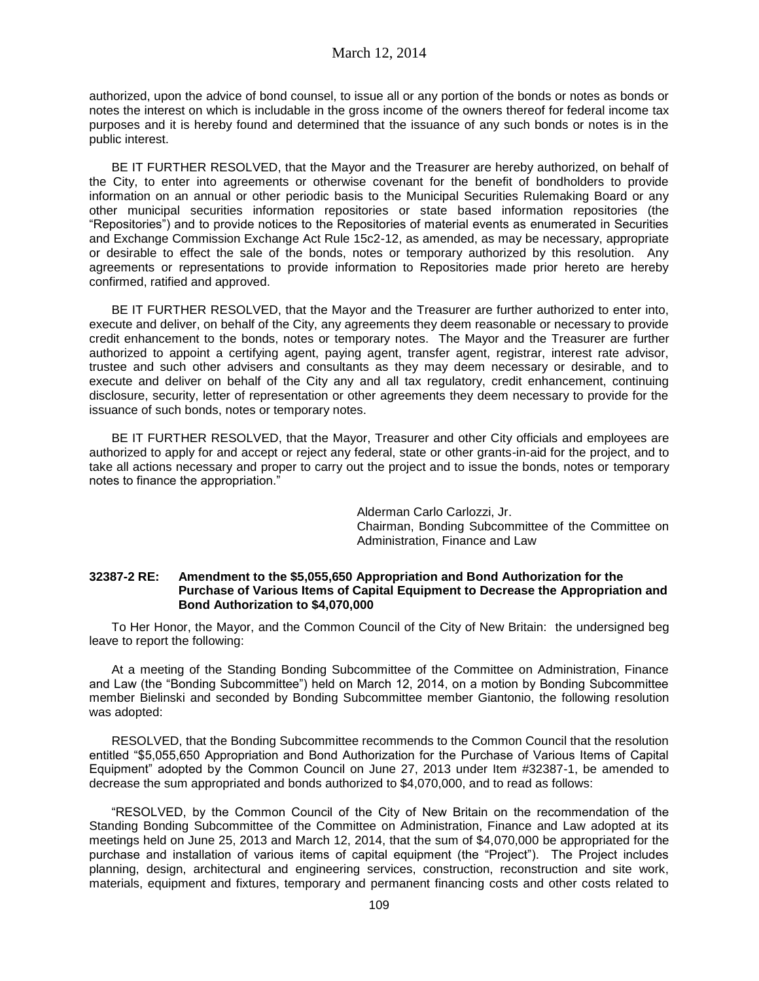authorized, upon the advice of bond counsel, to issue all or any portion of the bonds or notes as bonds or notes the interest on which is includable in the gross income of the owners thereof for federal income tax purposes and it is hereby found and determined that the issuance of any such bonds or notes is in the public interest.

BE IT FURTHER RESOLVED, that the Mayor and the Treasurer are hereby authorized, on behalf of the City, to enter into agreements or otherwise covenant for the benefit of bondholders to provide information on an annual or other periodic basis to the Municipal Securities Rulemaking Board or any other municipal securities information repositories or state based information repositories (the "Repositories") and to provide notices to the Repositories of material events as enumerated in Securities and Exchange Commission Exchange Act Rule 15c2-12, as amended, as may be necessary, appropriate or desirable to effect the sale of the bonds, notes or temporary authorized by this resolution. Any agreements or representations to provide information to Repositories made prior hereto are hereby confirmed, ratified and approved.

BE IT FURTHER RESOLVED, that the Mayor and the Treasurer are further authorized to enter into, execute and deliver, on behalf of the City, any agreements they deem reasonable or necessary to provide credit enhancement to the bonds, notes or temporary notes. The Mayor and the Treasurer are further authorized to appoint a certifying agent, paying agent, transfer agent, registrar, interest rate advisor, trustee and such other advisers and consultants as they may deem necessary or desirable, and to execute and deliver on behalf of the City any and all tax regulatory, credit enhancement, continuing disclosure, security, letter of representation or other agreements they deem necessary to provide for the issuance of such bonds, notes or temporary notes.

BE IT FURTHER RESOLVED, that the Mayor, Treasurer and other City officials and employees are authorized to apply for and accept or reject any federal, state or other grants-in-aid for the project, and to take all actions necessary and proper to carry out the project and to issue the bonds, notes or temporary notes to finance the appropriation."

> Alderman Carlo Carlozzi, Jr. Chairman, Bonding Subcommittee of the Committee on Administration, Finance and Law

## **32387-2 RE: Amendment to the \$5,055,650 Appropriation and Bond Authorization for the Purchase of Various Items of Capital Equipment to Decrease the Appropriation and Bond Authorization to \$4,070,000**

To Her Honor, the Mayor, and the Common Council of the City of New Britain: the undersigned beg leave to report the following:

At a meeting of the Standing Bonding Subcommittee of the Committee on Administration, Finance and Law (the "Bonding Subcommittee") held on March 12, 2014, on a motion by Bonding Subcommittee member Bielinski and seconded by Bonding Subcommittee member Giantonio, the following resolution was adopted:

RESOLVED, that the Bonding Subcommittee recommends to the Common Council that the resolution entitled "\$5,055,650 Appropriation and Bond Authorization for the Purchase of Various Items of Capital Equipment" adopted by the Common Council on June 27, 2013 under Item #32387-1, be amended to decrease the sum appropriated and bonds authorized to \$4,070,000, and to read as follows:

"RESOLVED, by the Common Council of the City of New Britain on the recommendation of the Standing Bonding Subcommittee of the Committee on Administration, Finance and Law adopted at its meetings held on June 25, 2013 and March 12, 2014, that the sum of \$4,070,000 be appropriated for the purchase and installation of various items of capital equipment (the "Project"). The Project includes planning, design, architectural and engineering services, construction, reconstruction and site work, materials, equipment and fixtures, temporary and permanent financing costs and other costs related to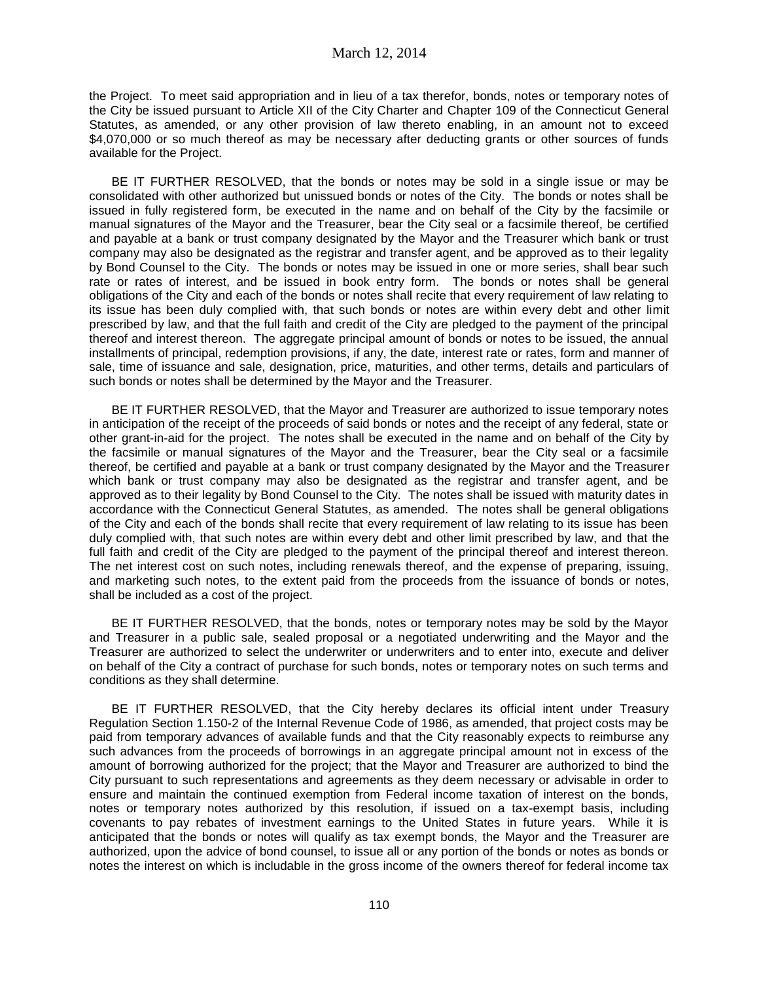the Project. To meet said appropriation and in lieu of a tax therefor, bonds, notes or temporary notes of the City be issued pursuant to Article XII of the City Charter and Chapter 109 of the Connecticut General Statutes, as amended, or any other provision of law thereto enabling, in an amount not to exceed \$4,070,000 or so much thereof as may be necessary after deducting grants or other sources of funds available for the Project.

BE IT FURTHER RESOLVED, that the bonds or notes may be sold in a single issue or may be consolidated with other authorized but unissued bonds or notes of the City. The bonds or notes shall be issued in fully registered form, be executed in the name and on behalf of the City by the facsimile or manual signatures of the Mayor and the Treasurer, bear the City seal or a facsimile thereof, be certified and payable at a bank or trust company designated by the Mayor and the Treasurer which bank or trust company may also be designated as the registrar and transfer agent, and be approved as to their legality by Bond Counsel to the City. The bonds or notes may be issued in one or more series, shall bear such rate or rates of interest, and be issued in book entry form. The bonds or notes shall be general obligations of the City and each of the bonds or notes shall recite that every requirement of law relating to its issue has been duly complied with, that such bonds or notes are within every debt and other limit prescribed by law, and that the full faith and credit of the City are pledged to the payment of the principal thereof and interest thereon. The aggregate principal amount of bonds or notes to be issued, the annual installments of principal, redemption provisions, if any, the date, interest rate or rates, form and manner of sale, time of issuance and sale, designation, price, maturities, and other terms, details and particulars of such bonds or notes shall be determined by the Mayor and the Treasurer.

BE IT FURTHER RESOLVED, that the Mayor and Treasurer are authorized to issue temporary notes in anticipation of the receipt of the proceeds of said bonds or notes and the receipt of any federal, state or other grant-in-aid for the project. The notes shall be executed in the name and on behalf of the City by the facsimile or manual signatures of the Mayor and the Treasurer, bear the City seal or a facsimile thereof, be certified and payable at a bank or trust company designated by the Mayor and the Treasurer which bank or trust company may also be designated as the registrar and transfer agent, and be approved as to their legality by Bond Counsel to the City. The notes shall be issued with maturity dates in accordance with the Connecticut General Statutes, as amended. The notes shall be general obligations of the City and each of the bonds shall recite that every requirement of law relating to its issue has been duly complied with, that such notes are within every debt and other limit prescribed by law, and that the full faith and credit of the City are pledged to the payment of the principal thereof and interest thereon. The net interest cost on such notes, including renewals thereof, and the expense of preparing, issuing, and marketing such notes, to the extent paid from the proceeds from the issuance of bonds or notes, shall be included as a cost of the project.

BE IT FURTHER RESOLVED, that the bonds, notes or temporary notes may be sold by the Mayor and Treasurer in a public sale, sealed proposal or a negotiated underwriting and the Mayor and the Treasurer are authorized to select the underwriter or underwriters and to enter into, execute and deliver on behalf of the City a contract of purchase for such bonds, notes or temporary notes on such terms and conditions as they shall determine.

BE IT FURTHER RESOLVED, that the City hereby declares its official intent under Treasury Regulation Section 1.150-2 of the Internal Revenue Code of 1986, as amended, that project costs may be paid from temporary advances of available funds and that the City reasonably expects to reimburse any such advances from the proceeds of borrowings in an aggregate principal amount not in excess of the amount of borrowing authorized for the project; that the Mayor and Treasurer are authorized to bind the City pursuant to such representations and agreements as they deem necessary or advisable in order to ensure and maintain the continued exemption from Federal income taxation of interest on the bonds, notes or temporary notes authorized by this resolution, if issued on a tax-exempt basis, including covenants to pay rebates of investment earnings to the United States in future years. While it is anticipated that the bonds or notes will qualify as tax exempt bonds, the Mayor and the Treasurer are authorized, upon the advice of bond counsel, to issue all or any portion of the bonds or notes as bonds or notes the interest on which is includable in the gross income of the owners thereof for federal income tax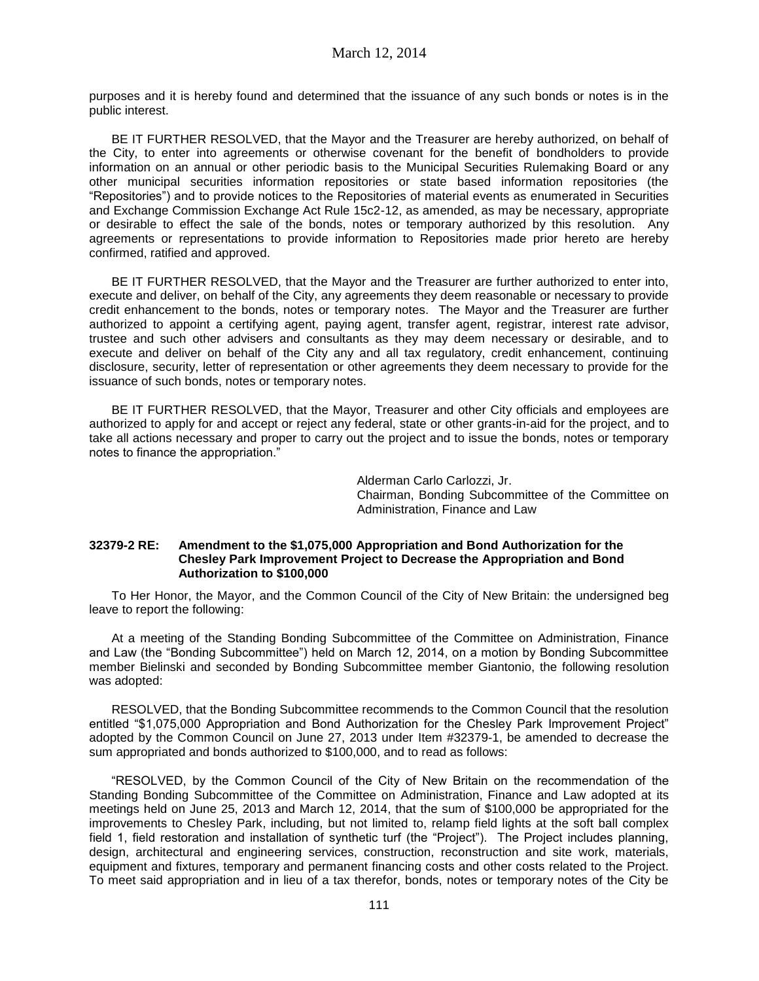purposes and it is hereby found and determined that the issuance of any such bonds or notes is in the public interest.

BE IT FURTHER RESOLVED, that the Mayor and the Treasurer are hereby authorized, on behalf of the City, to enter into agreements or otherwise covenant for the benefit of bondholders to provide information on an annual or other periodic basis to the Municipal Securities Rulemaking Board or any other municipal securities information repositories or state based information repositories (the "Repositories") and to provide notices to the Repositories of material events as enumerated in Securities and Exchange Commission Exchange Act Rule 15c2-12, as amended, as may be necessary, appropriate or desirable to effect the sale of the bonds, notes or temporary authorized by this resolution. Any agreements or representations to provide information to Repositories made prior hereto are hereby confirmed, ratified and approved.

BE IT FURTHER RESOLVED, that the Mayor and the Treasurer are further authorized to enter into, execute and deliver, on behalf of the City, any agreements they deem reasonable or necessary to provide credit enhancement to the bonds, notes or temporary notes. The Mayor and the Treasurer are further authorized to appoint a certifying agent, paying agent, transfer agent, registrar, interest rate advisor, trustee and such other advisers and consultants as they may deem necessary or desirable, and to execute and deliver on behalf of the City any and all tax regulatory, credit enhancement, continuing disclosure, security, letter of representation or other agreements they deem necessary to provide for the issuance of such bonds, notes or temporary notes.

BE IT FURTHER RESOLVED, that the Mayor, Treasurer and other City officials and employees are authorized to apply for and accept or reject any federal, state or other grants-in-aid for the project, and to take all actions necessary and proper to carry out the project and to issue the bonds, notes or temporary notes to finance the appropriation."

> Alderman Carlo Carlozzi, Jr. Chairman, Bonding Subcommittee of the Committee on Administration, Finance and Law

#### **32379-2 RE: Amendment to the \$1,075,000 Appropriation and Bond Authorization for the Chesley Park Improvement Project to Decrease the Appropriation and Bond Authorization to \$100,000**

To Her Honor, the Mayor, and the Common Council of the City of New Britain: the undersigned beg leave to report the following:

At a meeting of the Standing Bonding Subcommittee of the Committee on Administration, Finance and Law (the "Bonding Subcommittee") held on March 12, 2014, on a motion by Bonding Subcommittee member Bielinski and seconded by Bonding Subcommittee member Giantonio, the following resolution was adopted:

RESOLVED, that the Bonding Subcommittee recommends to the Common Council that the resolution entitled "\$1,075,000 Appropriation and Bond Authorization for the Chesley Park Improvement Project" adopted by the Common Council on June 27, 2013 under Item #32379-1, be amended to decrease the sum appropriated and bonds authorized to \$100,000, and to read as follows:

"RESOLVED, by the Common Council of the City of New Britain on the recommendation of the Standing Bonding Subcommittee of the Committee on Administration, Finance and Law adopted at its meetings held on June 25, 2013 and March 12, 2014, that the sum of \$100,000 be appropriated for the improvements to Chesley Park, including, but not limited to, relamp field lights at the soft ball complex field 1, field restoration and installation of synthetic turf (the "Project"). The Project includes planning, design, architectural and engineering services, construction, reconstruction and site work, materials, equipment and fixtures, temporary and permanent financing costs and other costs related to the Project. To meet said appropriation and in lieu of a tax therefor, bonds, notes or temporary notes of the City be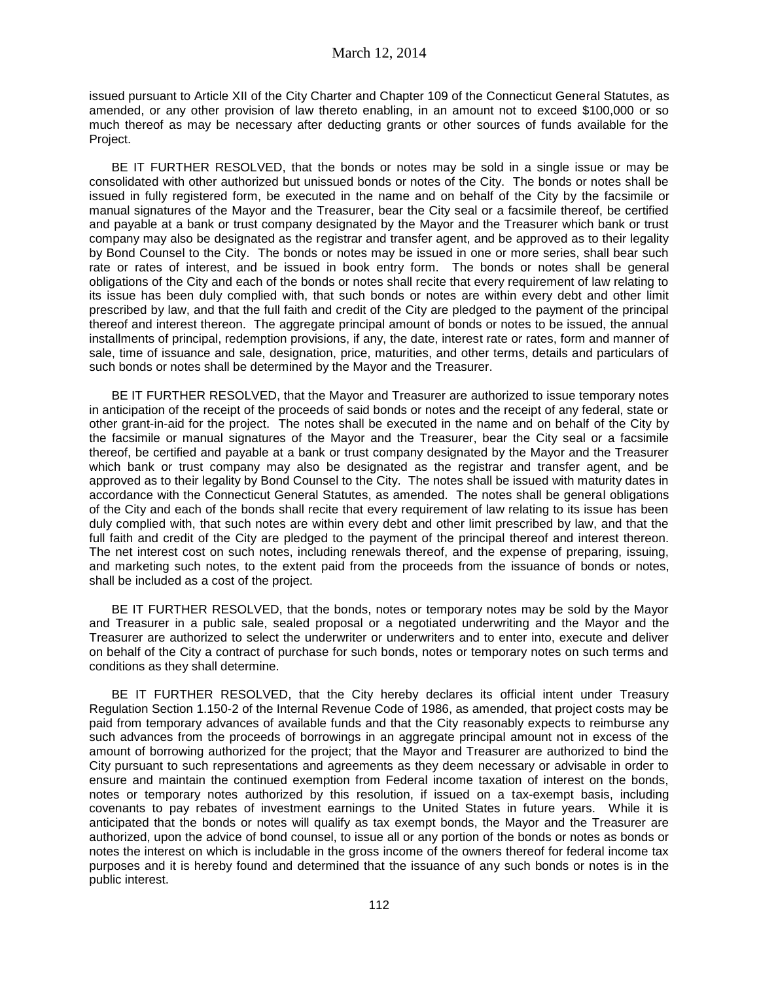issued pursuant to Article XII of the City Charter and Chapter 109 of the Connecticut General Statutes, as amended, or any other provision of law thereto enabling, in an amount not to exceed \$100,000 or so much thereof as may be necessary after deducting grants or other sources of funds available for the Project.

BE IT FURTHER RESOLVED, that the bonds or notes may be sold in a single issue or may be consolidated with other authorized but unissued bonds or notes of the City. The bonds or notes shall be issued in fully registered form, be executed in the name and on behalf of the City by the facsimile or manual signatures of the Mayor and the Treasurer, bear the City seal or a facsimile thereof, be certified and payable at a bank or trust company designated by the Mayor and the Treasurer which bank or trust company may also be designated as the registrar and transfer agent, and be approved as to their legality by Bond Counsel to the City. The bonds or notes may be issued in one or more series, shall bear such rate or rates of interest, and be issued in book entry form. The bonds or notes shall be general obligations of the City and each of the bonds or notes shall recite that every requirement of law relating to its issue has been duly complied with, that such bonds or notes are within every debt and other limit prescribed by law, and that the full faith and credit of the City are pledged to the payment of the principal thereof and interest thereon. The aggregate principal amount of bonds or notes to be issued, the annual installments of principal, redemption provisions, if any, the date, interest rate or rates, form and manner of sale, time of issuance and sale, designation, price, maturities, and other terms, details and particulars of such bonds or notes shall be determined by the Mayor and the Treasurer.

BE IT FURTHER RESOLVED, that the Mayor and Treasurer are authorized to issue temporary notes in anticipation of the receipt of the proceeds of said bonds or notes and the receipt of any federal, state or other grant-in-aid for the project. The notes shall be executed in the name and on behalf of the City by the facsimile or manual signatures of the Mayor and the Treasurer, bear the City seal or a facsimile thereof, be certified and payable at a bank or trust company designated by the Mayor and the Treasurer which bank or trust company may also be designated as the registrar and transfer agent, and be approved as to their legality by Bond Counsel to the City. The notes shall be issued with maturity dates in accordance with the Connecticut General Statutes, as amended. The notes shall be general obligations of the City and each of the bonds shall recite that every requirement of law relating to its issue has been duly complied with, that such notes are within every debt and other limit prescribed by law, and that the full faith and credit of the City are pledged to the payment of the principal thereof and interest thereon. The net interest cost on such notes, including renewals thereof, and the expense of preparing, issuing, and marketing such notes, to the extent paid from the proceeds from the issuance of bonds or notes, shall be included as a cost of the project.

BE IT FURTHER RESOLVED, that the bonds, notes or temporary notes may be sold by the Mayor and Treasurer in a public sale, sealed proposal or a negotiated underwriting and the Mayor and the Treasurer are authorized to select the underwriter or underwriters and to enter into, execute and deliver on behalf of the City a contract of purchase for such bonds, notes or temporary notes on such terms and conditions as they shall determine.

BE IT FURTHER RESOLVED, that the City hereby declares its official intent under Treasury Regulation Section 1.150-2 of the Internal Revenue Code of 1986, as amended, that project costs may be paid from temporary advances of available funds and that the City reasonably expects to reimburse any such advances from the proceeds of borrowings in an aggregate principal amount not in excess of the amount of borrowing authorized for the project; that the Mayor and Treasurer are authorized to bind the City pursuant to such representations and agreements as they deem necessary or advisable in order to ensure and maintain the continued exemption from Federal income taxation of interest on the bonds, notes or temporary notes authorized by this resolution, if issued on a tax-exempt basis, including covenants to pay rebates of investment earnings to the United States in future years. While it is anticipated that the bonds or notes will qualify as tax exempt bonds, the Mayor and the Treasurer are authorized, upon the advice of bond counsel, to issue all or any portion of the bonds or notes as bonds or notes the interest on which is includable in the gross income of the owners thereof for federal income tax purposes and it is hereby found and determined that the issuance of any such bonds or notes is in the public interest.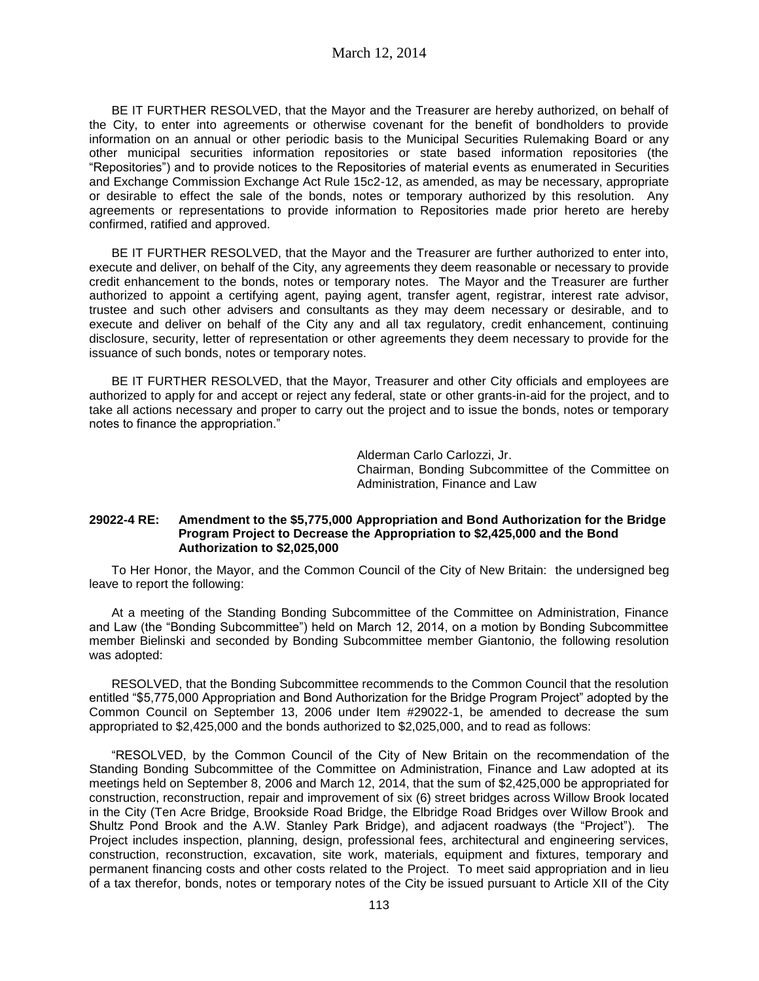March 12, 2014

BE IT FURTHER RESOLVED, that the Mayor and the Treasurer are hereby authorized, on behalf of the City, to enter into agreements or otherwise covenant for the benefit of bondholders to provide information on an annual or other periodic basis to the Municipal Securities Rulemaking Board or any other municipal securities information repositories or state based information repositories (the "Repositories") and to provide notices to the Repositories of material events as enumerated in Securities and Exchange Commission Exchange Act Rule 15c2-12, as amended, as may be necessary, appropriate or desirable to effect the sale of the bonds, notes or temporary authorized by this resolution. Any agreements or representations to provide information to Repositories made prior hereto are hereby confirmed, ratified and approved.

BE IT FURTHER RESOLVED, that the Mayor and the Treasurer are further authorized to enter into, execute and deliver, on behalf of the City, any agreements they deem reasonable or necessary to provide credit enhancement to the bonds, notes or temporary notes. The Mayor and the Treasurer are further authorized to appoint a certifying agent, paying agent, transfer agent, registrar, interest rate advisor, trustee and such other advisers and consultants as they may deem necessary or desirable, and to execute and deliver on behalf of the City any and all tax regulatory, credit enhancement, continuing disclosure, security, letter of representation or other agreements they deem necessary to provide for the issuance of such bonds, notes or temporary notes.

BE IT FURTHER RESOLVED, that the Mayor, Treasurer and other City officials and employees are authorized to apply for and accept or reject any federal, state or other grants-in-aid for the project, and to take all actions necessary and proper to carry out the project and to issue the bonds, notes or temporary notes to finance the appropriation."

> Alderman Carlo Carlozzi, Jr. Chairman, Bonding Subcommittee of the Committee on Administration, Finance and Law

#### **29022-4 RE: Amendment to the \$5,775,000 Appropriation and Bond Authorization for the Bridge Program Project to Decrease the Appropriation to \$2,425,000 and the Bond Authorization to \$2,025,000**

To Her Honor, the Mayor, and the Common Council of the City of New Britain: the undersigned beg leave to report the following:

At a meeting of the Standing Bonding Subcommittee of the Committee on Administration, Finance and Law (the "Bonding Subcommittee") held on March 12, 2014, on a motion by Bonding Subcommittee member Bielinski and seconded by Bonding Subcommittee member Giantonio, the following resolution was adopted:

RESOLVED, that the Bonding Subcommittee recommends to the Common Council that the resolution entitled "\$5,775,000 Appropriation and Bond Authorization for the Bridge Program Project" adopted by the Common Council on September 13, 2006 under Item #29022-1, be amended to decrease the sum appropriated to \$2,425,000 and the bonds authorized to \$2,025,000, and to read as follows:

"RESOLVED, by the Common Council of the City of New Britain on the recommendation of the Standing Bonding Subcommittee of the Committee on Administration, Finance and Law adopted at its meetings held on September 8, 2006 and March 12, 2014, that the sum of \$2,425,000 be appropriated for construction, reconstruction, repair and improvement of six (6) street bridges across Willow Brook located in the City (Ten Acre Bridge, Brookside Road Bridge, the Elbridge Road Bridges over Willow Brook and Shultz Pond Brook and the A.W. Stanley Park Bridge), and adjacent roadways (the "Project"). The Project includes inspection, planning, design, professional fees, architectural and engineering services, construction, reconstruction, excavation, site work, materials, equipment and fixtures, temporary and permanent financing costs and other costs related to the Project. To meet said appropriation and in lieu of a tax therefor, bonds, notes or temporary notes of the City be issued pursuant to Article XII of the City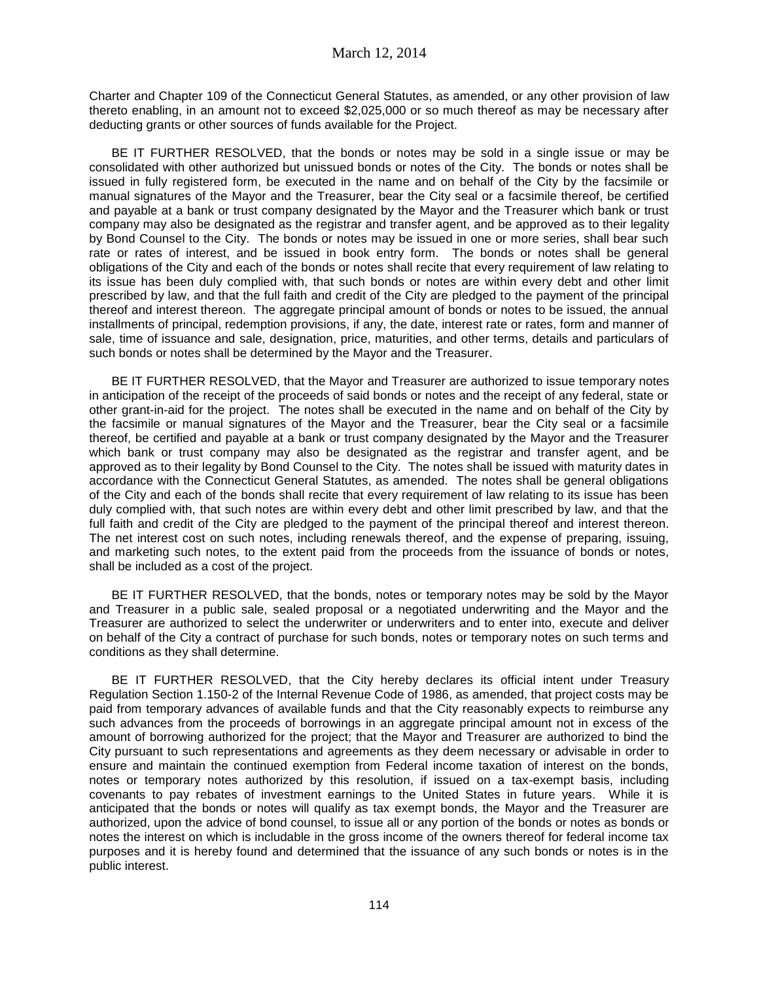Charter and Chapter 109 of the Connecticut General Statutes, as amended, or any other provision of law thereto enabling, in an amount not to exceed \$2,025,000 or so much thereof as may be necessary after deducting grants or other sources of funds available for the Project.

BE IT FURTHER RESOLVED, that the bonds or notes may be sold in a single issue or may be consolidated with other authorized but unissued bonds or notes of the City. The bonds or notes shall be issued in fully registered form, be executed in the name and on behalf of the City by the facsimile or manual signatures of the Mayor and the Treasurer, bear the City seal or a facsimile thereof, be certified and payable at a bank or trust company designated by the Mayor and the Treasurer which bank or trust company may also be designated as the registrar and transfer agent, and be approved as to their legality by Bond Counsel to the City. The bonds or notes may be issued in one or more series, shall bear such rate or rates of interest, and be issued in book entry form. The bonds or notes shall be general obligations of the City and each of the bonds or notes shall recite that every requirement of law relating to its issue has been duly complied with, that such bonds or notes are within every debt and other limit prescribed by law, and that the full faith and credit of the City are pledged to the payment of the principal thereof and interest thereon. The aggregate principal amount of bonds or notes to be issued, the annual installments of principal, redemption provisions, if any, the date, interest rate or rates, form and manner of sale, time of issuance and sale, designation, price, maturities, and other terms, details and particulars of such bonds or notes shall be determined by the Mayor and the Treasurer.

BE IT FURTHER RESOLVED, that the Mayor and Treasurer are authorized to issue temporary notes in anticipation of the receipt of the proceeds of said bonds or notes and the receipt of any federal, state or other grant-in-aid for the project. The notes shall be executed in the name and on behalf of the City by the facsimile or manual signatures of the Mayor and the Treasurer, bear the City seal or a facsimile thereof, be certified and payable at a bank or trust company designated by the Mayor and the Treasurer which bank or trust company may also be designated as the registrar and transfer agent, and be approved as to their legality by Bond Counsel to the City. The notes shall be issued with maturity dates in accordance with the Connecticut General Statutes, as amended. The notes shall be general obligations of the City and each of the bonds shall recite that every requirement of law relating to its issue has been duly complied with, that such notes are within every debt and other limit prescribed by law, and that the full faith and credit of the City are pledged to the payment of the principal thereof and interest thereon. The net interest cost on such notes, including renewals thereof, and the expense of preparing, issuing, and marketing such notes, to the extent paid from the proceeds from the issuance of bonds or notes, shall be included as a cost of the project.

BE IT FURTHER RESOLVED, that the bonds, notes or temporary notes may be sold by the Mayor and Treasurer in a public sale, sealed proposal or a negotiated underwriting and the Mayor and the Treasurer are authorized to select the underwriter or underwriters and to enter into, execute and deliver on behalf of the City a contract of purchase for such bonds, notes or temporary notes on such terms and conditions as they shall determine.

BE IT FURTHER RESOLVED, that the City hereby declares its official intent under Treasury Regulation Section 1.150-2 of the Internal Revenue Code of 1986, as amended, that project costs may be paid from temporary advances of available funds and that the City reasonably expects to reimburse any such advances from the proceeds of borrowings in an aggregate principal amount not in excess of the amount of borrowing authorized for the project; that the Mayor and Treasurer are authorized to bind the City pursuant to such representations and agreements as they deem necessary or advisable in order to ensure and maintain the continued exemption from Federal income taxation of interest on the bonds, notes or temporary notes authorized by this resolution, if issued on a tax-exempt basis, including covenants to pay rebates of investment earnings to the United States in future years. While it is anticipated that the bonds or notes will qualify as tax exempt bonds, the Mayor and the Treasurer are authorized, upon the advice of bond counsel, to issue all or any portion of the bonds or notes as bonds or notes the interest on which is includable in the gross income of the owners thereof for federal income tax purposes and it is hereby found and determined that the issuance of any such bonds or notes is in the public interest.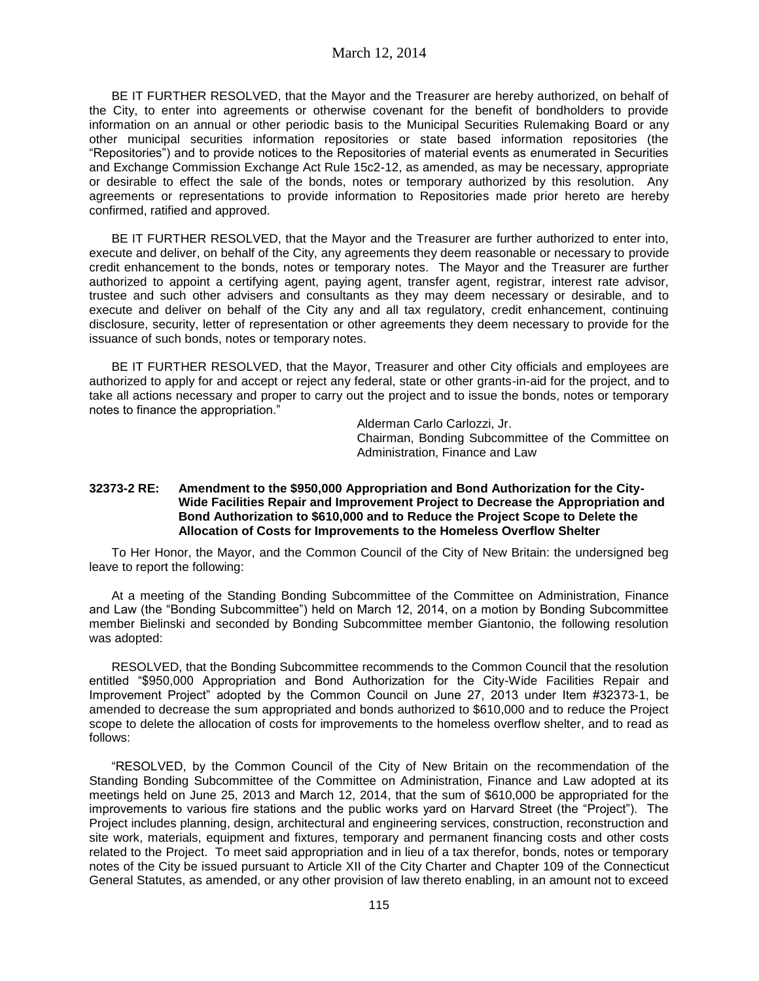BE IT FURTHER RESOLVED, that the Mayor and the Treasurer are hereby authorized, on behalf of the City, to enter into agreements or otherwise covenant for the benefit of bondholders to provide information on an annual or other periodic basis to the Municipal Securities Rulemaking Board or any other municipal securities information repositories or state based information repositories (the "Repositories") and to provide notices to the Repositories of material events as enumerated in Securities and Exchange Commission Exchange Act Rule 15c2-12, as amended, as may be necessary, appropriate or desirable to effect the sale of the bonds, notes or temporary authorized by this resolution. Any agreements or representations to provide information to Repositories made prior hereto are hereby confirmed, ratified and approved.

BE IT FURTHER RESOLVED, that the Mayor and the Treasurer are further authorized to enter into, execute and deliver, on behalf of the City, any agreements they deem reasonable or necessary to provide credit enhancement to the bonds, notes or temporary notes. The Mayor and the Treasurer are further authorized to appoint a certifying agent, paying agent, transfer agent, registrar, interest rate advisor, trustee and such other advisers and consultants as they may deem necessary or desirable, and to execute and deliver on behalf of the City any and all tax regulatory, credit enhancement, continuing disclosure, security, letter of representation or other agreements they deem necessary to provide for the issuance of such bonds, notes or temporary notes.

BE IT FURTHER RESOLVED, that the Mayor, Treasurer and other City officials and employees are authorized to apply for and accept or reject any federal, state or other grants-in-aid for the project, and to take all actions necessary and proper to carry out the project and to issue the bonds, notes or temporary notes to finance the appropriation."

> Alderman Carlo Carlozzi, Jr. Chairman, Bonding Subcommittee of the Committee on Administration, Finance and Law

#### **32373-2 RE: Amendment to the \$950,000 Appropriation and Bond Authorization for the City-Wide Facilities Repair and Improvement Project to Decrease the Appropriation and Bond Authorization to \$610,000 and to Reduce the Project Scope to Delete the Allocation of Costs for Improvements to the Homeless Overflow Shelter**

To Her Honor, the Mayor, and the Common Council of the City of New Britain: the undersigned beg leave to report the following:

At a meeting of the Standing Bonding Subcommittee of the Committee on Administration, Finance and Law (the "Bonding Subcommittee") held on March 12, 2014, on a motion by Bonding Subcommittee member Bielinski and seconded by Bonding Subcommittee member Giantonio, the following resolution was adopted:

RESOLVED, that the Bonding Subcommittee recommends to the Common Council that the resolution entitled "\$950,000 Appropriation and Bond Authorization for the City-Wide Facilities Repair and Improvement Project" adopted by the Common Council on June 27, 2013 under Item #32373-1, be amended to decrease the sum appropriated and bonds authorized to \$610,000 and to reduce the Project scope to delete the allocation of costs for improvements to the homeless overflow shelter, and to read as follows:

"RESOLVED, by the Common Council of the City of New Britain on the recommendation of the Standing Bonding Subcommittee of the Committee on Administration, Finance and Law adopted at its meetings held on June 25, 2013 and March 12, 2014, that the sum of \$610,000 be appropriated for the improvements to various fire stations and the public works yard on Harvard Street (the "Project"). The Project includes planning, design, architectural and engineering services, construction, reconstruction and site work, materials, equipment and fixtures, temporary and permanent financing costs and other costs related to the Project. To meet said appropriation and in lieu of a tax therefor, bonds, notes or temporary notes of the City be issued pursuant to Article XII of the City Charter and Chapter 109 of the Connecticut General Statutes, as amended, or any other provision of law thereto enabling, in an amount not to exceed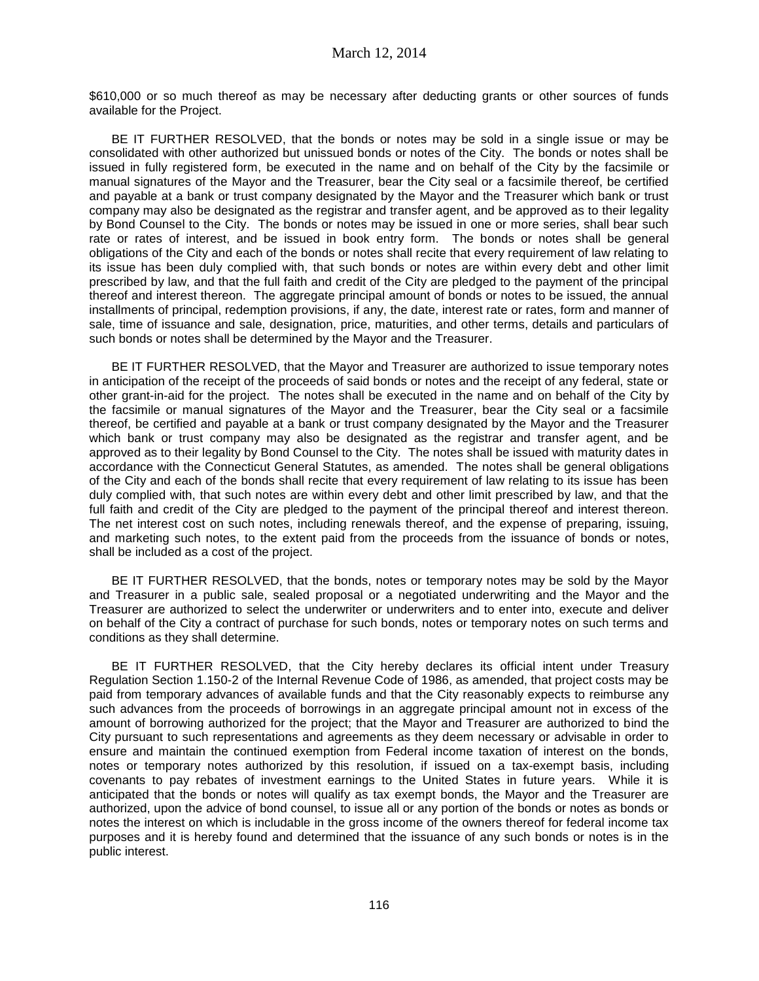\$610,000 or so much thereof as may be necessary after deducting grants or other sources of funds available for the Project.

BE IT FURTHER RESOLVED, that the bonds or notes may be sold in a single issue or may be consolidated with other authorized but unissued bonds or notes of the City. The bonds or notes shall be issued in fully registered form, be executed in the name and on behalf of the City by the facsimile or manual signatures of the Mayor and the Treasurer, bear the City seal or a facsimile thereof, be certified and payable at a bank or trust company designated by the Mayor and the Treasurer which bank or trust company may also be designated as the registrar and transfer agent, and be approved as to their legality by Bond Counsel to the City. The bonds or notes may be issued in one or more series, shall bear such rate or rates of interest, and be issued in book entry form. The bonds or notes shall be general obligations of the City and each of the bonds or notes shall recite that every requirement of law relating to its issue has been duly complied with, that such bonds or notes are within every debt and other limit prescribed by law, and that the full faith and credit of the City are pledged to the payment of the principal thereof and interest thereon. The aggregate principal amount of bonds or notes to be issued, the annual installments of principal, redemption provisions, if any, the date, interest rate or rates, form and manner of sale, time of issuance and sale, designation, price, maturities, and other terms, details and particulars of such bonds or notes shall be determined by the Mayor and the Treasurer.

BE IT FURTHER RESOLVED, that the Mayor and Treasurer are authorized to issue temporary notes in anticipation of the receipt of the proceeds of said bonds or notes and the receipt of any federal, state or other grant-in-aid for the project. The notes shall be executed in the name and on behalf of the City by the facsimile or manual signatures of the Mayor and the Treasurer, bear the City seal or a facsimile thereof, be certified and payable at a bank or trust company designated by the Mayor and the Treasurer which bank or trust company may also be designated as the registrar and transfer agent, and be approved as to their legality by Bond Counsel to the City. The notes shall be issued with maturity dates in accordance with the Connecticut General Statutes, as amended. The notes shall be general obligations of the City and each of the bonds shall recite that every requirement of law relating to its issue has been duly complied with, that such notes are within every debt and other limit prescribed by law, and that the full faith and credit of the City are pledged to the payment of the principal thereof and interest thereon. The net interest cost on such notes, including renewals thereof, and the expense of preparing, issuing, and marketing such notes, to the extent paid from the proceeds from the issuance of bonds or notes, shall be included as a cost of the project.

BE IT FURTHER RESOLVED, that the bonds, notes or temporary notes may be sold by the Mayor and Treasurer in a public sale, sealed proposal or a negotiated underwriting and the Mayor and the Treasurer are authorized to select the underwriter or underwriters and to enter into, execute and deliver on behalf of the City a contract of purchase for such bonds, notes or temporary notes on such terms and conditions as they shall determine.

BE IT FURTHER RESOLVED, that the City hereby declares its official intent under Treasury Regulation Section 1.150-2 of the Internal Revenue Code of 1986, as amended, that project costs may be paid from temporary advances of available funds and that the City reasonably expects to reimburse any such advances from the proceeds of borrowings in an aggregate principal amount not in excess of the amount of borrowing authorized for the project; that the Mayor and Treasurer are authorized to bind the City pursuant to such representations and agreements as they deem necessary or advisable in order to ensure and maintain the continued exemption from Federal income taxation of interest on the bonds, notes or temporary notes authorized by this resolution, if issued on a tax-exempt basis, including covenants to pay rebates of investment earnings to the United States in future years. While it is anticipated that the bonds or notes will qualify as tax exempt bonds, the Mayor and the Treasurer are authorized, upon the advice of bond counsel, to issue all or any portion of the bonds or notes as bonds or notes the interest on which is includable in the gross income of the owners thereof for federal income tax purposes and it is hereby found and determined that the issuance of any such bonds or notes is in the public interest.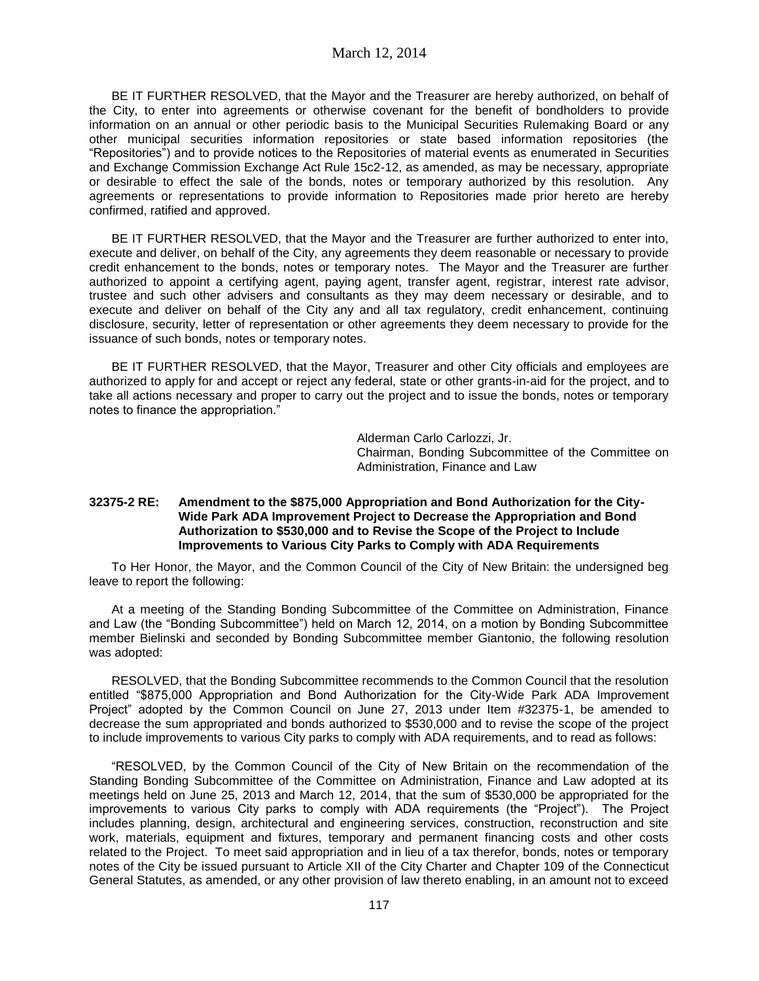BE IT FURTHER RESOLVED, that the Mayor and the Treasurer are hereby authorized, on behalf of the City, to enter into agreements or otherwise covenant for the benefit of bondholders to provide information on an annual or other periodic basis to the Municipal Securities Rulemaking Board or any other municipal securities information repositories or state based information repositories (the "Repositories") and to provide notices to the Repositories of material events as enumerated in Securities and Exchange Commission Exchange Act Rule 15c2-12, as amended, as may be necessary, appropriate or desirable to effect the sale of the bonds, notes or temporary authorized by this resolution. Any agreements or representations to provide information to Repositories made prior hereto are hereby confirmed, ratified and approved.

BE IT FURTHER RESOLVED, that the Mayor and the Treasurer are further authorized to enter into, execute and deliver, on behalf of the City, any agreements they deem reasonable or necessary to provide credit enhancement to the bonds, notes or temporary notes. The Mayor and the Treasurer are further authorized to appoint a certifying agent, paying agent, transfer agent, registrar, interest rate advisor, trustee and such other advisers and consultants as they may deem necessary or desirable, and to execute and deliver on behalf of the City any and all tax regulatory, credit enhancement, continuing disclosure, security, letter of representation or other agreements they deem necessary to provide for the issuance of such bonds, notes or temporary notes.

BE IT FURTHER RESOLVED, that the Mayor, Treasurer and other City officials and employees are authorized to apply for and accept or reject any federal, state or other grants-in-aid for the project, and to take all actions necessary and proper to carry out the project and to issue the bonds, notes or temporary notes to finance the appropriation."

> Alderman Carlo Carlozzi, Jr. Chairman, Bonding Subcommittee of the Committee on Administration, Finance and Law

#### **32375-2 RE: Amendment to the \$875,000 Appropriation and Bond Authorization for the City-Wide Park ADA Improvement Project to Decrease the Appropriation and Bond Authorization to \$530,000 and to Revise the Scope of the Project to Include Improvements to Various City Parks to Comply with ADA Requirements**

To Her Honor, the Mayor, and the Common Council of the City of New Britain: the undersigned beg leave to report the following:

At a meeting of the Standing Bonding Subcommittee of the Committee on Administration, Finance and Law (the "Bonding Subcommittee") held on March 12, 2014, on a motion by Bonding Subcommittee member Bielinski and seconded by Bonding Subcommittee member Giantonio, the following resolution was adopted:

RESOLVED, that the Bonding Subcommittee recommends to the Common Council that the resolution entitled "\$875,000 Appropriation and Bond Authorization for the City-Wide Park ADA Improvement Project" adopted by the Common Council on June 27, 2013 under Item #32375-1, be amended to decrease the sum appropriated and bonds authorized to \$530,000 and to revise the scope of the project to include improvements to various City parks to comply with ADA requirements, and to read as follows:

"RESOLVED, by the Common Council of the City of New Britain on the recommendation of the Standing Bonding Subcommittee of the Committee on Administration, Finance and Law adopted at its meetings held on June 25, 2013 and March 12, 2014, that the sum of \$530,000 be appropriated for the improvements to various City parks to comply with ADA requirements (the "Project"). The Project includes planning, design, architectural and engineering services, construction, reconstruction and site work, materials, equipment and fixtures, temporary and permanent financing costs and other costs related to the Project. To meet said appropriation and in lieu of a tax therefor, bonds, notes or temporary notes of the City be issued pursuant to Article XII of the City Charter and Chapter 109 of the Connecticut General Statutes, as amended, or any other provision of law thereto enabling, in an amount not to exceed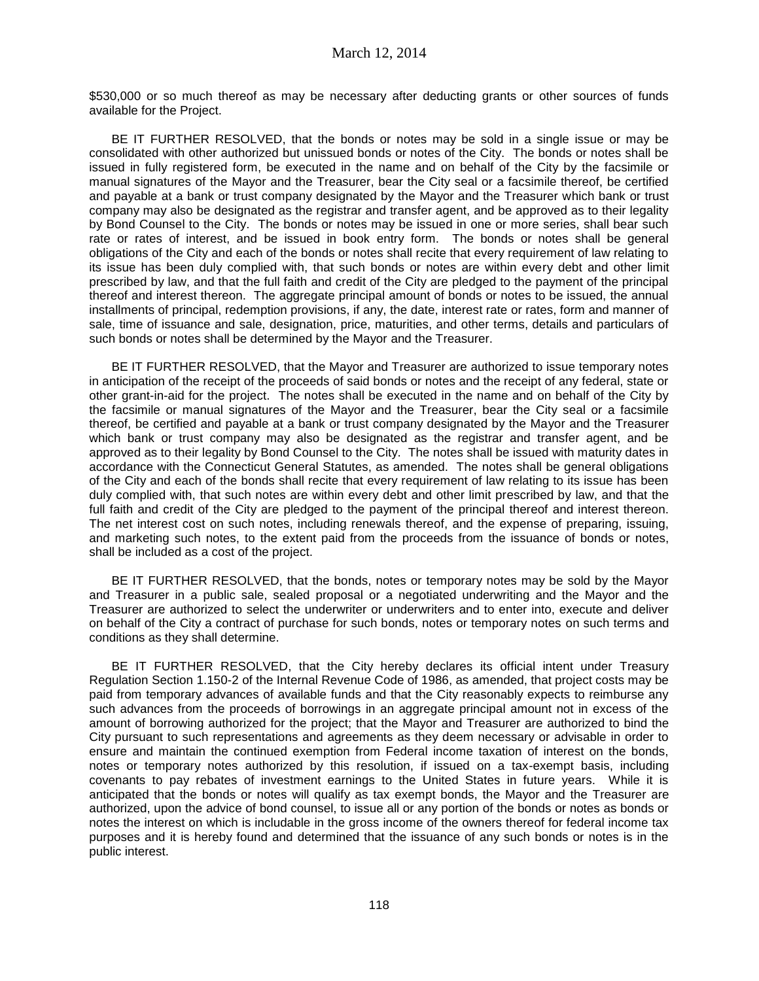\$530,000 or so much thereof as may be necessary after deducting grants or other sources of funds available for the Project.

BE IT FURTHER RESOLVED, that the bonds or notes may be sold in a single issue or may be consolidated with other authorized but unissued bonds or notes of the City. The bonds or notes shall be issued in fully registered form, be executed in the name and on behalf of the City by the facsimile or manual signatures of the Mayor and the Treasurer, bear the City seal or a facsimile thereof, be certified and payable at a bank or trust company designated by the Mayor and the Treasurer which bank or trust company may also be designated as the registrar and transfer agent, and be approved as to their legality by Bond Counsel to the City. The bonds or notes may be issued in one or more series, shall bear such rate or rates of interest, and be issued in book entry form. The bonds or notes shall be general obligations of the City and each of the bonds or notes shall recite that every requirement of law relating to its issue has been duly complied with, that such bonds or notes are within every debt and other limit prescribed by law, and that the full faith and credit of the City are pledged to the payment of the principal thereof and interest thereon. The aggregate principal amount of bonds or notes to be issued, the annual installments of principal, redemption provisions, if any, the date, interest rate or rates, form and manner of sale, time of issuance and sale, designation, price, maturities, and other terms, details and particulars of such bonds or notes shall be determined by the Mayor and the Treasurer.

BE IT FURTHER RESOLVED, that the Mayor and Treasurer are authorized to issue temporary notes in anticipation of the receipt of the proceeds of said bonds or notes and the receipt of any federal, state or other grant-in-aid for the project. The notes shall be executed in the name and on behalf of the City by the facsimile or manual signatures of the Mayor and the Treasurer, bear the City seal or a facsimile thereof, be certified and payable at a bank or trust company designated by the Mayor and the Treasurer which bank or trust company may also be designated as the registrar and transfer agent, and be approved as to their legality by Bond Counsel to the City. The notes shall be issued with maturity dates in accordance with the Connecticut General Statutes, as amended. The notes shall be general obligations of the City and each of the bonds shall recite that every requirement of law relating to its issue has been duly complied with, that such notes are within every debt and other limit prescribed by law, and that the full faith and credit of the City are pledged to the payment of the principal thereof and interest thereon. The net interest cost on such notes, including renewals thereof, and the expense of preparing, issuing, and marketing such notes, to the extent paid from the proceeds from the issuance of bonds or notes, shall be included as a cost of the project.

BE IT FURTHER RESOLVED, that the bonds, notes or temporary notes may be sold by the Mayor and Treasurer in a public sale, sealed proposal or a negotiated underwriting and the Mayor and the Treasurer are authorized to select the underwriter or underwriters and to enter into, execute and deliver on behalf of the City a contract of purchase for such bonds, notes or temporary notes on such terms and conditions as they shall determine.

BE IT FURTHER RESOLVED, that the City hereby declares its official intent under Treasury Regulation Section 1.150-2 of the Internal Revenue Code of 1986, as amended, that project costs may be paid from temporary advances of available funds and that the City reasonably expects to reimburse any such advances from the proceeds of borrowings in an aggregate principal amount not in excess of the amount of borrowing authorized for the project; that the Mayor and Treasurer are authorized to bind the City pursuant to such representations and agreements as they deem necessary or advisable in order to ensure and maintain the continued exemption from Federal income taxation of interest on the bonds, notes or temporary notes authorized by this resolution, if issued on a tax-exempt basis, including covenants to pay rebates of investment earnings to the United States in future years. While it is anticipated that the bonds or notes will qualify as tax exempt bonds, the Mayor and the Treasurer are authorized, upon the advice of bond counsel, to issue all or any portion of the bonds or notes as bonds or notes the interest on which is includable in the gross income of the owners thereof for federal income tax purposes and it is hereby found and determined that the issuance of any such bonds or notes is in the public interest.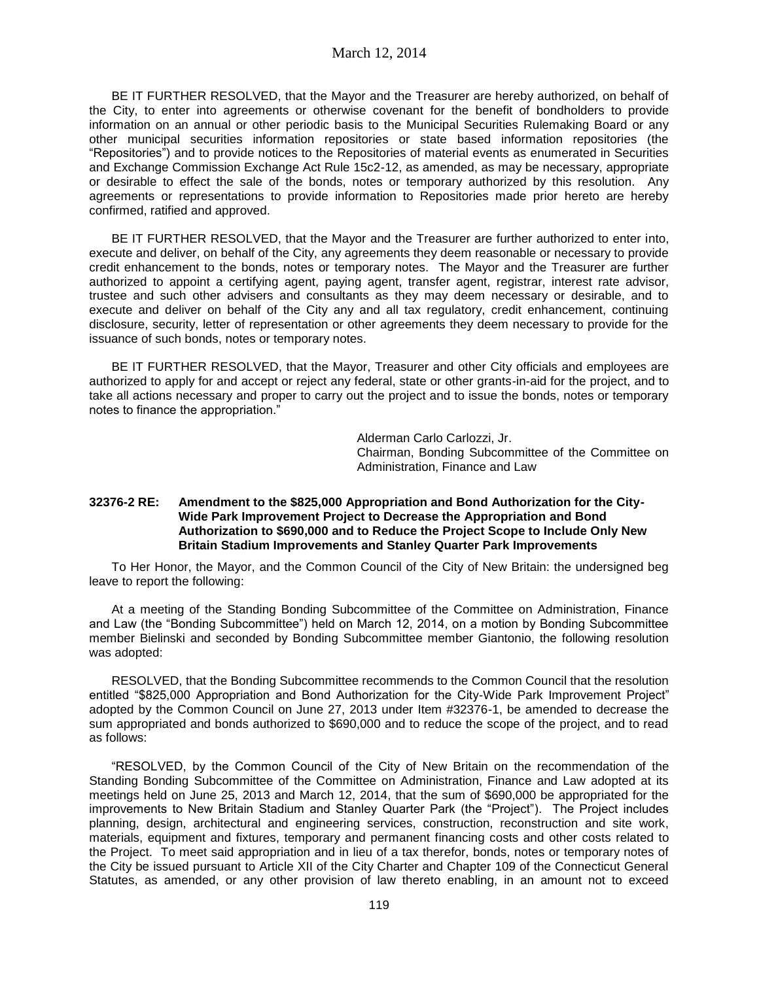BE IT FURTHER RESOLVED, that the Mayor and the Treasurer are hereby authorized, on behalf of the City, to enter into agreements or otherwise covenant for the benefit of bondholders to provide information on an annual or other periodic basis to the Municipal Securities Rulemaking Board or any other municipal securities information repositories or state based information repositories (the "Repositories") and to provide notices to the Repositories of material events as enumerated in Securities and Exchange Commission Exchange Act Rule 15c2-12, as amended, as may be necessary, appropriate or desirable to effect the sale of the bonds, notes or temporary authorized by this resolution. Any agreements or representations to provide information to Repositories made prior hereto are hereby confirmed, ratified and approved.

BE IT FURTHER RESOLVED, that the Mayor and the Treasurer are further authorized to enter into, execute and deliver, on behalf of the City, any agreements they deem reasonable or necessary to provide credit enhancement to the bonds, notes or temporary notes. The Mayor and the Treasurer are further authorized to appoint a certifying agent, paying agent, transfer agent, registrar, interest rate advisor, trustee and such other advisers and consultants as they may deem necessary or desirable, and to execute and deliver on behalf of the City any and all tax regulatory, credit enhancement, continuing disclosure, security, letter of representation or other agreements they deem necessary to provide for the issuance of such bonds, notes or temporary notes.

BE IT FURTHER RESOLVED, that the Mayor, Treasurer and other City officials and employees are authorized to apply for and accept or reject any federal, state or other grants-in-aid for the project, and to take all actions necessary and proper to carry out the project and to issue the bonds, notes or temporary notes to finance the appropriation."

> Alderman Carlo Carlozzi, Jr. Chairman, Bonding Subcommittee of the Committee on Administration, Finance and Law

#### **32376-2 RE: Amendment to the \$825,000 Appropriation and Bond Authorization for the City-Wide Park Improvement Project to Decrease the Appropriation and Bond Authorization to \$690,000 and to Reduce the Project Scope to Include Only New Britain Stadium Improvements and Stanley Quarter Park Improvements**

To Her Honor, the Mayor, and the Common Council of the City of New Britain: the undersigned beg leave to report the following:

At a meeting of the Standing Bonding Subcommittee of the Committee on Administration, Finance and Law (the "Bonding Subcommittee") held on March 12, 2014, on a motion by Bonding Subcommittee member Bielinski and seconded by Bonding Subcommittee member Giantonio, the following resolution was adopted:

RESOLVED, that the Bonding Subcommittee recommends to the Common Council that the resolution entitled "\$825,000 Appropriation and Bond Authorization for the City-Wide Park Improvement Project" adopted by the Common Council on June 27, 2013 under Item #32376-1, be amended to decrease the sum appropriated and bonds authorized to \$690,000 and to reduce the scope of the project, and to read as follows:

"RESOLVED, by the Common Council of the City of New Britain on the recommendation of the Standing Bonding Subcommittee of the Committee on Administration, Finance and Law adopted at its meetings held on June 25, 2013 and March 12, 2014, that the sum of \$690,000 be appropriated for the improvements to New Britain Stadium and Stanley Quarter Park (the "Project"). The Project includes planning, design, architectural and engineering services, construction, reconstruction and site work, materials, equipment and fixtures, temporary and permanent financing costs and other costs related to the Project. To meet said appropriation and in lieu of a tax therefor, bonds, notes or temporary notes of the City be issued pursuant to Article XII of the City Charter and Chapter 109 of the Connecticut General Statutes, as amended, or any other provision of law thereto enabling, in an amount not to exceed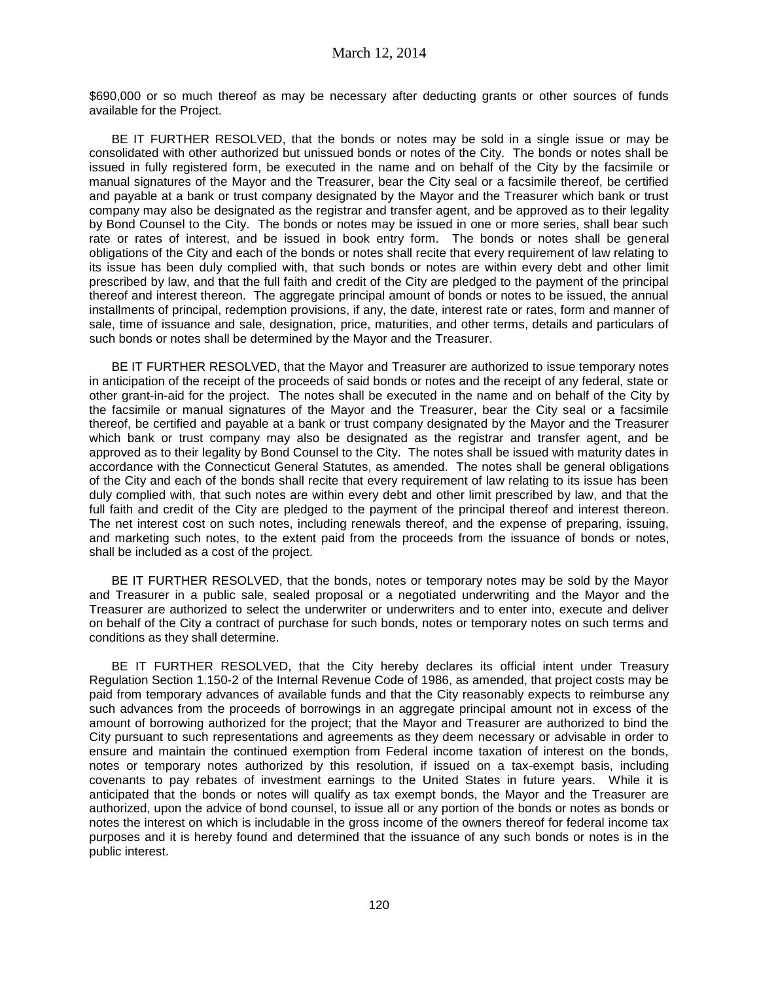\$690,000 or so much thereof as may be necessary after deducting grants or other sources of funds available for the Project.

BE IT FURTHER RESOLVED, that the bonds or notes may be sold in a single issue or may be consolidated with other authorized but unissued bonds or notes of the City. The bonds or notes shall be issued in fully registered form, be executed in the name and on behalf of the City by the facsimile or manual signatures of the Mayor and the Treasurer, bear the City seal or a facsimile thereof, be certified and payable at a bank or trust company designated by the Mayor and the Treasurer which bank or trust company may also be designated as the registrar and transfer agent, and be approved as to their legality by Bond Counsel to the City. The bonds or notes may be issued in one or more series, shall bear such rate or rates of interest, and be issued in book entry form. The bonds or notes shall be general obligations of the City and each of the bonds or notes shall recite that every requirement of law relating to its issue has been duly complied with, that such bonds or notes are within every debt and other limit prescribed by law, and that the full faith and credit of the City are pledged to the payment of the principal thereof and interest thereon. The aggregate principal amount of bonds or notes to be issued, the annual installments of principal, redemption provisions, if any, the date, interest rate or rates, form and manner of sale, time of issuance and sale, designation, price, maturities, and other terms, details and particulars of such bonds or notes shall be determined by the Mayor and the Treasurer.

BE IT FURTHER RESOLVED, that the Mayor and Treasurer are authorized to issue temporary notes in anticipation of the receipt of the proceeds of said bonds or notes and the receipt of any federal, state or other grant-in-aid for the project. The notes shall be executed in the name and on behalf of the City by the facsimile or manual signatures of the Mayor and the Treasurer, bear the City seal or a facsimile thereof, be certified and payable at a bank or trust company designated by the Mayor and the Treasurer which bank or trust company may also be designated as the registrar and transfer agent, and be approved as to their legality by Bond Counsel to the City. The notes shall be issued with maturity dates in accordance with the Connecticut General Statutes, as amended. The notes shall be general obligations of the City and each of the bonds shall recite that every requirement of law relating to its issue has been duly complied with, that such notes are within every debt and other limit prescribed by law, and that the full faith and credit of the City are pledged to the payment of the principal thereof and interest thereon. The net interest cost on such notes, including renewals thereof, and the expense of preparing, issuing, and marketing such notes, to the extent paid from the proceeds from the issuance of bonds or notes, shall be included as a cost of the project.

BE IT FURTHER RESOLVED, that the bonds, notes or temporary notes may be sold by the Mayor and Treasurer in a public sale, sealed proposal or a negotiated underwriting and the Mayor and the Treasurer are authorized to select the underwriter or underwriters and to enter into, execute and deliver on behalf of the City a contract of purchase for such bonds, notes or temporary notes on such terms and conditions as they shall determine.

BE IT FURTHER RESOLVED, that the City hereby declares its official intent under Treasury Regulation Section 1.150-2 of the Internal Revenue Code of 1986, as amended, that project costs may be paid from temporary advances of available funds and that the City reasonably expects to reimburse any such advances from the proceeds of borrowings in an aggregate principal amount not in excess of the amount of borrowing authorized for the project; that the Mayor and Treasurer are authorized to bind the City pursuant to such representations and agreements as they deem necessary or advisable in order to ensure and maintain the continued exemption from Federal income taxation of interest on the bonds, notes or temporary notes authorized by this resolution, if issued on a tax-exempt basis, including covenants to pay rebates of investment earnings to the United States in future years. While it is anticipated that the bonds or notes will qualify as tax exempt bonds, the Mayor and the Treasurer are authorized, upon the advice of bond counsel, to issue all or any portion of the bonds or notes as bonds or notes the interest on which is includable in the gross income of the owners thereof for federal income tax purposes and it is hereby found and determined that the issuance of any such bonds or notes is in the public interest.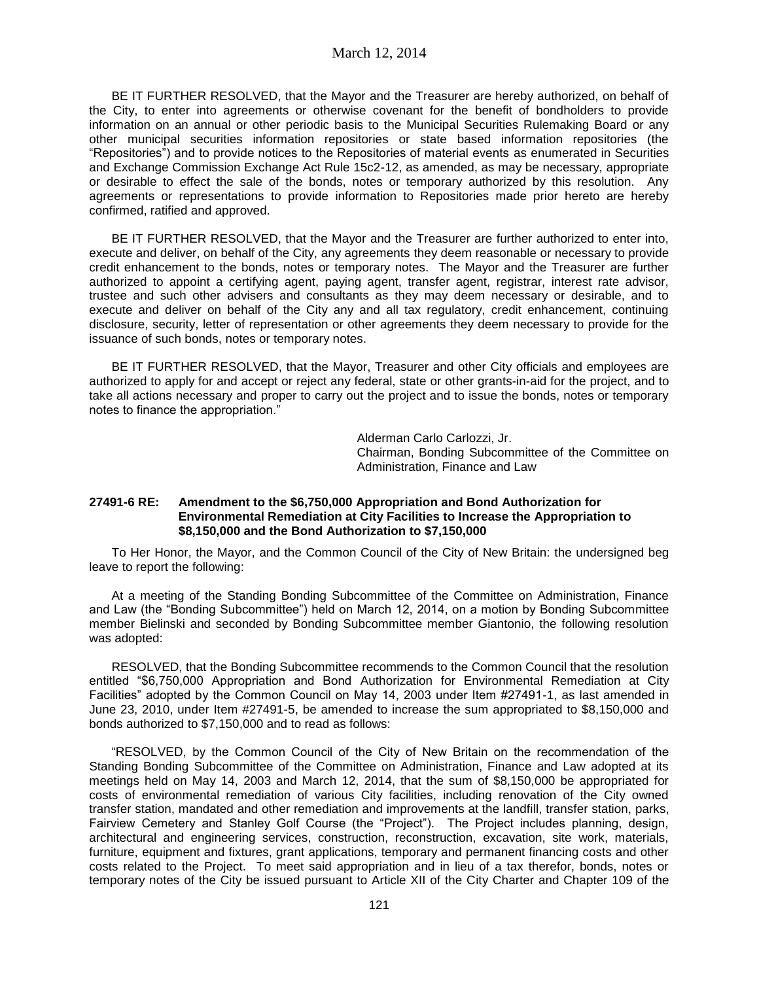BE IT FURTHER RESOLVED, that the Mayor and the Treasurer are hereby authorized, on behalf of the City, to enter into agreements or otherwise covenant for the benefit of bondholders to provide information on an annual or other periodic basis to the Municipal Securities Rulemaking Board or any other municipal securities information repositories or state based information repositories (the "Repositories") and to provide notices to the Repositories of material events as enumerated in Securities and Exchange Commission Exchange Act Rule 15c2-12, as amended, as may be necessary, appropriate or desirable to effect the sale of the bonds, notes or temporary authorized by this resolution. Any agreements or representations to provide information to Repositories made prior hereto are hereby confirmed, ratified and approved.

BE IT FURTHER RESOLVED, that the Mayor and the Treasurer are further authorized to enter into, execute and deliver, on behalf of the City, any agreements they deem reasonable or necessary to provide credit enhancement to the bonds, notes or temporary notes. The Mayor and the Treasurer are further authorized to appoint a certifying agent, paying agent, transfer agent, registrar, interest rate advisor, trustee and such other advisers and consultants as they may deem necessary or desirable, and to execute and deliver on behalf of the City any and all tax regulatory, credit enhancement, continuing disclosure, security, letter of representation or other agreements they deem necessary to provide for the issuance of such bonds, notes or temporary notes.

BE IT FURTHER RESOLVED, that the Mayor, Treasurer and other City officials and employees are authorized to apply for and accept or reject any federal, state or other grants-in-aid for the project, and to take all actions necessary and proper to carry out the project and to issue the bonds, notes or temporary notes to finance the appropriation."

> Alderman Carlo Carlozzi, Jr. Chairman, Bonding Subcommittee of the Committee on Administration, Finance and Law

#### **27491-6 RE: Amendment to the \$6,750,000 Appropriation and Bond Authorization for Environmental Remediation at City Facilities to Increase the Appropriation to \$8,150,000 and the Bond Authorization to \$7,150,000**

To Her Honor, the Mayor, and the Common Council of the City of New Britain: the undersigned beg leave to report the following:

At a meeting of the Standing Bonding Subcommittee of the Committee on Administration, Finance and Law (the "Bonding Subcommittee") held on March 12, 2014, on a motion by Bonding Subcommittee member Bielinski and seconded by Bonding Subcommittee member Giantonio, the following resolution was adopted:

RESOLVED, that the Bonding Subcommittee recommends to the Common Council that the resolution entitled "\$6,750,000 Appropriation and Bond Authorization for Environmental Remediation at City Facilities" adopted by the Common Council on May 14, 2003 under Item #27491-1, as last amended in June 23, 2010, under Item #27491-5, be amended to increase the sum appropriated to \$8,150,000 and bonds authorized to \$7,150,000 and to read as follows:

"RESOLVED, by the Common Council of the City of New Britain on the recommendation of the Standing Bonding Subcommittee of the Committee on Administration, Finance and Law adopted at its meetings held on May 14, 2003 and March 12, 2014, that the sum of \$8,150,000 be appropriated for costs of environmental remediation of various City facilities, including renovation of the City owned transfer station, mandated and other remediation and improvements at the landfill, transfer station, parks, Fairview Cemetery and Stanley Golf Course (the "Project"). The Project includes planning, design, architectural and engineering services, construction, reconstruction, excavation, site work, materials, furniture, equipment and fixtures, grant applications, temporary and permanent financing costs and other costs related to the Project. To meet said appropriation and in lieu of a tax therefor, bonds, notes or temporary notes of the City be issued pursuant to Article XII of the City Charter and Chapter 109 of the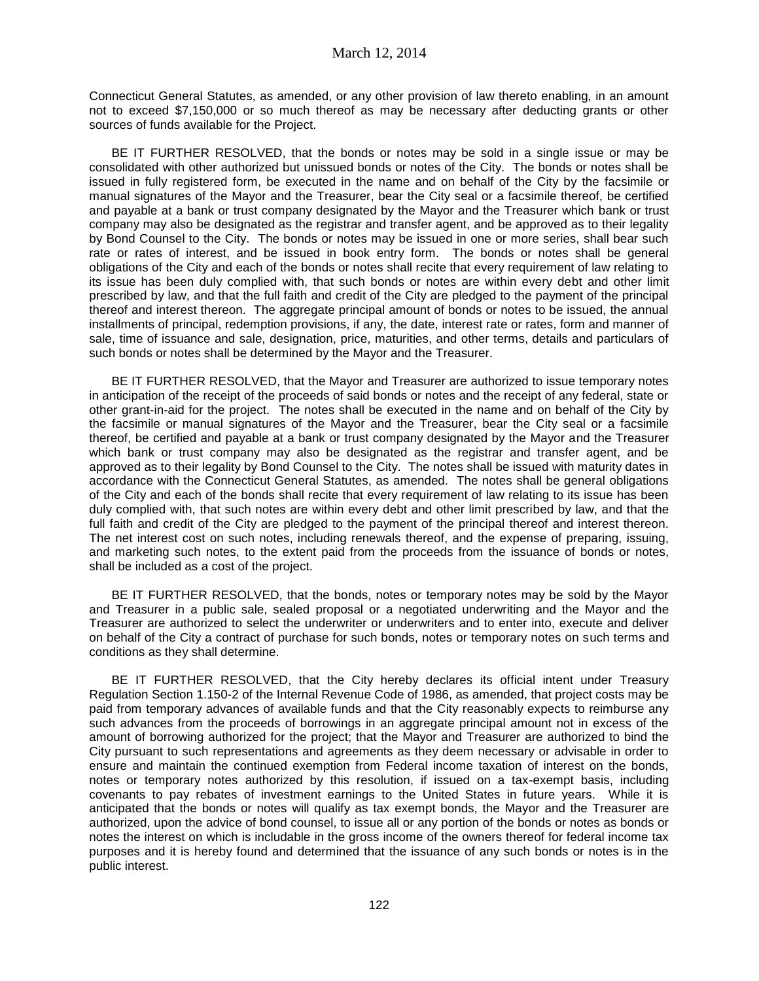Connecticut General Statutes, as amended, or any other provision of law thereto enabling, in an amount not to exceed \$7,150,000 or so much thereof as may be necessary after deducting grants or other sources of funds available for the Project.

BE IT FURTHER RESOLVED, that the bonds or notes may be sold in a single issue or may be consolidated with other authorized but unissued bonds or notes of the City. The bonds or notes shall be issued in fully registered form, be executed in the name and on behalf of the City by the facsimile or manual signatures of the Mayor and the Treasurer, bear the City seal or a facsimile thereof, be certified and payable at a bank or trust company designated by the Mayor and the Treasurer which bank or trust company may also be designated as the registrar and transfer agent, and be approved as to their legality by Bond Counsel to the City. The bonds or notes may be issued in one or more series, shall bear such rate or rates of interest, and be issued in book entry form. The bonds or notes shall be general obligations of the City and each of the bonds or notes shall recite that every requirement of law relating to its issue has been duly complied with, that such bonds or notes are within every debt and other limit prescribed by law, and that the full faith and credit of the City are pledged to the payment of the principal thereof and interest thereon. The aggregate principal amount of bonds or notes to be issued, the annual installments of principal, redemption provisions, if any, the date, interest rate or rates, form and manner of sale, time of issuance and sale, designation, price, maturities, and other terms, details and particulars of such bonds or notes shall be determined by the Mayor and the Treasurer.

BE IT FURTHER RESOLVED, that the Mayor and Treasurer are authorized to issue temporary notes in anticipation of the receipt of the proceeds of said bonds or notes and the receipt of any federal, state or other grant-in-aid for the project. The notes shall be executed in the name and on behalf of the City by the facsimile or manual signatures of the Mayor and the Treasurer, bear the City seal or a facsimile thereof, be certified and payable at a bank or trust company designated by the Mayor and the Treasurer which bank or trust company may also be designated as the registrar and transfer agent, and be approved as to their legality by Bond Counsel to the City. The notes shall be issued with maturity dates in accordance with the Connecticut General Statutes, as amended. The notes shall be general obligations of the City and each of the bonds shall recite that every requirement of law relating to its issue has been duly complied with, that such notes are within every debt and other limit prescribed by law, and that the full faith and credit of the City are pledged to the payment of the principal thereof and interest thereon. The net interest cost on such notes, including renewals thereof, and the expense of preparing, issuing, and marketing such notes, to the extent paid from the proceeds from the issuance of bonds or notes, shall be included as a cost of the project.

BE IT FURTHER RESOLVED, that the bonds, notes or temporary notes may be sold by the Mayor and Treasurer in a public sale, sealed proposal or a negotiated underwriting and the Mayor and the Treasurer are authorized to select the underwriter or underwriters and to enter into, execute and deliver on behalf of the City a contract of purchase for such bonds, notes or temporary notes on such terms and conditions as they shall determine.

BE IT FURTHER RESOLVED, that the City hereby declares its official intent under Treasury Regulation Section 1.150-2 of the Internal Revenue Code of 1986, as amended, that project costs may be paid from temporary advances of available funds and that the City reasonably expects to reimburse any such advances from the proceeds of borrowings in an aggregate principal amount not in excess of the amount of borrowing authorized for the project; that the Mayor and Treasurer are authorized to bind the City pursuant to such representations and agreements as they deem necessary or advisable in order to ensure and maintain the continued exemption from Federal income taxation of interest on the bonds, notes or temporary notes authorized by this resolution, if issued on a tax-exempt basis, including covenants to pay rebates of investment earnings to the United States in future years. While it is anticipated that the bonds or notes will qualify as tax exempt bonds, the Mayor and the Treasurer are authorized, upon the advice of bond counsel, to issue all or any portion of the bonds or notes as bonds or notes the interest on which is includable in the gross income of the owners thereof for federal income tax purposes and it is hereby found and determined that the issuance of any such bonds or notes is in the public interest.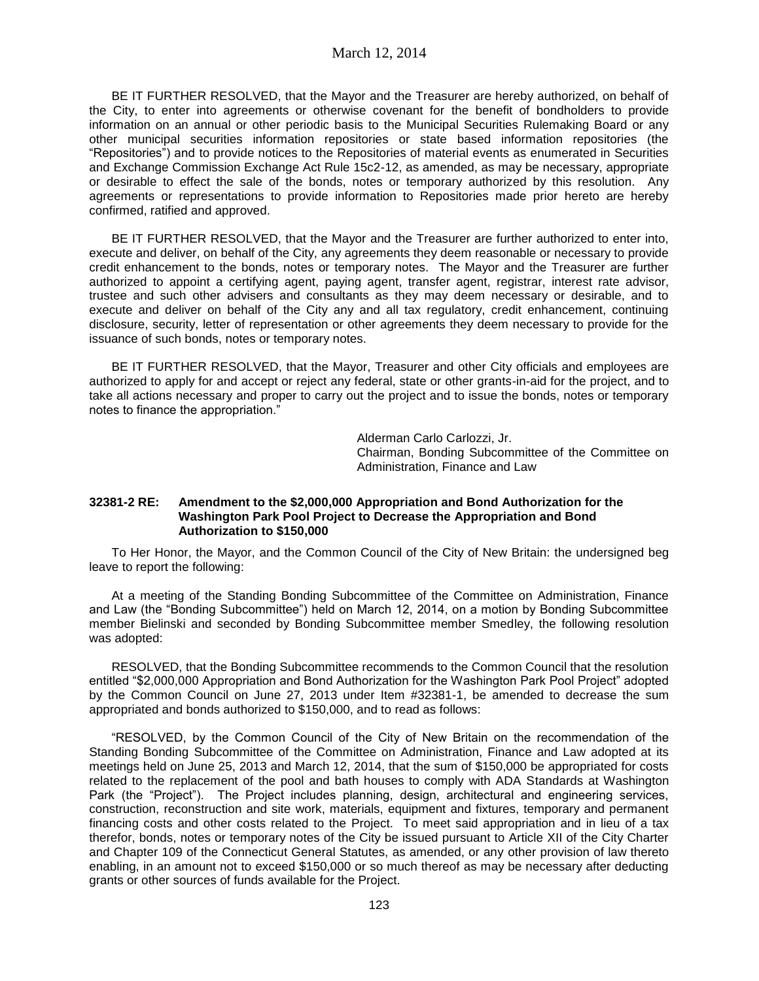BE IT FURTHER RESOLVED, that the Mayor and the Treasurer are hereby authorized, on behalf of the City, to enter into agreements or otherwise covenant for the benefit of bondholders to provide information on an annual or other periodic basis to the Municipal Securities Rulemaking Board or any other municipal securities information repositories or state based information repositories (the "Repositories") and to provide notices to the Repositories of material events as enumerated in Securities and Exchange Commission Exchange Act Rule 15c2-12, as amended, as may be necessary, appropriate or desirable to effect the sale of the bonds, notes or temporary authorized by this resolution. Any agreements or representations to provide information to Repositories made prior hereto are hereby confirmed, ratified and approved.

BE IT FURTHER RESOLVED, that the Mayor and the Treasurer are further authorized to enter into, execute and deliver, on behalf of the City, any agreements they deem reasonable or necessary to provide credit enhancement to the bonds, notes or temporary notes. The Mayor and the Treasurer are further authorized to appoint a certifying agent, paying agent, transfer agent, registrar, interest rate advisor, trustee and such other advisers and consultants as they may deem necessary or desirable, and to execute and deliver on behalf of the City any and all tax regulatory, credit enhancement, continuing disclosure, security, letter of representation or other agreements they deem necessary to provide for the issuance of such bonds, notes or temporary notes.

BE IT FURTHER RESOLVED, that the Mayor, Treasurer and other City officials and employees are authorized to apply for and accept or reject any federal, state or other grants-in-aid for the project, and to take all actions necessary and proper to carry out the project and to issue the bonds, notes or temporary notes to finance the appropriation."

> Alderman Carlo Carlozzi, Jr. Chairman, Bonding Subcommittee of the Committee on Administration, Finance and Law

#### **32381-2 RE: Amendment to the \$2,000,000 Appropriation and Bond Authorization for the Washington Park Pool Project to Decrease the Appropriation and Bond Authorization to \$150,000**

To Her Honor, the Mayor, and the Common Council of the City of New Britain: the undersigned beg leave to report the following:

At a meeting of the Standing Bonding Subcommittee of the Committee on Administration, Finance and Law (the "Bonding Subcommittee") held on March 12, 2014, on a motion by Bonding Subcommittee member Bielinski and seconded by Bonding Subcommittee member Smedley, the following resolution was adopted:

RESOLVED, that the Bonding Subcommittee recommends to the Common Council that the resolution entitled "\$2,000,000 Appropriation and Bond Authorization for the Washington Park Pool Project" adopted by the Common Council on June 27, 2013 under Item #32381-1, be amended to decrease the sum appropriated and bonds authorized to \$150,000, and to read as follows:

"RESOLVED, by the Common Council of the City of New Britain on the recommendation of the Standing Bonding Subcommittee of the Committee on Administration, Finance and Law adopted at its meetings held on June 25, 2013 and March 12, 2014, that the sum of \$150,000 be appropriated for costs related to the replacement of the pool and bath houses to comply with ADA Standards at Washington Park (the "Project"). The Project includes planning, design, architectural and engineering services, construction, reconstruction and site work, materials, equipment and fixtures, temporary and permanent financing costs and other costs related to the Project. To meet said appropriation and in lieu of a tax therefor, bonds, notes or temporary notes of the City be issued pursuant to Article XII of the City Charter and Chapter 109 of the Connecticut General Statutes, as amended, or any other provision of law thereto enabling, in an amount not to exceed \$150,000 or so much thereof as may be necessary after deducting grants or other sources of funds available for the Project.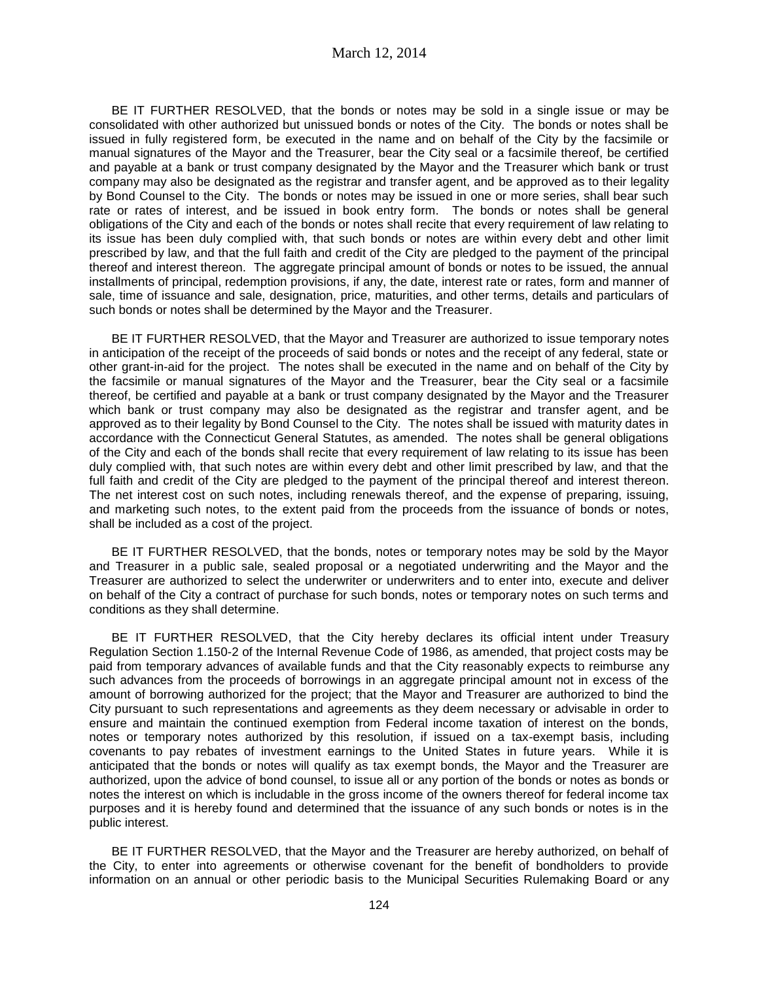BE IT FURTHER RESOLVED, that the bonds or notes may be sold in a single issue or may be consolidated with other authorized but unissued bonds or notes of the City. The bonds or notes shall be issued in fully registered form, be executed in the name and on behalf of the City by the facsimile or manual signatures of the Mayor and the Treasurer, bear the City seal or a facsimile thereof, be certified and payable at a bank or trust company designated by the Mayor and the Treasurer which bank or trust company may also be designated as the registrar and transfer agent, and be approved as to their legality by Bond Counsel to the City. The bonds or notes may be issued in one or more series, shall bear such rate or rates of interest, and be issued in book entry form. The bonds or notes shall be general obligations of the City and each of the bonds or notes shall recite that every requirement of law relating to its issue has been duly complied with, that such bonds or notes are within every debt and other limit prescribed by law, and that the full faith and credit of the City are pledged to the payment of the principal thereof and interest thereon. The aggregate principal amount of bonds or notes to be issued, the annual installments of principal, redemption provisions, if any, the date, interest rate or rates, form and manner of sale, time of issuance and sale, designation, price, maturities, and other terms, details and particulars of such bonds or notes shall be determined by the Mayor and the Treasurer.

BE IT FURTHER RESOLVED, that the Mayor and Treasurer are authorized to issue temporary notes in anticipation of the receipt of the proceeds of said bonds or notes and the receipt of any federal, state or other grant-in-aid for the project. The notes shall be executed in the name and on behalf of the City by the facsimile or manual signatures of the Mayor and the Treasurer, bear the City seal or a facsimile thereof, be certified and payable at a bank or trust company designated by the Mayor and the Treasurer which bank or trust company may also be designated as the registrar and transfer agent, and be approved as to their legality by Bond Counsel to the City. The notes shall be issued with maturity dates in accordance with the Connecticut General Statutes, as amended. The notes shall be general obligations of the City and each of the bonds shall recite that every requirement of law relating to its issue has been duly complied with, that such notes are within every debt and other limit prescribed by law, and that the full faith and credit of the City are pledged to the payment of the principal thereof and interest thereon. The net interest cost on such notes, including renewals thereof, and the expense of preparing, issuing, and marketing such notes, to the extent paid from the proceeds from the issuance of bonds or notes, shall be included as a cost of the project.

BE IT FURTHER RESOLVED, that the bonds, notes or temporary notes may be sold by the Mayor and Treasurer in a public sale, sealed proposal or a negotiated underwriting and the Mayor and the Treasurer are authorized to select the underwriter or underwriters and to enter into, execute and deliver on behalf of the City a contract of purchase for such bonds, notes or temporary notes on such terms and conditions as they shall determine.

BE IT FURTHER RESOLVED, that the City hereby declares its official intent under Treasury Regulation Section 1.150-2 of the Internal Revenue Code of 1986, as amended, that project costs may be paid from temporary advances of available funds and that the City reasonably expects to reimburse any such advances from the proceeds of borrowings in an aggregate principal amount not in excess of the amount of borrowing authorized for the project; that the Mayor and Treasurer are authorized to bind the City pursuant to such representations and agreements as they deem necessary or advisable in order to ensure and maintain the continued exemption from Federal income taxation of interest on the bonds, notes or temporary notes authorized by this resolution, if issued on a tax-exempt basis, including covenants to pay rebates of investment earnings to the United States in future years. While it is anticipated that the bonds or notes will qualify as tax exempt bonds, the Mayor and the Treasurer are authorized, upon the advice of bond counsel, to issue all or any portion of the bonds or notes as bonds or notes the interest on which is includable in the gross income of the owners thereof for federal income tax purposes and it is hereby found and determined that the issuance of any such bonds or notes is in the public interest.

BE IT FURTHER RESOLVED, that the Mayor and the Treasurer are hereby authorized, on behalf of the City, to enter into agreements or otherwise covenant for the benefit of bondholders to provide information on an annual or other periodic basis to the Municipal Securities Rulemaking Board or any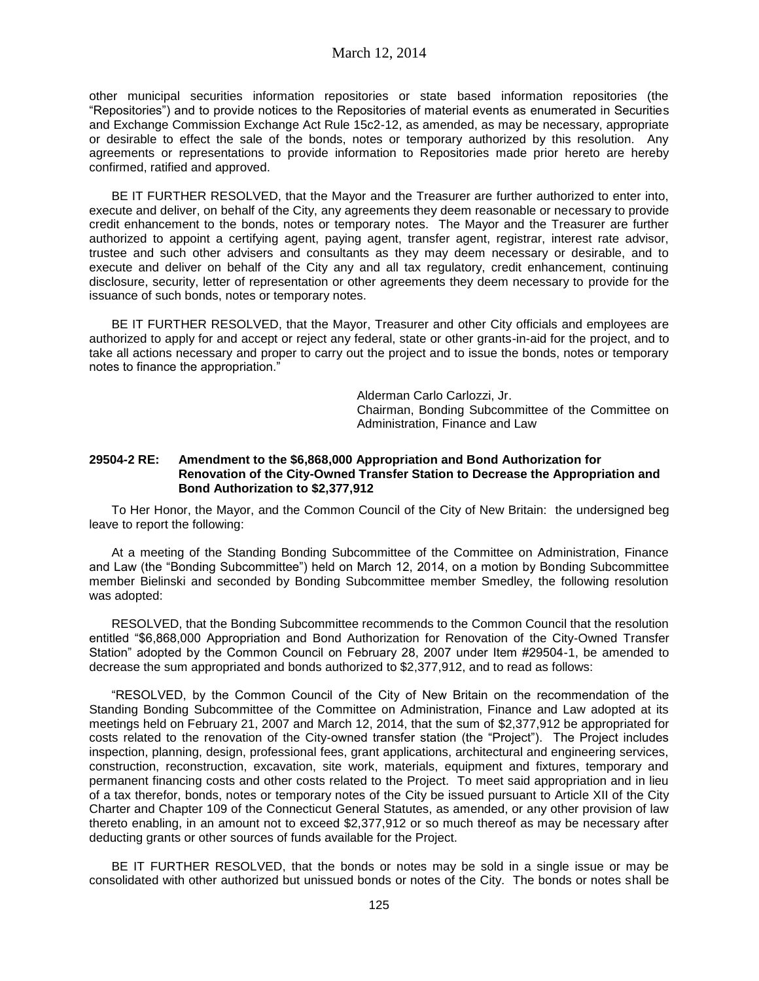other municipal securities information repositories or state based information repositories (the "Repositories") and to provide notices to the Repositories of material events as enumerated in Securities and Exchange Commission Exchange Act Rule 15c2-12, as amended, as may be necessary, appropriate or desirable to effect the sale of the bonds, notes or temporary authorized by this resolution. Any agreements or representations to provide information to Repositories made prior hereto are hereby confirmed, ratified and approved.

BE IT FURTHER RESOLVED, that the Mayor and the Treasurer are further authorized to enter into, execute and deliver, on behalf of the City, any agreements they deem reasonable or necessary to provide credit enhancement to the bonds, notes or temporary notes. The Mayor and the Treasurer are further authorized to appoint a certifying agent, paying agent, transfer agent, registrar, interest rate advisor, trustee and such other advisers and consultants as they may deem necessary or desirable, and to execute and deliver on behalf of the City any and all tax regulatory, credit enhancement, continuing disclosure, security, letter of representation or other agreements they deem necessary to provide for the issuance of such bonds, notes or temporary notes.

BE IT FURTHER RESOLVED, that the Mayor, Treasurer and other City officials and employees are authorized to apply for and accept or reject any federal, state or other grants-in-aid for the project, and to take all actions necessary and proper to carry out the project and to issue the bonds, notes or temporary notes to finance the appropriation."

> Alderman Carlo Carlozzi, Jr. Chairman, Bonding Subcommittee of the Committee on Administration, Finance and Law

#### **29504-2 RE: Amendment to the \$6,868,000 Appropriation and Bond Authorization for Renovation of the City-Owned Transfer Station to Decrease the Appropriation and Bond Authorization to \$2,377,912**

To Her Honor, the Mayor, and the Common Council of the City of New Britain: the undersigned beg leave to report the following:

At a meeting of the Standing Bonding Subcommittee of the Committee on Administration, Finance and Law (the "Bonding Subcommittee") held on March 12, 2014, on a motion by Bonding Subcommittee member Bielinski and seconded by Bonding Subcommittee member Smedley, the following resolution was adopted:

RESOLVED, that the Bonding Subcommittee recommends to the Common Council that the resolution entitled "\$6,868,000 Appropriation and Bond Authorization for Renovation of the City-Owned Transfer Station" adopted by the Common Council on February 28, 2007 under Item #29504-1, be amended to decrease the sum appropriated and bonds authorized to \$2,377,912, and to read as follows:

"RESOLVED, by the Common Council of the City of New Britain on the recommendation of the Standing Bonding Subcommittee of the Committee on Administration, Finance and Law adopted at its meetings held on February 21, 2007 and March 12, 2014, that the sum of \$2,377,912 be appropriated for costs related to the renovation of the City-owned transfer station (the "Project"). The Project includes inspection, planning, design, professional fees, grant applications, architectural and engineering services, construction, reconstruction, excavation, site work, materials, equipment and fixtures, temporary and permanent financing costs and other costs related to the Project. To meet said appropriation and in lieu of a tax therefor, bonds, notes or temporary notes of the City be issued pursuant to Article XII of the City Charter and Chapter 109 of the Connecticut General Statutes, as amended, or any other provision of law thereto enabling, in an amount not to exceed \$2,377,912 or so much thereof as may be necessary after deducting grants or other sources of funds available for the Project.

BE IT FURTHER RESOLVED, that the bonds or notes may be sold in a single issue or may be consolidated with other authorized but unissued bonds or notes of the City. The bonds or notes shall be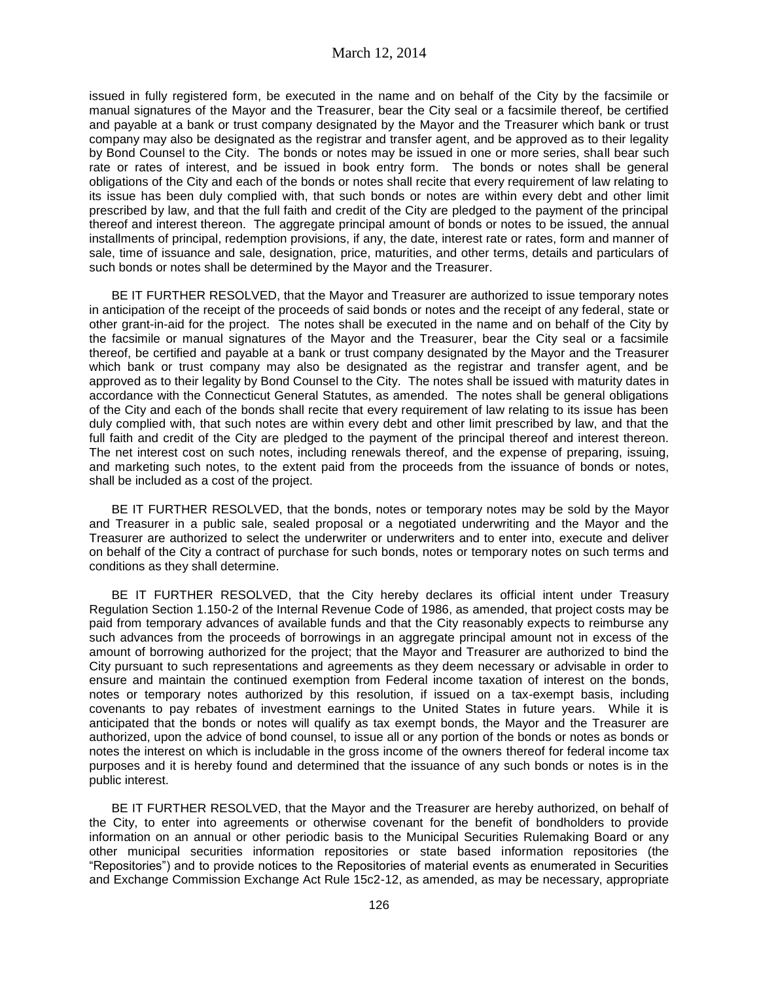issued in fully registered form, be executed in the name and on behalf of the City by the facsimile or manual signatures of the Mayor and the Treasurer, bear the City seal or a facsimile thereof, be certified and payable at a bank or trust company designated by the Mayor and the Treasurer which bank or trust company may also be designated as the registrar and transfer agent, and be approved as to their legality by Bond Counsel to the City. The bonds or notes may be issued in one or more series, shall bear such rate or rates of interest, and be issued in book entry form. The bonds or notes shall be general obligations of the City and each of the bonds or notes shall recite that every requirement of law relating to its issue has been duly complied with, that such bonds or notes are within every debt and other limit prescribed by law, and that the full faith and credit of the City are pledged to the payment of the principal thereof and interest thereon. The aggregate principal amount of bonds or notes to be issued, the annual installments of principal, redemption provisions, if any, the date, interest rate or rates, form and manner of sale, time of issuance and sale, designation, price, maturities, and other terms, details and particulars of such bonds or notes shall be determined by the Mayor and the Treasurer.

BE IT FURTHER RESOLVED, that the Mayor and Treasurer are authorized to issue temporary notes in anticipation of the receipt of the proceeds of said bonds or notes and the receipt of any federal, state or other grant-in-aid for the project. The notes shall be executed in the name and on behalf of the City by the facsimile or manual signatures of the Mayor and the Treasurer, bear the City seal or a facsimile thereof, be certified and payable at a bank or trust company designated by the Mayor and the Treasurer which bank or trust company may also be designated as the registrar and transfer agent, and be approved as to their legality by Bond Counsel to the City. The notes shall be issued with maturity dates in accordance with the Connecticut General Statutes, as amended. The notes shall be general obligations of the City and each of the bonds shall recite that every requirement of law relating to its issue has been duly complied with, that such notes are within every debt and other limit prescribed by law, and that the full faith and credit of the City are pledged to the payment of the principal thereof and interest thereon. The net interest cost on such notes, including renewals thereof, and the expense of preparing, issuing, and marketing such notes, to the extent paid from the proceeds from the issuance of bonds or notes, shall be included as a cost of the project.

BE IT FURTHER RESOLVED, that the bonds, notes or temporary notes may be sold by the Mayor and Treasurer in a public sale, sealed proposal or a negotiated underwriting and the Mayor and the Treasurer are authorized to select the underwriter or underwriters and to enter into, execute and deliver on behalf of the City a contract of purchase for such bonds, notes or temporary notes on such terms and conditions as they shall determine.

BE IT FURTHER RESOLVED, that the City hereby declares its official intent under Treasury Regulation Section 1.150-2 of the Internal Revenue Code of 1986, as amended, that project costs may be paid from temporary advances of available funds and that the City reasonably expects to reimburse any such advances from the proceeds of borrowings in an aggregate principal amount not in excess of the amount of borrowing authorized for the project; that the Mayor and Treasurer are authorized to bind the City pursuant to such representations and agreements as they deem necessary or advisable in order to ensure and maintain the continued exemption from Federal income taxation of interest on the bonds, notes or temporary notes authorized by this resolution, if issued on a tax-exempt basis, including covenants to pay rebates of investment earnings to the United States in future years. While it is anticipated that the bonds or notes will qualify as tax exempt bonds, the Mayor and the Treasurer are authorized, upon the advice of bond counsel, to issue all or any portion of the bonds or notes as bonds or notes the interest on which is includable in the gross income of the owners thereof for federal income tax purposes and it is hereby found and determined that the issuance of any such bonds or notes is in the public interest.

BE IT FURTHER RESOLVED, that the Mayor and the Treasurer are hereby authorized, on behalf of the City, to enter into agreements or otherwise covenant for the benefit of bondholders to provide information on an annual or other periodic basis to the Municipal Securities Rulemaking Board or any other municipal securities information repositories or state based information repositories (the "Repositories") and to provide notices to the Repositories of material events as enumerated in Securities and Exchange Commission Exchange Act Rule 15c2-12, as amended, as may be necessary, appropriate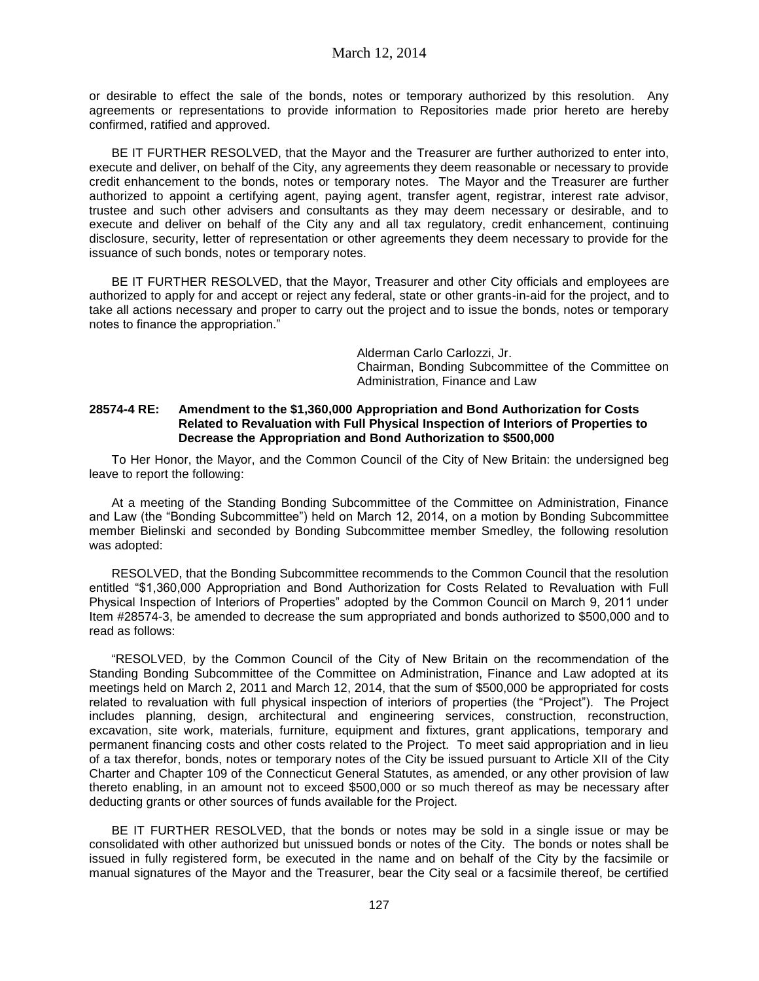or desirable to effect the sale of the bonds, notes or temporary authorized by this resolution. Any agreements or representations to provide information to Repositories made prior hereto are hereby confirmed, ratified and approved.

BE IT FURTHER RESOLVED, that the Mayor and the Treasurer are further authorized to enter into, execute and deliver, on behalf of the City, any agreements they deem reasonable or necessary to provide credit enhancement to the bonds, notes or temporary notes. The Mayor and the Treasurer are further authorized to appoint a certifying agent, paying agent, transfer agent, registrar, interest rate advisor, trustee and such other advisers and consultants as they may deem necessary or desirable, and to execute and deliver on behalf of the City any and all tax regulatory, credit enhancement, continuing disclosure, security, letter of representation or other agreements they deem necessary to provide for the issuance of such bonds, notes or temporary notes.

BE IT FURTHER RESOLVED, that the Mayor, Treasurer and other City officials and employees are authorized to apply for and accept or reject any federal, state or other grants-in-aid for the project, and to take all actions necessary and proper to carry out the project and to issue the bonds, notes or temporary notes to finance the appropriation."

> Alderman Carlo Carlozzi, Jr. Chairman, Bonding Subcommittee of the Committee on Administration, Finance and Law

## **28574-4 RE: Amendment to the \$1,360,000 Appropriation and Bond Authorization for Costs Related to Revaluation with Full Physical Inspection of Interiors of Properties to Decrease the Appropriation and Bond Authorization to \$500,000**

To Her Honor, the Mayor, and the Common Council of the City of New Britain: the undersigned beg leave to report the following:

At a meeting of the Standing Bonding Subcommittee of the Committee on Administration, Finance and Law (the "Bonding Subcommittee") held on March 12, 2014, on a motion by Bonding Subcommittee member Bielinski and seconded by Bonding Subcommittee member Smedley, the following resolution was adopted:

RESOLVED, that the Bonding Subcommittee recommends to the Common Council that the resolution entitled "\$1,360,000 Appropriation and Bond Authorization for Costs Related to Revaluation with Full Physical Inspection of Interiors of Properties" adopted by the Common Council on March 9, 2011 under Item #28574-3, be amended to decrease the sum appropriated and bonds authorized to \$500,000 and to read as follows:

"RESOLVED, by the Common Council of the City of New Britain on the recommendation of the Standing Bonding Subcommittee of the Committee on Administration, Finance and Law adopted at its meetings held on March 2, 2011 and March 12, 2014, that the sum of \$500,000 be appropriated for costs related to revaluation with full physical inspection of interiors of properties (the "Project"). The Project includes planning, design, architectural and engineering services, construction, reconstruction, excavation, site work, materials, furniture, equipment and fixtures, grant applications, temporary and permanent financing costs and other costs related to the Project. To meet said appropriation and in lieu of a tax therefor, bonds, notes or temporary notes of the City be issued pursuant to Article XII of the City Charter and Chapter 109 of the Connecticut General Statutes, as amended, or any other provision of law thereto enabling, in an amount not to exceed \$500,000 or so much thereof as may be necessary after deducting grants or other sources of funds available for the Project.

BE IT FURTHER RESOLVED, that the bonds or notes may be sold in a single issue or may be consolidated with other authorized but unissued bonds or notes of the City. The bonds or notes shall be issued in fully registered form, be executed in the name and on behalf of the City by the facsimile or manual signatures of the Mayor and the Treasurer, bear the City seal or a facsimile thereof, be certified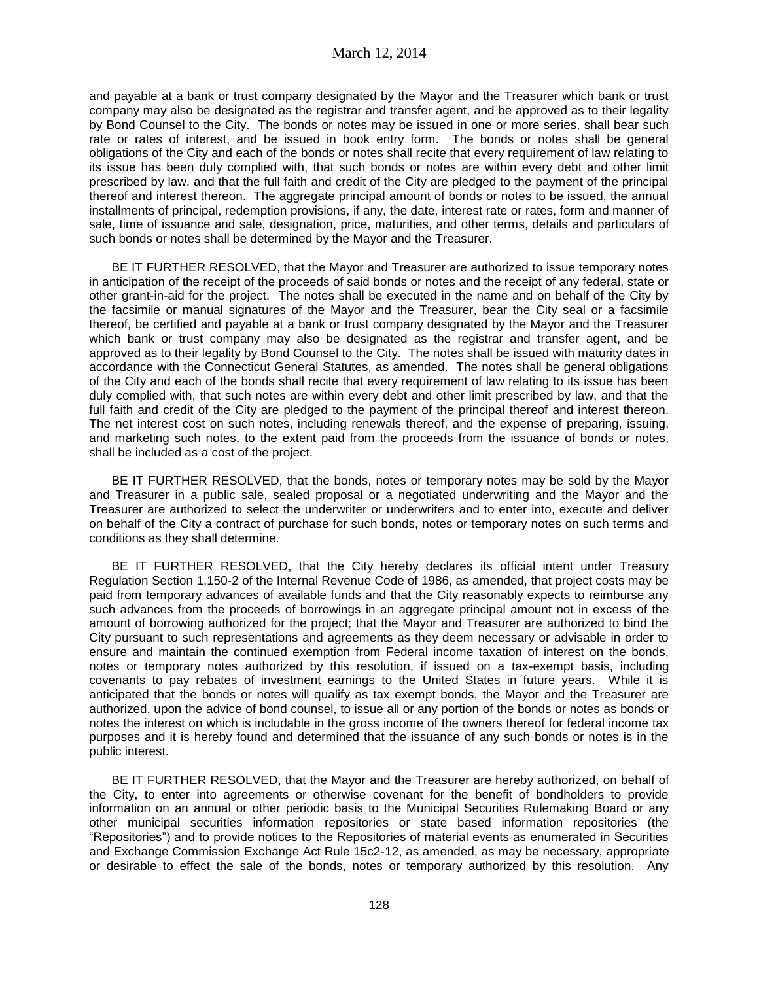and payable at a bank or trust company designated by the Mayor and the Treasurer which bank or trust company may also be designated as the registrar and transfer agent, and be approved as to their legality by Bond Counsel to the City. The bonds or notes may be issued in one or more series, shall bear such rate or rates of interest, and be issued in book entry form. The bonds or notes shall be general obligations of the City and each of the bonds or notes shall recite that every requirement of law relating to its issue has been duly complied with, that such bonds or notes are within every debt and other limit prescribed by law, and that the full faith and credit of the City are pledged to the payment of the principal thereof and interest thereon. The aggregate principal amount of bonds or notes to be issued, the annual installments of principal, redemption provisions, if any, the date, interest rate or rates, form and manner of sale, time of issuance and sale, designation, price, maturities, and other terms, details and particulars of such bonds or notes shall be determined by the Mayor and the Treasurer.

BE IT FURTHER RESOLVED, that the Mayor and Treasurer are authorized to issue temporary notes in anticipation of the receipt of the proceeds of said bonds or notes and the receipt of any federal, state or other grant-in-aid for the project. The notes shall be executed in the name and on behalf of the City by the facsimile or manual signatures of the Mayor and the Treasurer, bear the City seal or a facsimile thereof, be certified and payable at a bank or trust company designated by the Mayor and the Treasurer which bank or trust company may also be designated as the registrar and transfer agent, and be approved as to their legality by Bond Counsel to the City. The notes shall be issued with maturity dates in accordance with the Connecticut General Statutes, as amended. The notes shall be general obligations of the City and each of the bonds shall recite that every requirement of law relating to its issue has been duly complied with, that such notes are within every debt and other limit prescribed by law, and that the full faith and credit of the City are pledged to the payment of the principal thereof and interest thereon. The net interest cost on such notes, including renewals thereof, and the expense of preparing, issuing, and marketing such notes, to the extent paid from the proceeds from the issuance of bonds or notes, shall be included as a cost of the project.

BE IT FURTHER RESOLVED, that the bonds, notes or temporary notes may be sold by the Mayor and Treasurer in a public sale, sealed proposal or a negotiated underwriting and the Mayor and the Treasurer are authorized to select the underwriter or underwriters and to enter into, execute and deliver on behalf of the City a contract of purchase for such bonds, notes or temporary notes on such terms and conditions as they shall determine.

BE IT FURTHER RESOLVED, that the City hereby declares its official intent under Treasury Regulation Section 1.150-2 of the Internal Revenue Code of 1986, as amended, that project costs may be paid from temporary advances of available funds and that the City reasonably expects to reimburse any such advances from the proceeds of borrowings in an aggregate principal amount not in excess of the amount of borrowing authorized for the project; that the Mayor and Treasurer are authorized to bind the City pursuant to such representations and agreements as they deem necessary or advisable in order to ensure and maintain the continued exemption from Federal income taxation of interest on the bonds, notes or temporary notes authorized by this resolution, if issued on a tax-exempt basis, including covenants to pay rebates of investment earnings to the United States in future years. While it is anticipated that the bonds or notes will qualify as tax exempt bonds, the Mayor and the Treasurer are authorized, upon the advice of bond counsel, to issue all or any portion of the bonds or notes as bonds or notes the interest on which is includable in the gross income of the owners thereof for federal income tax purposes and it is hereby found and determined that the issuance of any such bonds or notes is in the public interest.

BE IT FURTHER RESOLVED, that the Mayor and the Treasurer are hereby authorized, on behalf of the City, to enter into agreements or otherwise covenant for the benefit of bondholders to provide information on an annual or other periodic basis to the Municipal Securities Rulemaking Board or any other municipal securities information repositories or state based information repositories (the "Repositories") and to provide notices to the Repositories of material events as enumerated in Securities and Exchange Commission Exchange Act Rule 15c2-12, as amended, as may be necessary, appropriate or desirable to effect the sale of the bonds, notes or temporary authorized by this resolution. Any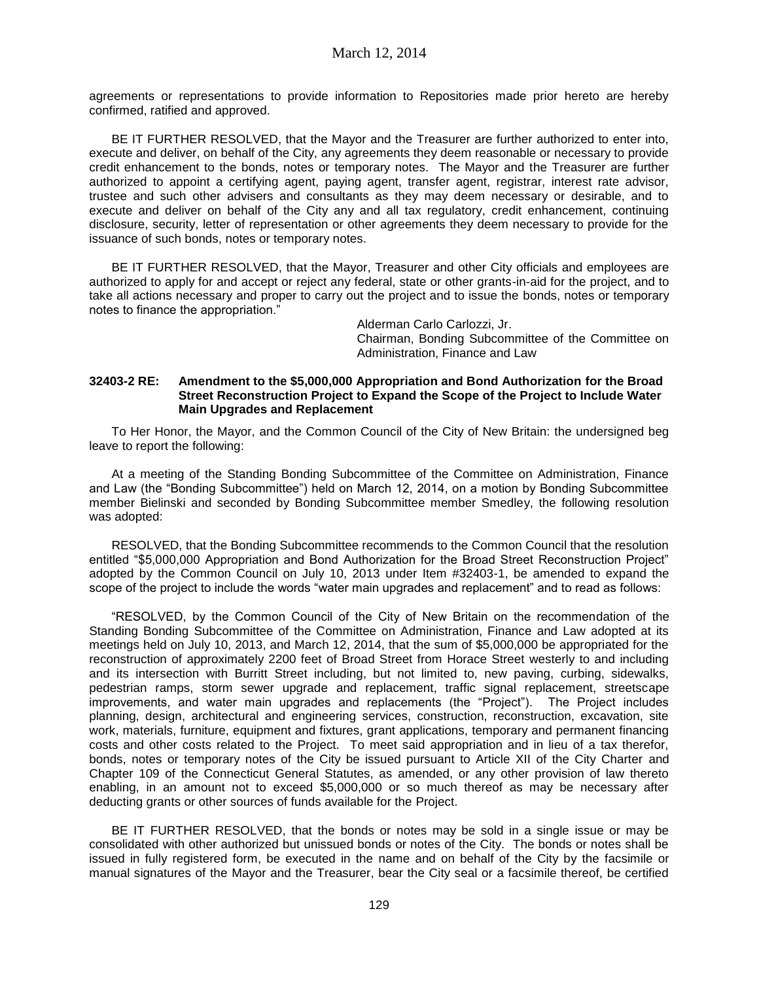agreements or representations to provide information to Repositories made prior hereto are hereby confirmed, ratified and approved.

BE IT FURTHER RESOLVED, that the Mayor and the Treasurer are further authorized to enter into, execute and deliver, on behalf of the City, any agreements they deem reasonable or necessary to provide credit enhancement to the bonds, notes or temporary notes. The Mayor and the Treasurer are further authorized to appoint a certifying agent, paying agent, transfer agent, registrar, interest rate advisor, trustee and such other advisers and consultants as they may deem necessary or desirable, and to execute and deliver on behalf of the City any and all tax regulatory, credit enhancement, continuing disclosure, security, letter of representation or other agreements they deem necessary to provide for the issuance of such bonds, notes or temporary notes.

BE IT FURTHER RESOLVED, that the Mayor, Treasurer and other City officials and employees are authorized to apply for and accept or reject any federal, state or other grants-in-aid for the project, and to take all actions necessary and proper to carry out the project and to issue the bonds, notes or temporary notes to finance the appropriation."

> Alderman Carlo Carlozzi, Jr. Chairman, Bonding Subcommittee of the Committee on Administration, Finance and Law

## **32403-2 RE: Amendment to the \$5,000,000 Appropriation and Bond Authorization for the Broad Street Reconstruction Project to Expand the Scope of the Project to Include Water Main Upgrades and Replacement**

To Her Honor, the Mayor, and the Common Council of the City of New Britain: the undersigned beg leave to report the following:

At a meeting of the Standing Bonding Subcommittee of the Committee on Administration, Finance and Law (the "Bonding Subcommittee") held on March 12, 2014, on a motion by Bonding Subcommittee member Bielinski and seconded by Bonding Subcommittee member Smedley, the following resolution was adopted:

RESOLVED, that the Bonding Subcommittee recommends to the Common Council that the resolution entitled "\$5,000,000 Appropriation and Bond Authorization for the Broad Street Reconstruction Project" adopted by the Common Council on July 10, 2013 under Item #32403-1, be amended to expand the scope of the project to include the words "water main upgrades and replacement" and to read as follows:

"RESOLVED, by the Common Council of the City of New Britain on the recommendation of the Standing Bonding Subcommittee of the Committee on Administration, Finance and Law adopted at its meetings held on July 10, 2013, and March 12, 2014, that the sum of \$5,000,000 be appropriated for the reconstruction of approximately 2200 feet of Broad Street from Horace Street westerly to and including and its intersection with Burritt Street including, but not limited to, new paving, curbing, sidewalks, pedestrian ramps, storm sewer upgrade and replacement, traffic signal replacement, streetscape improvements, and water main upgrades and replacements (the "Project"). The Project includes planning, design, architectural and engineering services, construction, reconstruction, excavation, site work, materials, furniture, equipment and fixtures, grant applications, temporary and permanent financing costs and other costs related to the Project. To meet said appropriation and in lieu of a tax therefor, bonds, notes or temporary notes of the City be issued pursuant to Article XII of the City Charter and Chapter 109 of the Connecticut General Statutes, as amended, or any other provision of law thereto enabling, in an amount not to exceed \$5,000,000 or so much thereof as may be necessary after deducting grants or other sources of funds available for the Project.

BE IT FURTHER RESOLVED, that the bonds or notes may be sold in a single issue or may be consolidated with other authorized but unissued bonds or notes of the City. The bonds or notes shall be issued in fully registered form, be executed in the name and on behalf of the City by the facsimile or manual signatures of the Mayor and the Treasurer, bear the City seal or a facsimile thereof, be certified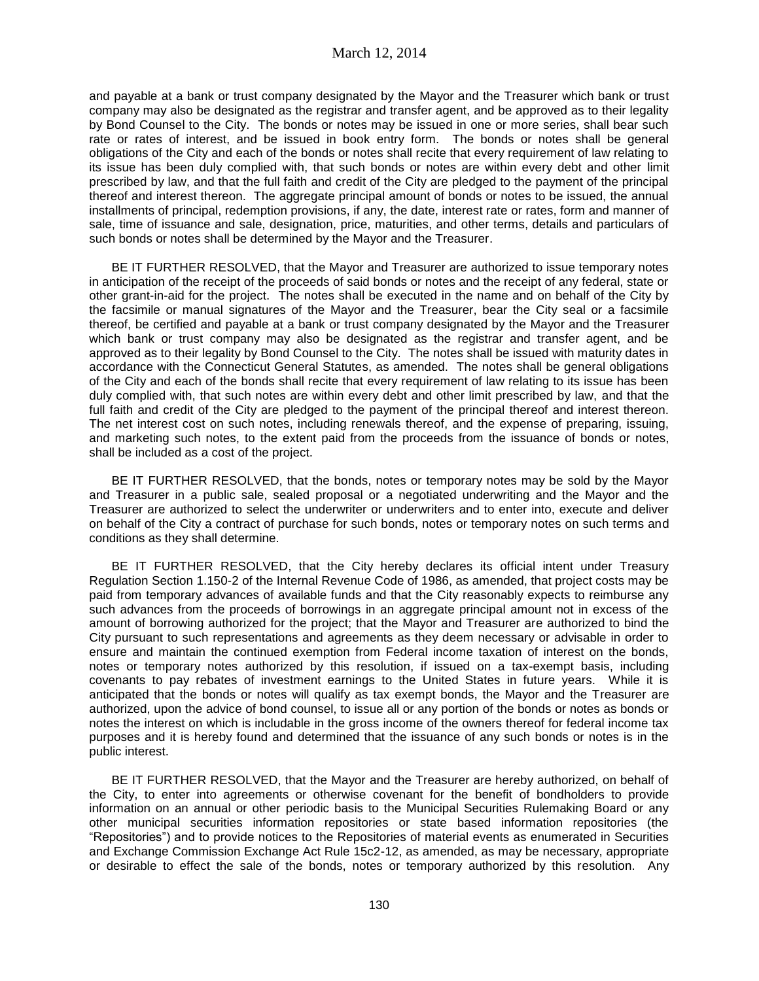and payable at a bank or trust company designated by the Mayor and the Treasurer which bank or trust company may also be designated as the registrar and transfer agent, and be approved as to their legality by Bond Counsel to the City. The bonds or notes may be issued in one or more series, shall bear such rate or rates of interest, and be issued in book entry form. The bonds or notes shall be general obligations of the City and each of the bonds or notes shall recite that every requirement of law relating to its issue has been duly complied with, that such bonds or notes are within every debt and other limit prescribed by law, and that the full faith and credit of the City are pledged to the payment of the principal thereof and interest thereon. The aggregate principal amount of bonds or notes to be issued, the annual installments of principal, redemption provisions, if any, the date, interest rate or rates, form and manner of sale, time of issuance and sale, designation, price, maturities, and other terms, details and particulars of such bonds or notes shall be determined by the Mayor and the Treasurer.

BE IT FURTHER RESOLVED, that the Mayor and Treasurer are authorized to issue temporary notes in anticipation of the receipt of the proceeds of said bonds or notes and the receipt of any federal, state or other grant-in-aid for the project. The notes shall be executed in the name and on behalf of the City by the facsimile or manual signatures of the Mayor and the Treasurer, bear the City seal or a facsimile thereof, be certified and payable at a bank or trust company designated by the Mayor and the Treasurer which bank or trust company may also be designated as the registrar and transfer agent, and be approved as to their legality by Bond Counsel to the City. The notes shall be issued with maturity dates in accordance with the Connecticut General Statutes, as amended. The notes shall be general obligations of the City and each of the bonds shall recite that every requirement of law relating to its issue has been duly complied with, that such notes are within every debt and other limit prescribed by law, and that the full faith and credit of the City are pledged to the payment of the principal thereof and interest thereon. The net interest cost on such notes, including renewals thereof, and the expense of preparing, issuing, and marketing such notes, to the extent paid from the proceeds from the issuance of bonds or notes, shall be included as a cost of the project.

BE IT FURTHER RESOLVED, that the bonds, notes or temporary notes may be sold by the Mayor and Treasurer in a public sale, sealed proposal or a negotiated underwriting and the Mayor and the Treasurer are authorized to select the underwriter or underwriters and to enter into, execute and deliver on behalf of the City a contract of purchase for such bonds, notes or temporary notes on such terms and conditions as they shall determine.

BE IT FURTHER RESOLVED, that the City hereby declares its official intent under Treasury Regulation Section 1.150-2 of the Internal Revenue Code of 1986, as amended, that project costs may be paid from temporary advances of available funds and that the City reasonably expects to reimburse any such advances from the proceeds of borrowings in an aggregate principal amount not in excess of the amount of borrowing authorized for the project; that the Mayor and Treasurer are authorized to bind the City pursuant to such representations and agreements as they deem necessary or advisable in order to ensure and maintain the continued exemption from Federal income taxation of interest on the bonds, notes or temporary notes authorized by this resolution, if issued on a tax-exempt basis, including covenants to pay rebates of investment earnings to the United States in future years. While it is anticipated that the bonds or notes will qualify as tax exempt bonds, the Mayor and the Treasurer are authorized, upon the advice of bond counsel, to issue all or any portion of the bonds or notes as bonds or notes the interest on which is includable in the gross income of the owners thereof for federal income tax purposes and it is hereby found and determined that the issuance of any such bonds or notes is in the public interest.

BE IT FURTHER RESOLVED, that the Mayor and the Treasurer are hereby authorized, on behalf of the City, to enter into agreements or otherwise covenant for the benefit of bondholders to provide information on an annual or other periodic basis to the Municipal Securities Rulemaking Board or any other municipal securities information repositories or state based information repositories (the "Repositories") and to provide notices to the Repositories of material events as enumerated in Securities and Exchange Commission Exchange Act Rule 15c2-12, as amended, as may be necessary, appropriate or desirable to effect the sale of the bonds, notes or temporary authorized by this resolution. Any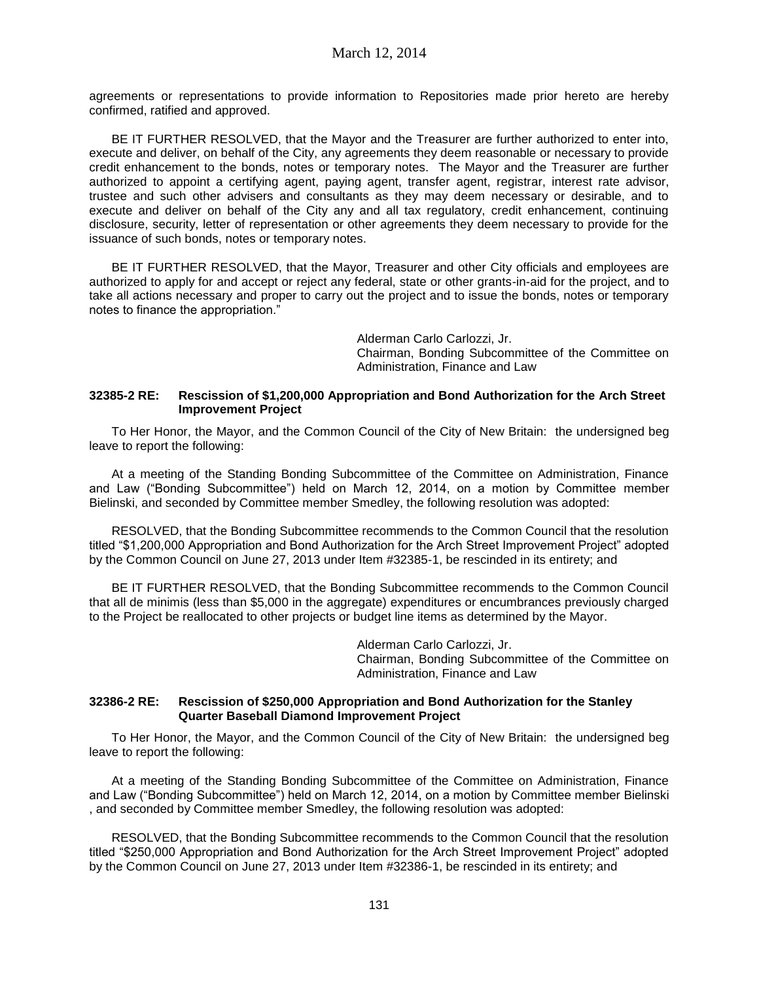agreements or representations to provide information to Repositories made prior hereto are hereby confirmed, ratified and approved.

BE IT FURTHER RESOLVED, that the Mayor and the Treasurer are further authorized to enter into, execute and deliver, on behalf of the City, any agreements they deem reasonable or necessary to provide credit enhancement to the bonds, notes or temporary notes. The Mayor and the Treasurer are further authorized to appoint a certifying agent, paying agent, transfer agent, registrar, interest rate advisor, trustee and such other advisers and consultants as they may deem necessary or desirable, and to execute and deliver on behalf of the City any and all tax regulatory, credit enhancement, continuing disclosure, security, letter of representation or other agreements they deem necessary to provide for the issuance of such bonds, notes or temporary notes.

BE IT FURTHER RESOLVED, that the Mayor, Treasurer and other City officials and employees are authorized to apply for and accept or reject any federal, state or other grants-in-aid for the project, and to take all actions necessary and proper to carry out the project and to issue the bonds, notes or temporary notes to finance the appropriation."

> Alderman Carlo Carlozzi, Jr. Chairman, Bonding Subcommittee of the Committee on Administration, Finance and Law

## **32385-2 RE: Rescission of \$1,200,000 Appropriation and Bond Authorization for the Arch Street Improvement Project**

To Her Honor, the Mayor, and the Common Council of the City of New Britain: the undersigned beg leave to report the following:

At a meeting of the Standing Bonding Subcommittee of the Committee on Administration, Finance and Law ("Bonding Subcommittee") held on March 12, 2014, on a motion by Committee member Bielinski, and seconded by Committee member Smedley, the following resolution was adopted:

RESOLVED, that the Bonding Subcommittee recommends to the Common Council that the resolution titled "\$1,200,000 Appropriation and Bond Authorization for the Arch Street Improvement Project" adopted by the Common Council on June 27, 2013 under Item #32385-1, be rescinded in its entirety; and

BE IT FURTHER RESOLVED, that the Bonding Subcommittee recommends to the Common Council that all de minimis (less than \$5,000 in the aggregate) expenditures or encumbrances previously charged to the Project be reallocated to other projects or budget line items as determined by the Mayor.

> Alderman Carlo Carlozzi, Jr. Chairman, Bonding Subcommittee of the Committee on Administration, Finance and Law

## **32386-2 RE: Rescission of \$250,000 Appropriation and Bond Authorization for the Stanley Quarter Baseball Diamond Improvement Project**

To Her Honor, the Mayor, and the Common Council of the City of New Britain: the undersigned beg leave to report the following:

At a meeting of the Standing Bonding Subcommittee of the Committee on Administration, Finance and Law ("Bonding Subcommittee") held on March 12, 2014, on a motion by Committee member Bielinski , and seconded by Committee member Smedley, the following resolution was adopted:

RESOLVED, that the Bonding Subcommittee recommends to the Common Council that the resolution titled "\$250,000 Appropriation and Bond Authorization for the Arch Street Improvement Project" adopted by the Common Council on June 27, 2013 under Item #32386-1, be rescinded in its entirety; and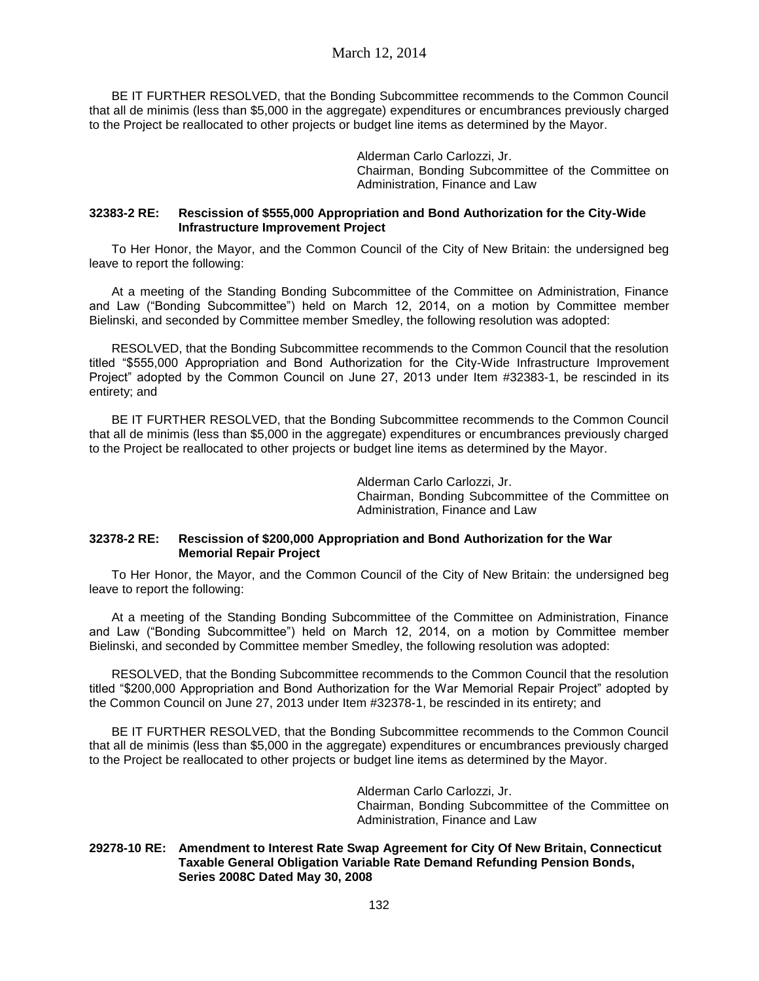## March 12, 2014

BE IT FURTHER RESOLVED, that the Bonding Subcommittee recommends to the Common Council that all de minimis (less than \$5,000 in the aggregate) expenditures or encumbrances previously charged to the Project be reallocated to other projects or budget line items as determined by the Mayor.

> Alderman Carlo Carlozzi, Jr. Chairman, Bonding Subcommittee of the Committee on Administration, Finance and Law

#### **32383-2 RE: Rescission of \$555,000 Appropriation and Bond Authorization for the City-Wide Infrastructure Improvement Project**

To Her Honor, the Mayor, and the Common Council of the City of New Britain: the undersigned beg leave to report the following:

At a meeting of the Standing Bonding Subcommittee of the Committee on Administration, Finance and Law ("Bonding Subcommittee") held on March 12, 2014, on a motion by Committee member Bielinski, and seconded by Committee member Smedley, the following resolution was adopted:

RESOLVED, that the Bonding Subcommittee recommends to the Common Council that the resolution titled "\$555,000 Appropriation and Bond Authorization for the City-Wide Infrastructure Improvement Project" adopted by the Common Council on June 27, 2013 under Item #32383-1, be rescinded in its entirety; and

BE IT FURTHER RESOLVED, that the Bonding Subcommittee recommends to the Common Council that all de minimis (less than \$5,000 in the aggregate) expenditures or encumbrances previously charged to the Project be reallocated to other projects or budget line items as determined by the Mayor.

> Alderman Carlo Carlozzi, Jr. Chairman, Bonding Subcommittee of the Committee on Administration, Finance and Law

#### **32378-2 RE: Rescission of \$200,000 Appropriation and Bond Authorization for the War Memorial Repair Project**

To Her Honor, the Mayor, and the Common Council of the City of New Britain: the undersigned beg leave to report the following:

At a meeting of the Standing Bonding Subcommittee of the Committee on Administration, Finance and Law ("Bonding Subcommittee") held on March 12, 2014, on a motion by Committee member Bielinski, and seconded by Committee member Smedley, the following resolution was adopted:

RESOLVED, that the Bonding Subcommittee recommends to the Common Council that the resolution titled "\$200,000 Appropriation and Bond Authorization for the War Memorial Repair Project" adopted by the Common Council on June 27, 2013 under Item #32378-1, be rescinded in its entirety; and

BE IT FURTHER RESOLVED, that the Bonding Subcommittee recommends to the Common Council that all de minimis (less than \$5,000 in the aggregate) expenditures or encumbrances previously charged to the Project be reallocated to other projects or budget line items as determined by the Mayor.

> Alderman Carlo Carlozzi, Jr. Chairman, Bonding Subcommittee of the Committee on Administration, Finance and Law

#### **29278-10 RE: Amendment to Interest Rate Swap Agreement for City Of New Britain, Connecticut Taxable General Obligation Variable Rate Demand Refunding Pension Bonds, Series 2008C Dated May 30, 2008**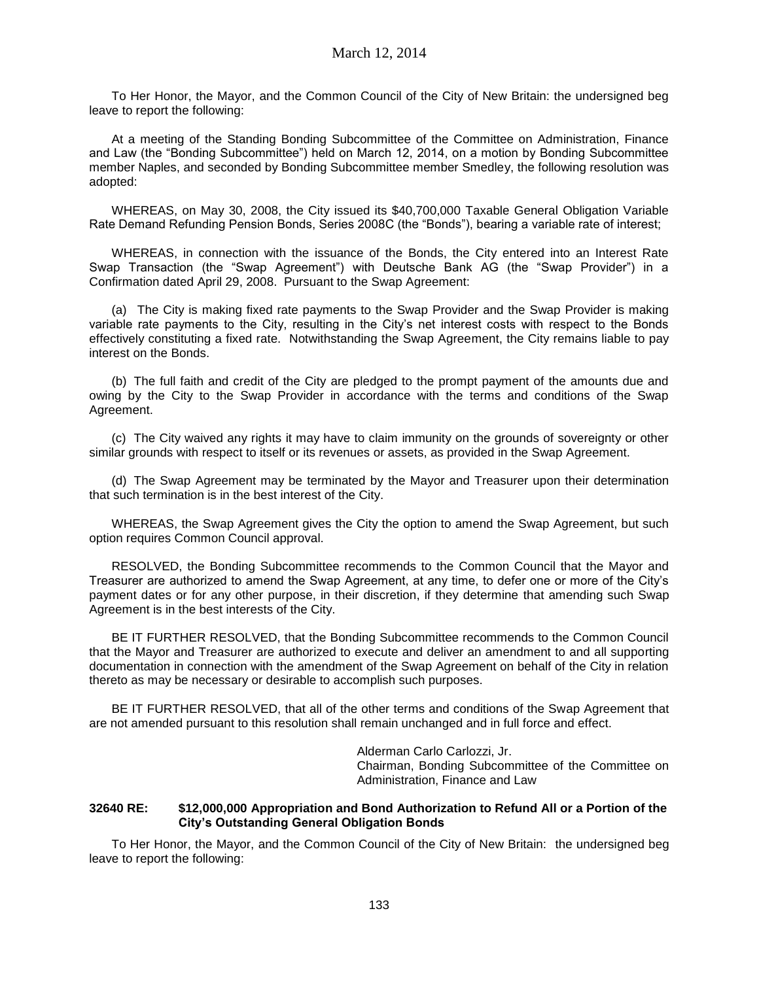To Her Honor, the Mayor, and the Common Council of the City of New Britain: the undersigned beg leave to report the following:

At a meeting of the Standing Bonding Subcommittee of the Committee on Administration, Finance and Law (the "Bonding Subcommittee") held on March 12, 2014, on a motion by Bonding Subcommittee member Naples, and seconded by Bonding Subcommittee member Smedley, the following resolution was adopted:

WHEREAS, on May 30, 2008, the City issued its \$40,700,000 Taxable General Obligation Variable Rate Demand Refunding Pension Bonds, Series 2008C (the "Bonds"), bearing a variable rate of interest;

WHEREAS, in connection with the issuance of the Bonds, the City entered into an Interest Rate Swap Transaction (the "Swap Agreement") with Deutsche Bank AG (the "Swap Provider") in a Confirmation dated April 29, 2008. Pursuant to the Swap Agreement:

(a) The City is making fixed rate payments to the Swap Provider and the Swap Provider is making variable rate payments to the City, resulting in the City's net interest costs with respect to the Bonds effectively constituting a fixed rate. Notwithstanding the Swap Agreement, the City remains liable to pay interest on the Bonds.

(b) The full faith and credit of the City are pledged to the prompt payment of the amounts due and owing by the City to the Swap Provider in accordance with the terms and conditions of the Swap Agreement.

(c) The City waived any rights it may have to claim immunity on the grounds of sovereignty or other similar grounds with respect to itself or its revenues or assets, as provided in the Swap Agreement.

(d) The Swap Agreement may be terminated by the Mayor and Treasurer upon their determination that such termination is in the best interest of the City.

WHEREAS, the Swap Agreement gives the City the option to amend the Swap Agreement, but such option requires Common Council approval.

RESOLVED, the Bonding Subcommittee recommends to the Common Council that the Mayor and Treasurer are authorized to amend the Swap Agreement, at any time, to defer one or more of the City's payment dates or for any other purpose, in their discretion, if they determine that amending such Swap Agreement is in the best interests of the City.

BE IT FURTHER RESOLVED, that the Bonding Subcommittee recommends to the Common Council that the Mayor and Treasurer are authorized to execute and deliver an amendment to and all supporting documentation in connection with the amendment of the Swap Agreement on behalf of the City in relation thereto as may be necessary or desirable to accomplish such purposes.

BE IT FURTHER RESOLVED, that all of the other terms and conditions of the Swap Agreement that are not amended pursuant to this resolution shall remain unchanged and in full force and effect.

> Alderman Carlo Carlozzi, Jr. Chairman, Bonding Subcommittee of the Committee on Administration, Finance and Law

#### **32640 RE: \$12,000,000 Appropriation and Bond Authorization to Refund All or a Portion of the City's Outstanding General Obligation Bonds**

To Her Honor, the Mayor, and the Common Council of the City of New Britain: the undersigned beg leave to report the following: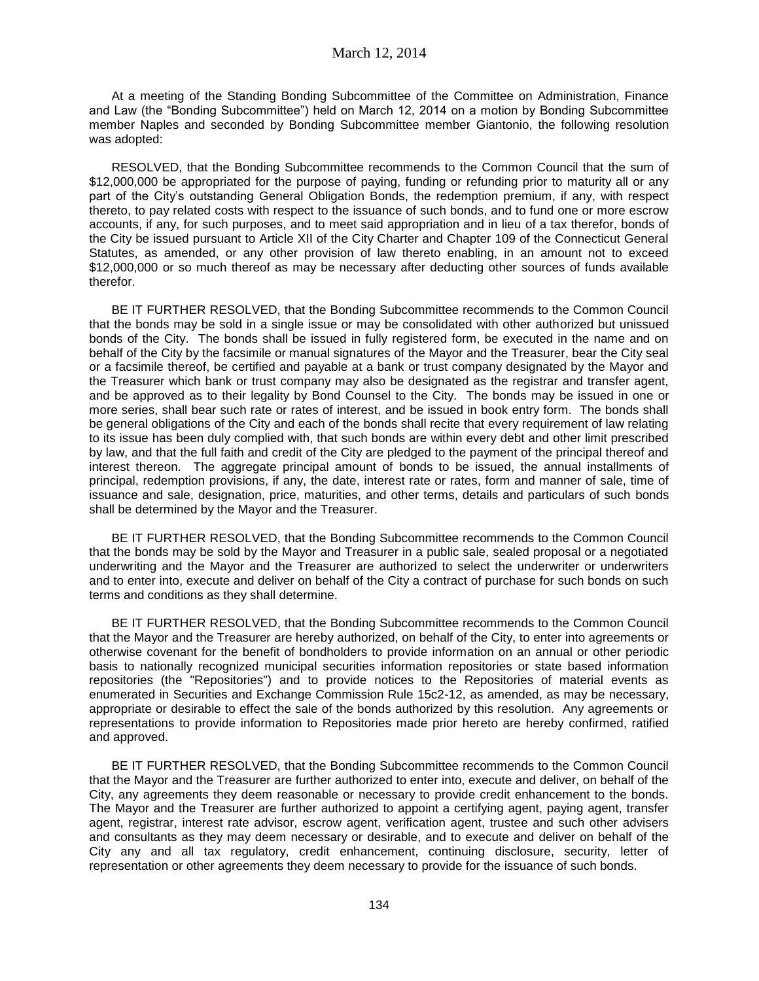At a meeting of the Standing Bonding Subcommittee of the Committee on Administration, Finance and Law (the "Bonding Subcommittee") held on March 12, 2014 on a motion by Bonding Subcommittee member Naples and seconded by Bonding Subcommittee member Giantonio, the following resolution was adopted:

RESOLVED, that the Bonding Subcommittee recommends to the Common Council that the sum of \$12,000,000 be appropriated for the purpose of paying, funding or refunding prior to maturity all or any part of the City's outstanding General Obligation Bonds, the redemption premium, if any, with respect thereto, to pay related costs with respect to the issuance of such bonds, and to fund one or more escrow accounts, if any, for such purposes, and to meet said appropriation and in lieu of a tax therefor, bonds of the City be issued pursuant to Article XII of the City Charter and Chapter 109 of the Connecticut General Statutes, as amended, or any other provision of law thereto enabling, in an amount not to exceed \$12,000,000 or so much thereof as may be necessary after deducting other sources of funds available therefor.

BE IT FURTHER RESOLVED, that the Bonding Subcommittee recommends to the Common Council that the bonds may be sold in a single issue or may be consolidated with other authorized but unissued bonds of the City. The bonds shall be issued in fully registered form, be executed in the name and on behalf of the City by the facsimile or manual signatures of the Mayor and the Treasurer, bear the City seal or a facsimile thereof, be certified and payable at a bank or trust company designated by the Mayor and the Treasurer which bank or trust company may also be designated as the registrar and transfer agent, and be approved as to their legality by Bond Counsel to the City. The bonds may be issued in one or more series, shall bear such rate or rates of interest, and be issued in book entry form. The bonds shall be general obligations of the City and each of the bonds shall recite that every requirement of law relating to its issue has been duly complied with, that such bonds are within every debt and other limit prescribed by law, and that the full faith and credit of the City are pledged to the payment of the principal thereof and interest thereon. The aggregate principal amount of bonds to be issued, the annual installments of principal, redemption provisions, if any, the date, interest rate or rates, form and manner of sale, time of issuance and sale, designation, price, maturities, and other terms, details and particulars of such bonds shall be determined by the Mayor and the Treasurer.

BE IT FURTHER RESOLVED, that the Bonding Subcommittee recommends to the Common Council that the bonds may be sold by the Mayor and Treasurer in a public sale, sealed proposal or a negotiated underwriting and the Mayor and the Treasurer are authorized to select the underwriter or underwriters and to enter into, execute and deliver on behalf of the City a contract of purchase for such bonds on such terms and conditions as they shall determine.

BE IT FURTHER RESOLVED, that the Bonding Subcommittee recommends to the Common Council that the Mayor and the Treasurer are hereby authorized, on behalf of the City, to enter into agreements or otherwise covenant for the benefit of bondholders to provide information on an annual or other periodic basis to nationally recognized municipal securities information repositories or state based information repositories (the "Repositories") and to provide notices to the Repositories of material events as enumerated in Securities and Exchange Commission Rule 15c2-12, as amended, as may be necessary, appropriate or desirable to effect the sale of the bonds authorized by this resolution. Any agreements or representations to provide information to Repositories made prior hereto are hereby confirmed, ratified and approved.

BE IT FURTHER RESOLVED, that the Bonding Subcommittee recommends to the Common Council that the Mayor and the Treasurer are further authorized to enter into, execute and deliver, on behalf of the City, any agreements they deem reasonable or necessary to provide credit enhancement to the bonds. The Mayor and the Treasurer are further authorized to appoint a certifying agent, paying agent, transfer agent, registrar, interest rate advisor, escrow agent, verification agent, trustee and such other advisers and consultants as they may deem necessary or desirable, and to execute and deliver on behalf of the City any and all tax regulatory, credit enhancement, continuing disclosure, security, letter of representation or other agreements they deem necessary to provide for the issuance of such bonds.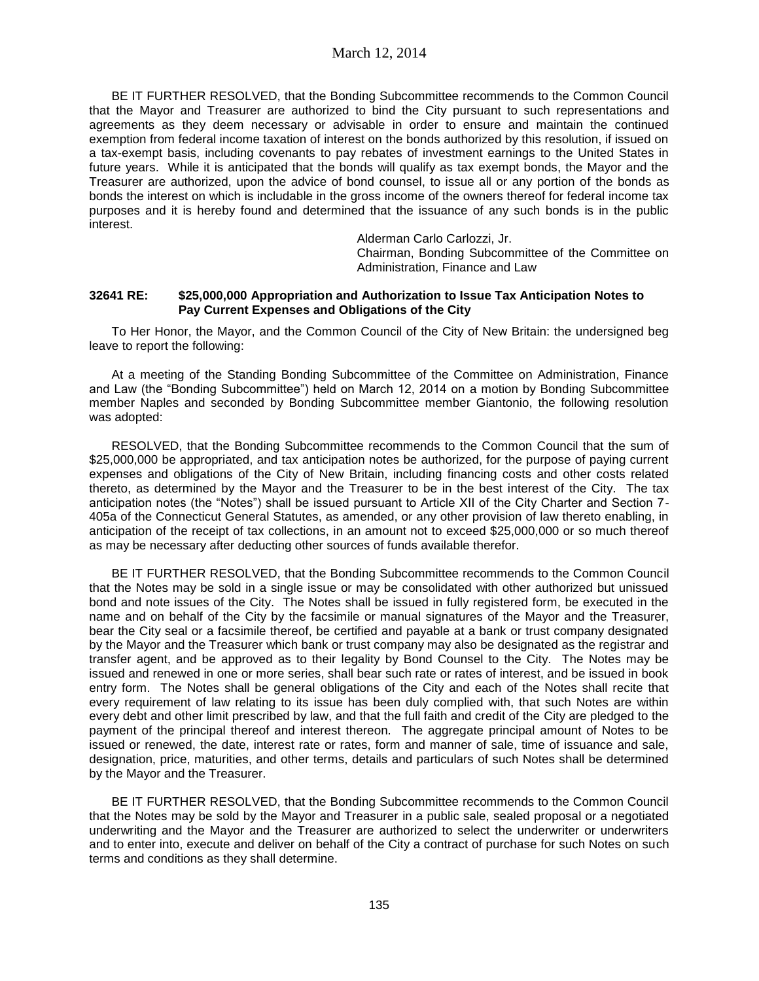BE IT FURTHER RESOLVED, that the Bonding Subcommittee recommends to the Common Council that the Mayor and Treasurer are authorized to bind the City pursuant to such representations and agreements as they deem necessary or advisable in order to ensure and maintain the continued exemption from federal income taxation of interest on the bonds authorized by this resolution, if issued on a tax-exempt basis, including covenants to pay rebates of investment earnings to the United States in future years. While it is anticipated that the bonds will qualify as tax exempt bonds, the Mayor and the Treasurer are authorized, upon the advice of bond counsel, to issue all or any portion of the bonds as bonds the interest on which is includable in the gross income of the owners thereof for federal income tax purposes and it is hereby found and determined that the issuance of any such bonds is in the public interest.

Alderman Carlo Carlozzi, Jr.

Chairman, Bonding Subcommittee of the Committee on Administration, Finance and Law

### **32641 RE: \$25,000,000 Appropriation and Authorization to Issue Tax Anticipation Notes to Pay Current Expenses and Obligations of the City**

To Her Honor, the Mayor, and the Common Council of the City of New Britain: the undersigned beg leave to report the following:

At a meeting of the Standing Bonding Subcommittee of the Committee on Administration, Finance and Law (the "Bonding Subcommittee") held on March 12, 2014 on a motion by Bonding Subcommittee member Naples and seconded by Bonding Subcommittee member Giantonio, the following resolution was adopted:

RESOLVED, that the Bonding Subcommittee recommends to the Common Council that the sum of \$25,000,000 be appropriated, and tax anticipation notes be authorized, for the purpose of paying current expenses and obligations of the City of New Britain, including financing costs and other costs related thereto, as determined by the Mayor and the Treasurer to be in the best interest of the City. The tax anticipation notes (the "Notes") shall be issued pursuant to Article XII of the City Charter and Section 7- 405a of the Connecticut General Statutes, as amended, or any other provision of law thereto enabling, in anticipation of the receipt of tax collections, in an amount not to exceed \$25,000,000 or so much thereof as may be necessary after deducting other sources of funds available therefor.

BE IT FURTHER RESOLVED, that the Bonding Subcommittee recommends to the Common Council that the Notes may be sold in a single issue or may be consolidated with other authorized but unissued bond and note issues of the City. The Notes shall be issued in fully registered form, be executed in the name and on behalf of the City by the facsimile or manual signatures of the Mayor and the Treasurer, bear the City seal or a facsimile thereof, be certified and payable at a bank or trust company designated by the Mayor and the Treasurer which bank or trust company may also be designated as the registrar and transfer agent, and be approved as to their legality by Bond Counsel to the City. The Notes may be issued and renewed in one or more series, shall bear such rate or rates of interest, and be issued in book entry form. The Notes shall be general obligations of the City and each of the Notes shall recite that every requirement of law relating to its issue has been duly complied with, that such Notes are within every debt and other limit prescribed by law, and that the full faith and credit of the City are pledged to the payment of the principal thereof and interest thereon. The aggregate principal amount of Notes to be issued or renewed, the date, interest rate or rates, form and manner of sale, time of issuance and sale, designation, price, maturities, and other terms, details and particulars of such Notes shall be determined by the Mayor and the Treasurer.

BE IT FURTHER RESOLVED, that the Bonding Subcommittee recommends to the Common Council that the Notes may be sold by the Mayor and Treasurer in a public sale, sealed proposal or a negotiated underwriting and the Mayor and the Treasurer are authorized to select the underwriter or underwriters and to enter into, execute and deliver on behalf of the City a contract of purchase for such Notes on such terms and conditions as they shall determine.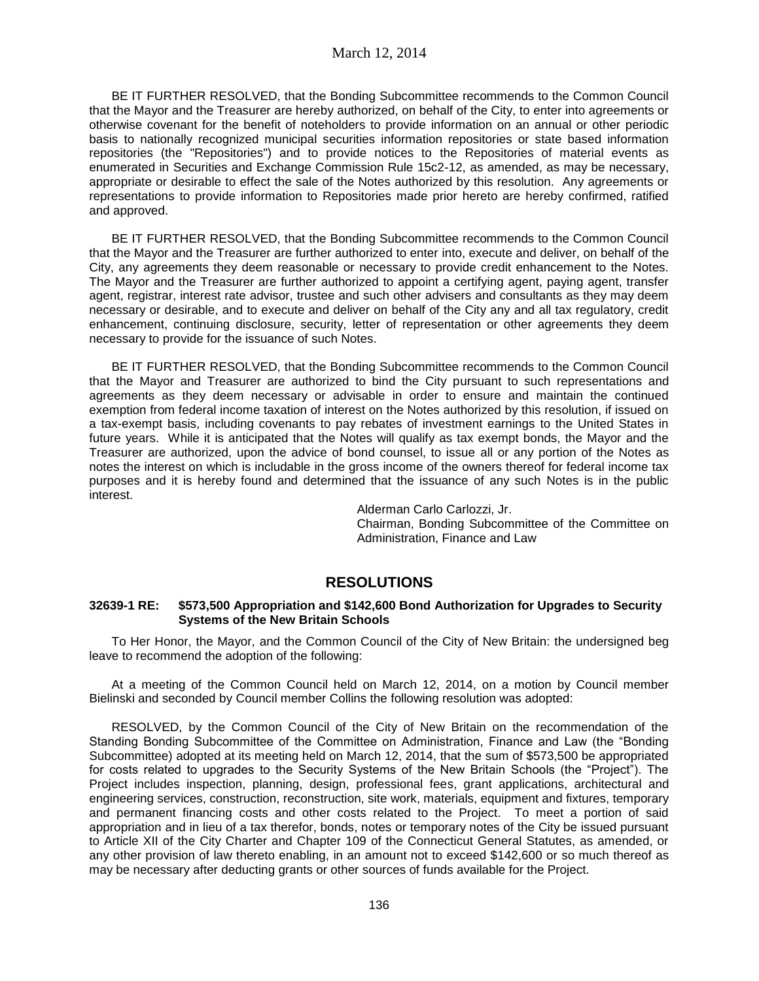BE IT FURTHER RESOLVED, that the Bonding Subcommittee recommends to the Common Council that the Mayor and the Treasurer are hereby authorized, on behalf of the City, to enter into agreements or otherwise covenant for the benefit of noteholders to provide information on an annual or other periodic basis to nationally recognized municipal securities information repositories or state based information repositories (the "Repositories") and to provide notices to the Repositories of material events as enumerated in Securities and Exchange Commission Rule 15c2-12, as amended, as may be necessary, appropriate or desirable to effect the sale of the Notes authorized by this resolution. Any agreements or representations to provide information to Repositories made prior hereto are hereby confirmed, ratified and approved.

BE IT FURTHER RESOLVED, that the Bonding Subcommittee recommends to the Common Council that the Mayor and the Treasurer are further authorized to enter into, execute and deliver, on behalf of the City, any agreements they deem reasonable or necessary to provide credit enhancement to the Notes. The Mayor and the Treasurer are further authorized to appoint a certifying agent, paying agent, transfer agent, registrar, interest rate advisor, trustee and such other advisers and consultants as they may deem necessary or desirable, and to execute and deliver on behalf of the City any and all tax regulatory, credit enhancement, continuing disclosure, security, letter of representation or other agreements they deem necessary to provide for the issuance of such Notes.

BE IT FURTHER RESOLVED, that the Bonding Subcommittee recommends to the Common Council that the Mayor and Treasurer are authorized to bind the City pursuant to such representations and agreements as they deem necessary or advisable in order to ensure and maintain the continued exemption from federal income taxation of interest on the Notes authorized by this resolution, if issued on a tax-exempt basis, including covenants to pay rebates of investment earnings to the United States in future years. While it is anticipated that the Notes will qualify as tax exempt bonds, the Mayor and the Treasurer are authorized, upon the advice of bond counsel, to issue all or any portion of the Notes as notes the interest on which is includable in the gross income of the owners thereof for federal income tax purposes and it is hereby found and determined that the issuance of any such Notes is in the public interest.

> Alderman Carlo Carlozzi, Jr. Chairman, Bonding Subcommittee of the Committee on Administration, Finance and Law

# **RESOLUTIONS**

# **32639-1 RE: \$573,500 Appropriation and \$142,600 Bond Authorization for Upgrades to Security Systems of the New Britain Schools**

To Her Honor, the Mayor, and the Common Council of the City of New Britain: the undersigned beg leave to recommend the adoption of the following:

At a meeting of the Common Council held on March 12, 2014, on a motion by Council member Bielinski and seconded by Council member Collins the following resolution was adopted:

RESOLVED, by the Common Council of the City of New Britain on the recommendation of the Standing Bonding Subcommittee of the Committee on Administration, Finance and Law (the "Bonding Subcommittee) adopted at its meeting held on March 12, 2014, that the sum of \$573,500 be appropriated for costs related to upgrades to the Security Systems of the New Britain Schools (the "Project"). The Project includes inspection, planning, design, professional fees, grant applications, architectural and engineering services, construction, reconstruction, site work, materials, equipment and fixtures, temporary and permanent financing costs and other costs related to the Project. To meet a portion of said appropriation and in lieu of a tax therefor, bonds, notes or temporary notes of the City be issued pursuant to Article XII of the City Charter and Chapter 109 of the Connecticut General Statutes, as amended, or any other provision of law thereto enabling, in an amount not to exceed \$142,600 or so much thereof as may be necessary after deducting grants or other sources of funds available for the Project.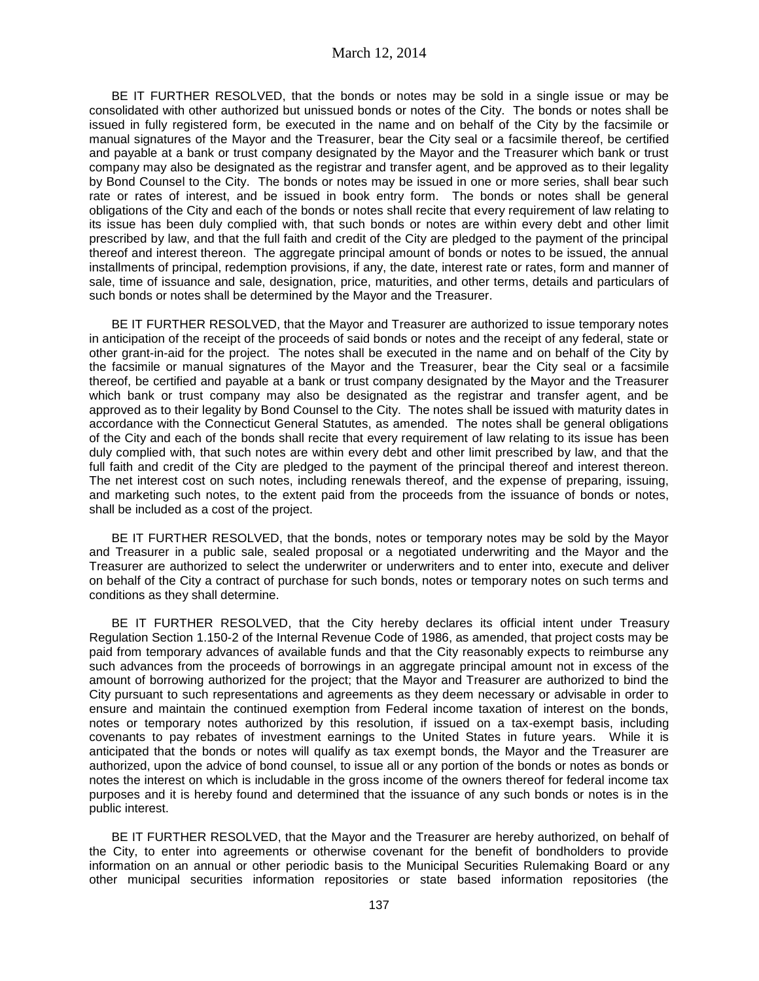BE IT FURTHER RESOLVED, that the bonds or notes may be sold in a single issue or may be consolidated with other authorized but unissued bonds or notes of the City. The bonds or notes shall be issued in fully registered form, be executed in the name and on behalf of the City by the facsimile or manual signatures of the Mayor and the Treasurer, bear the City seal or a facsimile thereof, be certified and payable at a bank or trust company designated by the Mayor and the Treasurer which bank or trust company may also be designated as the registrar and transfer agent, and be approved as to their legality by Bond Counsel to the City. The bonds or notes may be issued in one or more series, shall bear such rate or rates of interest, and be issued in book entry form. The bonds or notes shall be general obligations of the City and each of the bonds or notes shall recite that every requirement of law relating to its issue has been duly complied with, that such bonds or notes are within every debt and other limit prescribed by law, and that the full faith and credit of the City are pledged to the payment of the principal thereof and interest thereon. The aggregate principal amount of bonds or notes to be issued, the annual installments of principal, redemption provisions, if any, the date, interest rate or rates, form and manner of sale, time of issuance and sale, designation, price, maturities, and other terms, details and particulars of such bonds or notes shall be determined by the Mayor and the Treasurer.

BE IT FURTHER RESOLVED, that the Mayor and Treasurer are authorized to issue temporary notes in anticipation of the receipt of the proceeds of said bonds or notes and the receipt of any federal, state or other grant-in-aid for the project. The notes shall be executed in the name and on behalf of the City by the facsimile or manual signatures of the Mayor and the Treasurer, bear the City seal or a facsimile thereof, be certified and payable at a bank or trust company designated by the Mayor and the Treasurer which bank or trust company may also be designated as the registrar and transfer agent, and be approved as to their legality by Bond Counsel to the City. The notes shall be issued with maturity dates in accordance with the Connecticut General Statutes, as amended. The notes shall be general obligations of the City and each of the bonds shall recite that every requirement of law relating to its issue has been duly complied with, that such notes are within every debt and other limit prescribed by law, and that the full faith and credit of the City are pledged to the payment of the principal thereof and interest thereon. The net interest cost on such notes, including renewals thereof, and the expense of preparing, issuing, and marketing such notes, to the extent paid from the proceeds from the issuance of bonds or notes, shall be included as a cost of the project.

BE IT FURTHER RESOLVED, that the bonds, notes or temporary notes may be sold by the Mayor and Treasurer in a public sale, sealed proposal or a negotiated underwriting and the Mayor and the Treasurer are authorized to select the underwriter or underwriters and to enter into, execute and deliver on behalf of the City a contract of purchase for such bonds, notes or temporary notes on such terms and conditions as they shall determine.

BE IT FURTHER RESOLVED, that the City hereby declares its official intent under Treasury Regulation Section 1.150-2 of the Internal Revenue Code of 1986, as amended, that project costs may be paid from temporary advances of available funds and that the City reasonably expects to reimburse any such advances from the proceeds of borrowings in an aggregate principal amount not in excess of the amount of borrowing authorized for the project; that the Mayor and Treasurer are authorized to bind the City pursuant to such representations and agreements as they deem necessary or advisable in order to ensure and maintain the continued exemption from Federal income taxation of interest on the bonds, notes or temporary notes authorized by this resolution, if issued on a tax-exempt basis, including covenants to pay rebates of investment earnings to the United States in future years. While it is anticipated that the bonds or notes will qualify as tax exempt bonds, the Mayor and the Treasurer are authorized, upon the advice of bond counsel, to issue all or any portion of the bonds or notes as bonds or notes the interest on which is includable in the gross income of the owners thereof for federal income tax purposes and it is hereby found and determined that the issuance of any such bonds or notes is in the public interest.

BE IT FURTHER RESOLVED, that the Mayor and the Treasurer are hereby authorized, on behalf of the City, to enter into agreements or otherwise covenant for the benefit of bondholders to provide information on an annual or other periodic basis to the Municipal Securities Rulemaking Board or any other municipal securities information repositories or state based information repositories (the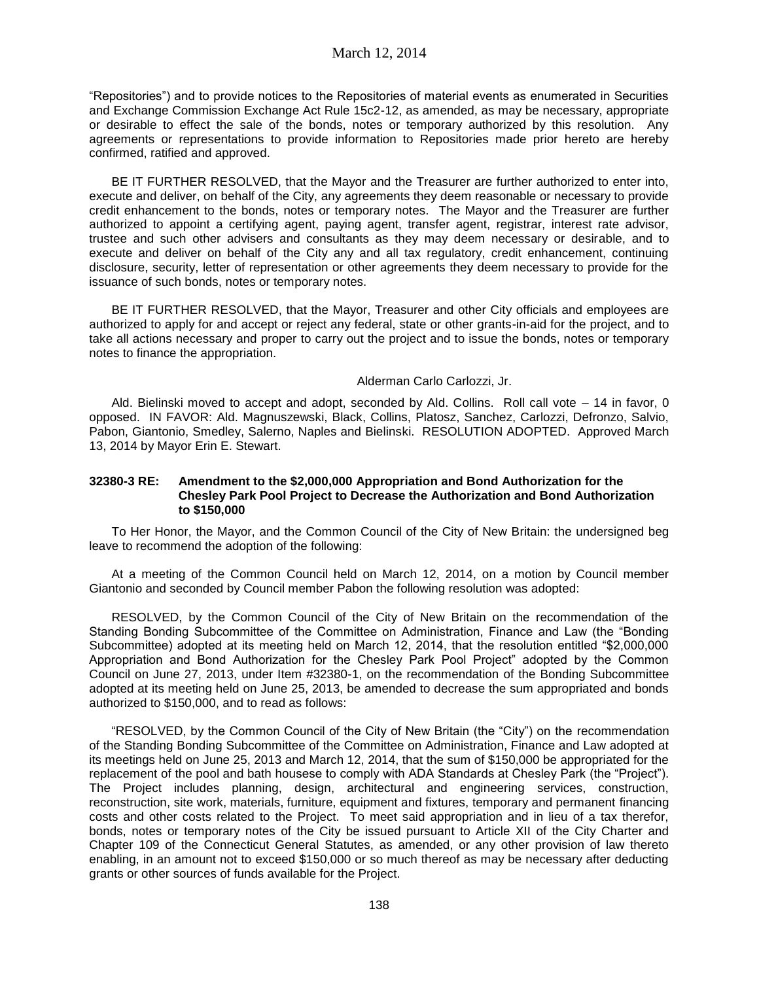"Repositories") and to provide notices to the Repositories of material events as enumerated in Securities and Exchange Commission Exchange Act Rule 15c2-12, as amended, as may be necessary, appropriate or desirable to effect the sale of the bonds, notes or temporary authorized by this resolution. Any agreements or representations to provide information to Repositories made prior hereto are hereby confirmed, ratified and approved.

BE IT FURTHER RESOLVED, that the Mayor and the Treasurer are further authorized to enter into, execute and deliver, on behalf of the City, any agreements they deem reasonable or necessary to provide credit enhancement to the bonds, notes or temporary notes. The Mayor and the Treasurer are further authorized to appoint a certifying agent, paying agent, transfer agent, registrar, interest rate advisor, trustee and such other advisers and consultants as they may deem necessary or desirable, and to execute and deliver on behalf of the City any and all tax regulatory, credit enhancement, continuing disclosure, security, letter of representation or other agreements they deem necessary to provide for the issuance of such bonds, notes or temporary notes.

BE IT FURTHER RESOLVED, that the Mayor, Treasurer and other City officials and employees are authorized to apply for and accept or reject any federal, state or other grants-in-aid for the project, and to take all actions necessary and proper to carry out the project and to issue the bonds, notes or temporary notes to finance the appropriation.

#### Alderman Carlo Carlozzi, Jr.

Ald. Bielinski moved to accept and adopt, seconded by Ald. Collins. Roll call vote – 14 in favor, 0 opposed. IN FAVOR: Ald. Magnuszewski, Black, Collins, Platosz, Sanchez, Carlozzi, Defronzo, Salvio, Pabon, Giantonio, Smedley, Salerno, Naples and Bielinski. RESOLUTION ADOPTED. Approved March 13, 2014 by Mayor Erin E. Stewart.

### **32380-3 RE: Amendment to the \$2,000,000 Appropriation and Bond Authorization for the Chesley Park Pool Project to Decrease the Authorization and Bond Authorization to \$150,000**

To Her Honor, the Mayor, and the Common Council of the City of New Britain: the undersigned beg leave to recommend the adoption of the following:

At a meeting of the Common Council held on March 12, 2014, on a motion by Council member Giantonio and seconded by Council member Pabon the following resolution was adopted:

RESOLVED, by the Common Council of the City of New Britain on the recommendation of the Standing Bonding Subcommittee of the Committee on Administration, Finance and Law (the "Bonding Subcommittee) adopted at its meeting held on March 12, 2014, that the resolution entitled "\$2,000,000 Appropriation and Bond Authorization for the Chesley Park Pool Project" adopted by the Common Council on June 27, 2013, under Item #32380-1, on the recommendation of the Bonding Subcommittee adopted at its meeting held on June 25, 2013, be amended to decrease the sum appropriated and bonds authorized to \$150,000, and to read as follows:

"RESOLVED, by the Common Council of the City of New Britain (the "City") on the recommendation of the Standing Bonding Subcommittee of the Committee on Administration, Finance and Law adopted at its meetings held on June 25, 2013 and March 12, 2014, that the sum of \$150,000 be appropriated for the replacement of the pool and bath housese to comply with ADA Standards at Chesley Park (the "Project"). The Project includes planning, design, architectural and engineering services, construction, reconstruction, site work, materials, furniture, equipment and fixtures, temporary and permanent financing costs and other costs related to the Project. To meet said appropriation and in lieu of a tax therefor, bonds, notes or temporary notes of the City be issued pursuant to Article XII of the City Charter and Chapter 109 of the Connecticut General Statutes, as amended, or any other provision of law thereto enabling, in an amount not to exceed \$150,000 or so much thereof as may be necessary after deducting grants or other sources of funds available for the Project.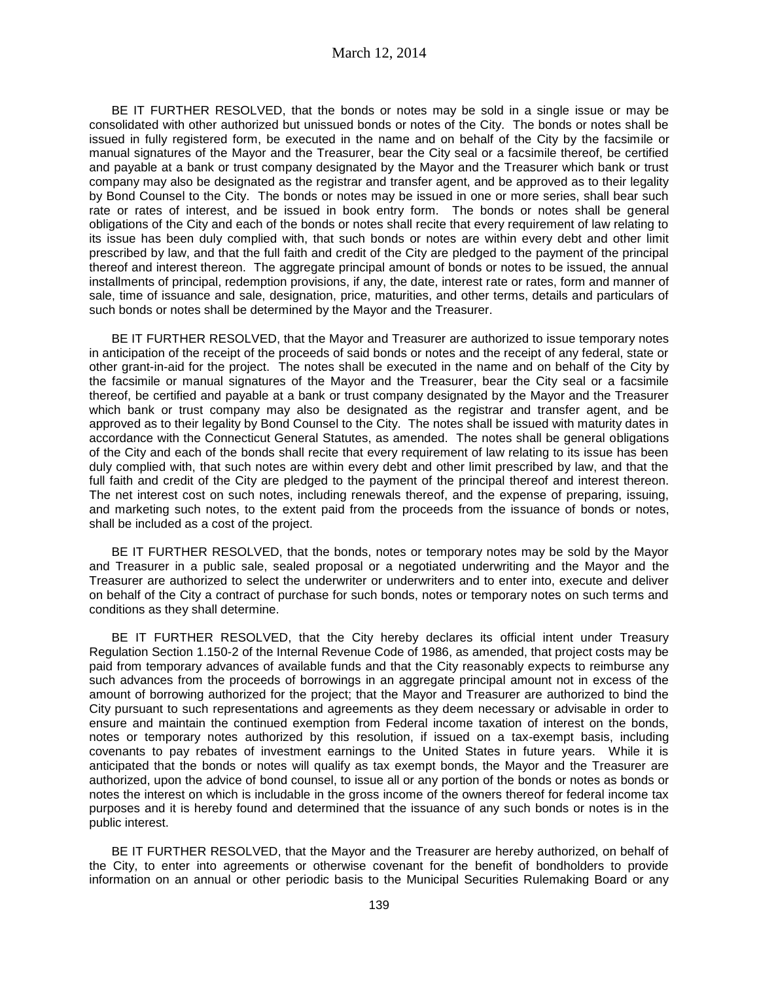BE IT FURTHER RESOLVED, that the bonds or notes may be sold in a single issue or may be consolidated with other authorized but unissued bonds or notes of the City. The bonds or notes shall be issued in fully registered form, be executed in the name and on behalf of the City by the facsimile or manual signatures of the Mayor and the Treasurer, bear the City seal or a facsimile thereof, be certified and payable at a bank or trust company designated by the Mayor and the Treasurer which bank or trust company may also be designated as the registrar and transfer agent, and be approved as to their legality by Bond Counsel to the City. The bonds or notes may be issued in one or more series, shall bear such rate or rates of interest, and be issued in book entry form. The bonds or notes shall be general obligations of the City and each of the bonds or notes shall recite that every requirement of law relating to its issue has been duly complied with, that such bonds or notes are within every debt and other limit prescribed by law, and that the full faith and credit of the City are pledged to the payment of the principal thereof and interest thereon. The aggregate principal amount of bonds or notes to be issued, the annual installments of principal, redemption provisions, if any, the date, interest rate or rates, form and manner of sale, time of issuance and sale, designation, price, maturities, and other terms, details and particulars of such bonds or notes shall be determined by the Mayor and the Treasurer.

BE IT FURTHER RESOLVED, that the Mayor and Treasurer are authorized to issue temporary notes in anticipation of the receipt of the proceeds of said bonds or notes and the receipt of any federal, state or other grant-in-aid for the project. The notes shall be executed in the name and on behalf of the City by the facsimile or manual signatures of the Mayor and the Treasurer, bear the City seal or a facsimile thereof, be certified and payable at a bank or trust company designated by the Mayor and the Treasurer which bank or trust company may also be designated as the registrar and transfer agent, and be approved as to their legality by Bond Counsel to the City. The notes shall be issued with maturity dates in accordance with the Connecticut General Statutes, as amended. The notes shall be general obligations of the City and each of the bonds shall recite that every requirement of law relating to its issue has been duly complied with, that such notes are within every debt and other limit prescribed by law, and that the full faith and credit of the City are pledged to the payment of the principal thereof and interest thereon. The net interest cost on such notes, including renewals thereof, and the expense of preparing, issuing, and marketing such notes, to the extent paid from the proceeds from the issuance of bonds or notes, shall be included as a cost of the project.

BE IT FURTHER RESOLVED, that the bonds, notes or temporary notes may be sold by the Mayor and Treasurer in a public sale, sealed proposal or a negotiated underwriting and the Mayor and the Treasurer are authorized to select the underwriter or underwriters and to enter into, execute and deliver on behalf of the City a contract of purchase for such bonds, notes or temporary notes on such terms and conditions as they shall determine.

BE IT FURTHER RESOLVED, that the City hereby declares its official intent under Treasury Regulation Section 1.150-2 of the Internal Revenue Code of 1986, as amended, that project costs may be paid from temporary advances of available funds and that the City reasonably expects to reimburse any such advances from the proceeds of borrowings in an aggregate principal amount not in excess of the amount of borrowing authorized for the project; that the Mayor and Treasurer are authorized to bind the City pursuant to such representations and agreements as they deem necessary or advisable in order to ensure and maintain the continued exemption from Federal income taxation of interest on the bonds, notes or temporary notes authorized by this resolution, if issued on a tax-exempt basis, including covenants to pay rebates of investment earnings to the United States in future years. While it is anticipated that the bonds or notes will qualify as tax exempt bonds, the Mayor and the Treasurer are authorized, upon the advice of bond counsel, to issue all or any portion of the bonds or notes as bonds or notes the interest on which is includable in the gross income of the owners thereof for federal income tax purposes and it is hereby found and determined that the issuance of any such bonds or notes is in the public interest.

BE IT FURTHER RESOLVED, that the Mayor and the Treasurer are hereby authorized, on behalf of the City, to enter into agreements or otherwise covenant for the benefit of bondholders to provide information on an annual or other periodic basis to the Municipal Securities Rulemaking Board or any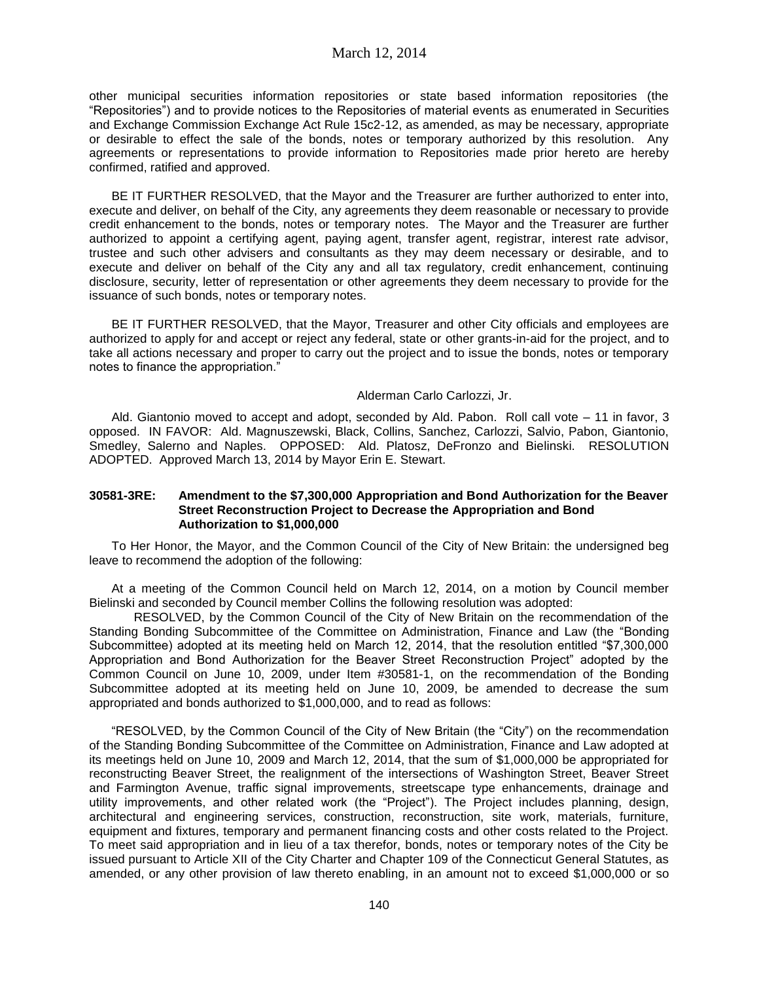other municipal securities information repositories or state based information repositories (the "Repositories") and to provide notices to the Repositories of material events as enumerated in Securities and Exchange Commission Exchange Act Rule 15c2-12, as amended, as may be necessary, appropriate or desirable to effect the sale of the bonds, notes or temporary authorized by this resolution. Any agreements or representations to provide information to Repositories made prior hereto are hereby confirmed, ratified and approved.

BE IT FURTHER RESOLVED, that the Mayor and the Treasurer are further authorized to enter into, execute and deliver, on behalf of the City, any agreements they deem reasonable or necessary to provide credit enhancement to the bonds, notes or temporary notes. The Mayor and the Treasurer are further authorized to appoint a certifying agent, paying agent, transfer agent, registrar, interest rate advisor, trustee and such other advisers and consultants as they may deem necessary or desirable, and to execute and deliver on behalf of the City any and all tax regulatory, credit enhancement, continuing disclosure, security, letter of representation or other agreements they deem necessary to provide for the issuance of such bonds, notes or temporary notes.

BE IT FURTHER RESOLVED, that the Mayor, Treasurer and other City officials and employees are authorized to apply for and accept or reject any federal, state or other grants-in-aid for the project, and to take all actions necessary and proper to carry out the project and to issue the bonds, notes or temporary notes to finance the appropriation."

#### Alderman Carlo Carlozzi, Jr.

Ald. Giantonio moved to accept and adopt, seconded by Ald. Pabon. Roll call vote – 11 in favor, 3 opposed. IN FAVOR: Ald. Magnuszewski, Black, Collins, Sanchez, Carlozzi, Salvio, Pabon, Giantonio, Smedley, Salerno and Naples. OPPOSED: Ald. Platosz, DeFronzo and Bielinski. RESOLUTION ADOPTED. Approved March 13, 2014 by Mayor Erin E. Stewart.

### **30581-3RE: Amendment to the \$7,300,000 Appropriation and Bond Authorization for the Beaver Street Reconstruction Project to Decrease the Appropriation and Bond Authorization to \$1,000,000**

To Her Honor, the Mayor, and the Common Council of the City of New Britain: the undersigned beg leave to recommend the adoption of the following:

At a meeting of the Common Council held on March 12, 2014, on a motion by Council member Bielinski and seconded by Council member Collins the following resolution was adopted:

RESOLVED, by the Common Council of the City of New Britain on the recommendation of the Standing Bonding Subcommittee of the Committee on Administration, Finance and Law (the "Bonding Subcommittee) adopted at its meeting held on March 12, 2014, that the resolution entitled "\$7,300,000 Appropriation and Bond Authorization for the Beaver Street Reconstruction Project" adopted by the Common Council on June 10, 2009, under Item #30581-1, on the recommendation of the Bonding Subcommittee adopted at its meeting held on June 10, 2009, be amended to decrease the sum appropriated and bonds authorized to \$1,000,000, and to read as follows:

"RESOLVED, by the Common Council of the City of New Britain (the "City") on the recommendation of the Standing Bonding Subcommittee of the Committee on Administration, Finance and Law adopted at its meetings held on June 10, 2009 and March 12, 2014, that the sum of \$1,000,000 be appropriated for reconstructing Beaver Street, the realignment of the intersections of Washington Street, Beaver Street and Farmington Avenue, traffic signal improvements, streetscape type enhancements, drainage and utility improvements, and other related work (the "Project"). The Project includes planning, design, architectural and engineering services, construction, reconstruction, site work, materials, furniture, equipment and fixtures, temporary and permanent financing costs and other costs related to the Project. To meet said appropriation and in lieu of a tax therefor, bonds, notes or temporary notes of the City be issued pursuant to Article XII of the City Charter and Chapter 109 of the Connecticut General Statutes, as amended, or any other provision of law thereto enabling, in an amount not to exceed \$1,000,000 or so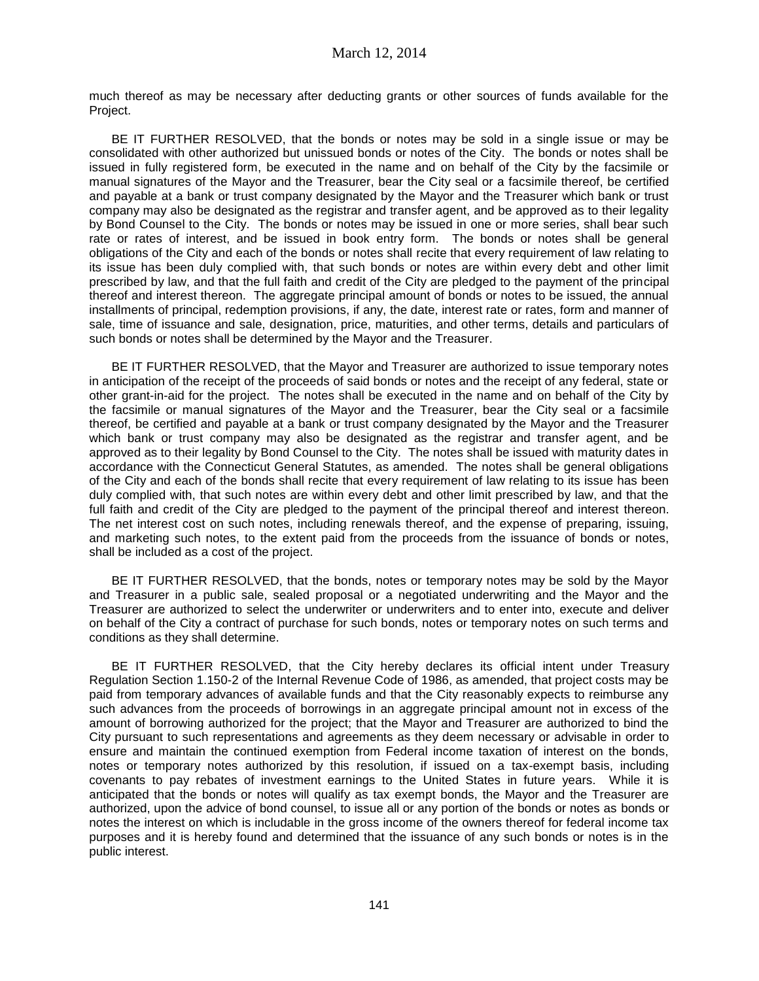much thereof as may be necessary after deducting grants or other sources of funds available for the Project.

BE IT FURTHER RESOLVED, that the bonds or notes may be sold in a single issue or may be consolidated with other authorized but unissued bonds or notes of the City. The bonds or notes shall be issued in fully registered form, be executed in the name and on behalf of the City by the facsimile or manual signatures of the Mayor and the Treasurer, bear the City seal or a facsimile thereof, be certified and payable at a bank or trust company designated by the Mayor and the Treasurer which bank or trust company may also be designated as the registrar and transfer agent, and be approved as to their legality by Bond Counsel to the City. The bonds or notes may be issued in one or more series, shall bear such rate or rates of interest, and be issued in book entry form. The bonds or notes shall be general obligations of the City and each of the bonds or notes shall recite that every requirement of law relating to its issue has been duly complied with, that such bonds or notes are within every debt and other limit prescribed by law, and that the full faith and credit of the City are pledged to the payment of the principal thereof and interest thereon. The aggregate principal amount of bonds or notes to be issued, the annual installments of principal, redemption provisions, if any, the date, interest rate or rates, form and manner of sale, time of issuance and sale, designation, price, maturities, and other terms, details and particulars of such bonds or notes shall be determined by the Mayor and the Treasurer.

BE IT FURTHER RESOLVED, that the Mayor and Treasurer are authorized to issue temporary notes in anticipation of the receipt of the proceeds of said bonds or notes and the receipt of any federal, state or other grant-in-aid for the project. The notes shall be executed in the name and on behalf of the City by the facsimile or manual signatures of the Mayor and the Treasurer, bear the City seal or a facsimile thereof, be certified and payable at a bank or trust company designated by the Mayor and the Treasurer which bank or trust company may also be designated as the registrar and transfer agent, and be approved as to their legality by Bond Counsel to the City. The notes shall be issued with maturity dates in accordance with the Connecticut General Statutes, as amended. The notes shall be general obligations of the City and each of the bonds shall recite that every requirement of law relating to its issue has been duly complied with, that such notes are within every debt and other limit prescribed by law, and that the full faith and credit of the City are pledged to the payment of the principal thereof and interest thereon. The net interest cost on such notes, including renewals thereof, and the expense of preparing, issuing, and marketing such notes, to the extent paid from the proceeds from the issuance of bonds or notes, shall be included as a cost of the project.

BE IT FURTHER RESOLVED, that the bonds, notes or temporary notes may be sold by the Mayor and Treasurer in a public sale, sealed proposal or a negotiated underwriting and the Mayor and the Treasurer are authorized to select the underwriter or underwriters and to enter into, execute and deliver on behalf of the City a contract of purchase for such bonds, notes or temporary notes on such terms and conditions as they shall determine.

BE IT FURTHER RESOLVED, that the City hereby declares its official intent under Treasury Regulation Section 1.150-2 of the Internal Revenue Code of 1986, as amended, that project costs may be paid from temporary advances of available funds and that the City reasonably expects to reimburse any such advances from the proceeds of borrowings in an aggregate principal amount not in excess of the amount of borrowing authorized for the project; that the Mayor and Treasurer are authorized to bind the City pursuant to such representations and agreements as they deem necessary or advisable in order to ensure and maintain the continued exemption from Federal income taxation of interest on the bonds, notes or temporary notes authorized by this resolution, if issued on a tax-exempt basis, including covenants to pay rebates of investment earnings to the United States in future years. While it is anticipated that the bonds or notes will qualify as tax exempt bonds, the Mayor and the Treasurer are authorized, upon the advice of bond counsel, to issue all or any portion of the bonds or notes as bonds or notes the interest on which is includable in the gross income of the owners thereof for federal income tax purposes and it is hereby found and determined that the issuance of any such bonds or notes is in the public interest.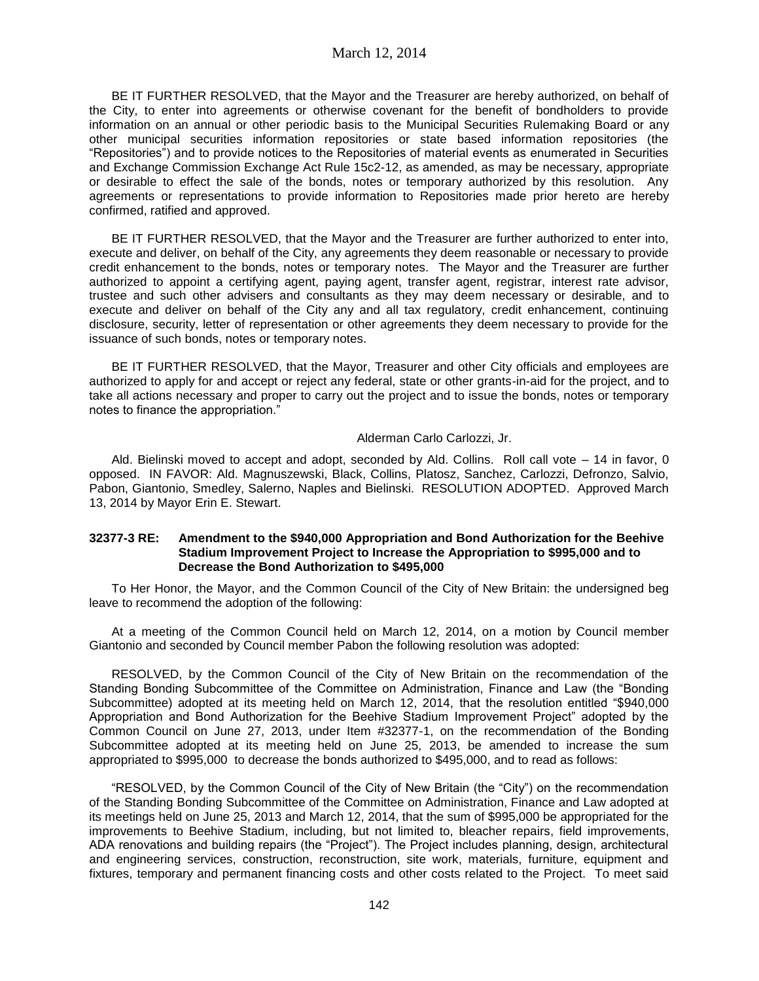BE IT FURTHER RESOLVED, that the Mayor and the Treasurer are hereby authorized, on behalf of the City, to enter into agreements or otherwise covenant for the benefit of bondholders to provide information on an annual or other periodic basis to the Municipal Securities Rulemaking Board or any other municipal securities information repositories or state based information repositories (the "Repositories") and to provide notices to the Repositories of material events as enumerated in Securities and Exchange Commission Exchange Act Rule 15c2-12, as amended, as may be necessary, appropriate or desirable to effect the sale of the bonds, notes or temporary authorized by this resolution. Any agreements or representations to provide information to Repositories made prior hereto are hereby confirmed, ratified and approved.

BE IT FURTHER RESOLVED, that the Mayor and the Treasurer are further authorized to enter into, execute and deliver, on behalf of the City, any agreements they deem reasonable or necessary to provide credit enhancement to the bonds, notes or temporary notes. The Mayor and the Treasurer are further authorized to appoint a certifying agent, paying agent, transfer agent, registrar, interest rate advisor, trustee and such other advisers and consultants as they may deem necessary or desirable, and to execute and deliver on behalf of the City any and all tax regulatory, credit enhancement, continuing disclosure, security, letter of representation or other agreements they deem necessary to provide for the issuance of such bonds, notes or temporary notes.

BE IT FURTHER RESOLVED, that the Mayor, Treasurer and other City officials and employees are authorized to apply for and accept or reject any federal, state or other grants-in-aid for the project, and to take all actions necessary and proper to carry out the project and to issue the bonds, notes or temporary notes to finance the appropriation."

#### Alderman Carlo Carlozzi, Jr.

Ald. Bielinski moved to accept and adopt, seconded by Ald. Collins. Roll call vote – 14 in favor, 0 opposed. IN FAVOR: Ald. Magnuszewski, Black, Collins, Platosz, Sanchez, Carlozzi, Defronzo, Salvio, Pabon, Giantonio, Smedley, Salerno, Naples and Bielinski. RESOLUTION ADOPTED. Approved March 13, 2014 by Mayor Erin E. Stewart.

### **32377-3 RE: Amendment to the \$940,000 Appropriation and Bond Authorization for the Beehive Stadium Improvement Project to Increase the Appropriation to \$995,000 and to Decrease the Bond Authorization to \$495,000**

To Her Honor, the Mayor, and the Common Council of the City of New Britain: the undersigned beg leave to recommend the adoption of the following:

At a meeting of the Common Council held on March 12, 2014, on a motion by Council member Giantonio and seconded by Council member Pabon the following resolution was adopted:

RESOLVED, by the Common Council of the City of New Britain on the recommendation of the Standing Bonding Subcommittee of the Committee on Administration, Finance and Law (the "Bonding Subcommittee) adopted at its meeting held on March 12, 2014, that the resolution entitled "\$940,000 Appropriation and Bond Authorization for the Beehive Stadium Improvement Project" adopted by the Common Council on June 27, 2013, under Item #32377-1, on the recommendation of the Bonding Subcommittee adopted at its meeting held on June 25, 2013, be amended to increase the sum appropriated to \$995,000 to decrease the bonds authorized to \$495,000, and to read as follows:

"RESOLVED, by the Common Council of the City of New Britain (the "City") on the recommendation of the Standing Bonding Subcommittee of the Committee on Administration, Finance and Law adopted at its meetings held on June 25, 2013 and March 12, 2014, that the sum of \$995,000 be appropriated for the improvements to Beehive Stadium, including, but not limited to, bleacher repairs, field improvements, ADA renovations and building repairs (the "Project"). The Project includes planning, design, architectural and engineering services, construction, reconstruction, site work, materials, furniture, equipment and fixtures, temporary and permanent financing costs and other costs related to the Project. To meet said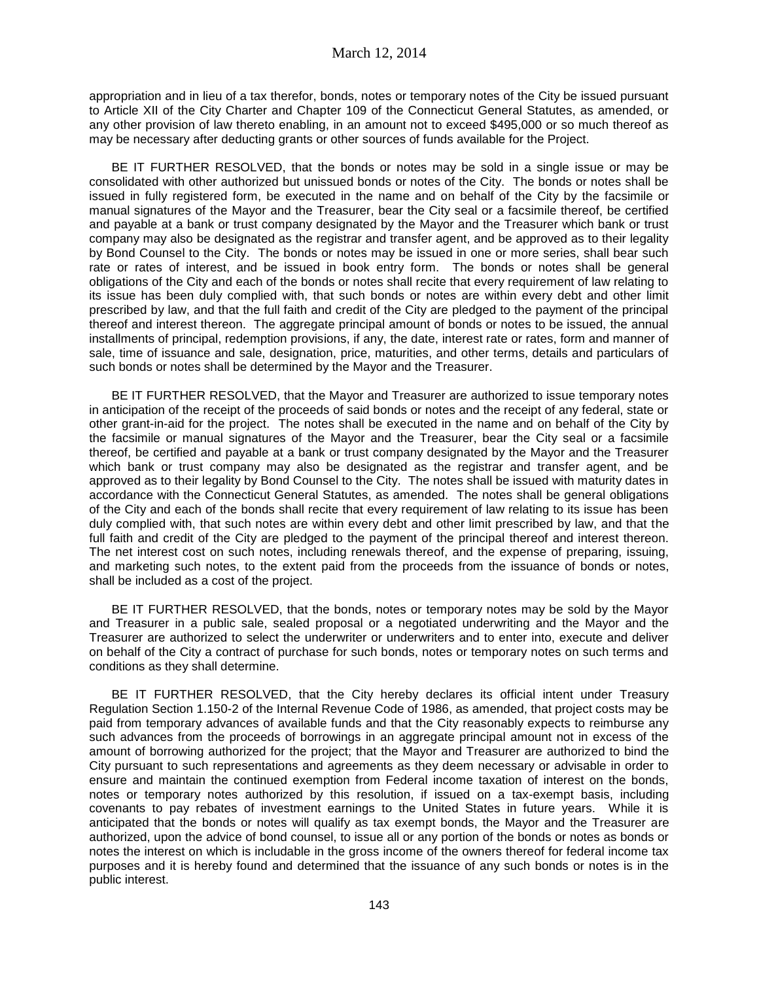appropriation and in lieu of a tax therefor, bonds, notes or temporary notes of the City be issued pursuant to Article XII of the City Charter and Chapter 109 of the Connecticut General Statutes, as amended, or any other provision of law thereto enabling, in an amount not to exceed \$495,000 or so much thereof as may be necessary after deducting grants or other sources of funds available for the Project.

BE IT FURTHER RESOLVED, that the bonds or notes may be sold in a single issue or may be consolidated with other authorized but unissued bonds or notes of the City. The bonds or notes shall be issued in fully registered form, be executed in the name and on behalf of the City by the facsimile or manual signatures of the Mayor and the Treasurer, bear the City seal or a facsimile thereof, be certified and payable at a bank or trust company designated by the Mayor and the Treasurer which bank or trust company may also be designated as the registrar and transfer agent, and be approved as to their legality by Bond Counsel to the City. The bonds or notes may be issued in one or more series, shall bear such rate or rates of interest, and be issued in book entry form. The bonds or notes shall be general obligations of the City and each of the bonds or notes shall recite that every requirement of law relating to its issue has been duly complied with, that such bonds or notes are within every debt and other limit prescribed by law, and that the full faith and credit of the City are pledged to the payment of the principal thereof and interest thereon. The aggregate principal amount of bonds or notes to be issued, the annual installments of principal, redemption provisions, if any, the date, interest rate or rates, form and manner of sale, time of issuance and sale, designation, price, maturities, and other terms, details and particulars of such bonds or notes shall be determined by the Mayor and the Treasurer.

BE IT FURTHER RESOLVED, that the Mayor and Treasurer are authorized to issue temporary notes in anticipation of the receipt of the proceeds of said bonds or notes and the receipt of any federal, state or other grant-in-aid for the project. The notes shall be executed in the name and on behalf of the City by the facsimile or manual signatures of the Mayor and the Treasurer, bear the City seal or a facsimile thereof, be certified and payable at a bank or trust company designated by the Mayor and the Treasurer which bank or trust company may also be designated as the registrar and transfer agent, and be approved as to their legality by Bond Counsel to the City. The notes shall be issued with maturity dates in accordance with the Connecticut General Statutes, as amended. The notes shall be general obligations of the City and each of the bonds shall recite that every requirement of law relating to its issue has been duly complied with, that such notes are within every debt and other limit prescribed by law, and that the full faith and credit of the City are pledged to the payment of the principal thereof and interest thereon. The net interest cost on such notes, including renewals thereof, and the expense of preparing, issuing, and marketing such notes, to the extent paid from the proceeds from the issuance of bonds or notes, shall be included as a cost of the project.

BE IT FURTHER RESOLVED, that the bonds, notes or temporary notes may be sold by the Mayor and Treasurer in a public sale, sealed proposal or a negotiated underwriting and the Mayor and the Treasurer are authorized to select the underwriter or underwriters and to enter into, execute and deliver on behalf of the City a contract of purchase for such bonds, notes or temporary notes on such terms and conditions as they shall determine.

BE IT FURTHER RESOLVED, that the City hereby declares its official intent under Treasury Regulation Section 1.150-2 of the Internal Revenue Code of 1986, as amended, that project costs may be paid from temporary advances of available funds and that the City reasonably expects to reimburse any such advances from the proceeds of borrowings in an aggregate principal amount not in excess of the amount of borrowing authorized for the project; that the Mayor and Treasurer are authorized to bind the City pursuant to such representations and agreements as they deem necessary or advisable in order to ensure and maintain the continued exemption from Federal income taxation of interest on the bonds, notes or temporary notes authorized by this resolution, if issued on a tax-exempt basis, including covenants to pay rebates of investment earnings to the United States in future years. While it is anticipated that the bonds or notes will qualify as tax exempt bonds, the Mayor and the Treasurer are authorized, upon the advice of bond counsel, to issue all or any portion of the bonds or notes as bonds or notes the interest on which is includable in the gross income of the owners thereof for federal income tax purposes and it is hereby found and determined that the issuance of any such bonds or notes is in the public interest.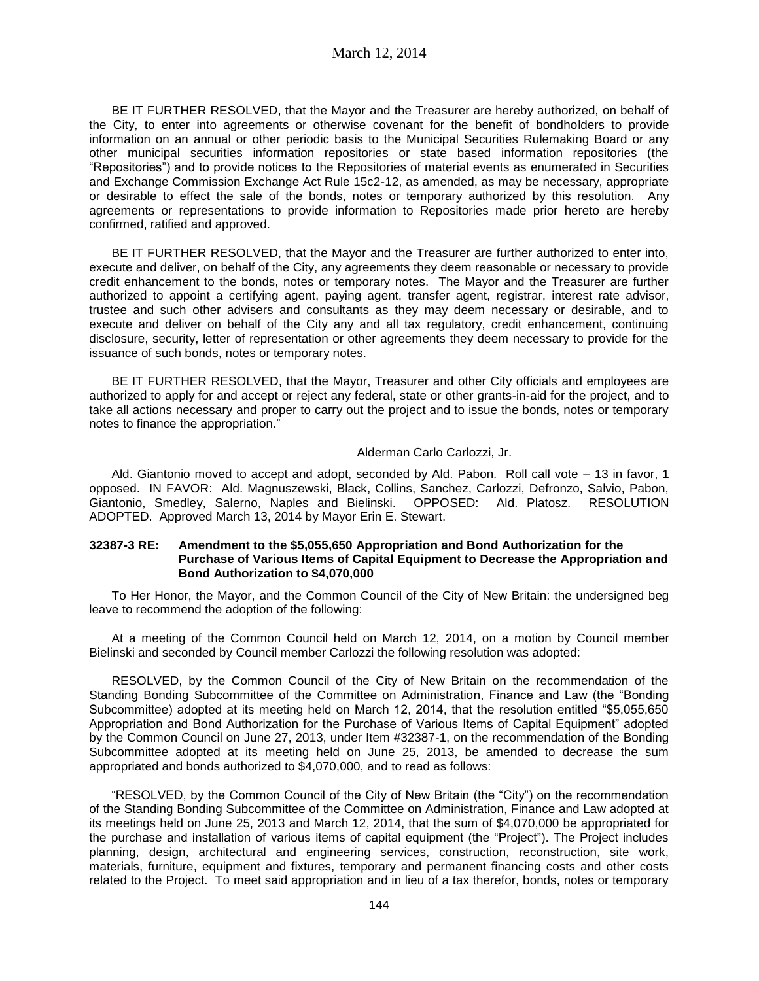March 12, 2014

BE IT FURTHER RESOLVED, that the Mayor and the Treasurer are hereby authorized, on behalf of the City, to enter into agreements or otherwise covenant for the benefit of bondholders to provide information on an annual or other periodic basis to the Municipal Securities Rulemaking Board or any other municipal securities information repositories or state based information repositories (the "Repositories") and to provide notices to the Repositories of material events as enumerated in Securities and Exchange Commission Exchange Act Rule 15c2-12, as amended, as may be necessary, appropriate or desirable to effect the sale of the bonds, notes or temporary authorized by this resolution. Any agreements or representations to provide information to Repositories made prior hereto are hereby confirmed, ratified and approved.

BE IT FURTHER RESOLVED, that the Mayor and the Treasurer are further authorized to enter into, execute and deliver, on behalf of the City, any agreements they deem reasonable or necessary to provide credit enhancement to the bonds, notes or temporary notes. The Mayor and the Treasurer are further authorized to appoint a certifying agent, paying agent, transfer agent, registrar, interest rate advisor, trustee and such other advisers and consultants as they may deem necessary or desirable, and to execute and deliver on behalf of the City any and all tax regulatory, credit enhancement, continuing disclosure, security, letter of representation or other agreements they deem necessary to provide for the issuance of such bonds, notes or temporary notes.

BE IT FURTHER RESOLVED, that the Mayor, Treasurer and other City officials and employees are authorized to apply for and accept or reject any federal, state or other grants-in-aid for the project, and to take all actions necessary and proper to carry out the project and to issue the bonds, notes or temporary notes to finance the appropriation."

#### Alderman Carlo Carlozzi, Jr.

Ald. Giantonio moved to accept and adopt, seconded by Ald. Pabon. Roll call vote – 13 in favor, 1 opposed. IN FAVOR: Ald. Magnuszewski, Black, Collins, Sanchez, Carlozzi, Defronzo, Salvio, Pabon, Giantonio, Smedley, Salerno, Naples and Bielinski. OPPOSED: Ald. Platosz. RESOLUTION ADOPTED. Approved March 13, 2014 by Mayor Erin E. Stewart.

#### **32387-3 RE: Amendment to the \$5,055,650 Appropriation and Bond Authorization for the Purchase of Various Items of Capital Equipment to Decrease the Appropriation and Bond Authorization to \$4,070,000**

To Her Honor, the Mayor, and the Common Council of the City of New Britain: the undersigned beg leave to recommend the adoption of the following:

At a meeting of the Common Council held on March 12, 2014, on a motion by Council member Bielinski and seconded by Council member Carlozzi the following resolution was adopted:

RESOLVED, by the Common Council of the City of New Britain on the recommendation of the Standing Bonding Subcommittee of the Committee on Administration, Finance and Law (the "Bonding Subcommittee) adopted at its meeting held on March 12, 2014, that the resolution entitled "\$5,055,650 Appropriation and Bond Authorization for the Purchase of Various Items of Capital Equipment" adopted by the Common Council on June 27, 2013, under Item #32387-1, on the recommendation of the Bonding Subcommittee adopted at its meeting held on June 25, 2013, be amended to decrease the sum appropriated and bonds authorized to \$4,070,000, and to read as follows:

"RESOLVED, by the Common Council of the City of New Britain (the "City") on the recommendation of the Standing Bonding Subcommittee of the Committee on Administration, Finance and Law adopted at its meetings held on June 25, 2013 and March 12, 2014, that the sum of \$4,070,000 be appropriated for the purchase and installation of various items of capital equipment (the "Project"). The Project includes planning, design, architectural and engineering services, construction, reconstruction, site work, materials, furniture, equipment and fixtures, temporary and permanent financing costs and other costs related to the Project. To meet said appropriation and in lieu of a tax therefor, bonds, notes or temporary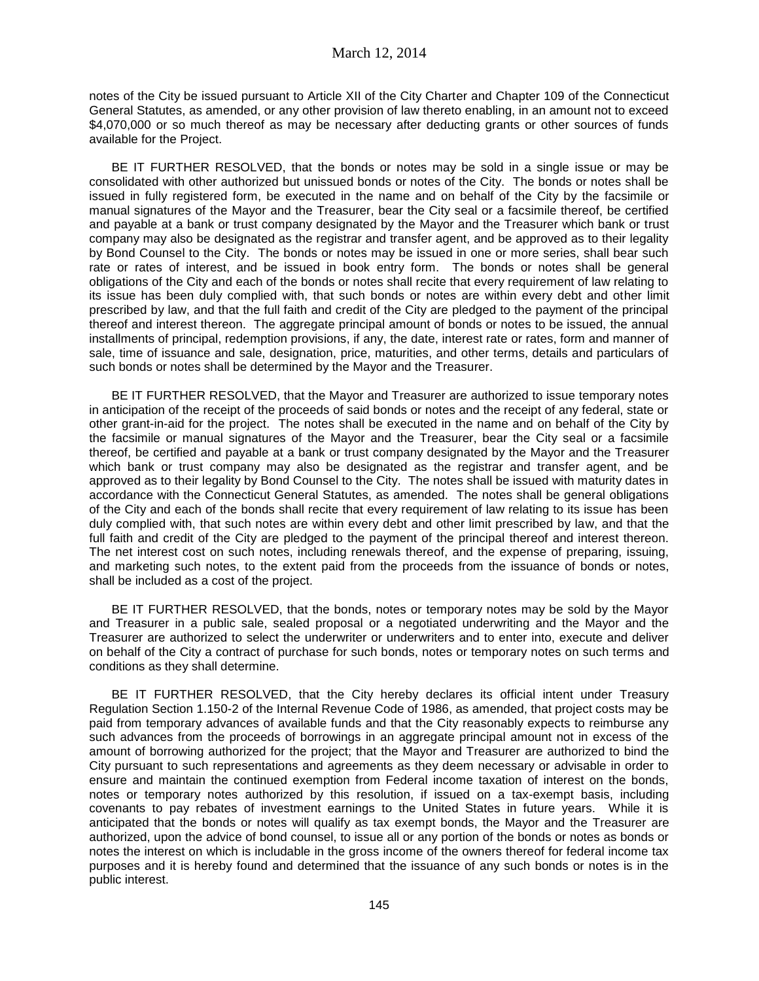notes of the City be issued pursuant to Article XII of the City Charter and Chapter 109 of the Connecticut General Statutes, as amended, or any other provision of law thereto enabling, in an amount not to exceed \$4,070,000 or so much thereof as may be necessary after deducting grants or other sources of funds available for the Project.

BE IT FURTHER RESOLVED, that the bonds or notes may be sold in a single issue or may be consolidated with other authorized but unissued bonds or notes of the City. The bonds or notes shall be issued in fully registered form, be executed in the name and on behalf of the City by the facsimile or manual signatures of the Mayor and the Treasurer, bear the City seal or a facsimile thereof, be certified and payable at a bank or trust company designated by the Mayor and the Treasurer which bank or trust company may also be designated as the registrar and transfer agent, and be approved as to their legality by Bond Counsel to the City. The bonds or notes may be issued in one or more series, shall bear such rate or rates of interest, and be issued in book entry form. The bonds or notes shall be general obligations of the City and each of the bonds or notes shall recite that every requirement of law relating to its issue has been duly complied with, that such bonds or notes are within every debt and other limit prescribed by law, and that the full faith and credit of the City are pledged to the payment of the principal thereof and interest thereon. The aggregate principal amount of bonds or notes to be issued, the annual installments of principal, redemption provisions, if any, the date, interest rate or rates, form and manner of sale, time of issuance and sale, designation, price, maturities, and other terms, details and particulars of such bonds or notes shall be determined by the Mayor and the Treasurer.

BE IT FURTHER RESOLVED, that the Mayor and Treasurer are authorized to issue temporary notes in anticipation of the receipt of the proceeds of said bonds or notes and the receipt of any federal, state or other grant-in-aid for the project. The notes shall be executed in the name and on behalf of the City by the facsimile or manual signatures of the Mayor and the Treasurer, bear the City seal or a facsimile thereof, be certified and payable at a bank or trust company designated by the Mayor and the Treasurer which bank or trust company may also be designated as the registrar and transfer agent, and be approved as to their legality by Bond Counsel to the City. The notes shall be issued with maturity dates in accordance with the Connecticut General Statutes, as amended. The notes shall be general obligations of the City and each of the bonds shall recite that every requirement of law relating to its issue has been duly complied with, that such notes are within every debt and other limit prescribed by law, and that the full faith and credit of the City are pledged to the payment of the principal thereof and interest thereon. The net interest cost on such notes, including renewals thereof, and the expense of preparing, issuing, and marketing such notes, to the extent paid from the proceeds from the issuance of bonds or notes, shall be included as a cost of the project.

BE IT FURTHER RESOLVED, that the bonds, notes or temporary notes may be sold by the Mayor and Treasurer in a public sale, sealed proposal or a negotiated underwriting and the Mayor and the Treasurer are authorized to select the underwriter or underwriters and to enter into, execute and deliver on behalf of the City a contract of purchase for such bonds, notes or temporary notes on such terms and conditions as they shall determine.

BE IT FURTHER RESOLVED, that the City hereby declares its official intent under Treasury Regulation Section 1.150-2 of the Internal Revenue Code of 1986, as amended, that project costs may be paid from temporary advances of available funds and that the City reasonably expects to reimburse any such advances from the proceeds of borrowings in an aggregate principal amount not in excess of the amount of borrowing authorized for the project; that the Mayor and Treasurer are authorized to bind the City pursuant to such representations and agreements as they deem necessary or advisable in order to ensure and maintain the continued exemption from Federal income taxation of interest on the bonds, notes or temporary notes authorized by this resolution, if issued on a tax-exempt basis, including covenants to pay rebates of investment earnings to the United States in future years. While it is anticipated that the bonds or notes will qualify as tax exempt bonds, the Mayor and the Treasurer are authorized, upon the advice of bond counsel, to issue all or any portion of the bonds or notes as bonds or notes the interest on which is includable in the gross income of the owners thereof for federal income tax purposes and it is hereby found and determined that the issuance of any such bonds or notes is in the public interest.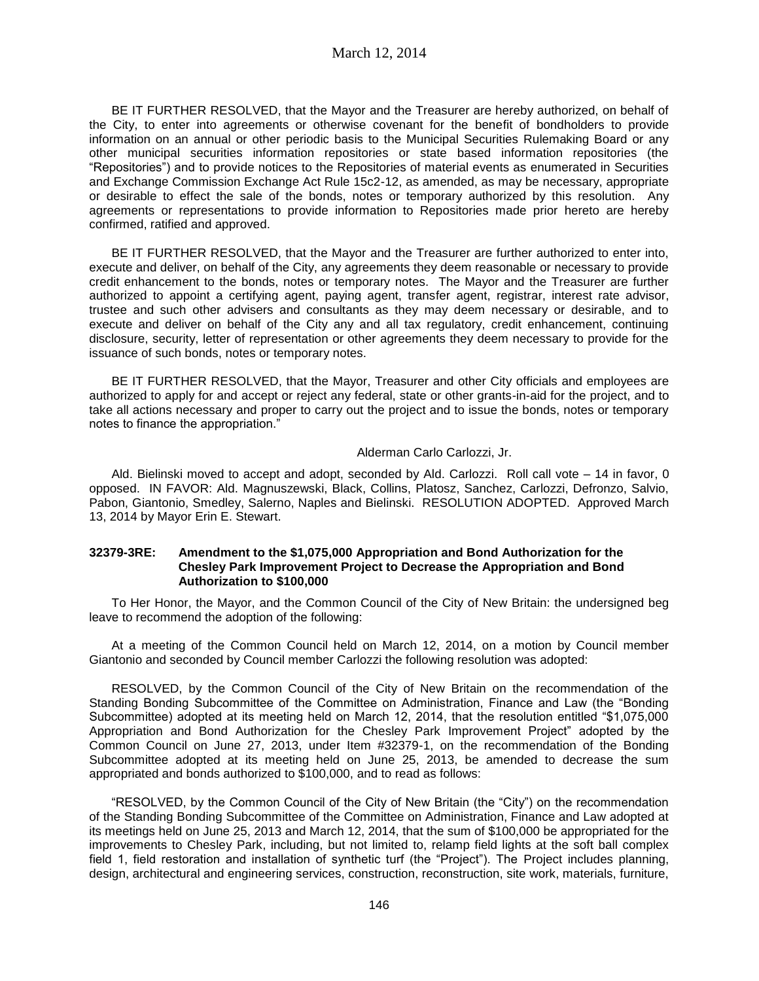March 12, 2014

BE IT FURTHER RESOLVED, that the Mayor and the Treasurer are hereby authorized, on behalf of the City, to enter into agreements or otherwise covenant for the benefit of bondholders to provide information on an annual or other periodic basis to the Municipal Securities Rulemaking Board or any other municipal securities information repositories or state based information repositories (the "Repositories") and to provide notices to the Repositories of material events as enumerated in Securities and Exchange Commission Exchange Act Rule 15c2-12, as amended, as may be necessary, appropriate or desirable to effect the sale of the bonds, notes or temporary authorized by this resolution. Any agreements or representations to provide information to Repositories made prior hereto are hereby confirmed, ratified and approved.

BE IT FURTHER RESOLVED, that the Mayor and the Treasurer are further authorized to enter into, execute and deliver, on behalf of the City, any agreements they deem reasonable or necessary to provide credit enhancement to the bonds, notes or temporary notes. The Mayor and the Treasurer are further authorized to appoint a certifying agent, paying agent, transfer agent, registrar, interest rate advisor, trustee and such other advisers and consultants as they may deem necessary or desirable, and to execute and deliver on behalf of the City any and all tax regulatory, credit enhancement, continuing disclosure, security, letter of representation or other agreements they deem necessary to provide for the issuance of such bonds, notes or temporary notes.

BE IT FURTHER RESOLVED, that the Mayor, Treasurer and other City officials and employees are authorized to apply for and accept or reject any federal, state or other grants-in-aid for the project, and to take all actions necessary and proper to carry out the project and to issue the bonds, notes or temporary notes to finance the appropriation."

#### Alderman Carlo Carlozzi, Jr.

Ald. Bielinski moved to accept and adopt, seconded by Ald. Carlozzi. Roll call vote – 14 in favor, 0 opposed. IN FAVOR: Ald. Magnuszewski, Black, Collins, Platosz, Sanchez, Carlozzi, Defronzo, Salvio, Pabon, Giantonio, Smedley, Salerno, Naples and Bielinski. RESOLUTION ADOPTED. Approved March 13, 2014 by Mayor Erin E. Stewart.

#### **32379-3RE: Amendment to the \$1,075,000 Appropriation and Bond Authorization for the Chesley Park Improvement Project to Decrease the Appropriation and Bond Authorization to \$100,000**

To Her Honor, the Mayor, and the Common Council of the City of New Britain: the undersigned beg leave to recommend the adoption of the following:

At a meeting of the Common Council held on March 12, 2014, on a motion by Council member Giantonio and seconded by Council member Carlozzi the following resolution was adopted:

RESOLVED, by the Common Council of the City of New Britain on the recommendation of the Standing Bonding Subcommittee of the Committee on Administration, Finance and Law (the "Bonding Subcommittee) adopted at its meeting held on March 12, 2014, that the resolution entitled "\$1,075,000 Appropriation and Bond Authorization for the Chesley Park Improvement Project" adopted by the Common Council on June 27, 2013, under Item #32379-1, on the recommendation of the Bonding Subcommittee adopted at its meeting held on June 25, 2013, be amended to decrease the sum appropriated and bonds authorized to \$100,000, and to read as follows:

"RESOLVED, by the Common Council of the City of New Britain (the "City") on the recommendation of the Standing Bonding Subcommittee of the Committee on Administration, Finance and Law adopted at its meetings held on June 25, 2013 and March 12, 2014, that the sum of \$100,000 be appropriated for the improvements to Chesley Park, including, but not limited to, relamp field lights at the soft ball complex field 1, field restoration and installation of synthetic turf (the "Project"). The Project includes planning, design, architectural and engineering services, construction, reconstruction, site work, materials, furniture,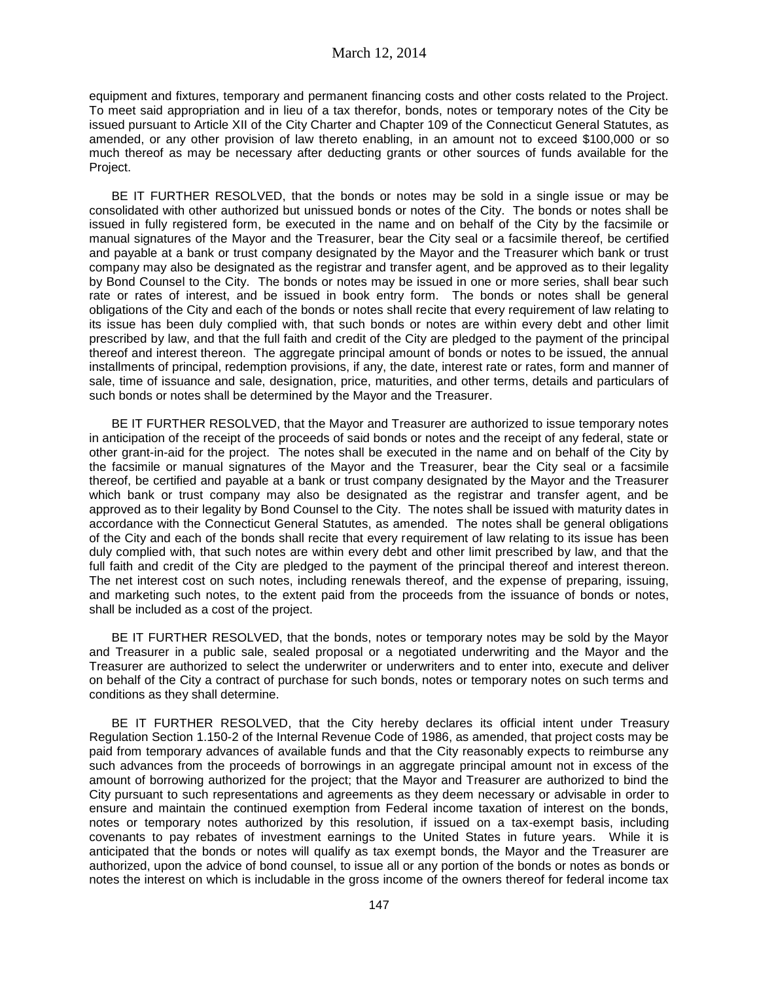equipment and fixtures, temporary and permanent financing costs and other costs related to the Project. To meet said appropriation and in lieu of a tax therefor, bonds, notes or temporary notes of the City be issued pursuant to Article XII of the City Charter and Chapter 109 of the Connecticut General Statutes, as amended, or any other provision of law thereto enabling, in an amount not to exceed \$100,000 or so much thereof as may be necessary after deducting grants or other sources of funds available for the Project.

BE IT FURTHER RESOLVED, that the bonds or notes may be sold in a single issue or may be consolidated with other authorized but unissued bonds or notes of the City. The bonds or notes shall be issued in fully registered form, be executed in the name and on behalf of the City by the facsimile or manual signatures of the Mayor and the Treasurer, bear the City seal or a facsimile thereof, be certified and payable at a bank or trust company designated by the Mayor and the Treasurer which bank or trust company may also be designated as the registrar and transfer agent, and be approved as to their legality by Bond Counsel to the City. The bonds or notes may be issued in one or more series, shall bear such rate or rates of interest, and be issued in book entry form. The bonds or notes shall be general obligations of the City and each of the bonds or notes shall recite that every requirement of law relating to its issue has been duly complied with, that such bonds or notes are within every debt and other limit prescribed by law, and that the full faith and credit of the City are pledged to the payment of the principal thereof and interest thereon. The aggregate principal amount of bonds or notes to be issued, the annual installments of principal, redemption provisions, if any, the date, interest rate or rates, form and manner of sale, time of issuance and sale, designation, price, maturities, and other terms, details and particulars of such bonds or notes shall be determined by the Mayor and the Treasurer.

BE IT FURTHER RESOLVED, that the Mayor and Treasurer are authorized to issue temporary notes in anticipation of the receipt of the proceeds of said bonds or notes and the receipt of any federal, state or other grant-in-aid for the project. The notes shall be executed in the name and on behalf of the City by the facsimile or manual signatures of the Mayor and the Treasurer, bear the City seal or a facsimile thereof, be certified and payable at a bank or trust company designated by the Mayor and the Treasurer which bank or trust company may also be designated as the registrar and transfer agent, and be approved as to their legality by Bond Counsel to the City. The notes shall be issued with maturity dates in accordance with the Connecticut General Statutes, as amended. The notes shall be general obligations of the City and each of the bonds shall recite that every requirement of law relating to its issue has been duly complied with, that such notes are within every debt and other limit prescribed by law, and that the full faith and credit of the City are pledged to the payment of the principal thereof and interest thereon. The net interest cost on such notes, including renewals thereof, and the expense of preparing, issuing, and marketing such notes, to the extent paid from the proceeds from the issuance of bonds or notes, shall be included as a cost of the project.

BE IT FURTHER RESOLVED, that the bonds, notes or temporary notes may be sold by the Mayor and Treasurer in a public sale, sealed proposal or a negotiated underwriting and the Mayor and the Treasurer are authorized to select the underwriter or underwriters and to enter into, execute and deliver on behalf of the City a contract of purchase for such bonds, notes or temporary notes on such terms and conditions as they shall determine.

BE IT FURTHER RESOLVED, that the City hereby declares its official intent under Treasury Regulation Section 1.150-2 of the Internal Revenue Code of 1986, as amended, that project costs may be paid from temporary advances of available funds and that the City reasonably expects to reimburse any such advances from the proceeds of borrowings in an aggregate principal amount not in excess of the amount of borrowing authorized for the project; that the Mayor and Treasurer are authorized to bind the City pursuant to such representations and agreements as they deem necessary or advisable in order to ensure and maintain the continued exemption from Federal income taxation of interest on the bonds, notes or temporary notes authorized by this resolution, if issued on a tax-exempt basis, including covenants to pay rebates of investment earnings to the United States in future years. While it is anticipated that the bonds or notes will qualify as tax exempt bonds, the Mayor and the Treasurer are authorized, upon the advice of bond counsel, to issue all or any portion of the bonds or notes as bonds or notes the interest on which is includable in the gross income of the owners thereof for federal income tax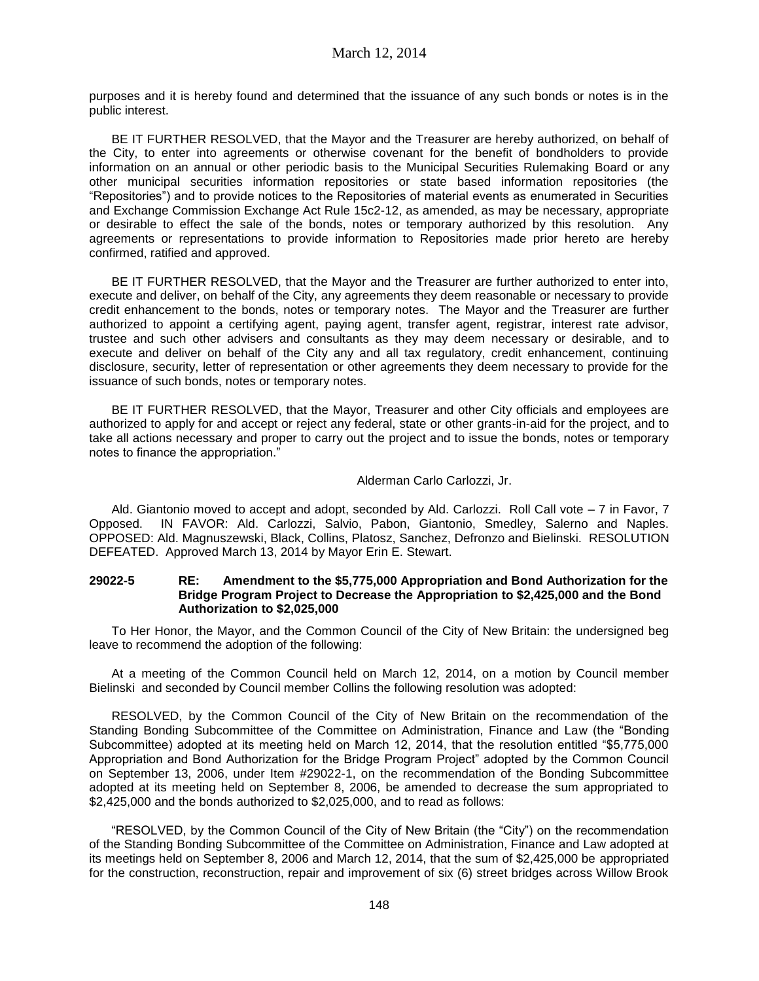purposes and it is hereby found and determined that the issuance of any such bonds or notes is in the public interest.

BE IT FURTHER RESOLVED, that the Mayor and the Treasurer are hereby authorized, on behalf of the City, to enter into agreements or otherwise covenant for the benefit of bondholders to provide information on an annual or other periodic basis to the Municipal Securities Rulemaking Board or any other municipal securities information repositories or state based information repositories (the "Repositories") and to provide notices to the Repositories of material events as enumerated in Securities and Exchange Commission Exchange Act Rule 15c2-12, as amended, as may be necessary, appropriate or desirable to effect the sale of the bonds, notes or temporary authorized by this resolution. Any agreements or representations to provide information to Repositories made prior hereto are hereby confirmed, ratified and approved.

BE IT FURTHER RESOLVED, that the Mayor and the Treasurer are further authorized to enter into, execute and deliver, on behalf of the City, any agreements they deem reasonable or necessary to provide credit enhancement to the bonds, notes or temporary notes. The Mayor and the Treasurer are further authorized to appoint a certifying agent, paying agent, transfer agent, registrar, interest rate advisor, trustee and such other advisers and consultants as they may deem necessary or desirable, and to execute and deliver on behalf of the City any and all tax regulatory, credit enhancement, continuing disclosure, security, letter of representation or other agreements they deem necessary to provide for the issuance of such bonds, notes or temporary notes.

BE IT FURTHER RESOLVED, that the Mayor, Treasurer and other City officials and employees are authorized to apply for and accept or reject any federal, state or other grants-in-aid for the project, and to take all actions necessary and proper to carry out the project and to issue the bonds, notes or temporary notes to finance the appropriation."

# Alderman Carlo Carlozzi, Jr.

Ald. Giantonio moved to accept and adopt, seconded by Ald. Carlozzi. Roll Call vote – 7 in Favor, 7 Opposed. IN FAVOR: Ald. Carlozzi, Salvio, Pabon, Giantonio, Smedley, Salerno and Naples. OPPOSED: Ald. Magnuszewski, Black, Collins, Platosz, Sanchez, Defronzo and Bielinski. RESOLUTION DEFEATED. Approved March 13, 2014 by Mayor Erin E. Stewart.

### **29022-5 RE: Amendment to the \$5,775,000 Appropriation and Bond Authorization for the Bridge Program Project to Decrease the Appropriation to \$2,425,000 and the Bond Authorization to \$2,025,000**

To Her Honor, the Mayor, and the Common Council of the City of New Britain: the undersigned beg leave to recommend the adoption of the following:

At a meeting of the Common Council held on March 12, 2014, on a motion by Council member Bielinski and seconded by Council member Collins the following resolution was adopted:

RESOLVED, by the Common Council of the City of New Britain on the recommendation of the Standing Bonding Subcommittee of the Committee on Administration, Finance and Law (the "Bonding Subcommittee) adopted at its meeting held on March 12, 2014, that the resolution entitled "\$5,775,000 Appropriation and Bond Authorization for the Bridge Program Project" adopted by the Common Council on September 13, 2006, under Item #29022-1, on the recommendation of the Bonding Subcommittee adopted at its meeting held on September 8, 2006, be amended to decrease the sum appropriated to \$2,425,000 and the bonds authorized to \$2,025,000, and to read as follows:

"RESOLVED, by the Common Council of the City of New Britain (the "City") on the recommendation of the Standing Bonding Subcommittee of the Committee on Administration, Finance and Law adopted at its meetings held on September 8, 2006 and March 12, 2014, that the sum of \$2,425,000 be appropriated for the construction, reconstruction, repair and improvement of six (6) street bridges across Willow Brook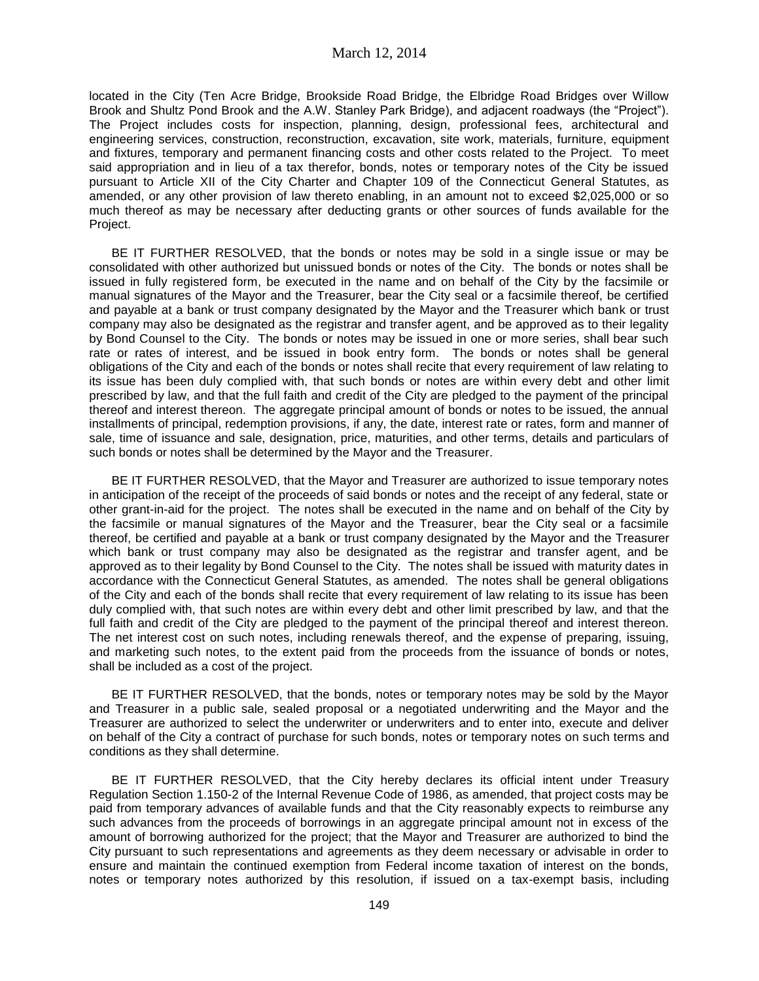located in the City (Ten Acre Bridge, Brookside Road Bridge, the Elbridge Road Bridges over Willow Brook and Shultz Pond Brook and the A.W. Stanley Park Bridge), and adjacent roadways (the "Project"). The Project includes costs for inspection, planning, design, professional fees, architectural and engineering services, construction, reconstruction, excavation, site work, materials, furniture, equipment and fixtures, temporary and permanent financing costs and other costs related to the Project. To meet said appropriation and in lieu of a tax therefor, bonds, notes or temporary notes of the City be issued pursuant to Article XII of the City Charter and Chapter 109 of the Connecticut General Statutes, as amended, or any other provision of law thereto enabling, in an amount not to exceed \$2,025,000 or so much thereof as may be necessary after deducting grants or other sources of funds available for the Project.

BE IT FURTHER RESOLVED, that the bonds or notes may be sold in a single issue or may be consolidated with other authorized but unissued bonds or notes of the City. The bonds or notes shall be issued in fully registered form, be executed in the name and on behalf of the City by the facsimile or manual signatures of the Mayor and the Treasurer, bear the City seal or a facsimile thereof, be certified and payable at a bank or trust company designated by the Mayor and the Treasurer which bank or trust company may also be designated as the registrar and transfer agent, and be approved as to their legality by Bond Counsel to the City. The bonds or notes may be issued in one or more series, shall bear such rate or rates of interest, and be issued in book entry form. The bonds or notes shall be general obligations of the City and each of the bonds or notes shall recite that every requirement of law relating to its issue has been duly complied with, that such bonds or notes are within every debt and other limit prescribed by law, and that the full faith and credit of the City are pledged to the payment of the principal thereof and interest thereon. The aggregate principal amount of bonds or notes to be issued, the annual installments of principal, redemption provisions, if any, the date, interest rate or rates, form and manner of sale, time of issuance and sale, designation, price, maturities, and other terms, details and particulars of such bonds or notes shall be determined by the Mayor and the Treasurer.

BE IT FURTHER RESOLVED, that the Mayor and Treasurer are authorized to issue temporary notes in anticipation of the receipt of the proceeds of said bonds or notes and the receipt of any federal, state or other grant-in-aid for the project. The notes shall be executed in the name and on behalf of the City by the facsimile or manual signatures of the Mayor and the Treasurer, bear the City seal or a facsimile thereof, be certified and payable at a bank or trust company designated by the Mayor and the Treasurer which bank or trust company may also be designated as the registrar and transfer agent, and be approved as to their legality by Bond Counsel to the City. The notes shall be issued with maturity dates in accordance with the Connecticut General Statutes, as amended. The notes shall be general obligations of the City and each of the bonds shall recite that every requirement of law relating to its issue has been duly complied with, that such notes are within every debt and other limit prescribed by law, and that the full faith and credit of the City are pledged to the payment of the principal thereof and interest thereon. The net interest cost on such notes, including renewals thereof, and the expense of preparing, issuing, and marketing such notes, to the extent paid from the proceeds from the issuance of bonds or notes, shall be included as a cost of the project.

BE IT FURTHER RESOLVED, that the bonds, notes or temporary notes may be sold by the Mayor and Treasurer in a public sale, sealed proposal or a negotiated underwriting and the Mayor and the Treasurer are authorized to select the underwriter or underwriters and to enter into, execute and deliver on behalf of the City a contract of purchase for such bonds, notes or temporary notes on such terms and conditions as they shall determine.

BE IT FURTHER RESOLVED, that the City hereby declares its official intent under Treasury Regulation Section 1.150-2 of the Internal Revenue Code of 1986, as amended, that project costs may be paid from temporary advances of available funds and that the City reasonably expects to reimburse any such advances from the proceeds of borrowings in an aggregate principal amount not in excess of the amount of borrowing authorized for the project; that the Mayor and Treasurer are authorized to bind the City pursuant to such representations and agreements as they deem necessary or advisable in order to ensure and maintain the continued exemption from Federal income taxation of interest on the bonds, notes or temporary notes authorized by this resolution, if issued on a tax-exempt basis, including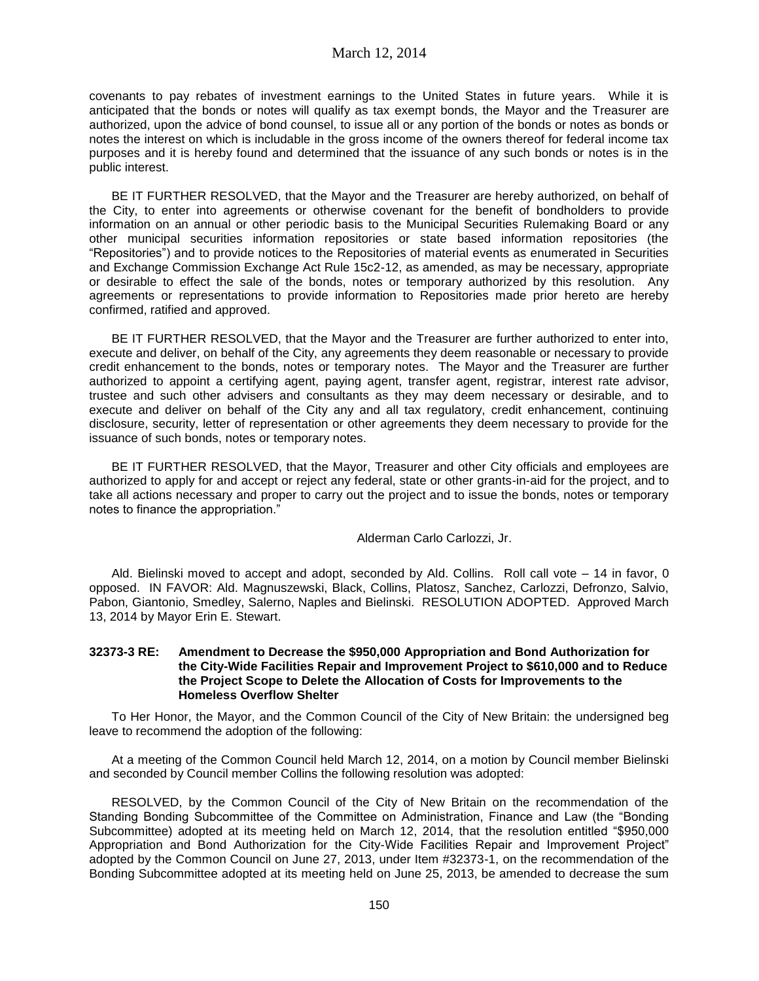covenants to pay rebates of investment earnings to the United States in future years. While it is anticipated that the bonds or notes will qualify as tax exempt bonds, the Mayor and the Treasurer are authorized, upon the advice of bond counsel, to issue all or any portion of the bonds or notes as bonds or notes the interest on which is includable in the gross income of the owners thereof for federal income tax purposes and it is hereby found and determined that the issuance of any such bonds or notes is in the public interest.

BE IT FURTHER RESOLVED, that the Mayor and the Treasurer are hereby authorized, on behalf of the City, to enter into agreements or otherwise covenant for the benefit of bondholders to provide information on an annual or other periodic basis to the Municipal Securities Rulemaking Board or any other municipal securities information repositories or state based information repositories (the "Repositories") and to provide notices to the Repositories of material events as enumerated in Securities and Exchange Commission Exchange Act Rule 15c2-12, as amended, as may be necessary, appropriate or desirable to effect the sale of the bonds, notes or temporary authorized by this resolution. Any agreements or representations to provide information to Repositories made prior hereto are hereby confirmed, ratified and approved.

BE IT FURTHER RESOLVED, that the Mayor and the Treasurer are further authorized to enter into, execute and deliver, on behalf of the City, any agreements they deem reasonable or necessary to provide credit enhancement to the bonds, notes or temporary notes. The Mayor and the Treasurer are further authorized to appoint a certifying agent, paying agent, transfer agent, registrar, interest rate advisor, trustee and such other advisers and consultants as they may deem necessary or desirable, and to execute and deliver on behalf of the City any and all tax regulatory, credit enhancement, continuing disclosure, security, letter of representation or other agreements they deem necessary to provide for the issuance of such bonds, notes or temporary notes.

BE IT FURTHER RESOLVED, that the Mayor, Treasurer and other City officials and employees are authorized to apply for and accept or reject any federal, state or other grants-in-aid for the project, and to take all actions necessary and proper to carry out the project and to issue the bonds, notes or temporary notes to finance the appropriation."

### Alderman Carlo Carlozzi, Jr.

Ald. Bielinski moved to accept and adopt, seconded by Ald. Collins. Roll call vote – 14 in favor, 0 opposed. IN FAVOR: Ald. Magnuszewski, Black, Collins, Platosz, Sanchez, Carlozzi, Defronzo, Salvio, Pabon, Giantonio, Smedley, Salerno, Naples and Bielinski. RESOLUTION ADOPTED. Approved March 13, 2014 by Mayor Erin E. Stewart.

### **32373-3 RE: Amendment to Decrease the \$950,000 Appropriation and Bond Authorization for the City-Wide Facilities Repair and Improvement Project to \$610,000 and to Reduce the Project Scope to Delete the Allocation of Costs for Improvements to the Homeless Overflow Shelter**

To Her Honor, the Mayor, and the Common Council of the City of New Britain: the undersigned beg leave to recommend the adoption of the following:

At a meeting of the Common Council held March 12, 2014, on a motion by Council member Bielinski and seconded by Council member Collins the following resolution was adopted:

RESOLVED, by the Common Council of the City of New Britain on the recommendation of the Standing Bonding Subcommittee of the Committee on Administration, Finance and Law (the "Bonding Subcommittee) adopted at its meeting held on March 12, 2014, that the resolution entitled "\$950,000 Appropriation and Bond Authorization for the City-Wide Facilities Repair and Improvement Project" adopted by the Common Council on June 27, 2013, under Item #32373-1, on the recommendation of the Bonding Subcommittee adopted at its meeting held on June 25, 2013, be amended to decrease the sum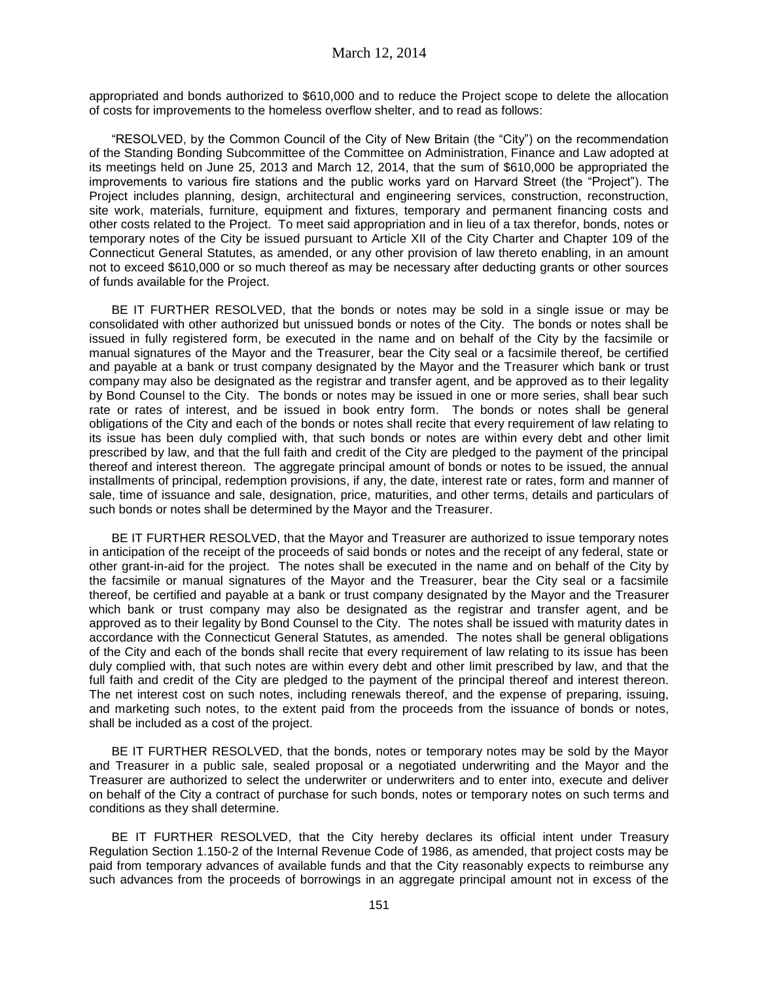appropriated and bonds authorized to \$610,000 and to reduce the Project scope to delete the allocation of costs for improvements to the homeless overflow shelter, and to read as follows:

"RESOLVED, by the Common Council of the City of New Britain (the "City") on the recommendation of the Standing Bonding Subcommittee of the Committee on Administration, Finance and Law adopted at its meetings held on June 25, 2013 and March 12, 2014, that the sum of \$610,000 be appropriated the improvements to various fire stations and the public works yard on Harvard Street (the "Project"). The Project includes planning, design, architectural and engineering services, construction, reconstruction, site work, materials, furniture, equipment and fixtures, temporary and permanent financing costs and other costs related to the Project. To meet said appropriation and in lieu of a tax therefor, bonds, notes or temporary notes of the City be issued pursuant to Article XII of the City Charter and Chapter 109 of the Connecticut General Statutes, as amended, or any other provision of law thereto enabling, in an amount not to exceed \$610,000 or so much thereof as may be necessary after deducting grants or other sources of funds available for the Project.

BE IT FURTHER RESOLVED, that the bonds or notes may be sold in a single issue or may be consolidated with other authorized but unissued bonds or notes of the City. The bonds or notes shall be issued in fully registered form, be executed in the name and on behalf of the City by the facsimile or manual signatures of the Mayor and the Treasurer, bear the City seal or a facsimile thereof, be certified and payable at a bank or trust company designated by the Mayor and the Treasurer which bank or trust company may also be designated as the registrar and transfer agent, and be approved as to their legality by Bond Counsel to the City. The bonds or notes may be issued in one or more series, shall bear such rate or rates of interest, and be issued in book entry form. The bonds or notes shall be general obligations of the City and each of the bonds or notes shall recite that every requirement of law relating to its issue has been duly complied with, that such bonds or notes are within every debt and other limit prescribed by law, and that the full faith and credit of the City are pledged to the payment of the principal thereof and interest thereon. The aggregate principal amount of bonds or notes to be issued, the annual installments of principal, redemption provisions, if any, the date, interest rate or rates, form and manner of sale, time of issuance and sale, designation, price, maturities, and other terms, details and particulars of such bonds or notes shall be determined by the Mayor and the Treasurer.

BE IT FURTHER RESOLVED, that the Mayor and Treasurer are authorized to issue temporary notes in anticipation of the receipt of the proceeds of said bonds or notes and the receipt of any federal, state or other grant-in-aid for the project. The notes shall be executed in the name and on behalf of the City by the facsimile or manual signatures of the Mayor and the Treasurer, bear the City seal or a facsimile thereof, be certified and payable at a bank or trust company designated by the Mayor and the Treasurer which bank or trust company may also be designated as the registrar and transfer agent, and be approved as to their legality by Bond Counsel to the City. The notes shall be issued with maturity dates in accordance with the Connecticut General Statutes, as amended. The notes shall be general obligations of the City and each of the bonds shall recite that every requirement of law relating to its issue has been duly complied with, that such notes are within every debt and other limit prescribed by law, and that the full faith and credit of the City are pledged to the payment of the principal thereof and interest thereon. The net interest cost on such notes, including renewals thereof, and the expense of preparing, issuing, and marketing such notes, to the extent paid from the proceeds from the issuance of bonds or notes, shall be included as a cost of the project.

BE IT FURTHER RESOLVED, that the bonds, notes or temporary notes may be sold by the Mayor and Treasurer in a public sale, sealed proposal or a negotiated underwriting and the Mayor and the Treasurer are authorized to select the underwriter or underwriters and to enter into, execute and deliver on behalf of the City a contract of purchase for such bonds, notes or temporary notes on such terms and conditions as they shall determine.

BE IT FURTHER RESOLVED, that the City hereby declares its official intent under Treasury Regulation Section 1.150-2 of the Internal Revenue Code of 1986, as amended, that project costs may be paid from temporary advances of available funds and that the City reasonably expects to reimburse any such advances from the proceeds of borrowings in an aggregate principal amount not in excess of the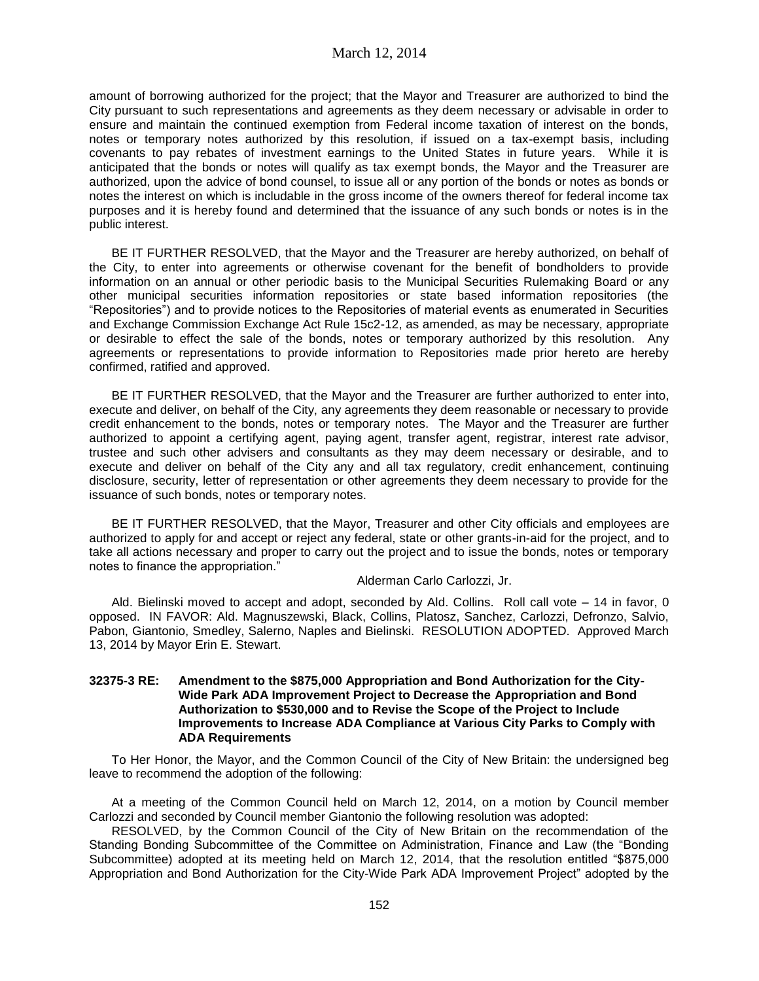amount of borrowing authorized for the project; that the Mayor and Treasurer are authorized to bind the City pursuant to such representations and agreements as they deem necessary or advisable in order to ensure and maintain the continued exemption from Federal income taxation of interest on the bonds, notes or temporary notes authorized by this resolution, if issued on a tax-exempt basis, including covenants to pay rebates of investment earnings to the United States in future years. While it is anticipated that the bonds or notes will qualify as tax exempt bonds, the Mayor and the Treasurer are authorized, upon the advice of bond counsel, to issue all or any portion of the bonds or notes as bonds or notes the interest on which is includable in the gross income of the owners thereof for federal income tax purposes and it is hereby found and determined that the issuance of any such bonds or notes is in the public interest.

BE IT FURTHER RESOLVED, that the Mayor and the Treasurer are hereby authorized, on behalf of the City, to enter into agreements or otherwise covenant for the benefit of bondholders to provide information on an annual or other periodic basis to the Municipal Securities Rulemaking Board or any other municipal securities information repositories or state based information repositories (the "Repositories") and to provide notices to the Repositories of material events as enumerated in Securities and Exchange Commission Exchange Act Rule 15c2-12, as amended, as may be necessary, appropriate or desirable to effect the sale of the bonds, notes or temporary authorized by this resolution. Any agreements or representations to provide information to Repositories made prior hereto are hereby confirmed, ratified and approved.

BE IT FURTHER RESOLVED, that the Mayor and the Treasurer are further authorized to enter into, execute and deliver, on behalf of the City, any agreements they deem reasonable or necessary to provide credit enhancement to the bonds, notes or temporary notes. The Mayor and the Treasurer are further authorized to appoint a certifying agent, paying agent, transfer agent, registrar, interest rate advisor, trustee and such other advisers and consultants as they may deem necessary or desirable, and to execute and deliver on behalf of the City any and all tax regulatory, credit enhancement, continuing disclosure, security, letter of representation or other agreements they deem necessary to provide for the issuance of such bonds, notes or temporary notes.

BE IT FURTHER RESOLVED, that the Mayor, Treasurer and other City officials and employees are authorized to apply for and accept or reject any federal, state or other grants-in-aid for the project, and to take all actions necessary and proper to carry out the project and to issue the bonds, notes or temporary notes to finance the appropriation."

#### Alderman Carlo Carlozzi, Jr.

Ald. Bielinski moved to accept and adopt, seconded by Ald. Collins. Roll call vote – 14 in favor, 0 opposed. IN FAVOR: Ald. Magnuszewski, Black, Collins, Platosz, Sanchez, Carlozzi, Defronzo, Salvio, Pabon, Giantonio, Smedley, Salerno, Naples and Bielinski. RESOLUTION ADOPTED. Approved March 13, 2014 by Mayor Erin E. Stewart.

### **32375-3 RE: Amendment to the \$875,000 Appropriation and Bond Authorization for the City-Wide Park ADA Improvement Project to Decrease the Appropriation and Bond Authorization to \$530,000 and to Revise the Scope of the Project to Include Improvements to Increase ADA Compliance at Various City Parks to Comply with ADA Requirements**

To Her Honor, the Mayor, and the Common Council of the City of New Britain: the undersigned beg leave to recommend the adoption of the following:

At a meeting of the Common Council held on March 12, 2014, on a motion by Council member Carlozzi and seconded by Council member Giantonio the following resolution was adopted:

RESOLVED, by the Common Council of the City of New Britain on the recommendation of the Standing Bonding Subcommittee of the Committee on Administration, Finance and Law (the "Bonding Subcommittee) adopted at its meeting held on March 12, 2014, that the resolution entitled "\$875,000 Appropriation and Bond Authorization for the City-Wide Park ADA Improvement Project" adopted by the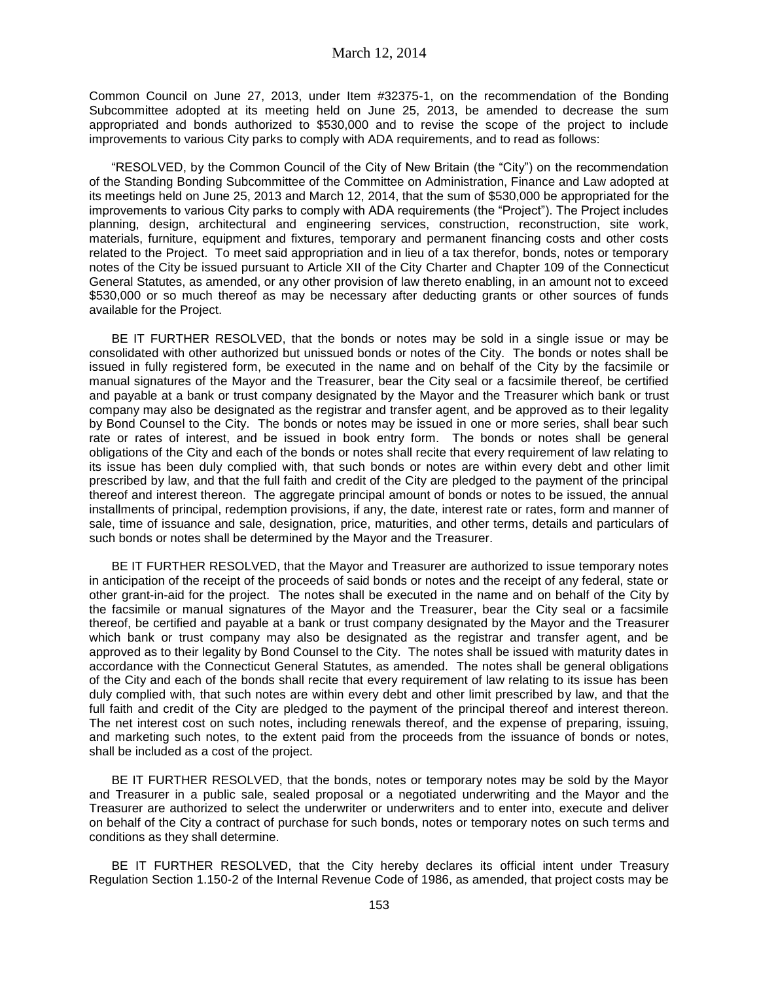Common Council on June 27, 2013, under Item #32375-1, on the recommendation of the Bonding Subcommittee adopted at its meeting held on June 25, 2013, be amended to decrease the sum appropriated and bonds authorized to \$530,000 and to revise the scope of the project to include improvements to various City parks to comply with ADA requirements, and to read as follows:

"RESOLVED, by the Common Council of the City of New Britain (the "City") on the recommendation of the Standing Bonding Subcommittee of the Committee on Administration, Finance and Law adopted at its meetings held on June 25, 2013 and March 12, 2014, that the sum of \$530,000 be appropriated for the improvements to various City parks to comply with ADA requirements (the "Project"). The Project includes planning, design, architectural and engineering services, construction, reconstruction, site work, materials, furniture, equipment and fixtures, temporary and permanent financing costs and other costs related to the Project. To meet said appropriation and in lieu of a tax therefor, bonds, notes or temporary notes of the City be issued pursuant to Article XII of the City Charter and Chapter 109 of the Connecticut General Statutes, as amended, or any other provision of law thereto enabling, in an amount not to exceed \$530,000 or so much thereof as may be necessary after deducting grants or other sources of funds available for the Project.

BE IT FURTHER RESOLVED, that the bonds or notes may be sold in a single issue or may be consolidated with other authorized but unissued bonds or notes of the City. The bonds or notes shall be issued in fully registered form, be executed in the name and on behalf of the City by the facsimile or manual signatures of the Mayor and the Treasurer, bear the City seal or a facsimile thereof, be certified and payable at a bank or trust company designated by the Mayor and the Treasurer which bank or trust company may also be designated as the registrar and transfer agent, and be approved as to their legality by Bond Counsel to the City. The bonds or notes may be issued in one or more series, shall bear such rate or rates of interest, and be issued in book entry form. The bonds or notes shall be general obligations of the City and each of the bonds or notes shall recite that every requirement of law relating to its issue has been duly complied with, that such bonds or notes are within every debt and other limit prescribed by law, and that the full faith and credit of the City are pledged to the payment of the principal thereof and interest thereon. The aggregate principal amount of bonds or notes to be issued, the annual installments of principal, redemption provisions, if any, the date, interest rate or rates, form and manner of sale, time of issuance and sale, designation, price, maturities, and other terms, details and particulars of such bonds or notes shall be determined by the Mayor and the Treasurer.

BE IT FURTHER RESOLVED, that the Mayor and Treasurer are authorized to issue temporary notes in anticipation of the receipt of the proceeds of said bonds or notes and the receipt of any federal, state or other grant-in-aid for the project. The notes shall be executed in the name and on behalf of the City by the facsimile or manual signatures of the Mayor and the Treasurer, bear the City seal or a facsimile thereof, be certified and payable at a bank or trust company designated by the Mayor and the Treasurer which bank or trust company may also be designated as the registrar and transfer agent, and be approved as to their legality by Bond Counsel to the City. The notes shall be issued with maturity dates in accordance with the Connecticut General Statutes, as amended. The notes shall be general obligations of the City and each of the bonds shall recite that every requirement of law relating to its issue has been duly complied with, that such notes are within every debt and other limit prescribed by law, and that the full faith and credit of the City are pledged to the payment of the principal thereof and interest thereon. The net interest cost on such notes, including renewals thereof, and the expense of preparing, issuing, and marketing such notes, to the extent paid from the proceeds from the issuance of bonds or notes, shall be included as a cost of the project.

BE IT FURTHER RESOLVED, that the bonds, notes or temporary notes may be sold by the Mayor and Treasurer in a public sale, sealed proposal or a negotiated underwriting and the Mayor and the Treasurer are authorized to select the underwriter or underwriters and to enter into, execute and deliver on behalf of the City a contract of purchase for such bonds, notes or temporary notes on such terms and conditions as they shall determine.

BE IT FURTHER RESOLVED, that the City hereby declares its official intent under Treasury Regulation Section 1.150-2 of the Internal Revenue Code of 1986, as amended, that project costs may be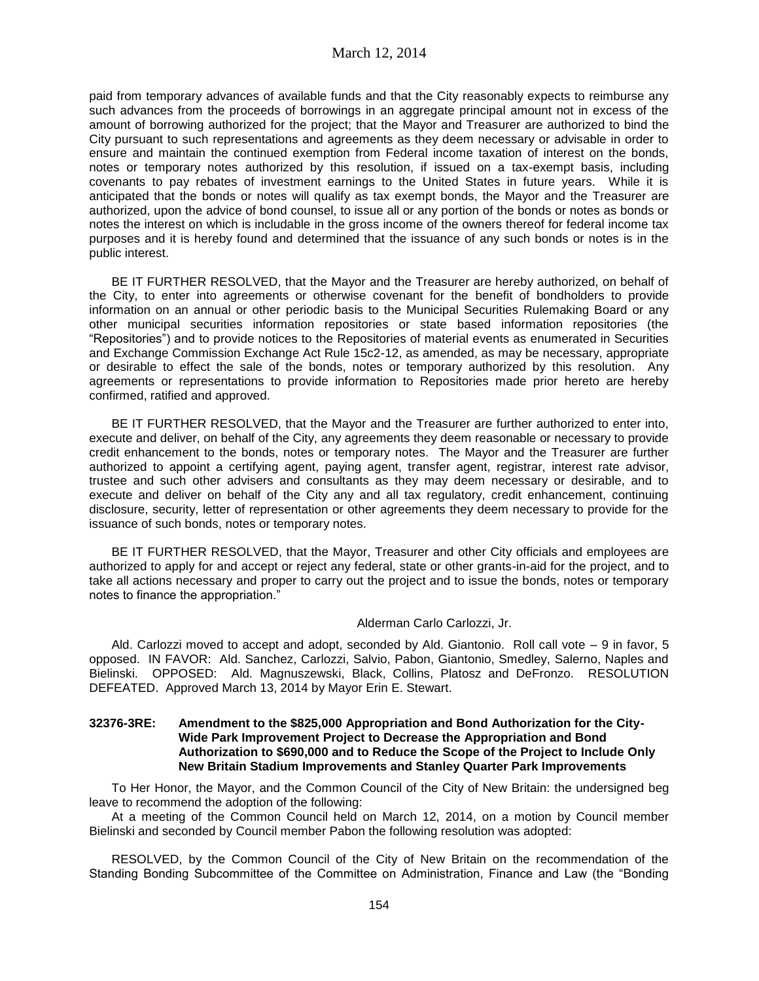paid from temporary advances of available funds and that the City reasonably expects to reimburse any such advances from the proceeds of borrowings in an aggregate principal amount not in excess of the amount of borrowing authorized for the project; that the Mayor and Treasurer are authorized to bind the City pursuant to such representations and agreements as they deem necessary or advisable in order to ensure and maintain the continued exemption from Federal income taxation of interest on the bonds, notes or temporary notes authorized by this resolution, if issued on a tax-exempt basis, including covenants to pay rebates of investment earnings to the United States in future years. While it is anticipated that the bonds or notes will qualify as tax exempt bonds, the Mayor and the Treasurer are authorized, upon the advice of bond counsel, to issue all or any portion of the bonds or notes as bonds or notes the interest on which is includable in the gross income of the owners thereof for federal income tax purposes and it is hereby found and determined that the issuance of any such bonds or notes is in the public interest.

BE IT FURTHER RESOLVED, that the Mayor and the Treasurer are hereby authorized, on behalf of the City, to enter into agreements or otherwise covenant for the benefit of bondholders to provide information on an annual or other periodic basis to the Municipal Securities Rulemaking Board or any other municipal securities information repositories or state based information repositories (the "Repositories") and to provide notices to the Repositories of material events as enumerated in Securities and Exchange Commission Exchange Act Rule 15c2-12, as amended, as may be necessary, appropriate or desirable to effect the sale of the bonds, notes or temporary authorized by this resolution. Any agreements or representations to provide information to Repositories made prior hereto are hereby confirmed, ratified and approved.

BE IT FURTHER RESOLVED, that the Mayor and the Treasurer are further authorized to enter into, execute and deliver, on behalf of the City, any agreements they deem reasonable or necessary to provide credit enhancement to the bonds, notes or temporary notes. The Mayor and the Treasurer are further authorized to appoint a certifying agent, paying agent, transfer agent, registrar, interest rate advisor, trustee and such other advisers and consultants as they may deem necessary or desirable, and to execute and deliver on behalf of the City any and all tax regulatory, credit enhancement, continuing disclosure, security, letter of representation or other agreements they deem necessary to provide for the issuance of such bonds, notes or temporary notes.

BE IT FURTHER RESOLVED, that the Mayor, Treasurer and other City officials and employees are authorized to apply for and accept or reject any federal, state or other grants-in-aid for the project, and to take all actions necessary and proper to carry out the project and to issue the bonds, notes or temporary notes to finance the appropriation."

### Alderman Carlo Carlozzi, Jr.

Ald. Carlozzi moved to accept and adopt, seconded by Ald. Giantonio. Roll call vote – 9 in favor, 5 opposed. IN FAVOR: Ald. Sanchez, Carlozzi, Salvio, Pabon, Giantonio, Smedley, Salerno, Naples and Bielinski. OPPOSED: Ald. Magnuszewski, Black, Collins, Platosz and DeFronzo. RESOLUTION DEFEATED. Approved March 13, 2014 by Mayor Erin E. Stewart.

### **32376-3RE: Amendment to the \$825,000 Appropriation and Bond Authorization for the City-Wide Park Improvement Project to Decrease the Appropriation and Bond Authorization to \$690,000 and to Reduce the Scope of the Project to Include Only New Britain Stadium Improvements and Stanley Quarter Park Improvements**

To Her Honor, the Mayor, and the Common Council of the City of New Britain: the undersigned beg leave to recommend the adoption of the following:

At a meeting of the Common Council held on March 12, 2014, on a motion by Council member Bielinski and seconded by Council member Pabon the following resolution was adopted:

RESOLVED, by the Common Council of the City of New Britain on the recommendation of the Standing Bonding Subcommittee of the Committee on Administration, Finance and Law (the "Bonding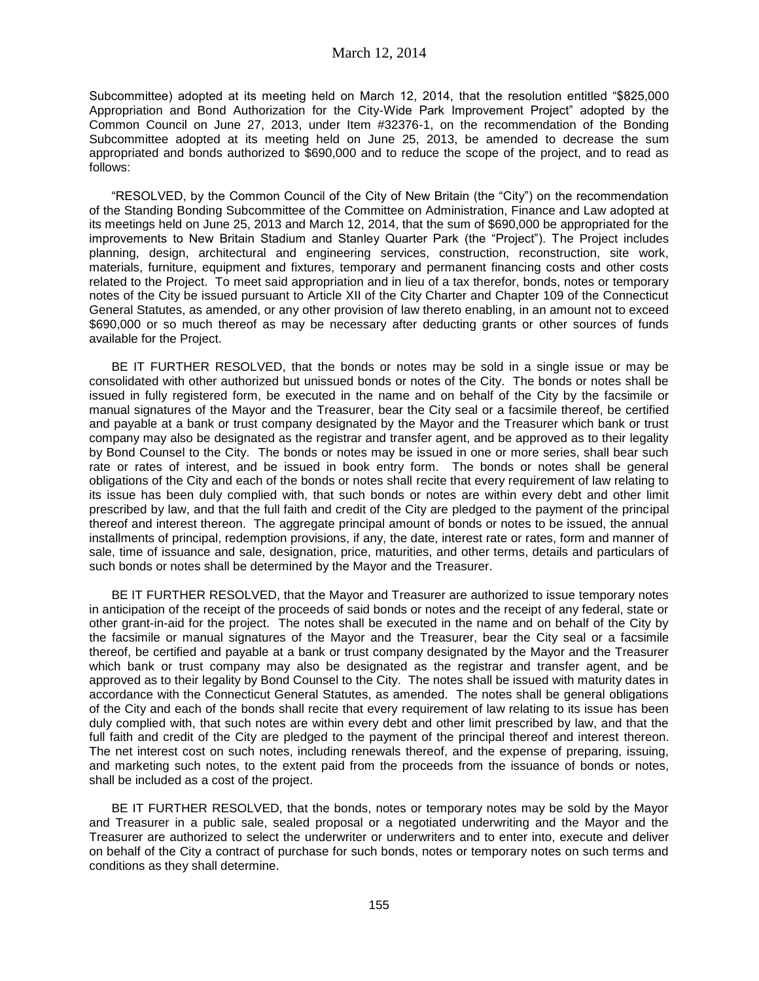Subcommittee) adopted at its meeting held on March 12, 2014, that the resolution entitled "\$825,000 Appropriation and Bond Authorization for the City-Wide Park Improvement Project" adopted by the Common Council on June 27, 2013, under Item #32376-1, on the recommendation of the Bonding Subcommittee adopted at its meeting held on June 25, 2013, be amended to decrease the sum appropriated and bonds authorized to \$690,000 and to reduce the scope of the project, and to read as follows:

"RESOLVED, by the Common Council of the City of New Britain (the "City") on the recommendation of the Standing Bonding Subcommittee of the Committee on Administration, Finance and Law adopted at its meetings held on June 25, 2013 and March 12, 2014, that the sum of \$690,000 be appropriated for the improvements to New Britain Stadium and Stanley Quarter Park (the "Project"). The Project includes planning, design, architectural and engineering services, construction, reconstruction, site work, materials, furniture, equipment and fixtures, temporary and permanent financing costs and other costs related to the Project. To meet said appropriation and in lieu of a tax therefor, bonds, notes or temporary notes of the City be issued pursuant to Article XII of the City Charter and Chapter 109 of the Connecticut General Statutes, as amended, or any other provision of law thereto enabling, in an amount not to exceed \$690,000 or so much thereof as may be necessary after deducting grants or other sources of funds available for the Project.

BE IT FURTHER RESOLVED, that the bonds or notes may be sold in a single issue or may be consolidated with other authorized but unissued bonds or notes of the City. The bonds or notes shall be issued in fully registered form, be executed in the name and on behalf of the City by the facsimile or manual signatures of the Mayor and the Treasurer, bear the City seal or a facsimile thereof, be certified and payable at a bank or trust company designated by the Mayor and the Treasurer which bank or trust company may also be designated as the registrar and transfer agent, and be approved as to their legality by Bond Counsel to the City. The bonds or notes may be issued in one or more series, shall bear such rate or rates of interest, and be issued in book entry form. The bonds or notes shall be general obligations of the City and each of the bonds or notes shall recite that every requirement of law relating to its issue has been duly complied with, that such bonds or notes are within every debt and other limit prescribed by law, and that the full faith and credit of the City are pledged to the payment of the principal thereof and interest thereon. The aggregate principal amount of bonds or notes to be issued, the annual installments of principal, redemption provisions, if any, the date, interest rate or rates, form and manner of sale, time of issuance and sale, designation, price, maturities, and other terms, details and particulars of such bonds or notes shall be determined by the Mayor and the Treasurer.

BE IT FURTHER RESOLVED, that the Mayor and Treasurer are authorized to issue temporary notes in anticipation of the receipt of the proceeds of said bonds or notes and the receipt of any federal, state or other grant-in-aid for the project. The notes shall be executed in the name and on behalf of the City by the facsimile or manual signatures of the Mayor and the Treasurer, bear the City seal or a facsimile thereof, be certified and payable at a bank or trust company designated by the Mayor and the Treasurer which bank or trust company may also be designated as the registrar and transfer agent, and be approved as to their legality by Bond Counsel to the City. The notes shall be issued with maturity dates in accordance with the Connecticut General Statutes, as amended. The notes shall be general obligations of the City and each of the bonds shall recite that every requirement of law relating to its issue has been duly complied with, that such notes are within every debt and other limit prescribed by law, and that the full faith and credit of the City are pledged to the payment of the principal thereof and interest thereon. The net interest cost on such notes, including renewals thereof, and the expense of preparing, issuing, and marketing such notes, to the extent paid from the proceeds from the issuance of bonds or notes, shall be included as a cost of the project.

BE IT FURTHER RESOLVED, that the bonds, notes or temporary notes may be sold by the Mayor and Treasurer in a public sale, sealed proposal or a negotiated underwriting and the Mayor and the Treasurer are authorized to select the underwriter or underwriters and to enter into, execute and deliver on behalf of the City a contract of purchase for such bonds, notes or temporary notes on such terms and conditions as they shall determine.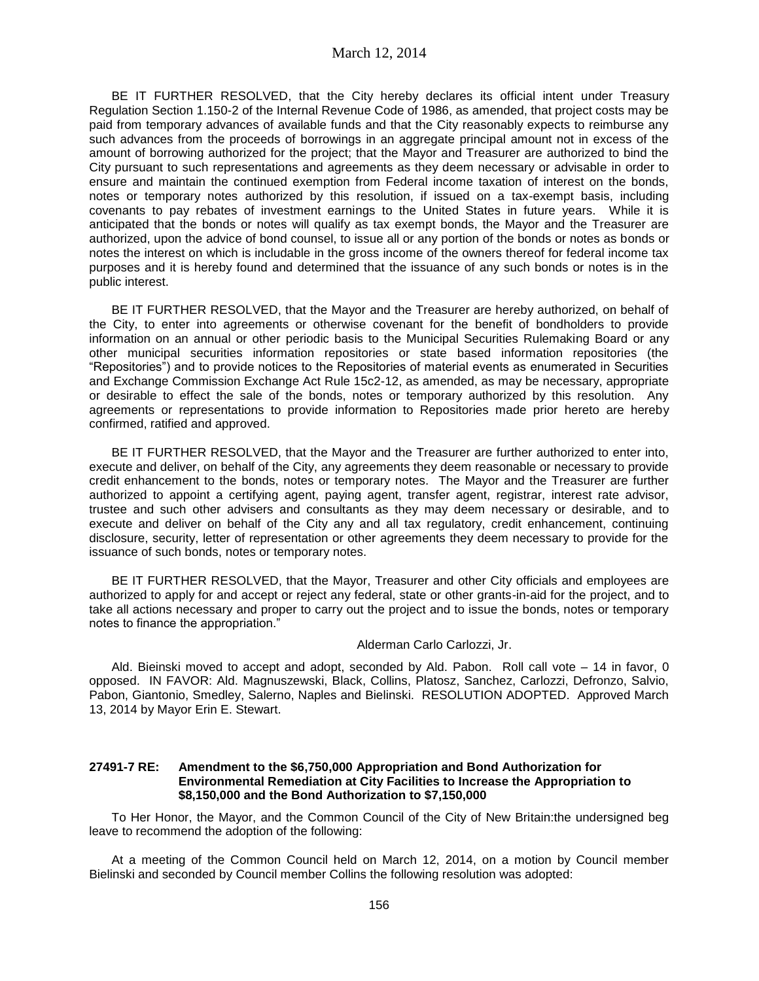BE IT FURTHER RESOLVED, that the City hereby declares its official intent under Treasury Regulation Section 1.150-2 of the Internal Revenue Code of 1986, as amended, that project costs may be paid from temporary advances of available funds and that the City reasonably expects to reimburse any such advances from the proceeds of borrowings in an aggregate principal amount not in excess of the amount of borrowing authorized for the project; that the Mayor and Treasurer are authorized to bind the City pursuant to such representations and agreements as they deem necessary or advisable in order to ensure and maintain the continued exemption from Federal income taxation of interest on the bonds, notes or temporary notes authorized by this resolution, if issued on a tax-exempt basis, including covenants to pay rebates of investment earnings to the United States in future years. While it is anticipated that the bonds or notes will qualify as tax exempt bonds, the Mayor and the Treasurer are authorized, upon the advice of bond counsel, to issue all or any portion of the bonds or notes as bonds or notes the interest on which is includable in the gross income of the owners thereof for federal income tax purposes and it is hereby found and determined that the issuance of any such bonds or notes is in the public interest.

BE IT FURTHER RESOLVED, that the Mayor and the Treasurer are hereby authorized, on behalf of the City, to enter into agreements or otherwise covenant for the benefit of bondholders to provide information on an annual or other periodic basis to the Municipal Securities Rulemaking Board or any other municipal securities information repositories or state based information repositories (the "Repositories") and to provide notices to the Repositories of material events as enumerated in Securities and Exchange Commission Exchange Act Rule 15c2-12, as amended, as may be necessary, appropriate or desirable to effect the sale of the bonds, notes or temporary authorized by this resolution. Any agreements or representations to provide information to Repositories made prior hereto are hereby confirmed, ratified and approved.

BE IT FURTHER RESOLVED, that the Mayor and the Treasurer are further authorized to enter into, execute and deliver, on behalf of the City, any agreements they deem reasonable or necessary to provide credit enhancement to the bonds, notes or temporary notes. The Mayor and the Treasurer are further authorized to appoint a certifying agent, paying agent, transfer agent, registrar, interest rate advisor, trustee and such other advisers and consultants as they may deem necessary or desirable, and to execute and deliver on behalf of the City any and all tax regulatory, credit enhancement, continuing disclosure, security, letter of representation or other agreements they deem necessary to provide for the issuance of such bonds, notes or temporary notes.

BE IT FURTHER RESOLVED, that the Mayor, Treasurer and other City officials and employees are authorized to apply for and accept or reject any federal, state or other grants-in-aid for the project, and to take all actions necessary and proper to carry out the project and to issue the bonds, notes or temporary notes to finance the appropriation."

### Alderman Carlo Carlozzi, Jr.

Ald. Bieinski moved to accept and adopt, seconded by Ald. Pabon. Roll call vote – 14 in favor, 0 opposed. IN FAVOR: Ald. Magnuszewski, Black, Collins, Platosz, Sanchez, Carlozzi, Defronzo, Salvio, Pabon, Giantonio, Smedley, Salerno, Naples and Bielinski. RESOLUTION ADOPTED. Approved March 13, 2014 by Mayor Erin E. Stewart.

### **27491-7 RE: Amendment to the \$6,750,000 Appropriation and Bond Authorization for Environmental Remediation at City Facilities to Increase the Appropriation to \$8,150,000 and the Bond Authorization to \$7,150,000**

To Her Honor, the Mayor, and the Common Council of the City of New Britain:the undersigned beg leave to recommend the adoption of the following:

At a meeting of the Common Council held on March 12, 2014, on a motion by Council member Bielinski and seconded by Council member Collins the following resolution was adopted: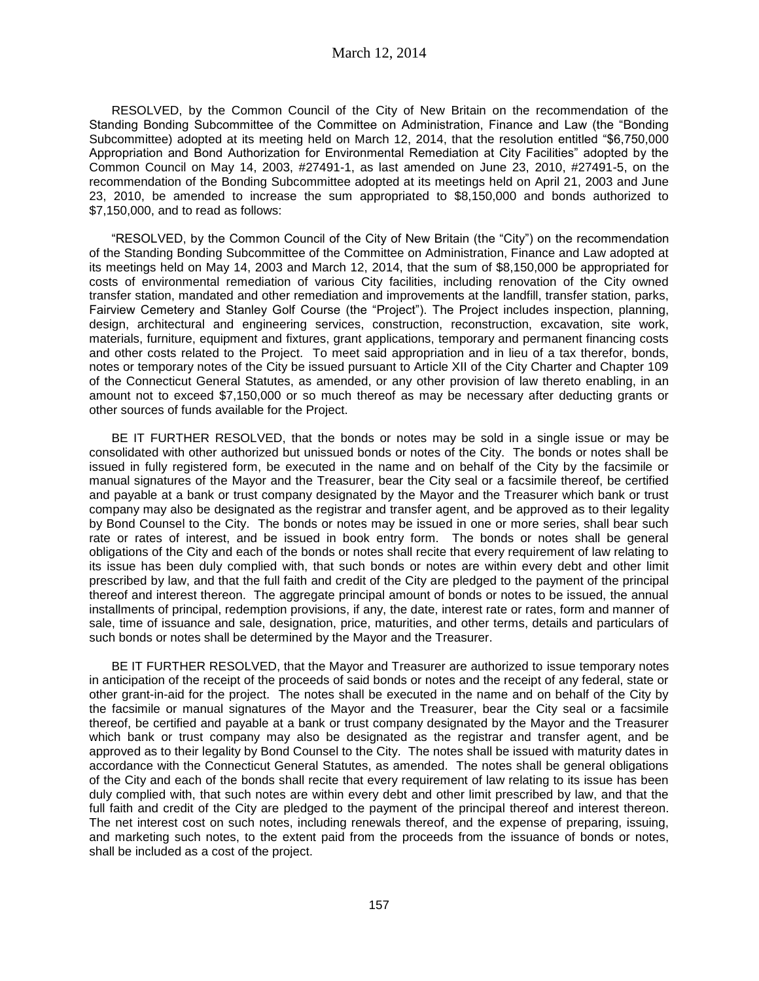RESOLVED, by the Common Council of the City of New Britain on the recommendation of the Standing Bonding Subcommittee of the Committee on Administration, Finance and Law (the "Bonding Subcommittee) adopted at its meeting held on March 12, 2014, that the resolution entitled "\$6,750,000 Appropriation and Bond Authorization for Environmental Remediation at City Facilities" adopted by the Common Council on May 14, 2003, #27491-1, as last amended on June 23, 2010, #27491-5, on the recommendation of the Bonding Subcommittee adopted at its meetings held on April 21, 2003 and June 23, 2010, be amended to increase the sum appropriated to \$8,150,000 and bonds authorized to \$7,150,000, and to read as follows:

"RESOLVED, by the Common Council of the City of New Britain (the "City") on the recommendation of the Standing Bonding Subcommittee of the Committee on Administration, Finance and Law adopted at its meetings held on May 14, 2003 and March 12, 2014, that the sum of \$8,150,000 be appropriated for costs of environmental remediation of various City facilities, including renovation of the City owned transfer station, mandated and other remediation and improvements at the landfill, transfer station, parks, Fairview Cemetery and Stanley Golf Course (the "Project"). The Project includes inspection, planning, design, architectural and engineering services, construction, reconstruction, excavation, site work, materials, furniture, equipment and fixtures, grant applications, temporary and permanent financing costs and other costs related to the Project. To meet said appropriation and in lieu of a tax therefor, bonds, notes or temporary notes of the City be issued pursuant to Article XII of the City Charter and Chapter 109 of the Connecticut General Statutes, as amended, or any other provision of law thereto enabling, in an amount not to exceed \$7,150,000 or so much thereof as may be necessary after deducting grants or other sources of funds available for the Project.

BE IT FURTHER RESOLVED, that the bonds or notes may be sold in a single issue or may be consolidated with other authorized but unissued bonds or notes of the City. The bonds or notes shall be issued in fully registered form, be executed in the name and on behalf of the City by the facsimile or manual signatures of the Mayor and the Treasurer, bear the City seal or a facsimile thereof, be certified and payable at a bank or trust company designated by the Mayor and the Treasurer which bank or trust company may also be designated as the registrar and transfer agent, and be approved as to their legality by Bond Counsel to the City. The bonds or notes may be issued in one or more series, shall bear such rate or rates of interest, and be issued in book entry form. The bonds or notes shall be general obligations of the City and each of the bonds or notes shall recite that every requirement of law relating to its issue has been duly complied with, that such bonds or notes are within every debt and other limit prescribed by law, and that the full faith and credit of the City are pledged to the payment of the principal thereof and interest thereon. The aggregate principal amount of bonds or notes to be issued, the annual installments of principal, redemption provisions, if any, the date, interest rate or rates, form and manner of sale, time of issuance and sale, designation, price, maturities, and other terms, details and particulars of such bonds or notes shall be determined by the Mayor and the Treasurer.

BE IT FURTHER RESOLVED, that the Mayor and Treasurer are authorized to issue temporary notes in anticipation of the receipt of the proceeds of said bonds or notes and the receipt of any federal, state or other grant-in-aid for the project. The notes shall be executed in the name and on behalf of the City by the facsimile or manual signatures of the Mayor and the Treasurer, bear the City seal or a facsimile thereof, be certified and payable at a bank or trust company designated by the Mayor and the Treasurer which bank or trust company may also be designated as the registrar and transfer agent, and be approved as to their legality by Bond Counsel to the City. The notes shall be issued with maturity dates in accordance with the Connecticut General Statutes, as amended. The notes shall be general obligations of the City and each of the bonds shall recite that every requirement of law relating to its issue has been duly complied with, that such notes are within every debt and other limit prescribed by law, and that the full faith and credit of the City are pledged to the payment of the principal thereof and interest thereon. The net interest cost on such notes, including renewals thereof, and the expense of preparing, issuing, and marketing such notes, to the extent paid from the proceeds from the issuance of bonds or notes, shall be included as a cost of the project.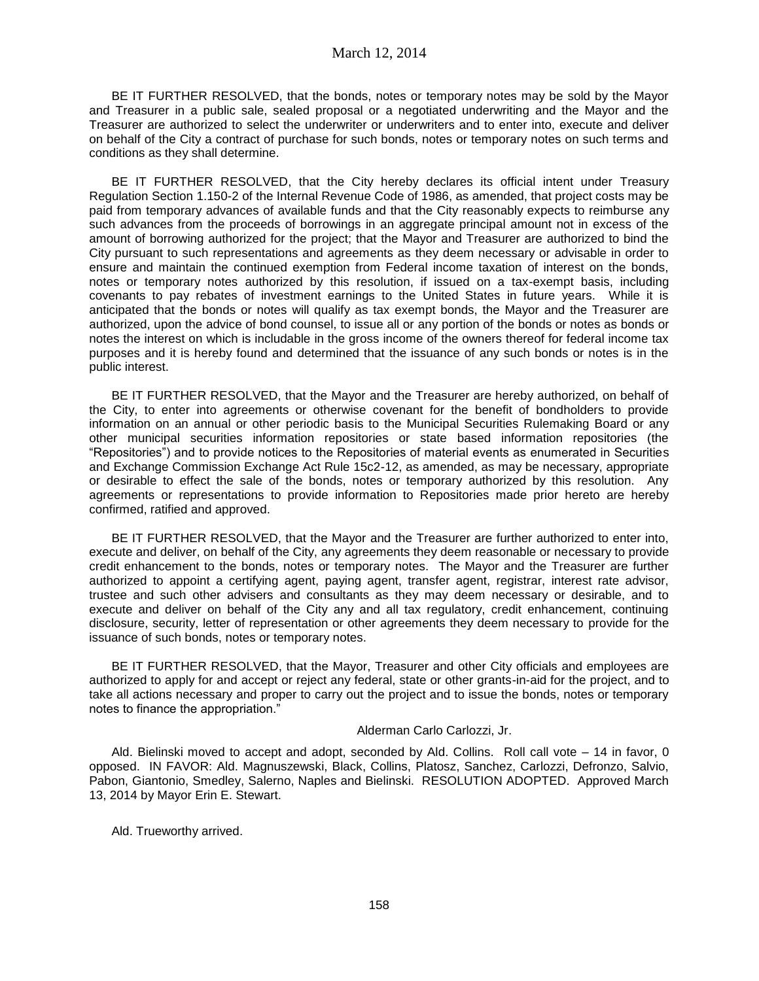BE IT FURTHER RESOLVED, that the bonds, notes or temporary notes may be sold by the Mayor and Treasurer in a public sale, sealed proposal or a negotiated underwriting and the Mayor and the Treasurer are authorized to select the underwriter or underwriters and to enter into, execute and deliver on behalf of the City a contract of purchase for such bonds, notes or temporary notes on such terms and conditions as they shall determine.

BE IT FURTHER RESOLVED, that the City hereby declares its official intent under Treasury Regulation Section 1.150-2 of the Internal Revenue Code of 1986, as amended, that project costs may be paid from temporary advances of available funds and that the City reasonably expects to reimburse any such advances from the proceeds of borrowings in an aggregate principal amount not in excess of the amount of borrowing authorized for the project; that the Mayor and Treasurer are authorized to bind the City pursuant to such representations and agreements as they deem necessary or advisable in order to ensure and maintain the continued exemption from Federal income taxation of interest on the bonds, notes or temporary notes authorized by this resolution, if issued on a tax-exempt basis, including covenants to pay rebates of investment earnings to the United States in future years. While it is anticipated that the bonds or notes will qualify as tax exempt bonds, the Mayor and the Treasurer are authorized, upon the advice of bond counsel, to issue all or any portion of the bonds or notes as bonds or notes the interest on which is includable in the gross income of the owners thereof for federal income tax purposes and it is hereby found and determined that the issuance of any such bonds or notes is in the public interest.

BE IT FURTHER RESOLVED, that the Mayor and the Treasurer are hereby authorized, on behalf of the City, to enter into agreements or otherwise covenant for the benefit of bondholders to provide information on an annual or other periodic basis to the Municipal Securities Rulemaking Board or any other municipal securities information repositories or state based information repositories (the "Repositories") and to provide notices to the Repositories of material events as enumerated in Securities and Exchange Commission Exchange Act Rule 15c2-12, as amended, as may be necessary, appropriate or desirable to effect the sale of the bonds, notes or temporary authorized by this resolution. Any agreements or representations to provide information to Repositories made prior hereto are hereby confirmed, ratified and approved.

BE IT FURTHER RESOLVED, that the Mayor and the Treasurer are further authorized to enter into, execute and deliver, on behalf of the City, any agreements they deem reasonable or necessary to provide credit enhancement to the bonds, notes or temporary notes. The Mayor and the Treasurer are further authorized to appoint a certifying agent, paying agent, transfer agent, registrar, interest rate advisor, trustee and such other advisers and consultants as they may deem necessary or desirable, and to execute and deliver on behalf of the City any and all tax regulatory, credit enhancement, continuing disclosure, security, letter of representation or other agreements they deem necessary to provide for the issuance of such bonds, notes or temporary notes.

BE IT FURTHER RESOLVED, that the Mayor, Treasurer and other City officials and employees are authorized to apply for and accept or reject any federal, state or other grants-in-aid for the project, and to take all actions necessary and proper to carry out the project and to issue the bonds, notes or temporary notes to finance the appropriation."

#### Alderman Carlo Carlozzi, Jr.

Ald. Bielinski moved to accept and adopt, seconded by Ald. Collins. Roll call vote – 14 in favor, 0 opposed. IN FAVOR: Ald. Magnuszewski, Black, Collins, Platosz, Sanchez, Carlozzi, Defronzo, Salvio, Pabon, Giantonio, Smedley, Salerno, Naples and Bielinski. RESOLUTION ADOPTED. Approved March 13, 2014 by Mayor Erin E. Stewart.

Ald. Trueworthy arrived.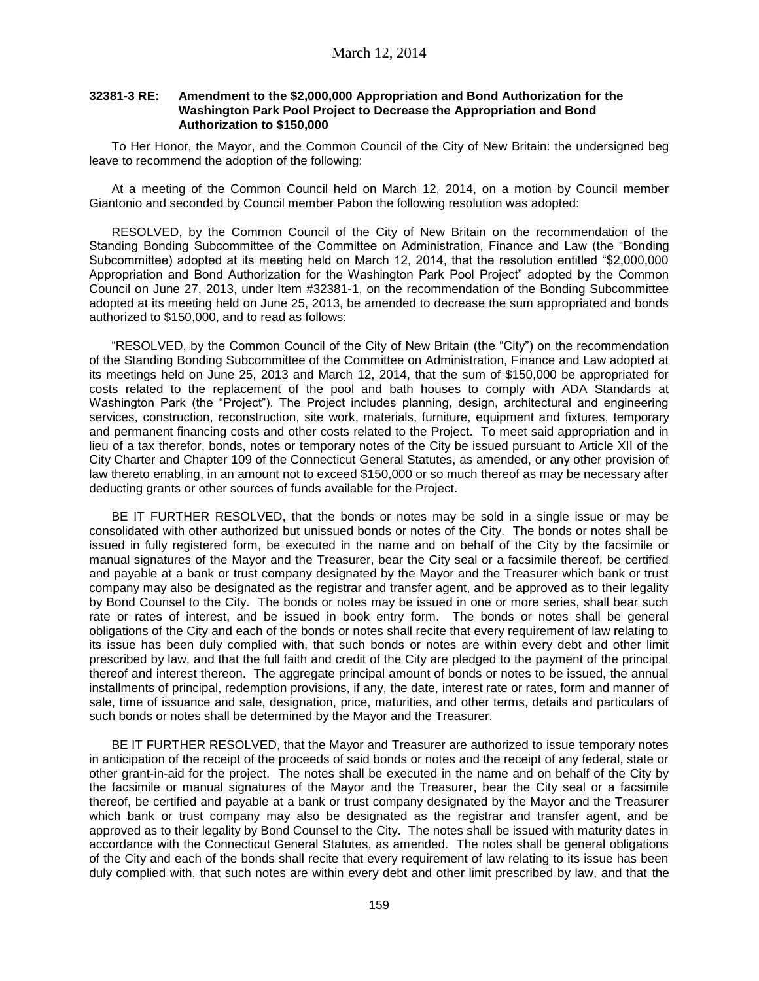### **32381-3 RE: Amendment to the \$2,000,000 Appropriation and Bond Authorization for the Washington Park Pool Project to Decrease the Appropriation and Bond Authorization to \$150,000**

To Her Honor, the Mayor, and the Common Council of the City of New Britain: the undersigned beg leave to recommend the adoption of the following:

At a meeting of the Common Council held on March 12, 2014, on a motion by Council member Giantonio and seconded by Council member Pabon the following resolution was adopted:

RESOLVED, by the Common Council of the City of New Britain on the recommendation of the Standing Bonding Subcommittee of the Committee on Administration, Finance and Law (the "Bonding Subcommittee) adopted at its meeting held on March 12, 2014, that the resolution entitled "\$2,000,000 Appropriation and Bond Authorization for the Washington Park Pool Project" adopted by the Common Council on June 27, 2013, under Item #32381-1, on the recommendation of the Bonding Subcommittee adopted at its meeting held on June 25, 2013, be amended to decrease the sum appropriated and bonds authorized to \$150,000, and to read as follows:

"RESOLVED, by the Common Council of the City of New Britain (the "City") on the recommendation of the Standing Bonding Subcommittee of the Committee on Administration, Finance and Law adopted at its meetings held on June 25, 2013 and March 12, 2014, that the sum of \$150,000 be appropriated for costs related to the replacement of the pool and bath houses to comply with ADA Standards at Washington Park (the "Project"). The Project includes planning, design, architectural and engineering services, construction, reconstruction, site work, materials, furniture, equipment and fixtures, temporary and permanent financing costs and other costs related to the Project. To meet said appropriation and in lieu of a tax therefor, bonds, notes or temporary notes of the City be issued pursuant to Article XII of the City Charter and Chapter 109 of the Connecticut General Statutes, as amended, or any other provision of law thereto enabling, in an amount not to exceed \$150,000 or so much thereof as may be necessary after deducting grants or other sources of funds available for the Project.

BE IT FURTHER RESOLVED, that the bonds or notes may be sold in a single issue or may be consolidated with other authorized but unissued bonds or notes of the City. The bonds or notes shall be issued in fully registered form, be executed in the name and on behalf of the City by the facsimile or manual signatures of the Mayor and the Treasurer, bear the City seal or a facsimile thereof, be certified and payable at a bank or trust company designated by the Mayor and the Treasurer which bank or trust company may also be designated as the registrar and transfer agent, and be approved as to their legality by Bond Counsel to the City. The bonds or notes may be issued in one or more series, shall bear such rate or rates of interest, and be issued in book entry form. The bonds or notes shall be general obligations of the City and each of the bonds or notes shall recite that every requirement of law relating to its issue has been duly complied with, that such bonds or notes are within every debt and other limit prescribed by law, and that the full faith and credit of the City are pledged to the payment of the principal thereof and interest thereon. The aggregate principal amount of bonds or notes to be issued, the annual installments of principal, redemption provisions, if any, the date, interest rate or rates, form and manner of sale, time of issuance and sale, designation, price, maturities, and other terms, details and particulars of such bonds or notes shall be determined by the Mayor and the Treasurer.

BE IT FURTHER RESOLVED, that the Mayor and Treasurer are authorized to issue temporary notes in anticipation of the receipt of the proceeds of said bonds or notes and the receipt of any federal, state or other grant-in-aid for the project. The notes shall be executed in the name and on behalf of the City by the facsimile or manual signatures of the Mayor and the Treasurer, bear the City seal or a facsimile thereof, be certified and payable at a bank or trust company designated by the Mayor and the Treasurer which bank or trust company may also be designated as the registrar and transfer agent, and be approved as to their legality by Bond Counsel to the City. The notes shall be issued with maturity dates in accordance with the Connecticut General Statutes, as amended. The notes shall be general obligations of the City and each of the bonds shall recite that every requirement of law relating to its issue has been duly complied with, that such notes are within every debt and other limit prescribed by law, and that the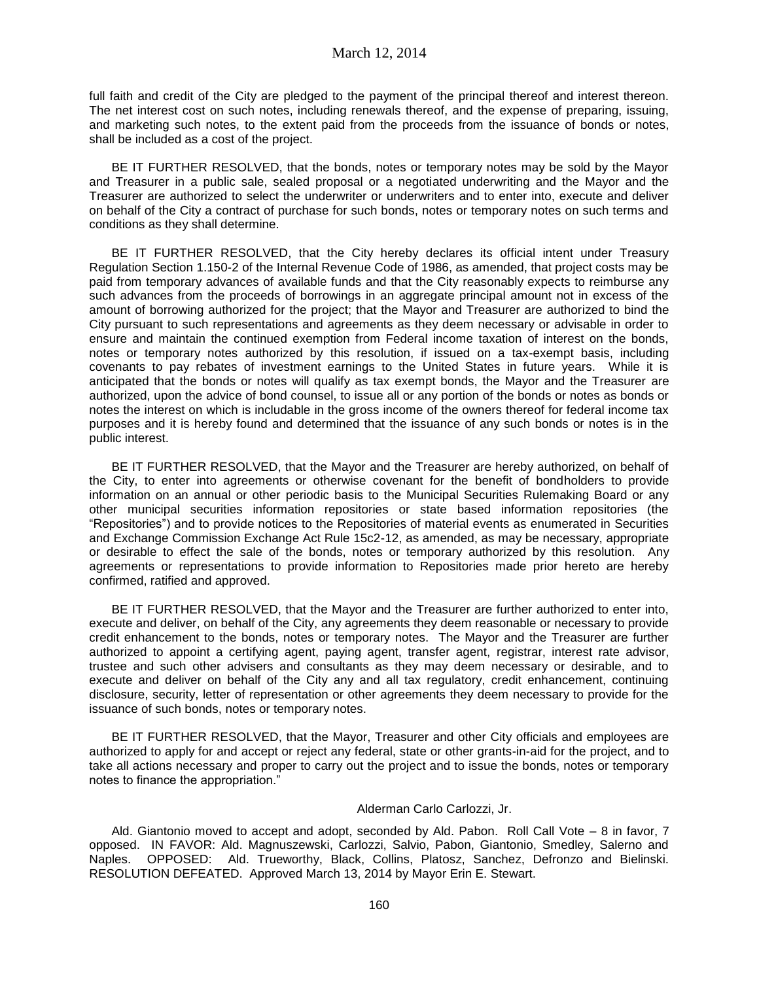full faith and credit of the City are pledged to the payment of the principal thereof and interest thereon. The net interest cost on such notes, including renewals thereof, and the expense of preparing, issuing, and marketing such notes, to the extent paid from the proceeds from the issuance of bonds or notes, shall be included as a cost of the project.

BE IT FURTHER RESOLVED, that the bonds, notes or temporary notes may be sold by the Mayor and Treasurer in a public sale, sealed proposal or a negotiated underwriting and the Mayor and the Treasurer are authorized to select the underwriter or underwriters and to enter into, execute and deliver on behalf of the City a contract of purchase for such bonds, notes or temporary notes on such terms and conditions as they shall determine.

BE IT FURTHER RESOLVED, that the City hereby declares its official intent under Treasury Regulation Section 1.150-2 of the Internal Revenue Code of 1986, as amended, that project costs may be paid from temporary advances of available funds and that the City reasonably expects to reimburse any such advances from the proceeds of borrowings in an aggregate principal amount not in excess of the amount of borrowing authorized for the project; that the Mayor and Treasurer are authorized to bind the City pursuant to such representations and agreements as they deem necessary or advisable in order to ensure and maintain the continued exemption from Federal income taxation of interest on the bonds, notes or temporary notes authorized by this resolution, if issued on a tax-exempt basis, including covenants to pay rebates of investment earnings to the United States in future years. While it is anticipated that the bonds or notes will qualify as tax exempt bonds, the Mayor and the Treasurer are authorized, upon the advice of bond counsel, to issue all or any portion of the bonds or notes as bonds or notes the interest on which is includable in the gross income of the owners thereof for federal income tax purposes and it is hereby found and determined that the issuance of any such bonds or notes is in the public interest.

BE IT FURTHER RESOLVED, that the Mayor and the Treasurer are hereby authorized, on behalf of the City, to enter into agreements or otherwise covenant for the benefit of bondholders to provide information on an annual or other periodic basis to the Municipal Securities Rulemaking Board or any other municipal securities information repositories or state based information repositories (the "Repositories") and to provide notices to the Repositories of material events as enumerated in Securities and Exchange Commission Exchange Act Rule 15c2-12, as amended, as may be necessary, appropriate or desirable to effect the sale of the bonds, notes or temporary authorized by this resolution. Any agreements or representations to provide information to Repositories made prior hereto are hereby confirmed, ratified and approved.

BE IT FURTHER RESOLVED, that the Mayor and the Treasurer are further authorized to enter into, execute and deliver, on behalf of the City, any agreements they deem reasonable or necessary to provide credit enhancement to the bonds, notes or temporary notes. The Mayor and the Treasurer are further authorized to appoint a certifying agent, paying agent, transfer agent, registrar, interest rate advisor, trustee and such other advisers and consultants as they may deem necessary or desirable, and to execute and deliver on behalf of the City any and all tax regulatory, credit enhancement, continuing disclosure, security, letter of representation or other agreements they deem necessary to provide for the issuance of such bonds, notes or temporary notes.

BE IT FURTHER RESOLVED, that the Mayor, Treasurer and other City officials and employees are authorized to apply for and accept or reject any federal, state or other grants-in-aid for the project, and to take all actions necessary and proper to carry out the project and to issue the bonds, notes or temporary notes to finance the appropriation."

### Alderman Carlo Carlozzi, Jr.

Ald. Giantonio moved to accept and adopt, seconded by Ald. Pabon. Roll Call Vote – 8 in favor, 7 opposed. IN FAVOR: Ald. Magnuszewski, Carlozzi, Salvio, Pabon, Giantonio, Smedley, Salerno and Naples. OPPOSED: Ald. Trueworthy, Black, Collins, Platosz, Sanchez, Defronzo and Bielinski. RESOLUTION DEFEATED. Approved March 13, 2014 by Mayor Erin E. Stewart.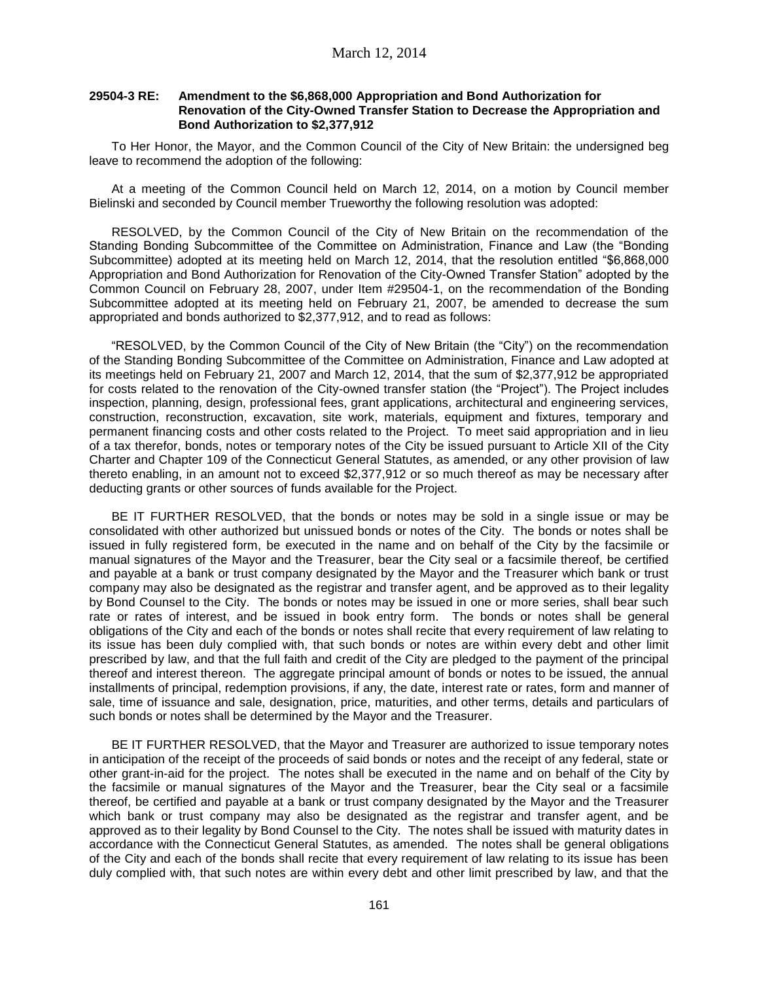# **29504-3 RE: Amendment to the \$6,868,000 Appropriation and Bond Authorization for Renovation of the City-Owned Transfer Station to Decrease the Appropriation and Bond Authorization to \$2,377,912**

To Her Honor, the Mayor, and the Common Council of the City of New Britain: the undersigned beg leave to recommend the adoption of the following:

At a meeting of the Common Council held on March 12, 2014, on a motion by Council member Bielinski and seconded by Council member Trueworthy the following resolution was adopted:

RESOLVED, by the Common Council of the City of New Britain on the recommendation of the Standing Bonding Subcommittee of the Committee on Administration, Finance and Law (the "Bonding Subcommittee) adopted at its meeting held on March 12, 2014, that the resolution entitled "\$6,868,000 Appropriation and Bond Authorization for Renovation of the City-Owned Transfer Station" adopted by the Common Council on February 28, 2007, under Item #29504-1, on the recommendation of the Bonding Subcommittee adopted at its meeting held on February 21, 2007, be amended to decrease the sum appropriated and bonds authorized to \$2,377,912, and to read as follows:

"RESOLVED, by the Common Council of the City of New Britain (the "City") on the recommendation of the Standing Bonding Subcommittee of the Committee on Administration, Finance and Law adopted at its meetings held on February 21, 2007 and March 12, 2014, that the sum of \$2,377,912 be appropriated for costs related to the renovation of the City-owned transfer station (the "Project"). The Project includes inspection, planning, design, professional fees, grant applications, architectural and engineering services, construction, reconstruction, excavation, site work, materials, equipment and fixtures, temporary and permanent financing costs and other costs related to the Project. To meet said appropriation and in lieu of a tax therefor, bonds, notes or temporary notes of the City be issued pursuant to Article XII of the City Charter and Chapter 109 of the Connecticut General Statutes, as amended, or any other provision of law thereto enabling, in an amount not to exceed \$2,377,912 or so much thereof as may be necessary after deducting grants or other sources of funds available for the Project.

BE IT FURTHER RESOLVED, that the bonds or notes may be sold in a single issue or may be consolidated with other authorized but unissued bonds or notes of the City. The bonds or notes shall be issued in fully registered form, be executed in the name and on behalf of the City by the facsimile or manual signatures of the Mayor and the Treasurer, bear the City seal or a facsimile thereof, be certified and payable at a bank or trust company designated by the Mayor and the Treasurer which bank or trust company may also be designated as the registrar and transfer agent, and be approved as to their legality by Bond Counsel to the City. The bonds or notes may be issued in one or more series, shall bear such rate or rates of interest, and be issued in book entry form. The bonds or notes shall be general obligations of the City and each of the bonds or notes shall recite that every requirement of law relating to its issue has been duly complied with, that such bonds or notes are within every debt and other limit prescribed by law, and that the full faith and credit of the City are pledged to the payment of the principal thereof and interest thereon. The aggregate principal amount of bonds or notes to be issued, the annual installments of principal, redemption provisions, if any, the date, interest rate or rates, form and manner of sale, time of issuance and sale, designation, price, maturities, and other terms, details and particulars of such bonds or notes shall be determined by the Mayor and the Treasurer.

BE IT FURTHER RESOLVED, that the Mayor and Treasurer are authorized to issue temporary notes in anticipation of the receipt of the proceeds of said bonds or notes and the receipt of any federal, state or other grant-in-aid for the project. The notes shall be executed in the name and on behalf of the City by the facsimile or manual signatures of the Mayor and the Treasurer, bear the City seal or a facsimile thereof, be certified and payable at a bank or trust company designated by the Mayor and the Treasurer which bank or trust company may also be designated as the registrar and transfer agent, and be approved as to their legality by Bond Counsel to the City. The notes shall be issued with maturity dates in accordance with the Connecticut General Statutes, as amended. The notes shall be general obligations of the City and each of the bonds shall recite that every requirement of law relating to its issue has been duly complied with, that such notes are within every debt and other limit prescribed by law, and that the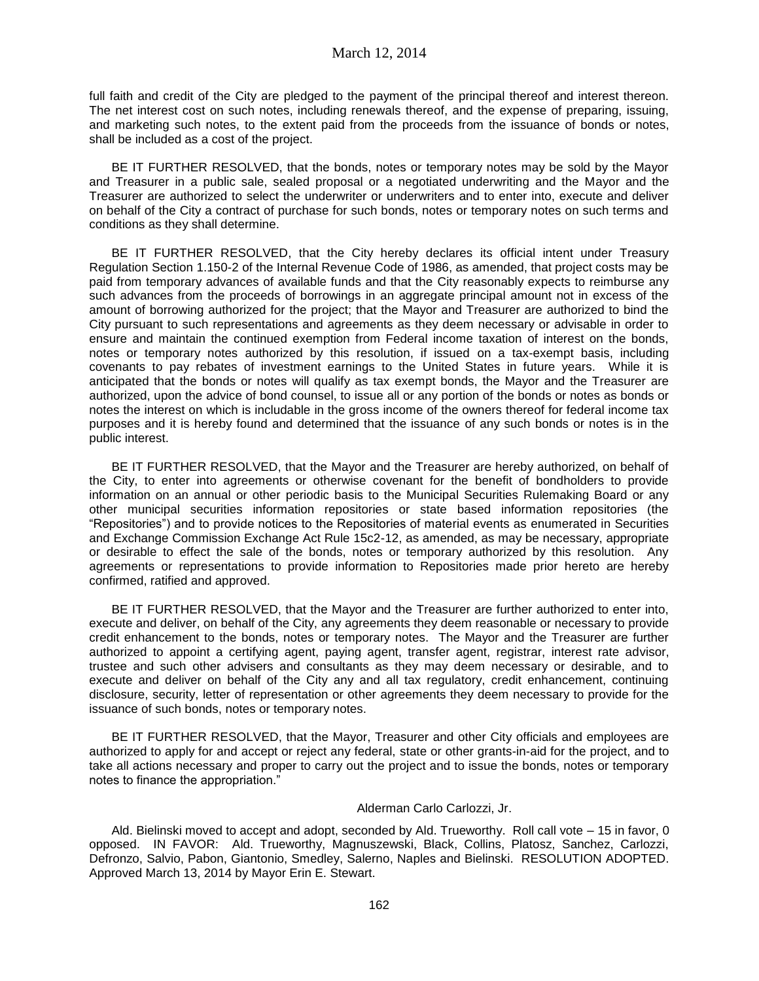full faith and credit of the City are pledged to the payment of the principal thereof and interest thereon. The net interest cost on such notes, including renewals thereof, and the expense of preparing, issuing, and marketing such notes, to the extent paid from the proceeds from the issuance of bonds or notes, shall be included as a cost of the project.

BE IT FURTHER RESOLVED, that the bonds, notes or temporary notes may be sold by the Mayor and Treasurer in a public sale, sealed proposal or a negotiated underwriting and the Mayor and the Treasurer are authorized to select the underwriter or underwriters and to enter into, execute and deliver on behalf of the City a contract of purchase for such bonds, notes or temporary notes on such terms and conditions as they shall determine.

BE IT FURTHER RESOLVED, that the City hereby declares its official intent under Treasury Regulation Section 1.150-2 of the Internal Revenue Code of 1986, as amended, that project costs may be paid from temporary advances of available funds and that the City reasonably expects to reimburse any such advances from the proceeds of borrowings in an aggregate principal amount not in excess of the amount of borrowing authorized for the project; that the Mayor and Treasurer are authorized to bind the City pursuant to such representations and agreements as they deem necessary or advisable in order to ensure and maintain the continued exemption from Federal income taxation of interest on the bonds, notes or temporary notes authorized by this resolution, if issued on a tax-exempt basis, including covenants to pay rebates of investment earnings to the United States in future years. While it is anticipated that the bonds or notes will qualify as tax exempt bonds, the Mayor and the Treasurer are authorized, upon the advice of bond counsel, to issue all or any portion of the bonds or notes as bonds or notes the interest on which is includable in the gross income of the owners thereof for federal income tax purposes and it is hereby found and determined that the issuance of any such bonds or notes is in the public interest.

BE IT FURTHER RESOLVED, that the Mayor and the Treasurer are hereby authorized, on behalf of the City, to enter into agreements or otherwise covenant for the benefit of bondholders to provide information on an annual or other periodic basis to the Municipal Securities Rulemaking Board or any other municipal securities information repositories or state based information repositories (the "Repositories") and to provide notices to the Repositories of material events as enumerated in Securities and Exchange Commission Exchange Act Rule 15c2-12, as amended, as may be necessary, appropriate or desirable to effect the sale of the bonds, notes or temporary authorized by this resolution. Any agreements or representations to provide information to Repositories made prior hereto are hereby confirmed, ratified and approved.

BE IT FURTHER RESOLVED, that the Mayor and the Treasurer are further authorized to enter into, execute and deliver, on behalf of the City, any agreements they deem reasonable or necessary to provide credit enhancement to the bonds, notes or temporary notes. The Mayor and the Treasurer are further authorized to appoint a certifying agent, paying agent, transfer agent, registrar, interest rate advisor, trustee and such other advisers and consultants as they may deem necessary or desirable, and to execute and deliver on behalf of the City any and all tax regulatory, credit enhancement, continuing disclosure, security, letter of representation or other agreements they deem necessary to provide for the issuance of such bonds, notes or temporary notes.

BE IT FURTHER RESOLVED, that the Mayor, Treasurer and other City officials and employees are authorized to apply for and accept or reject any federal, state or other grants-in-aid for the project, and to take all actions necessary and proper to carry out the project and to issue the bonds, notes or temporary notes to finance the appropriation."

### Alderman Carlo Carlozzi, Jr.

Ald. Bielinski moved to accept and adopt, seconded by Ald. Trueworthy. Roll call vote – 15 in favor, 0 opposed. IN FAVOR: Ald. Trueworthy, Magnuszewski, Black, Collins, Platosz, Sanchez, Carlozzi, Defronzo, Salvio, Pabon, Giantonio, Smedley, Salerno, Naples and Bielinski. RESOLUTION ADOPTED. Approved March 13, 2014 by Mayor Erin E. Stewart.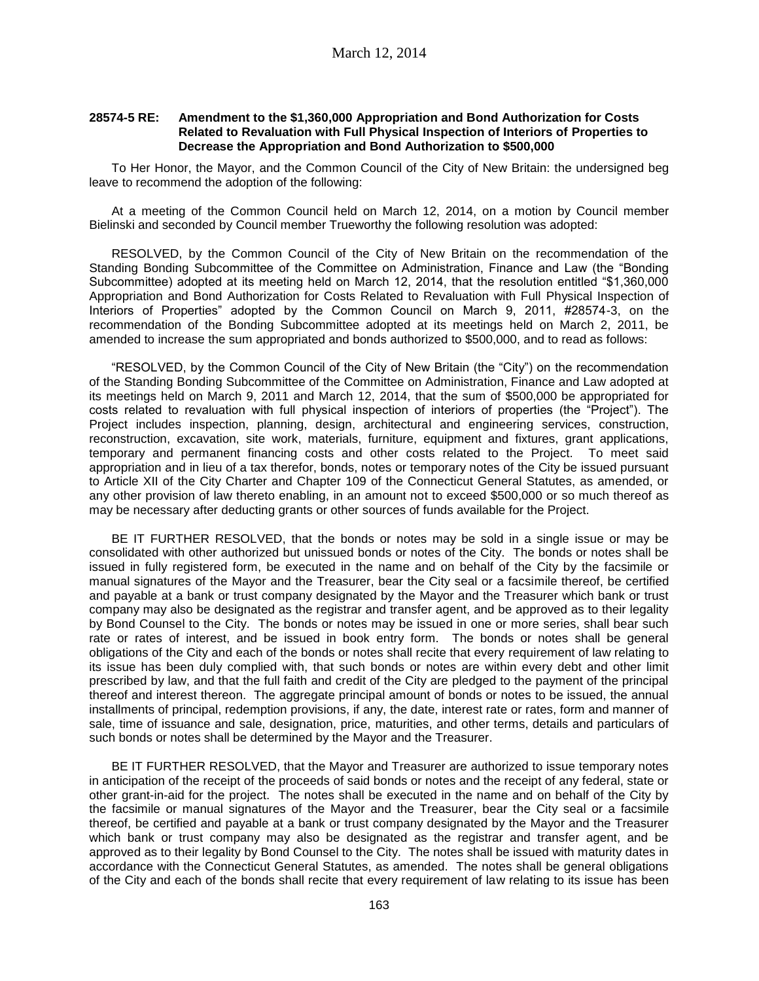#### **28574-5 RE: Amendment to the \$1,360,000 Appropriation and Bond Authorization for Costs Related to Revaluation with Full Physical Inspection of Interiors of Properties to Decrease the Appropriation and Bond Authorization to \$500,000**

To Her Honor, the Mayor, and the Common Council of the City of New Britain: the undersigned beg leave to recommend the adoption of the following:

At a meeting of the Common Council held on March 12, 2014, on a motion by Council member Bielinski and seconded by Council member Trueworthy the following resolution was adopted:

RESOLVED, by the Common Council of the City of New Britain on the recommendation of the Standing Bonding Subcommittee of the Committee on Administration, Finance and Law (the "Bonding Subcommittee) adopted at its meeting held on March 12, 2014, that the resolution entitled "\$1,360,000 Appropriation and Bond Authorization for Costs Related to Revaluation with Full Physical Inspection of Interiors of Properties" adopted by the Common Council on March 9, 2011, #28574-3, on the recommendation of the Bonding Subcommittee adopted at its meetings held on March 2, 2011, be amended to increase the sum appropriated and bonds authorized to \$500,000, and to read as follows:

"RESOLVED, by the Common Council of the City of New Britain (the "City") on the recommendation of the Standing Bonding Subcommittee of the Committee on Administration, Finance and Law adopted at its meetings held on March 9, 2011 and March 12, 2014, that the sum of \$500,000 be appropriated for costs related to revaluation with full physical inspection of interiors of properties (the "Project"). The Project includes inspection, planning, design, architectural and engineering services, construction, reconstruction, excavation, site work, materials, furniture, equipment and fixtures, grant applications, temporary and permanent financing costs and other costs related to the Project. To meet said appropriation and in lieu of a tax therefor, bonds, notes or temporary notes of the City be issued pursuant to Article XII of the City Charter and Chapter 109 of the Connecticut General Statutes, as amended, or any other provision of law thereto enabling, in an amount not to exceed \$500,000 or so much thereof as may be necessary after deducting grants or other sources of funds available for the Project.

BE IT FURTHER RESOLVED, that the bonds or notes may be sold in a single issue or may be consolidated with other authorized but unissued bonds or notes of the City. The bonds or notes shall be issued in fully registered form, be executed in the name and on behalf of the City by the facsimile or manual signatures of the Mayor and the Treasurer, bear the City seal or a facsimile thereof, be certified and payable at a bank or trust company designated by the Mayor and the Treasurer which bank or trust company may also be designated as the registrar and transfer agent, and be approved as to their legality by Bond Counsel to the City. The bonds or notes may be issued in one or more series, shall bear such rate or rates of interest, and be issued in book entry form. The bonds or notes shall be general obligations of the City and each of the bonds or notes shall recite that every requirement of law relating to its issue has been duly complied with, that such bonds or notes are within every debt and other limit prescribed by law, and that the full faith and credit of the City are pledged to the payment of the principal thereof and interest thereon. The aggregate principal amount of bonds or notes to be issued, the annual installments of principal, redemption provisions, if any, the date, interest rate or rates, form and manner of sale, time of issuance and sale, designation, price, maturities, and other terms, details and particulars of such bonds or notes shall be determined by the Mayor and the Treasurer.

BE IT FURTHER RESOLVED, that the Mayor and Treasurer are authorized to issue temporary notes in anticipation of the receipt of the proceeds of said bonds or notes and the receipt of any federal, state or other grant-in-aid for the project. The notes shall be executed in the name and on behalf of the City by the facsimile or manual signatures of the Mayor and the Treasurer, bear the City seal or a facsimile thereof, be certified and payable at a bank or trust company designated by the Mayor and the Treasurer which bank or trust company may also be designated as the registrar and transfer agent, and be approved as to their legality by Bond Counsel to the City. The notes shall be issued with maturity dates in accordance with the Connecticut General Statutes, as amended. The notes shall be general obligations of the City and each of the bonds shall recite that every requirement of law relating to its issue has been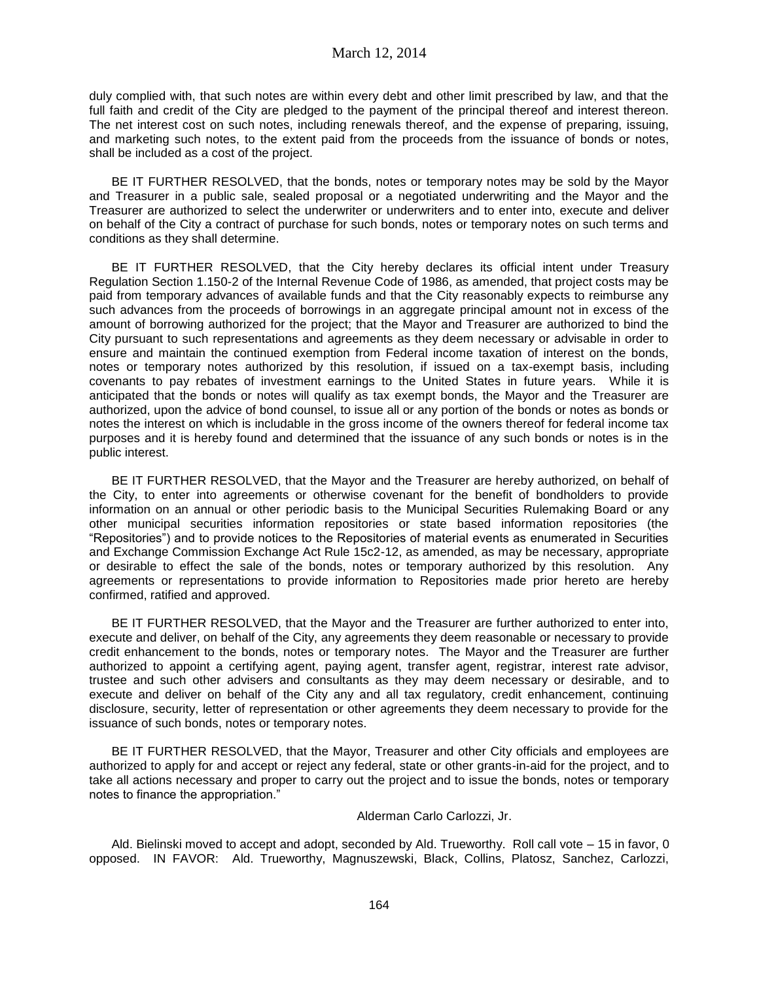duly complied with, that such notes are within every debt and other limit prescribed by law, and that the full faith and credit of the City are pledged to the payment of the principal thereof and interest thereon. The net interest cost on such notes, including renewals thereof, and the expense of preparing, issuing, and marketing such notes, to the extent paid from the proceeds from the issuance of bonds or notes, shall be included as a cost of the project.

BE IT FURTHER RESOLVED, that the bonds, notes or temporary notes may be sold by the Mayor and Treasurer in a public sale, sealed proposal or a negotiated underwriting and the Mayor and the Treasurer are authorized to select the underwriter or underwriters and to enter into, execute and deliver on behalf of the City a contract of purchase for such bonds, notes or temporary notes on such terms and conditions as they shall determine.

BE IT FURTHER RESOLVED, that the City hereby declares its official intent under Treasury Regulation Section 1.150-2 of the Internal Revenue Code of 1986, as amended, that project costs may be paid from temporary advances of available funds and that the City reasonably expects to reimburse any such advances from the proceeds of borrowings in an aggregate principal amount not in excess of the amount of borrowing authorized for the project; that the Mayor and Treasurer are authorized to bind the City pursuant to such representations and agreements as they deem necessary or advisable in order to ensure and maintain the continued exemption from Federal income taxation of interest on the bonds, notes or temporary notes authorized by this resolution, if issued on a tax-exempt basis, including covenants to pay rebates of investment earnings to the United States in future years. While it is anticipated that the bonds or notes will qualify as tax exempt bonds, the Mayor and the Treasurer are authorized, upon the advice of bond counsel, to issue all or any portion of the bonds or notes as bonds or notes the interest on which is includable in the gross income of the owners thereof for federal income tax purposes and it is hereby found and determined that the issuance of any such bonds or notes is in the public interest.

BE IT FURTHER RESOLVED, that the Mayor and the Treasurer are hereby authorized, on behalf of the City, to enter into agreements or otherwise covenant for the benefit of bondholders to provide information on an annual or other periodic basis to the Municipal Securities Rulemaking Board or any other municipal securities information repositories or state based information repositories (the "Repositories") and to provide notices to the Repositories of material events as enumerated in Securities and Exchange Commission Exchange Act Rule 15c2-12, as amended, as may be necessary, appropriate or desirable to effect the sale of the bonds, notes or temporary authorized by this resolution. Any agreements or representations to provide information to Repositories made prior hereto are hereby confirmed, ratified and approved.

BE IT FURTHER RESOLVED, that the Mayor and the Treasurer are further authorized to enter into, execute and deliver, on behalf of the City, any agreements they deem reasonable or necessary to provide credit enhancement to the bonds, notes or temporary notes. The Mayor and the Treasurer are further authorized to appoint a certifying agent, paying agent, transfer agent, registrar, interest rate advisor, trustee and such other advisers and consultants as they may deem necessary or desirable, and to execute and deliver on behalf of the City any and all tax regulatory, credit enhancement, continuing disclosure, security, letter of representation or other agreements they deem necessary to provide for the issuance of such bonds, notes or temporary notes.

BE IT FURTHER RESOLVED, that the Mayor, Treasurer and other City officials and employees are authorized to apply for and accept or reject any federal, state or other grants-in-aid for the project, and to take all actions necessary and proper to carry out the project and to issue the bonds, notes or temporary notes to finance the appropriation."

### Alderman Carlo Carlozzi, Jr.

Ald. Bielinski moved to accept and adopt, seconded by Ald. Trueworthy. Roll call vote – 15 in favor, 0 opposed. IN FAVOR: Ald. Trueworthy, Magnuszewski, Black, Collins, Platosz, Sanchez, Carlozzi,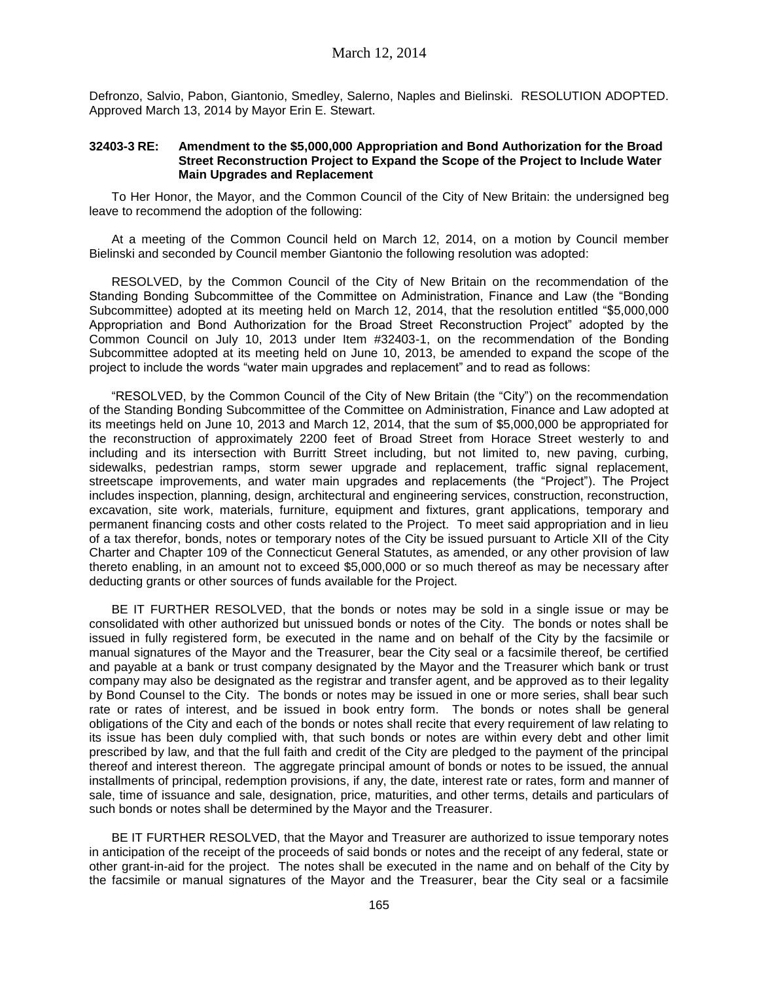Defronzo, Salvio, Pabon, Giantonio, Smedley, Salerno, Naples and Bielinski. RESOLUTION ADOPTED. Approved March 13, 2014 by Mayor Erin E. Stewart.

### **32403-3 RE: Amendment to the \$5,000,000 Appropriation and Bond Authorization for the Broad Street Reconstruction Project to Expand the Scope of the Project to Include Water Main Upgrades and Replacement**

To Her Honor, the Mayor, and the Common Council of the City of New Britain: the undersigned beg leave to recommend the adoption of the following:

At a meeting of the Common Council held on March 12, 2014, on a motion by Council member Bielinski and seconded by Council member Giantonio the following resolution was adopted:

RESOLVED, by the Common Council of the City of New Britain on the recommendation of the Standing Bonding Subcommittee of the Committee on Administration, Finance and Law (the "Bonding Subcommittee) adopted at its meeting held on March 12, 2014, that the resolution entitled "\$5,000,000 Appropriation and Bond Authorization for the Broad Street Reconstruction Project" adopted by the Common Council on July 10, 2013 under Item #32403-1, on the recommendation of the Bonding Subcommittee adopted at its meeting held on June 10, 2013, be amended to expand the scope of the project to include the words "water main upgrades and replacement" and to read as follows:

"RESOLVED, by the Common Council of the City of New Britain (the "City") on the recommendation of the Standing Bonding Subcommittee of the Committee on Administration, Finance and Law adopted at its meetings held on June 10, 2013 and March 12, 2014, that the sum of \$5,000,000 be appropriated for the reconstruction of approximately 2200 feet of Broad Street from Horace Street westerly to and including and its intersection with Burritt Street including, but not limited to, new paving, curbing, sidewalks, pedestrian ramps, storm sewer upgrade and replacement, traffic signal replacement, streetscape improvements, and water main upgrades and replacements (the "Project"). The Project includes inspection, planning, design, architectural and engineering services, construction, reconstruction, excavation, site work, materials, furniture, equipment and fixtures, grant applications, temporary and permanent financing costs and other costs related to the Project. To meet said appropriation and in lieu of a tax therefor, bonds, notes or temporary notes of the City be issued pursuant to Article XII of the City Charter and Chapter 109 of the Connecticut General Statutes, as amended, or any other provision of law thereto enabling, in an amount not to exceed \$5,000,000 or so much thereof as may be necessary after deducting grants or other sources of funds available for the Project.

BE IT FURTHER RESOLVED, that the bonds or notes may be sold in a single issue or may be consolidated with other authorized but unissued bonds or notes of the City. The bonds or notes shall be issued in fully registered form, be executed in the name and on behalf of the City by the facsimile or manual signatures of the Mayor and the Treasurer, bear the City seal or a facsimile thereof, be certified and payable at a bank or trust company designated by the Mayor and the Treasurer which bank or trust company may also be designated as the registrar and transfer agent, and be approved as to their legality by Bond Counsel to the City. The bonds or notes may be issued in one or more series, shall bear such rate or rates of interest, and be issued in book entry form. The bonds or notes shall be general obligations of the City and each of the bonds or notes shall recite that every requirement of law relating to its issue has been duly complied with, that such bonds or notes are within every debt and other limit prescribed by law, and that the full faith and credit of the City are pledged to the payment of the principal thereof and interest thereon. The aggregate principal amount of bonds or notes to be issued, the annual installments of principal, redemption provisions, if any, the date, interest rate or rates, form and manner of sale, time of issuance and sale, designation, price, maturities, and other terms, details and particulars of such bonds or notes shall be determined by the Mayor and the Treasurer.

BE IT FURTHER RESOLVED, that the Mayor and Treasurer are authorized to issue temporary notes in anticipation of the receipt of the proceeds of said bonds or notes and the receipt of any federal, state or other grant-in-aid for the project. The notes shall be executed in the name and on behalf of the City by the facsimile or manual signatures of the Mayor and the Treasurer, bear the City seal or a facsimile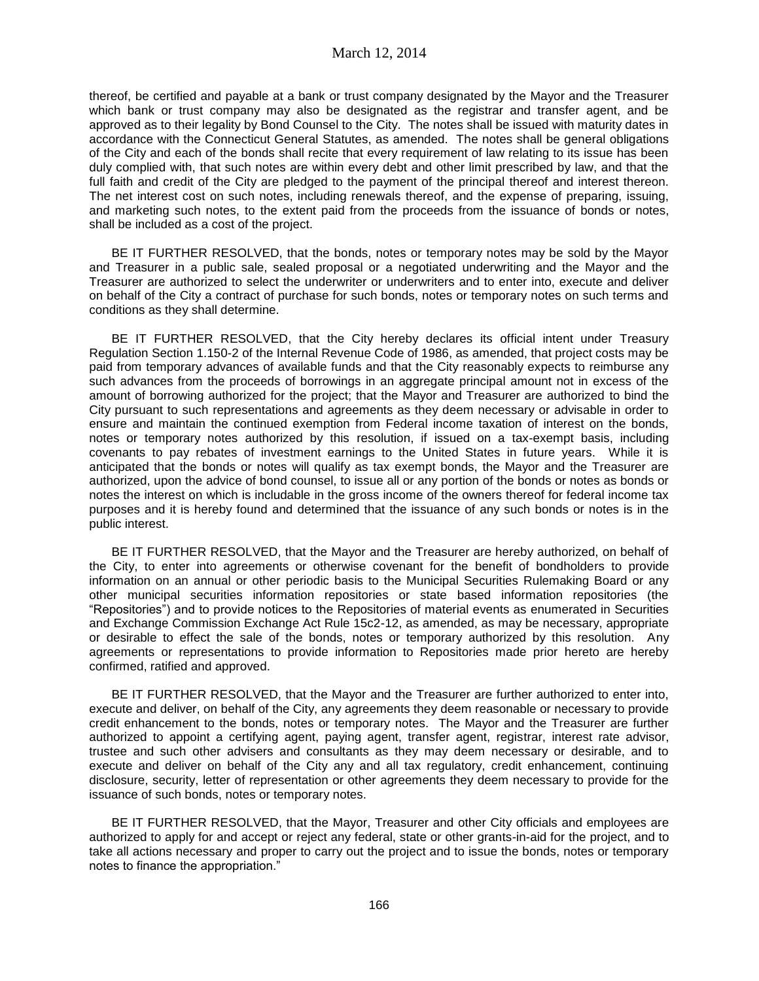thereof, be certified and payable at a bank or trust company designated by the Mayor and the Treasurer which bank or trust company may also be designated as the registrar and transfer agent, and be approved as to their legality by Bond Counsel to the City. The notes shall be issued with maturity dates in accordance with the Connecticut General Statutes, as amended. The notes shall be general obligations of the City and each of the bonds shall recite that every requirement of law relating to its issue has been duly complied with, that such notes are within every debt and other limit prescribed by law, and that the full faith and credit of the City are pledged to the payment of the principal thereof and interest thereon. The net interest cost on such notes, including renewals thereof, and the expense of preparing, issuing, and marketing such notes, to the extent paid from the proceeds from the issuance of bonds or notes, shall be included as a cost of the project.

BE IT FURTHER RESOLVED, that the bonds, notes or temporary notes may be sold by the Mayor and Treasurer in a public sale, sealed proposal or a negotiated underwriting and the Mayor and the Treasurer are authorized to select the underwriter or underwriters and to enter into, execute and deliver on behalf of the City a contract of purchase for such bonds, notes or temporary notes on such terms and conditions as they shall determine.

BE IT FURTHER RESOLVED, that the City hereby declares its official intent under Treasury Regulation Section 1.150-2 of the Internal Revenue Code of 1986, as amended, that project costs may be paid from temporary advances of available funds and that the City reasonably expects to reimburse any such advances from the proceeds of borrowings in an aggregate principal amount not in excess of the amount of borrowing authorized for the project; that the Mayor and Treasurer are authorized to bind the City pursuant to such representations and agreements as they deem necessary or advisable in order to ensure and maintain the continued exemption from Federal income taxation of interest on the bonds, notes or temporary notes authorized by this resolution, if issued on a tax-exempt basis, including covenants to pay rebates of investment earnings to the United States in future years. While it is anticipated that the bonds or notes will qualify as tax exempt bonds, the Mayor and the Treasurer are authorized, upon the advice of bond counsel, to issue all or any portion of the bonds or notes as bonds or notes the interest on which is includable in the gross income of the owners thereof for federal income tax purposes and it is hereby found and determined that the issuance of any such bonds or notes is in the public interest.

BE IT FURTHER RESOLVED, that the Mayor and the Treasurer are hereby authorized, on behalf of the City, to enter into agreements or otherwise covenant for the benefit of bondholders to provide information on an annual or other periodic basis to the Municipal Securities Rulemaking Board or any other municipal securities information repositories or state based information repositories (the "Repositories") and to provide notices to the Repositories of material events as enumerated in Securities and Exchange Commission Exchange Act Rule 15c2-12, as amended, as may be necessary, appropriate or desirable to effect the sale of the bonds, notes or temporary authorized by this resolution. Any agreements or representations to provide information to Repositories made prior hereto are hereby confirmed, ratified and approved.

BE IT FURTHER RESOLVED, that the Mayor and the Treasurer are further authorized to enter into, execute and deliver, on behalf of the City, any agreements they deem reasonable or necessary to provide credit enhancement to the bonds, notes or temporary notes. The Mayor and the Treasurer are further authorized to appoint a certifying agent, paying agent, transfer agent, registrar, interest rate advisor, trustee and such other advisers and consultants as they may deem necessary or desirable, and to execute and deliver on behalf of the City any and all tax regulatory, credit enhancement, continuing disclosure, security, letter of representation or other agreements they deem necessary to provide for the issuance of such bonds, notes or temporary notes.

BE IT FURTHER RESOLVED, that the Mayor, Treasurer and other City officials and employees are authorized to apply for and accept or reject any federal, state or other grants-in-aid for the project, and to take all actions necessary and proper to carry out the project and to issue the bonds, notes or temporary notes to finance the appropriation."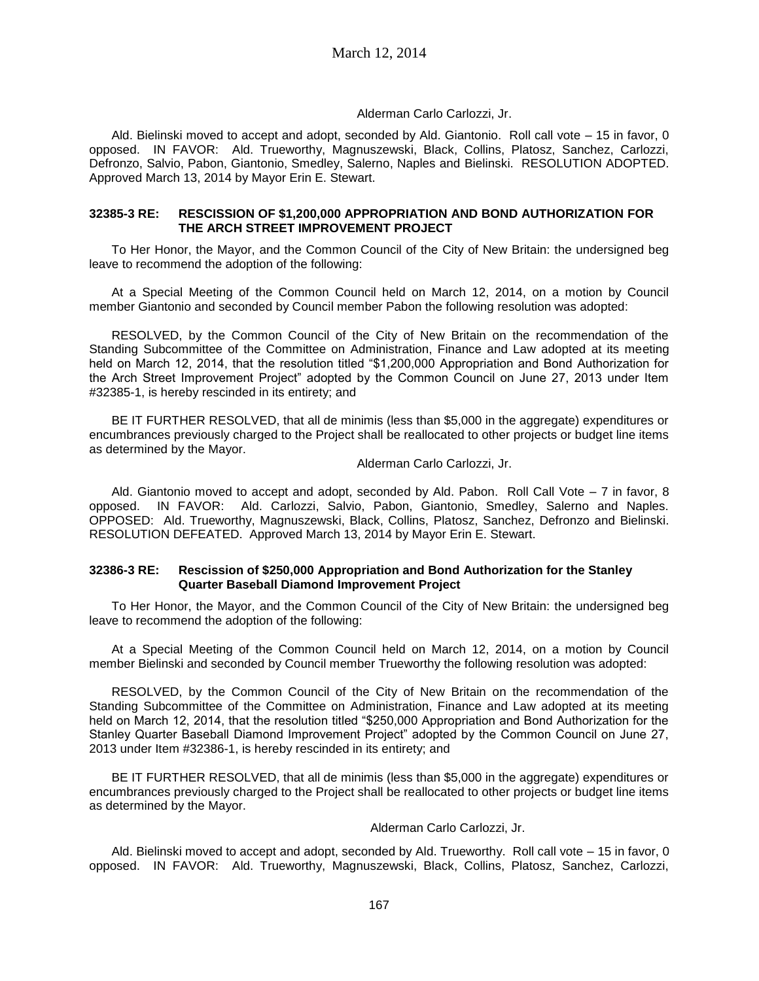# Alderman Carlo Carlozzi, Jr.

Ald. Bielinski moved to accept and adopt, seconded by Ald. Giantonio. Roll call vote – 15 in favor, 0 opposed. IN FAVOR: Ald. Trueworthy, Magnuszewski, Black, Collins, Platosz, Sanchez, Carlozzi, Defronzo, Salvio, Pabon, Giantonio, Smedley, Salerno, Naples and Bielinski. RESOLUTION ADOPTED. Approved March 13, 2014 by Mayor Erin E. Stewart.

### **32385-3 RE: RESCISSION OF \$1,200,000 APPROPRIATION AND BOND AUTHORIZATION FOR THE ARCH STREET IMPROVEMENT PROJECT**

To Her Honor, the Mayor, and the Common Council of the City of New Britain: the undersigned beg leave to recommend the adoption of the following:

At a Special Meeting of the Common Council held on March 12, 2014, on a motion by Council member Giantonio and seconded by Council member Pabon the following resolution was adopted:

RESOLVED, by the Common Council of the City of New Britain on the recommendation of the Standing Subcommittee of the Committee on Administration, Finance and Law adopted at its meeting held on March 12, 2014, that the resolution titled "\$1,200,000 Appropriation and Bond Authorization for the Arch Street Improvement Project" adopted by the Common Council on June 27, 2013 under Item #32385-1, is hereby rescinded in its entirety; and

BE IT FURTHER RESOLVED, that all de minimis (less than \$5,000 in the aggregate) expenditures or encumbrances previously charged to the Project shall be reallocated to other projects or budget line items as determined by the Mayor.

# Alderman Carlo Carlozzi, Jr.

Ald. Giantonio moved to accept and adopt, seconded by Ald. Pabon. Roll Call Vote – 7 in favor, 8 opposed. IN FAVOR: Ald. Carlozzi, Salvio, Pabon, Giantonio, Smedley, Salerno and Naples. OPPOSED: Ald. Trueworthy, Magnuszewski, Black, Collins, Platosz, Sanchez, Defronzo and Bielinski. RESOLUTION DEFEATED. Approved March 13, 2014 by Mayor Erin E. Stewart.

#### **32386-3 RE: Rescission of \$250,000 Appropriation and Bond Authorization for the Stanley Quarter Baseball Diamond Improvement Project**

To Her Honor, the Mayor, and the Common Council of the City of New Britain: the undersigned beg leave to recommend the adoption of the following:

At a Special Meeting of the Common Council held on March 12, 2014, on a motion by Council member Bielinski and seconded by Council member Trueworthy the following resolution was adopted:

RESOLVED, by the Common Council of the City of New Britain on the recommendation of the Standing Subcommittee of the Committee on Administration, Finance and Law adopted at its meeting held on March 12, 2014, that the resolution titled "\$250,000 Appropriation and Bond Authorization for the Stanley Quarter Baseball Diamond Improvement Project" adopted by the Common Council on June 27, 2013 under Item #32386-1, is hereby rescinded in its entirety; and

BE IT FURTHER RESOLVED, that all de minimis (less than \$5,000 in the aggregate) expenditures or encumbrances previously charged to the Project shall be reallocated to other projects or budget line items as determined by the Mayor.

# Alderman Carlo Carlozzi, Jr.

Ald. Bielinski moved to accept and adopt, seconded by Ald. Trueworthy. Roll call vote – 15 in favor, 0 opposed. IN FAVOR: Ald. Trueworthy, Magnuszewski, Black, Collins, Platosz, Sanchez, Carlozzi,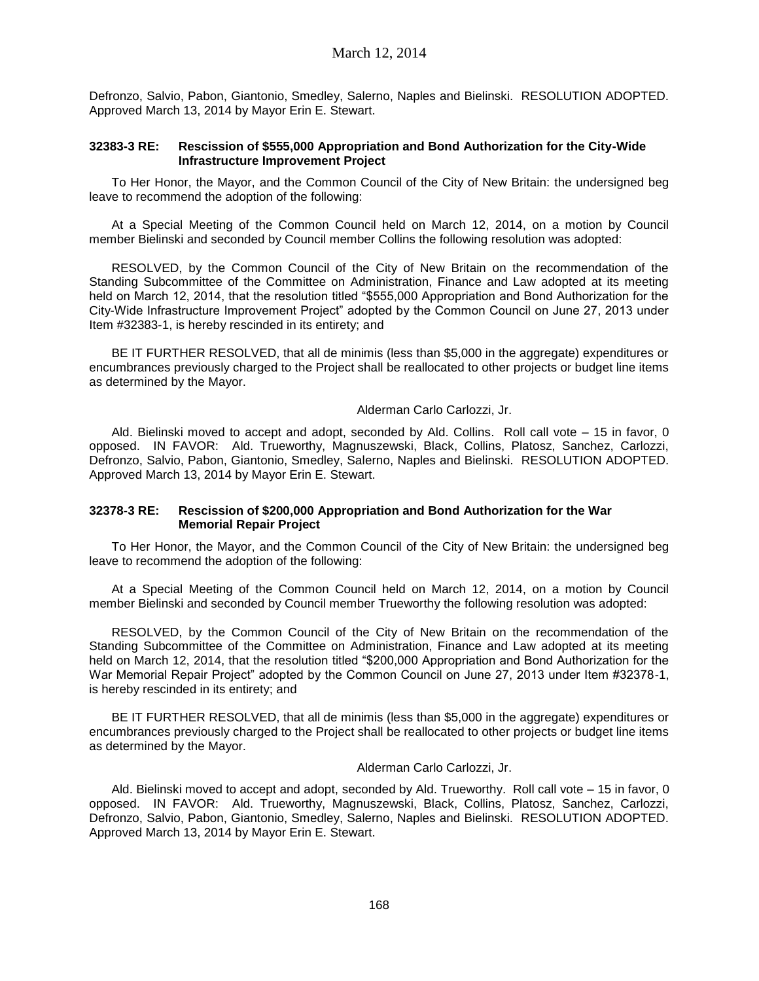Defronzo, Salvio, Pabon, Giantonio, Smedley, Salerno, Naples and Bielinski. RESOLUTION ADOPTED. Approved March 13, 2014 by Mayor Erin E. Stewart.

### **32383-3 RE: Rescission of \$555,000 Appropriation and Bond Authorization for the City-Wide Infrastructure Improvement Project**

To Her Honor, the Mayor, and the Common Council of the City of New Britain: the undersigned beg leave to recommend the adoption of the following:

At a Special Meeting of the Common Council held on March 12, 2014, on a motion by Council member Bielinski and seconded by Council member Collins the following resolution was adopted:

RESOLVED, by the Common Council of the City of New Britain on the recommendation of the Standing Subcommittee of the Committee on Administration, Finance and Law adopted at its meeting held on March 12, 2014, that the resolution titled "\$555,000 Appropriation and Bond Authorization for the City-Wide Infrastructure Improvement Project" adopted by the Common Council on June 27, 2013 under Item #32383-1, is hereby rescinded in its entirety; and

BE IT FURTHER RESOLVED, that all de minimis (less than \$5,000 in the aggregate) expenditures or encumbrances previously charged to the Project shall be reallocated to other projects or budget line items as determined by the Mayor.

#### Alderman Carlo Carlozzi, Jr.

Ald. Bielinski moved to accept and adopt, seconded by Ald. Collins. Roll call vote – 15 in favor, 0 opposed. IN FAVOR: Ald. Trueworthy, Magnuszewski, Black, Collins, Platosz, Sanchez, Carlozzi, Defronzo, Salvio, Pabon, Giantonio, Smedley, Salerno, Naples and Bielinski. RESOLUTION ADOPTED. Approved March 13, 2014 by Mayor Erin E. Stewart.

### **32378-3 RE: Rescission of \$200,000 Appropriation and Bond Authorization for the War Memorial Repair Project**

To Her Honor, the Mayor, and the Common Council of the City of New Britain: the undersigned beg leave to recommend the adoption of the following:

At a Special Meeting of the Common Council held on March 12, 2014, on a motion by Council member Bielinski and seconded by Council member Trueworthy the following resolution was adopted:

RESOLVED, by the Common Council of the City of New Britain on the recommendation of the Standing Subcommittee of the Committee on Administration, Finance and Law adopted at its meeting held on March 12, 2014, that the resolution titled "\$200,000 Appropriation and Bond Authorization for the War Memorial Repair Project" adopted by the Common Council on June 27, 2013 under Item #32378-1, is hereby rescinded in its entirety; and

BE IT FURTHER RESOLVED, that all de minimis (less than \$5,000 in the aggregate) expenditures or encumbrances previously charged to the Project shall be reallocated to other projects or budget line items as determined by the Mayor.

Alderman Carlo Carlozzi, Jr.

Ald. Bielinski moved to accept and adopt, seconded by Ald. Trueworthy. Roll call vote – 15 in favor, 0 opposed. IN FAVOR: Ald. Trueworthy, Magnuszewski, Black, Collins, Platosz, Sanchez, Carlozzi, Defronzo, Salvio, Pabon, Giantonio, Smedley, Salerno, Naples and Bielinski. RESOLUTION ADOPTED. Approved March 13, 2014 by Mayor Erin E. Stewart.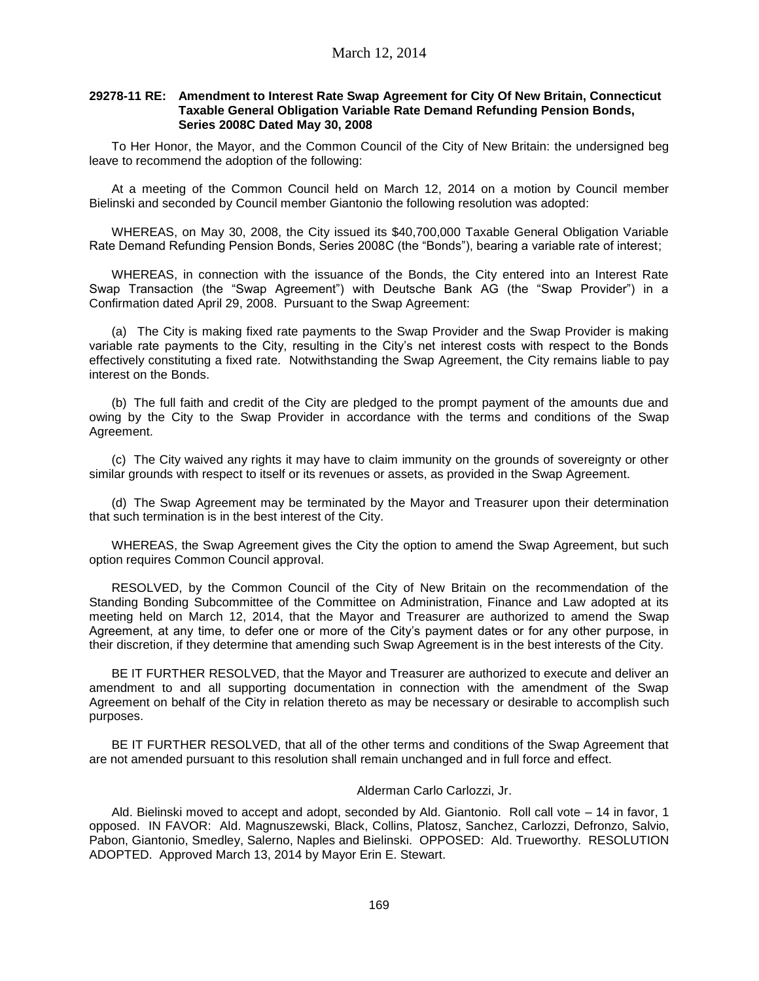### **29278-11 RE: Amendment to Interest Rate Swap Agreement for City Of New Britain, Connecticut Taxable General Obligation Variable Rate Demand Refunding Pension Bonds, Series 2008C Dated May 30, 2008**

To Her Honor, the Mayor, and the Common Council of the City of New Britain: the undersigned beg leave to recommend the adoption of the following:

At a meeting of the Common Council held on March 12, 2014 on a motion by Council member Bielinski and seconded by Council member Giantonio the following resolution was adopted:

WHEREAS, on May 30, 2008, the City issued its \$40,700,000 Taxable General Obligation Variable Rate Demand Refunding Pension Bonds, Series 2008C (the "Bonds"), bearing a variable rate of interest;

WHEREAS, in connection with the issuance of the Bonds, the City entered into an Interest Rate Swap Transaction (the "Swap Agreement") with Deutsche Bank AG (the "Swap Provider") in a Confirmation dated April 29, 2008. Pursuant to the Swap Agreement:

(a) The City is making fixed rate payments to the Swap Provider and the Swap Provider is making variable rate payments to the City, resulting in the City's net interest costs with respect to the Bonds effectively constituting a fixed rate. Notwithstanding the Swap Agreement, the City remains liable to pay interest on the Bonds.

(b) The full faith and credit of the City are pledged to the prompt payment of the amounts due and owing by the City to the Swap Provider in accordance with the terms and conditions of the Swap Agreement.

(c) The City waived any rights it may have to claim immunity on the grounds of sovereignty or other similar grounds with respect to itself or its revenues or assets, as provided in the Swap Agreement.

(d) The Swap Agreement may be terminated by the Mayor and Treasurer upon their determination that such termination is in the best interest of the City.

WHEREAS, the Swap Agreement gives the City the option to amend the Swap Agreement, but such option requires Common Council approval.

RESOLVED, by the Common Council of the City of New Britain on the recommendation of the Standing Bonding Subcommittee of the Committee on Administration, Finance and Law adopted at its meeting held on March 12, 2014, that the Mayor and Treasurer are authorized to amend the Swap Agreement, at any time, to defer one or more of the City's payment dates or for any other purpose, in their discretion, if they determine that amending such Swap Agreement is in the best interests of the City.

BE IT FURTHER RESOLVED, that the Mayor and Treasurer are authorized to execute and deliver an amendment to and all supporting documentation in connection with the amendment of the Swap Agreement on behalf of the City in relation thereto as may be necessary or desirable to accomplish such purposes.

BE IT FURTHER RESOLVED, that all of the other terms and conditions of the Swap Agreement that are not amended pursuant to this resolution shall remain unchanged and in full force and effect.

### Alderman Carlo Carlozzi, Jr.

Ald. Bielinski moved to accept and adopt, seconded by Ald. Giantonio. Roll call vote – 14 in favor, 1 opposed. IN FAVOR: Ald. Magnuszewski, Black, Collins, Platosz, Sanchez, Carlozzi, Defronzo, Salvio, Pabon, Giantonio, Smedley, Salerno, Naples and Bielinski. OPPOSED: Ald. Trueworthy. RESOLUTION ADOPTED. Approved March 13, 2014 by Mayor Erin E. Stewart.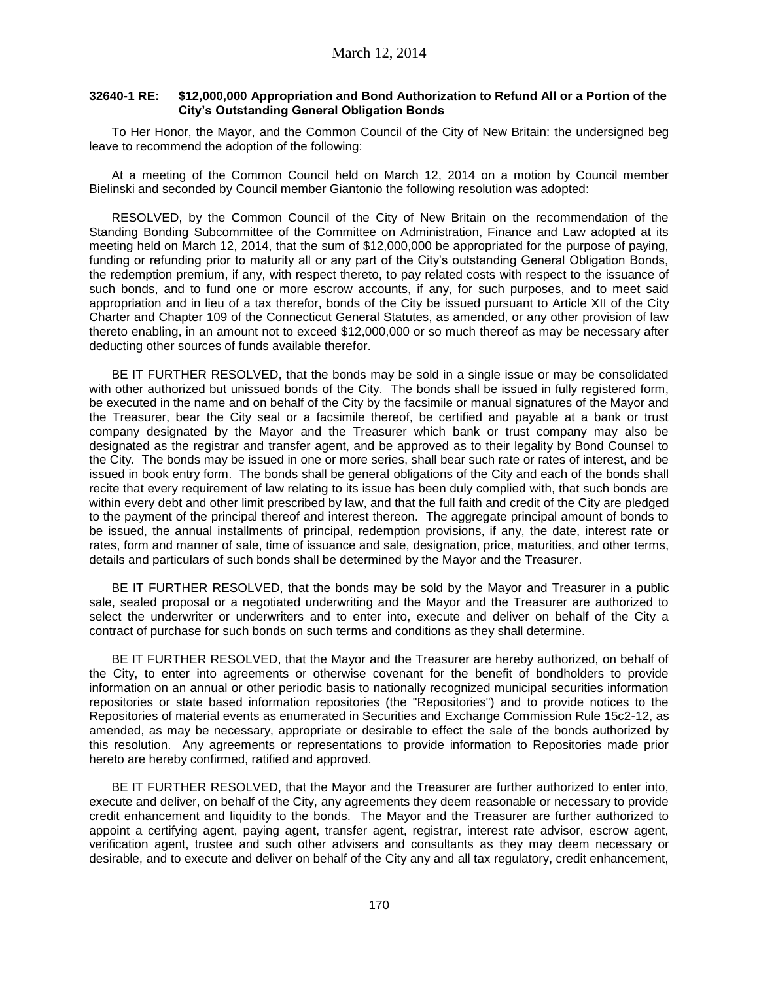## **32640-1 RE: \$12,000,000 Appropriation and Bond Authorization to Refund All or a Portion of the City's Outstanding General Obligation Bonds**

To Her Honor, the Mayor, and the Common Council of the City of New Britain: the undersigned beg leave to recommend the adoption of the following:

At a meeting of the Common Council held on March 12, 2014 on a motion by Council member Bielinski and seconded by Council member Giantonio the following resolution was adopted:

RESOLVED, by the Common Council of the City of New Britain on the recommendation of the Standing Bonding Subcommittee of the Committee on Administration, Finance and Law adopted at its meeting held on March 12, 2014, that the sum of \$12,000,000 be appropriated for the purpose of paying, funding or refunding prior to maturity all or any part of the City's outstanding General Obligation Bonds, the redemption premium, if any, with respect thereto, to pay related costs with respect to the issuance of such bonds, and to fund one or more escrow accounts, if any, for such purposes, and to meet said appropriation and in lieu of a tax therefor, bonds of the City be issued pursuant to Article XII of the City Charter and Chapter 109 of the Connecticut General Statutes, as amended, or any other provision of law thereto enabling, in an amount not to exceed \$12,000,000 or so much thereof as may be necessary after deducting other sources of funds available therefor.

BE IT FURTHER RESOLVED, that the bonds may be sold in a single issue or may be consolidated with other authorized but unissued bonds of the City. The bonds shall be issued in fully registered form, be executed in the name and on behalf of the City by the facsimile or manual signatures of the Mayor and the Treasurer, bear the City seal or a facsimile thereof, be certified and payable at a bank or trust company designated by the Mayor and the Treasurer which bank or trust company may also be designated as the registrar and transfer agent, and be approved as to their legality by Bond Counsel to the City. The bonds may be issued in one or more series, shall bear such rate or rates of interest, and be issued in book entry form. The bonds shall be general obligations of the City and each of the bonds shall recite that every requirement of law relating to its issue has been duly complied with, that such bonds are within every debt and other limit prescribed by law, and that the full faith and credit of the City are pledged to the payment of the principal thereof and interest thereon. The aggregate principal amount of bonds to be issued, the annual installments of principal, redemption provisions, if any, the date, interest rate or rates, form and manner of sale, time of issuance and sale, designation, price, maturities, and other terms, details and particulars of such bonds shall be determined by the Mayor and the Treasurer.

BE IT FURTHER RESOLVED, that the bonds may be sold by the Mayor and Treasurer in a public sale, sealed proposal or a negotiated underwriting and the Mayor and the Treasurer are authorized to select the underwriter or underwriters and to enter into, execute and deliver on behalf of the City a contract of purchase for such bonds on such terms and conditions as they shall determine.

BE IT FURTHER RESOLVED, that the Mayor and the Treasurer are hereby authorized, on behalf of the City, to enter into agreements or otherwise covenant for the benefit of bondholders to provide information on an annual or other periodic basis to nationally recognized municipal securities information repositories or state based information repositories (the "Repositories") and to provide notices to the Repositories of material events as enumerated in Securities and Exchange Commission Rule 15c2-12, as amended, as may be necessary, appropriate or desirable to effect the sale of the bonds authorized by this resolution. Any agreements or representations to provide information to Repositories made prior hereto are hereby confirmed, ratified and approved.

BE IT FURTHER RESOLVED, that the Mayor and the Treasurer are further authorized to enter into, execute and deliver, on behalf of the City, any agreements they deem reasonable or necessary to provide credit enhancement and liquidity to the bonds. The Mayor and the Treasurer are further authorized to appoint a certifying agent, paying agent, transfer agent, registrar, interest rate advisor, escrow agent, verification agent, trustee and such other advisers and consultants as they may deem necessary or desirable, and to execute and deliver on behalf of the City any and all tax regulatory, credit enhancement,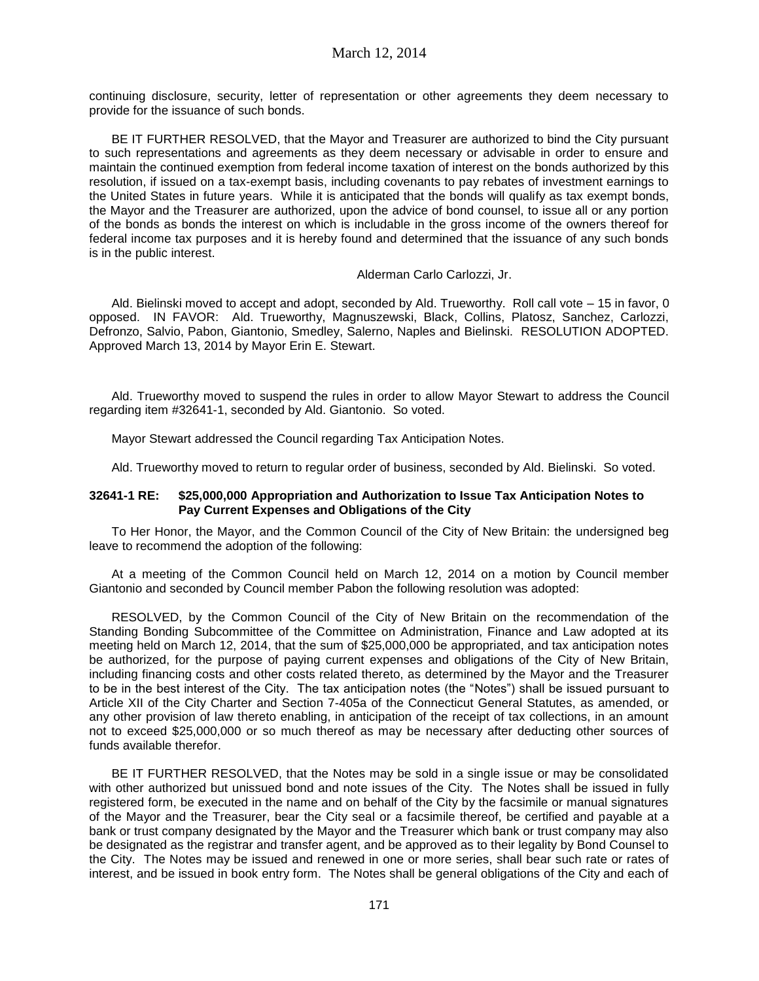continuing disclosure, security, letter of representation or other agreements they deem necessary to provide for the issuance of such bonds.

BE IT FURTHER RESOLVED, that the Mayor and Treasurer are authorized to bind the City pursuant to such representations and agreements as they deem necessary or advisable in order to ensure and maintain the continued exemption from federal income taxation of interest on the bonds authorized by this resolution, if issued on a tax-exempt basis, including covenants to pay rebates of investment earnings to the United States in future years. While it is anticipated that the bonds will qualify as tax exempt bonds, the Mayor and the Treasurer are authorized, upon the advice of bond counsel, to issue all or any portion of the bonds as bonds the interest on which is includable in the gross income of the owners thereof for federal income tax purposes and it is hereby found and determined that the issuance of any such bonds is in the public interest.

Alderman Carlo Carlozzi, Jr.

Ald. Bielinski moved to accept and adopt, seconded by Ald. Trueworthy. Roll call vote – 15 in favor, 0 opposed. IN FAVOR: Ald. Trueworthy, Magnuszewski, Black, Collins, Platosz, Sanchez, Carlozzi, Defronzo, Salvio, Pabon, Giantonio, Smedley, Salerno, Naples and Bielinski. RESOLUTION ADOPTED. Approved March 13, 2014 by Mayor Erin E. Stewart.

Ald. Trueworthy moved to suspend the rules in order to allow Mayor Stewart to address the Council regarding item #32641-1, seconded by Ald. Giantonio. So voted.

Mayor Stewart addressed the Council regarding Tax Anticipation Notes.

Ald. Trueworthy moved to return to regular order of business, seconded by Ald. Bielinski. So voted.

## **32641-1 RE: \$25,000,000 Appropriation and Authorization to Issue Tax Anticipation Notes to Pay Current Expenses and Obligations of the City**

To Her Honor, the Mayor, and the Common Council of the City of New Britain: the undersigned beg leave to recommend the adoption of the following:

At a meeting of the Common Council held on March 12, 2014 on a motion by Council member Giantonio and seconded by Council member Pabon the following resolution was adopted:

RESOLVED, by the Common Council of the City of New Britain on the recommendation of the Standing Bonding Subcommittee of the Committee on Administration, Finance and Law adopted at its meeting held on March 12, 2014, that the sum of \$25,000,000 be appropriated, and tax anticipation notes be authorized, for the purpose of paying current expenses and obligations of the City of New Britain, including financing costs and other costs related thereto, as determined by the Mayor and the Treasurer to be in the best interest of the City. The tax anticipation notes (the "Notes") shall be issued pursuant to Article XII of the City Charter and Section 7-405a of the Connecticut General Statutes, as amended, or any other provision of law thereto enabling, in anticipation of the receipt of tax collections, in an amount not to exceed \$25,000,000 or so much thereof as may be necessary after deducting other sources of funds available therefor.

BE IT FURTHER RESOLVED, that the Notes may be sold in a single issue or may be consolidated with other authorized but unissued bond and note issues of the City. The Notes shall be issued in fully registered form, be executed in the name and on behalf of the City by the facsimile or manual signatures of the Mayor and the Treasurer, bear the City seal or a facsimile thereof, be certified and payable at a bank or trust company designated by the Mayor and the Treasurer which bank or trust company may also be designated as the registrar and transfer agent, and be approved as to their legality by Bond Counsel to the City. The Notes may be issued and renewed in one or more series, shall bear such rate or rates of interest, and be issued in book entry form. The Notes shall be general obligations of the City and each of